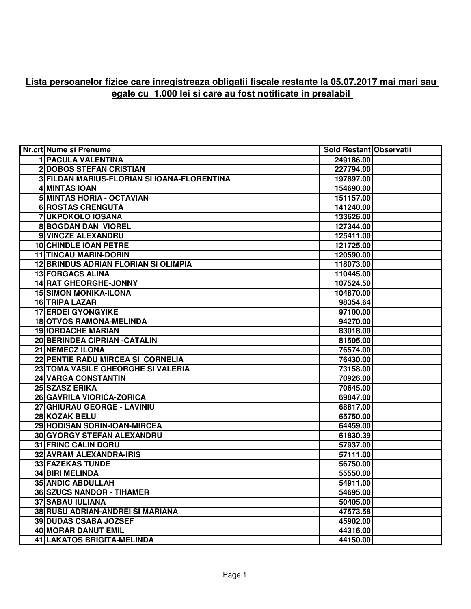## **Lista persoanelor fizice care inregistreaza obligatii fiscale restante la 05.07.2017 mai mari sau egale cu 1.000 lei si care au fost notificate in prealabil**

| Nr.crt Nume si Prenume                      | Sold Restant Observatii |  |
|---------------------------------------------|-------------------------|--|
| <b>1 PACULA VALENTINA</b>                   | 249186.00               |  |
| <b>2 DOBOS STEFAN CRISTIAN</b>              | 227794.00               |  |
| 3 FILDAN MARIUS-FLORIAN SI IOANA-FLORENTINA | 197897.00               |  |
| 4 MINTAS IOAN                               | 154690.00               |  |
| 5 MINTAS HORIA - OCTAVIAN                   | 151157.00               |  |
| <b>6 ROSTAS CRENGUTA</b>                    | 141240.00               |  |
| <b>7UKPOKOLO IOSANA</b>                     | 133626.00               |  |
| <b>8 BOGDAN DAN VIOREL</b>                  | 127344.00               |  |
| 9 VINCZE ALEXANDRU                          | 125411.00               |  |
| <b>10 CHINDLE IOAN PETRE</b>                | 121725.00               |  |
| <b>11 TINCAU MARIN-DORIN</b>                | 120590.00               |  |
| <b>12 BRINDUS ADRIAN FLORIAN SI OLIMPIA</b> | 118073.00               |  |
| <b>13 FORGACS ALINA</b>                     | 110445.00               |  |
| <b>14 RAT GHEORGHE-JONNY</b>                | 107524.50               |  |
| <b>15 SIMON MONIKA-ILONA</b>                | 104870.00               |  |
| 16 TRIPA LAZAR                              | 98354.64                |  |
| <b>17 ERDEI GYONGYIKE</b>                   | 97100.00                |  |
| 18 OTVOS RAMONA-MELINDA                     | 94270.00                |  |
| <b>19 IORDACHE MARIAN</b>                   | 83018.00                |  |
| 20 BERINDEA CIPRIAN - CATALIN               | 81505.00                |  |
| 21 NEMECZ ILONA                             | 76574.00                |  |
| 22 PENTIE RADU MIRCEA SI CORNELIA           | 76430.00                |  |
| 23 TOMA VASILE GHEORGHE SI VALERIA          | 73158.00                |  |
| <b>24 VARGA CONSTANTIN</b>                  | 70926.00                |  |
| 25 SZASZ ERIKA                              | 70645.00                |  |
| 26 GAVRILA VIORICA-ZORICA                   | 69847.00                |  |
| 27 GHIURAU GEORGE - LAVINIU                 | 68817.00                |  |
| 28 KOZAK BELU                               | 65750.00                |  |
| 29 HODISAN SORIN-IOAN-MIRCEA                | 64459.00                |  |
| 30 GYORGY STEFAN ALEXANDRU                  | 61830.39                |  |
| <b>31 FRINC CALIN DORU</b>                  | 57937.00                |  |
| 32 AVRAM ALEXANDRA-IRIS                     | 57111.00                |  |
| <b>33 FAZEKAS TUNDE</b>                     | 56750.00                |  |
| <b>34 BIRI MELINDA</b>                      | 55550.00                |  |
| <b>35 ANDIC ABDULLAH</b>                    | 54911.00                |  |
| <b>36 SZUCS NANDOR - TIHAMER</b>            | 54695.00                |  |
| <b>37 SABAU IULIANA</b>                     | 50405.00                |  |
| <b>38 RUSU ADRIAN-ANDREI SI MARIANA</b>     | 47573.58                |  |
| <b>39 DUDAS CSABA JOZSEF</b>                | 45902.00                |  |
| <b>40 MORAR DANUT EMIL</b>                  | 44316.00                |  |
| 41 LAKATOS BRIGITA-MELINDA                  | 44150.00                |  |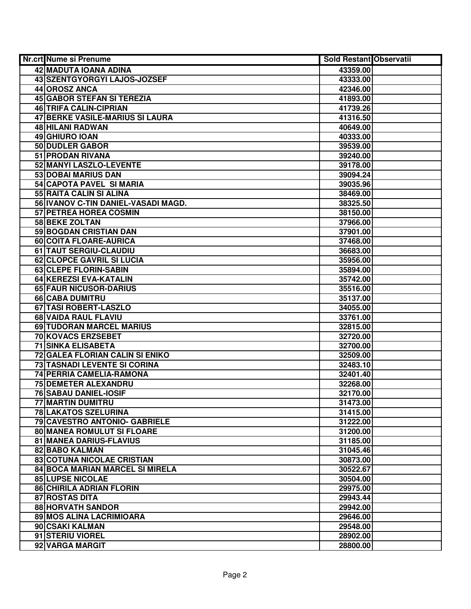| Nr.crt Nume si Prenume              | <b>Sold Restant Observatii</b> |  |
|-------------------------------------|--------------------------------|--|
| 42 MADUTA IOANA ADINA               | 43359.00                       |  |
| 43 SZENTGYORGYI LAJOS-JOZSEF        | 43333.00                       |  |
| 44 OROSZ ANCA                       | 42346.00                       |  |
| <b>45 GABOR STEFAN SI TEREZIA</b>   | 41893.00                       |  |
| 46 TRIFA CALIN-CIPRIAN              | 41739.26                       |  |
| 47 BERKE VASILE-MARIUS SI LAURA     | 41316.50                       |  |
| 48 HILANI RADWAN                    | 40649.00                       |  |
| 49 GHIURO IOAN                      | 40333.00                       |  |
| <b>50 DUDLER GABOR</b>              | 39539.00                       |  |
| <b>51 PRODAN RIVANA</b>             | 39240.00                       |  |
| 52 MANYI LASZLO-LEVENTE             | 39178.00                       |  |
| <b>53 DOBAI MARIUS DAN</b>          | 39094.24                       |  |
| 54 CAPOTA PAVEL SI MARIA            | 39035.96                       |  |
| 55 RAITA CALIN SI ALINA             | 38469.00                       |  |
| 56 IVANOV C-TIN DANIEL-VASADI MAGD. | 38325.50                       |  |
| 57 PETREA HOREA COSMIN              | 38150.00                       |  |
| 58 BEKE ZOLTAN                      | 37966.00                       |  |
| 59 BOGDAN CRISTIAN DAN              | 37901.00                       |  |
| 60 COITA FLOARE-AURICA              | 37468.00                       |  |
| 61 TAUT SERGIU-CLAUDIU              | 36683.00                       |  |
| <b>62 CLOPCE GAVRIL SI LUCIA</b>    | 35956.00                       |  |
| 63 CLEPE FLORIN-SABIN               | 35894.00                       |  |
| 64 KEREZSI EVA-KATALIN              | 35742.00                       |  |
| 65 FAUR NICUSOR-DARIUS              | 35516.00                       |  |
| 66 CABA DUMITRU                     | 35137.00                       |  |
| 67 TASI ROBERT-LASZLO               | 34055.00                       |  |
| 68 VAIDA RAUL FLAVIU                | 33761.00                       |  |
| 69 TUDORAN MARCEL MARIUS            | 32815.00                       |  |
| 70 KOVACS ERZSEBET                  | 32720.00                       |  |
| <b>71 SINKA ELISABETA</b>           | 32700.00                       |  |
| 72 GALEA FLORIAN CALIN SI ENIKO     | 32509.00                       |  |
| <b>73 TASNADI LEVENTE SI CORINA</b> | 32483.10                       |  |
| 74 PERRIA CAMELIA-RAMONA            | 32401.40                       |  |
| 75 DEMETER ALEXANDRU                | 32268.00                       |  |
| <b>76 SABAU DANIEL-IOSIF</b>        | 32170.00                       |  |
| <b>77 MARTIN DUMITRU</b>            | 31473.00                       |  |
| <b>78 LAKATOS SZELURINA</b>         | 31415.00                       |  |
| 79 CAVESTRO ANTONIO- GABRIELE       | 31222.00                       |  |
| <b>80 MANEA ROMULUT SI FLOARE</b>   | 31200.00                       |  |
| 81 MANEA DARIUS-FLAVIUS             | 31185.00                       |  |
| 82 BABO KALMAN                      | 31045.46                       |  |
| 83 COTUNA NICOLAE CRISTIAN          | 30873.00                       |  |
| 84 BOCA MARIAN MARCEL SI MIRELA     | 30522.67                       |  |
| <b>85 LUPSE NICOLAE</b>             | 30504.00                       |  |
| <b>86 CHIRILA ADRIAN FLORIN</b>     | 29975.00                       |  |
| 87 ROSTAS DITA                      | 29943.44                       |  |
| <b>88 HORVATH SANDOR</b>            | 29942.00                       |  |
| 89 MOS ALINA LACRIMIOARA            | 29646.00                       |  |
| 90 CSAKI KALMAN                     | 29548.00                       |  |
| 91 STERIU VIOREL                    | 28902.00                       |  |
| 92 VARGA MARGIT                     | 28800.00                       |  |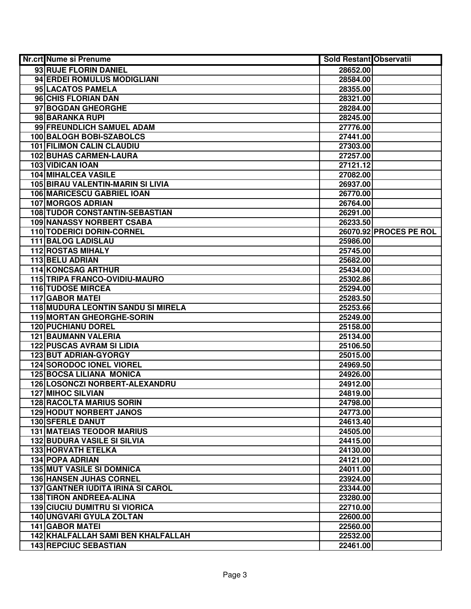| Nr.crt Nume si Prenume                   | <b>Sold Restant Observatii</b> |                        |
|------------------------------------------|--------------------------------|------------------------|
| 93 RUJE FLORIN DANIEL                    | 28652.00                       |                        |
| 94 ERDEI ROMULUS MODIGLIANI              | 28584.00                       |                        |
| 95 LACATOS PAMELA                        | 28355.00                       |                        |
| 96 CHIS FLORIAN DAN                      | 28321.00                       |                        |
| 97 BOGDAN GHEORGHE                       | 28284.00                       |                        |
| 98 BARANKA RUPI                          | 28245.00                       |                        |
| 99 FREUNDLICH SAMUEL ADAM                | 27776.00                       |                        |
| 100 BALOGH BOBI-SZABOLCS                 | 27441.00                       |                        |
| <b>101 FILIMON CALIN CLAUDIU</b>         | 27303.00                       |                        |
| <b>102 BUHAS CARMEN-LAURA</b>            | 27257.00                       |                        |
| 103 VIDICAN IOAN                         | 27121.12                       |                        |
| <b>104 MIHALCEA VASILE</b>               | 27082.00                       |                        |
| <b>105 BIRAU VALENTIN-MARIN SI LIVIA</b> | 26937.00                       |                        |
| 106 MARICESCU GABRIEL IOAN               | 26770.00                       |                        |
| <b>107 MORGOS ADRIAN</b>                 | 26764.00                       |                        |
| <b>108 TUDOR CONSTANTIN-SEBASTIAN</b>    | 26291.00                       |                        |
| <b>109 NANASSY NORBERT CSABA</b>         | 26233.50                       |                        |
| 110 TODERICI DORIN-CORNEL                |                                | 26070.92 PROCES PE ROL |
| 111 BALOG LADISLAU                       | 25986.00                       |                        |
| <b>112 ROSTAS MIHALY</b>                 | 25745.00                       |                        |
| 113 BELU ADRIAN                          | 25682.00                       |                        |
| 114 KONCSAG ARTHUR                       | 25434.00                       |                        |
| 115 TRIPA FRANCO-OVIDIU-MAURO            | 25302.86                       |                        |
| <b>116 TUDOSE MIRCEA</b>                 | 25294.00                       |                        |
| <b>117 GABOR MATEI</b>                   | 25283.50                       |                        |
| 118 MUDURA LEONTIN SANDU SI MIRELA       | 25253.66                       |                        |
| 119 MORTAN GHEORGHE-SORIN                | 25249.00                       |                        |
| <b>120 PUCHIANU DOREL</b>                | 25158.00                       |                        |
| <b>121 BAUMANN VALERIA</b>               | 25134.00                       |                        |
| <b>122 PUSCAS AVRAM SI LIDIA</b>         | 25106.50                       |                        |
| 123 BUT ADRIAN-GYORGY                    | 25015.00                       |                        |
| <b>124 SORODOC IONEL VIOREL</b>          | 24969.50                       |                        |
| <b>125 BOCSA LILIANA MONICA</b>          | 24926.00                       |                        |
| 126 LOSONCZI NORBERT-ALEXANDRU           | 24912.00                       |                        |
| 127 MIHOC SILVIAN                        | 24819.00                       |                        |
| <b>128 RACOLTA MARIUS SORIN</b>          | 24798.00                       |                        |
| <b>129 HODUT NORBERT JANOS</b>           | 24773.00                       |                        |
| <b>130 SFERLE DANUT</b>                  | 24613.40                       |                        |
| <b>131 MATEIAS TEODOR MARIUS</b>         | 24505.00                       |                        |
| <b>132 BUDURA VASILE SI SILVIA</b>       | 24415.00                       |                        |
| <b>133 HORVATH ETELKA</b>                | 24130.00                       |                        |
| <b>134 POPA ADRIAN</b>                   | 24121.00                       |                        |
| <b>135 MUT VASILE SI DOMNICA</b>         | 24011.00                       |                        |
| <b>136 HANSEN JUHAS CORNEL</b>           | 23924.00                       |                        |
| <b>137 GANTNER IUDITA IRINA SI CAROL</b> | 23344.00                       |                        |
| <b>138 TIRON ANDREEA-ALINA</b>           | 23280.00                       |                        |
| <b>139 CIUCIU DUMITRU SI VIORICA</b>     | 22710.00                       |                        |
| 140 UNGVARI GYULA ZOLTAN                 | 22600.00                       |                        |
| 141 GABOR MATEI                          | 22560.00                       |                        |
| 142 KHALFALLAH SAMI BEN KHALFALLAH       | 22532.00                       |                        |
| <b>143 REPCIUC SEBASTIAN</b>             | 22461.00                       |                        |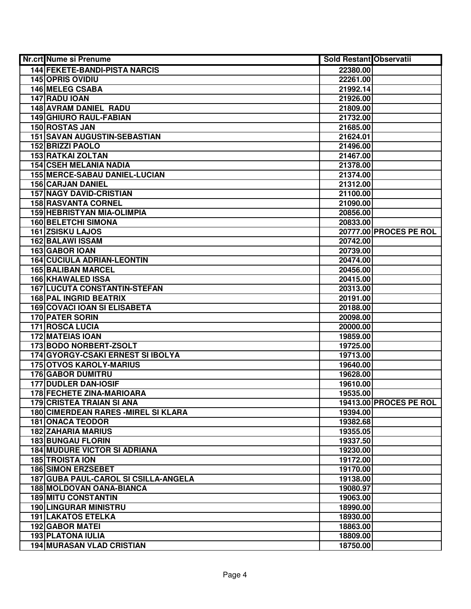| <b>Nr.crt Nume si Prenume</b>               | <b>Sold Restant Observatii</b> |                        |
|---------------------------------------------|--------------------------------|------------------------|
| <b>144 FEKETE-BANDI-PISTA NARCIS</b>        | 22380.00                       |                        |
| <b>145 OPRIS OVIDIU</b>                     | 22261.00                       |                        |
| 146 MELEG CSABA                             | 21992.14                       |                        |
| 147 RADU IOAN                               | 21926.00                       |                        |
| <b>148 AVRAM DANIEL RADU</b>                | 21809.00                       |                        |
| <b>149 GHIURO RAUL-FABIAN</b>               | 21732.00                       |                        |
| 150 ROSTAS JAN                              | 21685.00                       |                        |
| <b>151 SAVAN AUGUSTIN-SEBASTIAN</b>         | 21624.01                       |                        |
| <b>152 BRIZZI PAOLO</b>                     | 21496.00                       |                        |
| <b>153 RATKAI ZOLTAN</b>                    | 21467.00                       |                        |
| <b>154 CSEH MELANIA NADIA</b>               | 21378.00                       |                        |
| <b>155 MERCE-SABAU DANIEL-LUCIAN</b>        | 21374.00                       |                        |
| <b>156 CARJAN DANIEL</b>                    | 21312.00                       |                        |
| <b>157 NAGY DAVID-CRISTIAN</b>              | 21100.00                       |                        |
| <b>158 RASVANTA CORNEL</b>                  | 21090.00                       |                        |
| <b>159 HEBRISTYAN MIA-OLIMPIA</b>           | 20856.00                       |                        |
| <b>160 BELETCHI SIMONA</b>                  | 20833.00                       |                        |
| 161 ZSISKU LAJOS                            |                                | 20777.00 PROCES PE ROL |
| 162 BALAWI ISSAM                            | 20742.00                       |                        |
| 163 GABOR IOAN                              | 20739.00                       |                        |
| <b>164 CUCIULA ADRIAN-LEONTIN</b>           | 20474.00                       |                        |
| <b>165 BALIBAN MARCEL</b>                   | 20456.00                       |                        |
| 166 KHAWALED ISSA                           | 20415.00                       |                        |
| <b>167 LUCUTA CONSTANTIN-STEFAN</b>         | 20313.00                       |                        |
| <b>168 PAL INGRID BEATRIX</b>               | 20191.00                       |                        |
| <b>169 COVACI IOAN SI ELISABETA</b>         | 20188.00                       |                        |
| 170 PATER SORIN                             | 20098.00                       |                        |
| 171 ROSCA LUCIA                             | 20000.00                       |                        |
| <b>172 MATEIAS IOAN</b>                     | 19859.00                       |                        |
| 173 BODO NORBERT-ZSOLT                      | 19725.00                       |                        |
| 174 GYORGY-CSAKI ERNEST SI IBOLYA           | 19713.00                       |                        |
| <b>175 OTVOS KAROLY-MARIUS</b>              | 19640.00                       |                        |
| <b>176 GABOR DUMITRU</b>                    | 19628.00                       |                        |
| <b>177 DUDLER DAN-IOSIF</b>                 | 19610.00                       |                        |
| <b>178 FECHETE ZINA-MARIOARA</b>            | 19535.00                       |                        |
| 179 CRISTEA TRAIAN SI ANA                   |                                | 19413.00 PROCES PE ROL |
| <b>180 CIMERDEAN RARES - MIREL SI KLARA</b> | 19394.00                       |                        |
| <b>181 ONACA TEODOR</b>                     | 19382.68                       |                        |
| <b>182 ZAHARIA MARIUS</b>                   | 19355.05                       |                        |
| <b>183 BUNGAU FLORIN</b>                    | 19337.50                       |                        |
| <b>184 MUDURE VICTOR SI ADRIANA</b>         | 19230.00                       |                        |
| <b>185 TROISTA ION</b>                      | 19172.00                       |                        |
| <b>186 SIMON ERZSEBET</b>                   | 19170.00                       |                        |
| 187 GUBA PAUL-CAROL SI CSILLA-ANGELA        | 19138.00                       |                        |
| 188 MOLDOVAN OANA-BIANCA                    | 19080.97                       |                        |
| <b>189 MITU CONSTANTIN</b>                  | 19063.00                       |                        |
| <b>190 LINGURAR MINISTRU</b>                | 18990.00                       |                        |
| <b>191 LAKATOS ETELKA</b>                   | 18930.00                       |                        |
| <b>192 GABOR MATEI</b>                      | 18863.00                       |                        |
| <b>193 PLATONA IULIA</b>                    | 18809.00                       |                        |
| <b>194 MURASAN VLAD CRISTIAN</b>            | 18750.00                       |                        |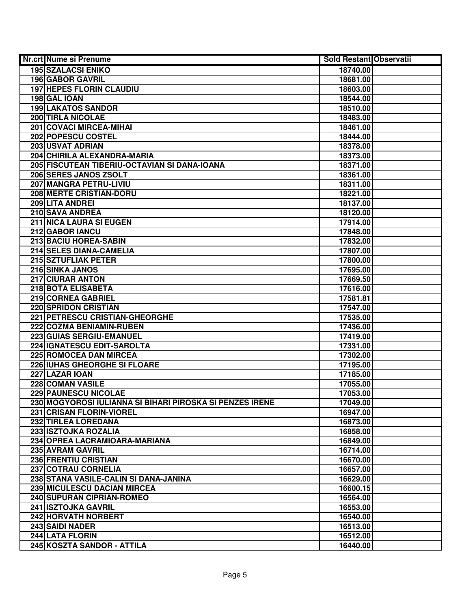| Nr.crt Nume si Prenume                                   | <b>Sold Restant Observatii</b> |  |
|----------------------------------------------------------|--------------------------------|--|
| <b>195 SZALACSI ENIKO</b>                                | 18740.00                       |  |
| <b>196 GABOR GAVRIL</b>                                  | 18681.00                       |  |
| <b>197 HEPES FLORIN CLAUDIU</b>                          | 18603.00                       |  |
| 198 GAL IOAN                                             | 18544.00                       |  |
| <b>199 LAKATOS SANDOR</b>                                | 18510.00                       |  |
| <b>200 TIRLA NICOLAE</b>                                 | 18483.00                       |  |
| 201 COVACI MIRCEA-MIHAI                                  | 18461.00                       |  |
| 202 POPESCU COSTEL                                       | 18444.00                       |  |
| <b>203 USVAT ADRIAN</b>                                  | 18378.00                       |  |
| 204 CHIRILA ALEXANDRA-MARIA                              | 18373.00                       |  |
| 205 FISCUTEAN TIBERIU-OCTAVIAN SI DANA-IOANA             | 18371.00                       |  |
| 206 SERES JANOS ZSOLT                                    | 18361.00                       |  |
| 207 MANGRA PETRU-LIVIU                                   | 18311.00                       |  |
| <b>208 MERTE CRISTIAN-DORU</b>                           | 18221.00                       |  |
| 209 LITA ANDREI                                          | 18137.00                       |  |
| 210 SAVA ANDREA                                          | 18120.00                       |  |
| 211 NICA LAURA SI EUGEN                                  | 17914.00                       |  |
| 212 GABOR IANCU                                          | 17848.00                       |  |
| 213 BACIU HOREA-SABIN                                    | 17832.00                       |  |
| 214 SELES DIANA-CAMELIA                                  | 17807.00                       |  |
| 215 SZTUFLIAK PETER                                      | 17800.00                       |  |
| 216 SINKA JANOS                                          | 17695.00                       |  |
| 217 CIURAR ANTON                                         | 17669.50                       |  |
| 218 BOTA ELISABETA                                       | 17616.00                       |  |
| 219 CORNEA GABRIEL                                       | 17581.81                       |  |
| 220 SPRIDON CRISTIAN                                     | 17547.00                       |  |
| 221 PETRESCU CRISTIAN-GHEORGHE                           | 17535.00                       |  |
| 222 COZMA BENIAMIN-RUBEN                                 | 17436.00                       |  |
| 223 GUIAS SERGIU-EMANUEL                                 | 17419.00                       |  |
| 224 IGNATESCU EDIT-SAROLTA                               | 17331.00                       |  |
| 225 ROMOCEA DAN MIRCEA                                   | 17302.00                       |  |
| <b>226 IUHAS GHEORGHE SI FLOARE</b>                      | 17195.00                       |  |
| 227 LAZAR IOAN                                           | 17185.00                       |  |
| 228 COMAN VASILE                                         | 17055.00                       |  |
| <b>229 PAUNESCU NICOLAE</b>                              | 17053.00                       |  |
| 230 MOGYOROSI IULIANNA SI BIHARI PIROSKA SI PENZES IRENE | 17049.00                       |  |
| 231 CRISAN FLORIN-VIOREL                                 | 16947.00                       |  |
| 232 TIRLEA LOREDANA                                      | 16873.00                       |  |
| 233 ISZTOJKA ROZALIA                                     | 16858.00                       |  |
| 234 OPREA LACRAMIOARA-MARIANA                            | 16849.00                       |  |
| 235 AVRAM GAVRIL                                         | 16714.00                       |  |
| 236 FRENTIU CRISTIAN                                     | 16670.00                       |  |
| 237 COTRAU CORNELIA                                      | 16657.00                       |  |
| 238 STANA VASILE-CALIN SI DANA-JANINA                    | 16629.00                       |  |
| 239 MICULESCU DACIAN MIRCEA                              | 16600.15                       |  |
| 240 SUPURAN CIPRIAN-ROMEO                                | 16564.00                       |  |
| 241 ISZTOJKA GAVRIL                                      | 16553.00                       |  |
| 242 HORVATH NORBERT                                      | 16540.00                       |  |
| 243 SAIDI NADER                                          | 16513.00                       |  |
| 244 LATA FLORIN                                          | 16512.00                       |  |
| 245 KOSZTA SANDOR - ATTILA                               | 16440.00                       |  |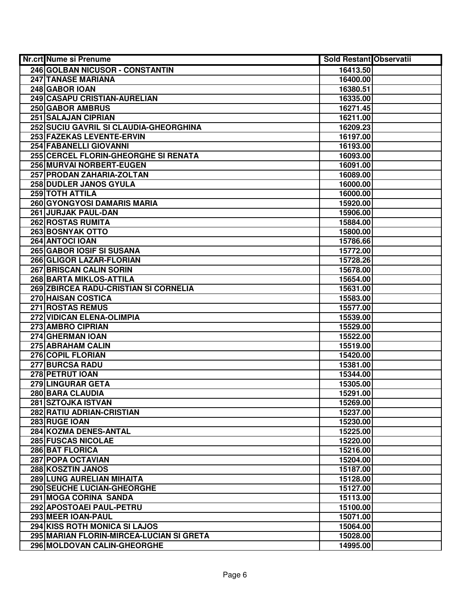| Nr.crt Nume si Prenume                   | Sold Restant Observatii |  |
|------------------------------------------|-------------------------|--|
| 246 GOLBAN NICUSOR - CONSTANTIN          | 16413.50                |  |
| <b>247 TANASE MARIANA</b>                | 16400.00                |  |
| 248 GABOR IOAN                           | 16380.51                |  |
| 249 CASAPU CRISTIAN-AURELIAN             | 16335.00                |  |
| 250 GABOR AMBRUS                         | 16271.45                |  |
| <b>251 SALAJAN CIPRIAN</b>               | 16211.00                |  |
| 252 SUCIU GAVRIL SI CLAUDIA-GHEORGHINA   | 16209.23                |  |
| 253 FAZEKAS LEVENTE-ERVIN                | 16197.00                |  |
| 254 FABANELLI GIOVANNI                   | 16193.00                |  |
| 255 CERCEL FLORIN-GHEORGHE SI RENATA     | 16093.00                |  |
| 256 MURVAI NORBERT-EUGEN                 | 16091.00                |  |
| 257 PRODAN ZAHARIA-ZOLTAN                | 16089.00                |  |
| 258 DUDLER JANOS GYULA                   | 16000.00                |  |
| 259 TOTH ATTILA                          | 16000.00                |  |
| 260 GYONGYOSI DAMARIS MARIA              | 15920.00                |  |
| 261 JURJAK PAUL-DAN                      | 15906.00                |  |
| 262 ROSTAS RUMITA                        | 15884.00                |  |
| 263 BOSNYAK OTTO                         | 15800.00                |  |
| 264 ANTOCI IOAN                          | 15786.66                |  |
| 265 GABOR IOSIF SI SUSANA                | 15772.00                |  |
| 266 GLIGOR LAZAR-FLORIAN                 | 15728.26                |  |
| <b>267 BRISCAN CALIN SORIN</b>           | 15678.00                |  |
| 268 BARTA MIKLOS-ATTILA                  | 15654.00                |  |
| 269 ZBIRCEA RADU-CRISTIAN SI CORNELIA    | 15631.00                |  |
| 270 HAISAN COSTICA                       | 15583.00                |  |
| 271 ROSTAS REMUS                         | 15577.00                |  |
| 272 VIDICAN ELENA-OLIMPIA                | 15539.00                |  |
| 273 AMBRO CIPRIAN                        | 15529.00                |  |
| 274 GHERMAN IOAN                         | 15522.00                |  |
| 275 ABRAHAM CALIN                        | 15519.00                |  |
| 276 COPIL FLORIAN                        | 15420.00                |  |
| <b>277 BURCSA RADU</b>                   | 15381.00                |  |
| 278 PETRUT IOAN                          | 15344.00                |  |
| 279 LINGURAR GETA                        | 15305.00                |  |
| 280 BARA CLAUDIA                         | 15291.00                |  |
| 281 SZTOJKA ISTVAN                       | 15269.00                |  |
| 282 RATIU ADRIAN-CRISTIAN                | 15237.00                |  |
| 283 RUGE IOAN                            | 15230.00                |  |
| 284 KOZMA DENES-ANTAL                    | 15225.00                |  |
| <b>285 FUSCAS NICOLAE</b>                | 15220.00                |  |
| 286 BAT FLORICA                          | 15216.00                |  |
| 287 POPA OCTAVIAN                        | 15204.00                |  |
| 288 KOSZTIN JANOS                        | 15187.00                |  |
| 289 LUNG AURELIAN MIHAITA                | 15128.00                |  |
| <b>290 SEUCHE LUCIAN-GHEORGHE</b>        | 15127.00                |  |
| 291 MOGA CORINA SANDA                    | 15113.00                |  |
| 292 APOSTOAEI PAUL-PETRU                 | 15100.00                |  |
| 293 MEER IOAN-PAUL                       | 15071.00                |  |
| 294 KISS ROTH MONICA SI LAJOS            | 15064.00                |  |
| 295 MARIAN FLORIN-MIRCEA-LUCIAN SI GRETA | 15028.00                |  |
| 296 MOLDOVAN CALIN-GHEORGHE              | 14995.00                |  |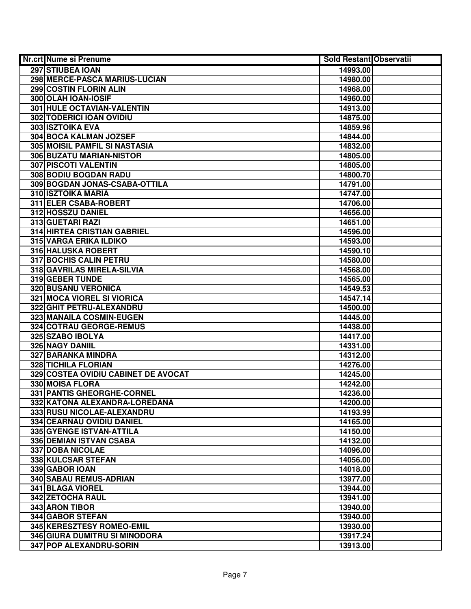| Nr.crt Nume si Prenume               | <b>Sold Restant Observatii</b> |
|--------------------------------------|--------------------------------|
| <b>297 STIUBEA IOAN</b>              | 14993.00                       |
| 298 MERCE-PASCA MARIUS-LUCIAN        | 14980.00                       |
| 299 COSTIN FLORIN ALIN               | 14968.00                       |
| 300 OLAH IOAN-IOSIF                  | 14960.00                       |
| 301 HULE OCTAVIAN-VALENTIN           | 14913.00                       |
| 302 TODERICI IOAN OVIDIU             | 14875.00                       |
| 303 ISZTOIKA EVA                     | 14859.96                       |
| <b>304 BOCA KALMAN JOZSEF</b>        | 14844.00                       |
| <b>305 MOISIL PAMFIL SI NASTASIA</b> | 14832.00                       |
| 306 BUZATU MARIAN-NISTOR             | 14805.00                       |
| <b>307 PISCOTI VALENTIN</b>          | 14805.00                       |
| 308 BODIU BOGDAN RADU                | 14800.70                       |
| 309 BOGDAN JONAS-CSABA-OTTILA        | 14791.00                       |
| 310 ISZTOIKA MARIA                   | 14747.00                       |
| 311 ELER CSABA-ROBERT                | 14706.00                       |
| 312 HOSSZU DANIEL                    | 14656.00                       |
| 313 GUETARI RAZI                     | 14651.00                       |
| <b>314 HIRTEA CRISTIAN GABRIEL</b>   | 14596.00                       |
| <b>315 VARGA ERIKA ILDIKO</b>        | 14593.00                       |
| 316 HALUSKA ROBERT                   | 14590.10                       |
| 317 BOCHIS CALIN PETRU               | 14580.00                       |
| 318 GAVRILAS MIRELA-SILVIA           | 14568.00                       |
| <b>319 GEBER TUNDE</b>               | 14565.00                       |
| 320 BUSANU VERONICA                  | 14549.53                       |
| 321 MOCA VIOREL SI VIORICA           | 14547.14                       |
| 322 GHIT PETRU-ALEXANDRU             | 14500.00                       |
| 323 MANAILA COSMIN-EUGEN             | 14445.00                       |
| 324 COTRAU GEORGE-REMUS              | 14438.00                       |
| 325 SZABO IBOLYA                     | 14417.00                       |
| 326 NAGY DANIIL                      | 14331.00                       |
| 327 BARANKA MINDRA                   | 14312.00                       |
| <b>328 TICHILA FLORIAN</b>           | 14276.00                       |
| 329 COSTEA OVIDIU CABINET DE AVOCAT  | 14245.00                       |
| 330 MOISA FLORA                      | 14242.00                       |
| 331 PANTIS GHEORGHE-CORNEL           | 14236.00                       |
| 332 KATONA ALEXANDRA-LOREDANA        | 14200.00                       |
| 333 RUSU NICOLAE-ALEXANDRU           | 14193.99                       |
| 334 CEARNAU OVIDIU DANIEL            | 14165.00                       |
| 335 GYENGE ISTVAN-ATTILA             | 14150.00                       |
| 336 DEMIAN ISTVAN CSABA              | 14132.00                       |
| <b>337 DOBA NICOLAE</b>              | 14096.00                       |
| 338 KULCSAR STEFAN                   | 14056.00                       |
| 339 GABOR IOAN                       | 14018.00                       |
| 340 SABAU REMUS-ADRIAN               | 13977.00                       |
| 341 BLAGA VIOREL                     | 13944.00                       |
| 342 ZETOCHA RAUL                     | 13941.00                       |
| 343 ARON TIBOR                       | 13940.00                       |
| 344 GABOR STEFAN                     | 13940.00                       |
| 345 KERESZTESY ROMEO-EMIL            | 13930.00                       |
| 346 GIURA DUMITRU SI MINODORA        | 13917.24                       |
| 347 POP ALEXANDRU-SORIN              | 13913.00                       |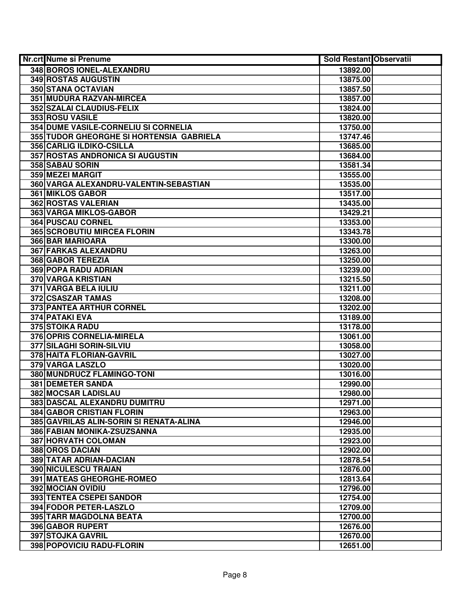| Nr.crt Nume si Prenume                   | Sold Restant Observatii |  |
|------------------------------------------|-------------------------|--|
| 348 BOROS IONEL-ALEXANDRU                | 13892.00                |  |
| 349 ROSTAS AUGUSTIN                      | 13875.00                |  |
| 350 STANA OCTAVIAN                       | 13857.50                |  |
| 351 MUDURA RAZVAN-MIRCEA                 | 13857.00                |  |
| 352 SZALAI CLAUDIUS-FELIX                | 13824.00                |  |
| 353 ROSU VASILE                          | 13820.00                |  |
| 354 DUME VASILE-CORNELIU SI CORNELIA     | 13750.00                |  |
| 355 TUDOR GHEORGHE SI HORTENSIA GABRIELA | 13747.46                |  |
| <b>356 CARLIG ILDIKO-CSILLA</b>          | 13685.00                |  |
| 357 ROSTAS ANDRONICA SI AUGUSTIN         | 13684.00                |  |
| 358 SABAU SORIN                          | 13581.34                |  |
| 359 MEZEI MARGIT                         | 13555.00                |  |
| 360 VARGA ALEXANDRU-VALENTIN-SEBASTIAN   | 13535.00                |  |
| 361 MIKLOS GABOR                         | 13517.00                |  |
| 362 ROSTAS VALERIAN                      | 13435.00                |  |
| 363 VARGA MIKLOS-GABOR                   | 13429.21                |  |
| 364 PUSCAU CORNEL                        | 13353.00                |  |
| <b>365 SCROBUTIU MIRCEA FLORIN</b>       | 13343.78                |  |
| 366 BAR MARIOARA                         | 13300.00                |  |
| 367 FARKAS ALEXANDRU                     | 13263.00                |  |
| 368 GABOR TEREZIA                        | 13250.00                |  |
| 369 POPA RADU ADRIAN                     | 13239.00                |  |
| 370 VARGA KRISTIAN                       | 13215.50                |  |
| 371 VARGA BELA IULIU                     | 13211.00                |  |
| 372 CSASZAR TAMAS                        | 13208.00                |  |
| 373 PANTEA ARTHUR CORNEL                 | 13202.00                |  |
| 374 PATAKI EVA                           | 13189.00                |  |
| <b>375 STOIKA RADU</b>                   | 13178.00                |  |
| 376 OPRIS CORNELIA-MIRELA                | 13061.00                |  |
| 377 SILAGHI SORIN-SILVIU                 | 13058.00                |  |
| 378 HAITA FLORIAN-GAVRIL                 | 13027.00                |  |
| 379 VARGA LASZLO                         | 13020.00                |  |
| 380 MUNDRUCZ FLAMINGO-TONI               | 13016.00                |  |
| <b>381 DEMETER SANDA</b>                 | 12990.00                |  |
| 382 MOCSAR LADISLAU                      | 12980.00                |  |
| 383 DASCAL ALEXANDRU DUMITRU             | 12971.00                |  |
| <b>384 GABOR CRISTIAN FLORIN</b>         | 12963.00                |  |
| 385 GAVRILAS ALIN-SORIN SI RENATA-ALINA  | 12946.00                |  |
| 386 FABIAN MONIKA-ZSUZSANNA              | 12935.00                |  |
| 387 HORVATH COLOMAN                      | 12923.00                |  |
| 388 OROS DACIAN                          | 12902.00                |  |
| 389 TATAR ADRIAN-DACIAN                  | 12878.54                |  |
| <b>390 NICULESCU TRAIAN</b>              | 12876.00                |  |
| 391 MATEAS GHEORGHE-ROMEO                | 12813.64                |  |
| 392 MOCIAN OVIDIU                        | 12796.00                |  |
| 393 TENTEA CSEPEI SANDOR                 | 12754.00                |  |
| 394 FODOR PETER-LASZLO                   | 12709.00                |  |
| 395 TARR MAGDOLNA BEATA                  | 12700.00                |  |
| 396 GABOR RUPERT                         | 12676.00                |  |
| 397 STOJKA GAVRIL                        | 12670.00                |  |
| 398 POPOVICIU RADU-FLORIN                | 12651.00                |  |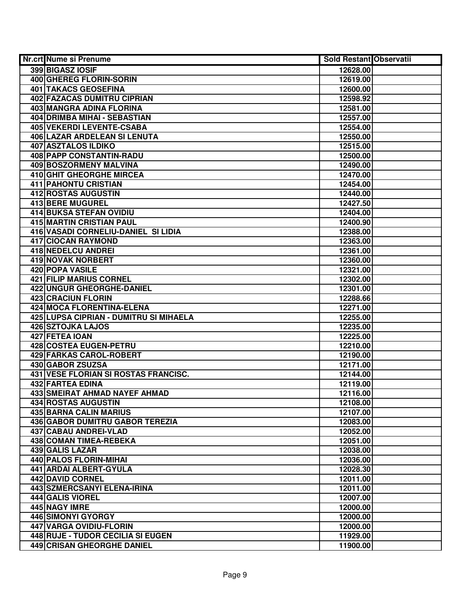| Nr.crt Nume si Prenume                 | <b>Sold Restant Observatii</b> |  |
|----------------------------------------|--------------------------------|--|
| 399 BIGASZ IOSIF                       | 12628.00                       |  |
| 400 GHEREG FLORIN-SORIN                | 12619.00                       |  |
| <b>401 TAKACS GEOSEFINA</b>            | 12600.00                       |  |
| 402 FAZACAS DUMITRU CIPRIAN            | 12598.92                       |  |
| 403 MANGRA ADINA FLORINA               | 12581.00                       |  |
| 404 DRIMBA MIHAI - SEBASTIAN           | 12557.00                       |  |
| 405 VEKERDI LEVENTE-CSABA              | 12554.00                       |  |
| 406 LAZAR ARDELEAN SI LENUTA           | 12550.00                       |  |
| <b>407 ASZTALOS ILDIKO</b>             | 12515.00                       |  |
| <b>408 PAPP CONSTANTIN-RADU</b>        | 12500.00                       |  |
| 409 BOSZORMENY MALVINA                 | 12490.00                       |  |
| <b>410 GHIT GHEORGHE MIRCEA</b>        | 12470.00                       |  |
| <b>411 PAHONTU CRISTIAN</b>            | 12454.00                       |  |
| <b>412 ROSTAS AUGUSTIN</b>             | 12440.00                       |  |
| 413 BERE MUGUREL                       | 12427.50                       |  |
| <b>414 BUKSA STEFAN OVIDIU</b>         | 12404.00                       |  |
| <b>415 MARTIN CRISTIAN PAUL</b>        | 12400.90                       |  |
| 416 VASADI CORNELIU-DANIEL SI LIDIA    | 12388.00                       |  |
| <b>417 CIOCAN RAYMOND</b>              | 12363.00                       |  |
| 418 NEDELCU ANDREI                     | 12361.00                       |  |
| 419 NOVAK NORBERT                      | 12360.00                       |  |
| 420 POPA VASILE                        | 12321.00                       |  |
| 421 FILIP MARIUS CORNEL                | 12302.00                       |  |
| 422 UNGUR GHEORGHE-DANIEL              | 12301.00                       |  |
| <b>423 CRACIUN FLORIN</b>              | 12288.66                       |  |
| 424 MOCA FLORENTINA-ELENA              | 12271.00                       |  |
| 425 LUPSA CIPRIAN - DUMITRU SI MIHAELA | 12255.00                       |  |
| 426 SZTOJKA LAJOS                      | 12235.00                       |  |
| 427 FETEA IOAN                         | 12225.00                       |  |
| 428 COSTEA EUGEN-PETRU                 | 12210.00                       |  |
| 429 FARKAS CAROL-ROBERT                | 12190.00                       |  |
| 430 GABOR ZSUZSA                       | 12171.00                       |  |
| 431 VESE FLORIAN SI ROSTAS FRANCISC.   | 12144.00                       |  |
| 432 FARTEA EDINA                       | 12119.00                       |  |
| <b>433 SMEIRAT AHMAD NAYEF AHMAD</b>   | 12116.00                       |  |
| <b>434 ROSTAS AUGUSTIN</b>             | 12108.00                       |  |
| <b>435 BARNA CALIN MARIUS</b>          | 12107.00                       |  |
| <b>436 GABOR DUMITRU GABOR TEREZIA</b> | 12083.00                       |  |
| <b>437 CABAU ANDREI-VLAD</b>           | 12052.00                       |  |
| 438 COMAN TIMEA-REBEKA                 | 12051.00                       |  |
| 439 GALIS LAZAR                        | 12038.00                       |  |
| 440 PALOS FLORIN-MIHAI                 | 12036.00                       |  |
| 441 ARDAI ALBERT-GYULA                 | 12028.30                       |  |
| 442 DAVID CORNEL                       | 12011.00                       |  |
| 443 SZMERCSANYI ELENA-IRINA            | 12011.00                       |  |
| 444 GALIS VIOREL                       | 12007.00                       |  |
| 445 NAGY IMRE                          | 12000.00                       |  |
| 446 SIMONYI GYORGY                     | 12000.00                       |  |
| 447 VARGA OVIDIU-FLORIN                | 12000.00                       |  |
| 448 RUJE - TUDOR CECILIA SI EUGEN      | 11929.00                       |  |
| <b>449 CRISAN GHEORGHE DANIEL</b>      | 11900.00                       |  |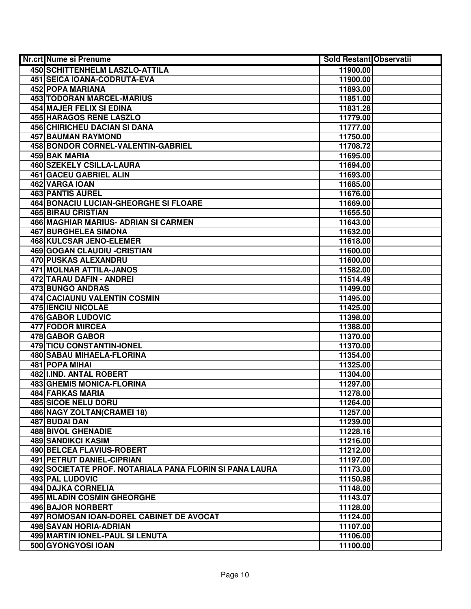| Nr.crt Nume si Prenume                                  | Sold Restant Observatii |  |
|---------------------------------------------------------|-------------------------|--|
| <b>450 SCHITTENHELM LASZLO-ATTILA</b>                   | 11900.00                |  |
| 451 SEICA IOANA-CODRUTA-EVA                             | 11900.00                |  |
| 452 POPA MARIANA                                        | 11893.00                |  |
| 453 TODORAN MARCEL-MARIUS                               | 11851.00                |  |
| <b>454 MAJER FELIX SI EDINA</b>                         | 11831.28                |  |
| 455 HARAGOS RENE LASZLO                                 | 11779.00                |  |
| <b>456 CHIRICHEU DACIAN SI DANA</b>                     | 11777.00                |  |
| 457 BAUMAN RAYMOND                                      | 11750.00                |  |
| <b>458 BONDOR CORNEL-VALENTIN-GABRIEL</b>               | 11708.72                |  |
| 459 BAK MARIA                                           | 11695.00                |  |
| <b>460 SZEKELY CSILLA-LAURA</b>                         | 11694.00                |  |
| <b>461 GACEU GABRIEL ALIN</b>                           | 11693.00                |  |
| 462 VARGA IOAN                                          | 11685.00                |  |
| <b>463 PANTIS AUREL</b>                                 | 11676.00                |  |
| <b>464 BONACIU LUCIAN-GHEORGHE SI FLOARE</b>            | 11669.00                |  |
| <b>465 BIRAU CRISTIAN</b>                               | 11655.50                |  |
| 466 MAGHIAR MARIUS- ADRIAN SI CARMEN                    | 11643.00                |  |
| 467 BURGHELEA SIMONA                                    | 11632.00                |  |
| 468 KULCSAR JENO-ELEMER                                 | 11618.00                |  |
| 469 GOGAN CLAUDIU - CRISTIAN                            | 11600.00                |  |
| 470 PUSKAS ALEXANDRU                                    | 11600.00                |  |
| 471 MOLNAR ATTILA-JANOS                                 | 11582.00                |  |
| 472 TARAU DAFIN - ANDREI                                | 11514.49                |  |
| 473 BUNGO ANDRAS                                        | 11499.00                |  |
| 474 CACIAUNU VALENTIN COSMIN                            | 11495.00                |  |
| <b>475 IENCIU NICOLAE</b>                               | 11425.00                |  |
| 476 GABOR LUDOVIC                                       | 11398.00                |  |
| 477 FODOR MIRCEA                                        | 11388.00                |  |
| 478 GABOR GABOR                                         | 11370.00                |  |
| 479 TICU CONSTANTIN-IONEL                               | 11370.00                |  |
| 480 SABAU MIHAELA-FLORINA                               | 11354.00                |  |
| 481 POPA MIHAI                                          | 11325.00                |  |
| 482 I.IND. ANTAL ROBERT                                 | 11304.00                |  |
| <b>483 GHEMIS MONICA-FLORINA</b>                        | 11297.00                |  |
| 484 FARKAS MARIA                                        | 11278.00                |  |
| <b>485 SICOE NELU DORU</b>                              | 11264.00                |  |
| 486 NAGY ZOLTAN(CRAMEI 18)                              | 11257.00                |  |
| 487 BUDAI DAN                                           | 11239.00                |  |
| <b>488 BIVOL GHENADIE</b>                               | 11228.16                |  |
| 489 SANDIKCI KASIM                                      | 11216.00                |  |
| 490 BELCEA FLAVIUS-ROBERT                               | 11212.00                |  |
| 491 PETRUT DANIEL-CIPRIAN                               | 11197.00                |  |
| 492 SOCIETATE PROF. NOTARIALA PANA FLORIN SI PANA LAURA | 11173.00                |  |
| 493 PAL LUDOVIC                                         | 11150.98                |  |
| 494 DAJKA CORNELIA                                      | 11148.00                |  |
| 495 MLADIN COSMIN GHEORGHE                              | 11143.07                |  |
| 496 BAJOR NORBERT                                       | 11128.00                |  |
| 497 ROMOSAN IOAN-DOREL CABINET DE AVOCAT                | 11124.00                |  |
| 498 SAVAN HORIA-ADRIAN                                  | 11107.00                |  |
| 499 MARTIN IONEL-PAUL SI LENUTA                         | 11106.00                |  |
| 500 GYONGYOSI IOAN                                      | 11100.00                |  |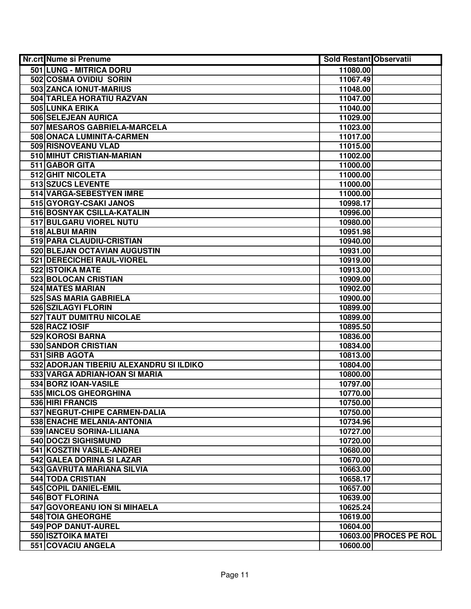| <b>Nr.crt Nume si Prenume</b>           | <b>Sold Restant Observatii</b> |
|-----------------------------------------|--------------------------------|
| 501 LUNG - MITRICA DORU                 | 11080.00                       |
| 502 COSMA OVIDIU SORIN                  | 11067.49                       |
| 503 ZANCA IONUT-MARIUS                  | 11048.00                       |
| 504 TARLEA HORATIU RAZVAN               | 11047.00                       |
| 505 LUNKA ERIKA                         | 11040.00                       |
| 506 SELEJEAN AURICA                     | 11029.00                       |
| 507 MESAROS GABRIELA-MARCELA            | 11023.00                       |
| 508 ONACA LUMINITA-CARMEN               | 11017.00                       |
| 509 RISNOVEANU VLAD                     | 11015.00                       |
| 510 MIHUT CRISTIAN-MARIAN               | 11002.00                       |
| 511 GABOR GITA                          | 11000.00                       |
| 512 GHIT NICOLETA                       | 11000.00                       |
| 513 SZUCS LEVENTE                       | 11000.00                       |
| 514 VARGA-SEBESTYEN IMRE                | 11000.00                       |
| 515 GYORGY-CSAKI JANOS                  | 10998.17                       |
| 516 BOSNYAK CSILLA-KATALIN              | 10996.00                       |
| 517 BULGARU VIOREL NUTU                 | 10980.00                       |
| 518 ALBUI MARIN                         | 10951.98                       |
| 519 PARA CLAUDIU-CRISTIAN               | 10940.00                       |
| 520 BLEJAN OCTAVIAN AUGUSTIN            | 10931.00                       |
| 521 DERECICHEI RAUL-VIOREL              | 10919.00                       |
| 522 ISTOIKA MATE                        | 10913.00                       |
| 523 BOLOCAN CRISTIAN                    | 10909.00                       |
| 524 MATES MARIAN                        | 10902.00                       |
| 525 SAS MARIA GABRIELA                  | 10900.00                       |
| 526 SZILAGYI FLORIN                     | 10899.00                       |
| 527 TAUT DUMITRU NICOLAE                | 10899.00                       |
| 528 RACZ IOSIF                          | 10895.50                       |
| 529 KOROSI BARNA                        | 10836.00                       |
| 530 SANDOR CRISTIAN                     | 10834.00                       |
| 531 SIRB AGOTA                          | 10813.00                       |
| 532 ADORJAN TIBERIU ALEXANDRU SI ILDIKO | 10804.00                       |
| 533 VARGA ADRIAN-IOAN SI MARIA          | 10800.00                       |
| 534 BORZ IOAN-VASILE                    | 10797.00                       |
| 535 MICLOS GHEORGHINA                   | 10770.00                       |
| 536 HIRI FRANCIS                        | 10750.00                       |
| 537 NEGRUT-CHIPE CARMEN-DALIA           | 10750.00                       |
| 538 ENACHE MELANIA-ANTONIA              | 10734.96                       |
| 539 IANCEU SORINA-LILIANA               | 10727.00                       |
| 540 DOCZI SIGHISMUND                    | 10720.00                       |
| 541 KOSZTIN VASILE-ANDREI               | 10680.00                       |
| 542 GALEA DORINA SI LAZAR               | 10670.00                       |
| 543 GAVRUTA MARIANA SILVIA              | 10663.00                       |
| 544 TODA CRISTIAN                       | 10658.17                       |
| 545 COPIL DANIEL-EMIL                   | 10657.00                       |
| 546 BOT FLORINA                         | 10639.00                       |
| 547 GOVOREANU ION SI MIHAELA            | 10625.24                       |
| <b>548 TOIA GHEORGHE</b>                | 10619.00                       |
| 549 POP DANUT-AUREL                     | 10604.00                       |
| 550 ISZTOIKA MATEI                      | 10603.00 PROCES PE ROL         |
| 551 COVACIU ANGELA                      | 10600.00                       |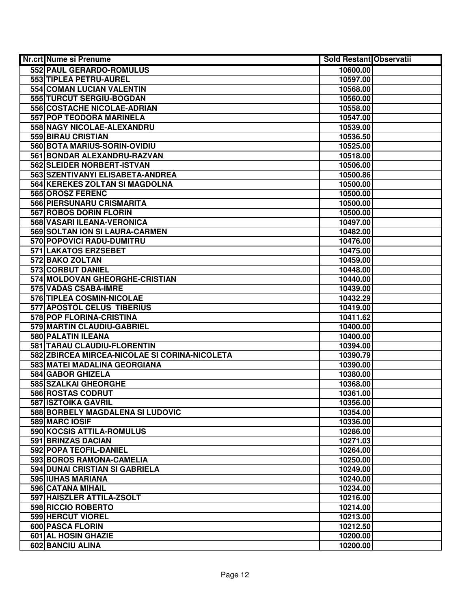| Nr.crt Nume si Prenume                        | <b>Sold Restant Observatii</b> |
|-----------------------------------------------|--------------------------------|
| 552 PAUL GERARDO-ROMULUS                      | 10600.00                       |
| 553 TIPLEA PETRU-AUREL                        | 10597.00                       |
| 554 COMAN LUCIAN VALENTIN                     | 10568.00                       |
| 555 TURCUT SERGIU-BOGDAN                      | 10560.00                       |
| 556 COSTACHE NICOLAE-ADRIAN                   | 10558.00                       |
| 557 POP TEODORA MARINELA                      | 10547.00                       |
| 558 NAGY NICOLAE-ALEXANDRU                    | 10539.00                       |
| 559 BIRAU CRISTIAN                            | 10536.50                       |
| 560 BOTA MARIUS-SORIN-OVIDIU                  | 10525.00                       |
| 561 BONDAR ALEXANDRU-RAZVAN                   | 10518.00                       |
| 562 SLEIDER NORBERT-ISTVAN                    | 10506.00                       |
| 563 SZENTIVANYI ELISABETA-ANDREA              | 10500.86                       |
| 564 KEREKES ZOLTAN SI MAGDOLNA                | 10500.00                       |
| 565 OROSZ FERENC                              | 10500.00                       |
| 566 PIERSUNARU CRISMARITA                     | 10500.00                       |
| 567 ROBOS DORIN FLORIN                        | 10500.00                       |
| 568 VASARI ILEANA-VERONICA                    | 10497.00                       |
| 569 SOLTAN ION SI LAURA-CARMEN                | 10482.00                       |
| 570 POPOVICI RADU-DUMITRU                     | 10476.00                       |
| 571 LAKATOS ERZSEBET                          | 10475.00                       |
| 572 BAKO ZOLTAN                               | 10459.00                       |
| 573 CORBUT DANIEL                             | 10448.00                       |
| 574 MOLDOVAN GHEORGHE-CRISTIAN                | 10440.00                       |
| 575 VADAS CSABA-IMRE                          | 10439.00                       |
| 576 TIPLEA COSMIN-NICOLAE                     | 10432.29                       |
| 577 APOSTOL CELUS TIBERIUS                    | 10419.00                       |
| 578 POP FLORINA-CRISTINA                      | 10411.62                       |
| 579 MARTIN CLAUDIU-GABRIEL                    | 10400.00                       |
| 580 PALATIN ILEANA                            | 10400.00                       |
| 581 TARAU CLAUDIU-FLORENTIN                   | 10394.00                       |
| 582 ZBIRCEA MIRCEA-NICOLAE SI CORINA-NICOLETA | 10390.79                       |
| 583 MATEI MADALINA GEORGIANA                  | 10390.00                       |
| 584 GABOR GHIZELA                             | 10380.00                       |
| 585 SZALKAI GHEORGHE                          | 10368.00                       |
| <b>586 ROSTAS CODRUT</b>                      | 10361.00                       |
| <b>587 ISZTOIKA GAVRIL</b>                    | 10356.00                       |
| 588 BORBELY MAGDALENA SI LUDOVIC              | 10354.00                       |
| 589 MARC IOSIF                                | 10336.00                       |
| 590 KOCSIS ATTILA-ROMULUS                     | 10286.00                       |
| 591 BRINZAS DACIAN                            | 10271.03                       |
| 592 POPA TEOFIL-DANIEL                        | 10264.00                       |
| 593 BOROS RAMONA-CAMELIA                      | 10250.00                       |
| 594 DUNAI CRISTIAN SI GABRIELA                | 10249.00                       |
| 595 IUHAS MARIANA                             | 10240.00                       |
| 596 CATANA MIHAIL                             | 10234.00                       |
| 597 HAISZLER ATTILA-ZSOLT                     | 10216.00                       |
| 598 RICCIO ROBERTO                            | 10214.00                       |
| 599 HERCUT VIOREL                             | 10213.00                       |
| 600 PASCA FLORIN                              | 10212.50                       |
| 601 AL HOSIN GHAZIE                           | 10200.00                       |
| 602 BANCIU ALINA                              | 10200.00                       |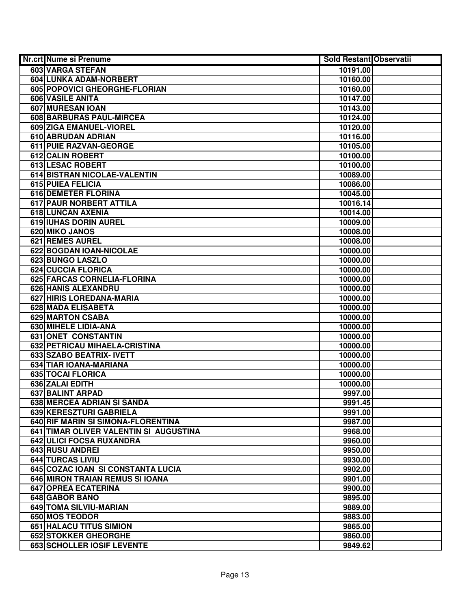| <b>Nr.crt Nume si Prenume</b>          | <b>Sold Restant Observatii</b> |
|----------------------------------------|--------------------------------|
| <b>603 VARGA STEFAN</b>                | 10191.00                       |
| 604 LUNKA ADAM-NORBERT                 | 10160.00                       |
| 605 POPOVICI GHEORGHE-FLORIAN          | 10160.00                       |
| 606 VASILE ANITA                       | 10147.00                       |
| 607 MURESAN IOAN                       | 10143.00                       |
| 608 BARBURAS PAUL-MIRCEA               | 10124.00                       |
| 609 ZIGA EMANUEL-VIOREL                | 10120.00                       |
| 610 ABRUDAN ADRIAN                     | 10116.00                       |
| 611 PUIE RAZVAN-GEORGE                 | 10105.00                       |
| <b>612 CALIN ROBERT</b>                | 10100.00                       |
| <b>613 LESAC ROBERT</b>                | 10100.00                       |
| 614 BISTRAN NICOLAE-VALENTIN           | 10089.00                       |
| 615 PUIEA FELICIA                      | 10086.00                       |
| <b>616 DEMETER FLORINA</b>             | 10045.00                       |
| 617 PAUR NORBERT ATTILA                | 10016.14                       |
| 618 LUNCAN AXENIA                      | 10014.00                       |
| 619 IUHAS DORIN AUREL                  | 10009.00                       |
| 620 MIKO JANOS                         | 10008.00                       |
| <b>621 REMES AUREL</b>                 | 10008.00                       |
| 622 BOGDAN IOAN-NICOLAE                | 10000.00                       |
| 623 BUNGO LASZLO                       | 10000.00                       |
| 624 CUCCIA FLORICA                     | 10000.00                       |
| 625 FARCAS CORNELIA-FLORINA            | 10000.00                       |
| 626 HANIS ALEXANDRU                    | 10000.00                       |
| 627 HIRIS LOREDANA-MARIA               | 10000.00                       |
| 628 MADA ELISABETA                     | 10000.00                       |
| 629 MARTON CSABA                       | 10000.00                       |
| 630 MIHELE LIDIA-ANA                   | 10000.00                       |
| 631 ONET CONSTANTIN                    | 10000.00                       |
| 632 PETRICAU MIHAELA-CRISTINA          | 10000.00                       |
| 633 SZABO BEATRIX- IVETT               | 10000.00                       |
| 634 TIAR IOANA-MARIANA                 | 10000.00                       |
| 635 TOCAI FLORICA                      | 10000.00                       |
| 636 ZALAI EDITH                        | 10000.00                       |
| <b>637 BALINT ARPAD</b>                | 9997.00                        |
| 638 MERCEA ADRIAN SI SANDA             | 9991.45                        |
| 639 KERESZTURI GABRIELA                | 9991.00                        |
| 640 RIF MARIN SI SIMONA-FLORENTINA     | 9987.00                        |
| 641 TIMAR OLIVER VALENTIN SI AUGUSTINA | 9968.00                        |
| 642 ULICI FOCSA RUXANDRA               | 9960.00                        |
| 643 RUSU ANDREI                        | 9950.00                        |
| 644 TURCAS LIVIU                       | 9930.00                        |
| 645 COZAC IOAN SI CONSTANTA LUCIA      | 9902.00                        |
| 646 MIRON TRAIAN REMUS SI IOANA        | 9901.00                        |
| 647 OPREA ECATERINA                    | 9900.00                        |
| 648 GABOR BANO                         | 9895.00                        |
| 649 TOMA SILVIU-MARIAN                 | 9889.00                        |
| 650 MOS TEODOR                         | 9883.00                        |
| 651 HALACU TITUS SIMION                | 9865.00                        |
| 652 STOKKER GHEORGHE                   | 9860.00                        |
| 653 SCHOLLER IOSIF LEVENTE             | 9849.62                        |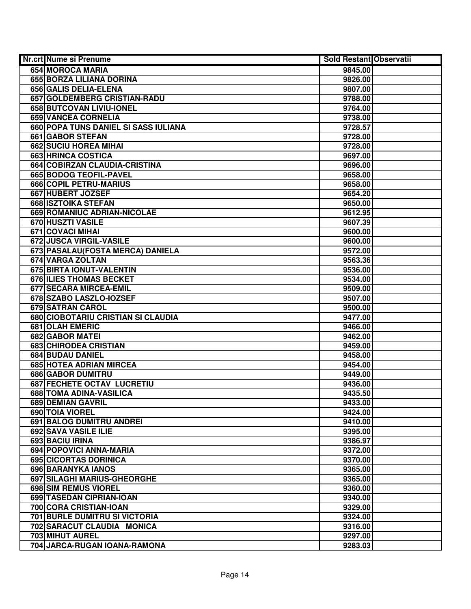| <b>Nr.crt Nume si Prenume</b>        | <b>Sold Restant Observatii</b> |  |
|--------------------------------------|--------------------------------|--|
| 654 MOROCA MARIA                     | 9845.00                        |  |
| 655 BORZA LILIANA DORINA             | 9826.00                        |  |
| 656 GALIS DELIA-ELENA                | 9807.00                        |  |
| 657 GOLDEMBERG CRISTIAN-RADU         | 9788.00                        |  |
| 658 BUTCOVAN LIVIU-IONEL             | 9764.00                        |  |
| <b>659 VANCEA CORNELIA</b>           | 9738.00                        |  |
| 660 POPA TUNS DANIEL SI SASS IULIANA | 9728.57                        |  |
| <b>661 GABOR STEFAN</b>              | 9728.00                        |  |
| <b>662 SUCIU HOREA MIHAI</b>         | 9728.00                        |  |
| 663 HRINCA COSTICA                   | 9697.00                        |  |
| 664 COBIRZAN CLAUDIA-CRISTINA        | 9696.00                        |  |
| <b>665 BODOG TEOFIL-PAVEL</b>        | 9658.00                        |  |
| 666 COPIL PETRU-MARIUS               | 9658.00                        |  |
| 667 HUBERT JOZSEF                    | 9654.20                        |  |
| 668 ISZTOIKA STEFAN                  | 9650.00                        |  |
| 669 ROMANIUC ADRIAN-NICOLAE          | 9612.95                        |  |
| 670 HUSZTI VASILE                    | 9607.39                        |  |
| 671 COVACI MIHAI                     | 9600.00                        |  |
| <b>672 JUSCA VIRGIL-VASILE</b>       | 9600.00                        |  |
| 673 PASALAU (FOSTA MERCA) DANIELA    | 9572.00                        |  |
| 674 VARGA ZOLTAN                     | 9563.36                        |  |
| 675 BIRTA IONUT-VALENTIN             | 9536.00                        |  |
| 676 ILIES THOMAS BECKET              | 9534.00                        |  |
| 677 SECARA MIRCEA-EMIL               | 9509.00                        |  |
| 678 SZABO LASZLO-IOZSEF              | 9507.00                        |  |
| 679 SATRAN CAROL                     | 9500.00                        |  |
| 680 CIOBOTARIU CRISTIAN SI CLAUDIA   | 9477.00                        |  |
| 681 OLAH EMERIC                      | 9466.00                        |  |
| 682 GABOR MATEI                      | 9462.00                        |  |
| 683 CHIRODEA CRISTIAN                | 9459.00                        |  |
| 684 BUDAU DANIEL                     | 9458.00                        |  |
| 685 HOTEA ADRIAN MIRCEA              | 9454.00                        |  |
| 686 GABOR DUMITRU                    | 9449.00                        |  |
| <b>687 FECHETE OCTAV LUCRETIU</b>    | 9436.00                        |  |
| 688 TOMA ADINA-VASILICA              | 9435.50                        |  |
| <b>689 DEMIAN GAVRIL</b>             | 9433.00                        |  |
| 690 TOIA VIOREL                      | 9424.00                        |  |
| 691 BALOG DUMITRU ANDREI             | 9410.00                        |  |
| 692 SAVA VASILE ILIE                 | 9395.00                        |  |
| 693 BACIU IRINA                      | 9386.97                        |  |
| 694 POPOVICI ANNA-MARIA              | 9372.00                        |  |
| 695 CICORTAS DORINICA                | 9370.00                        |  |
| 696 BARANYKA IANOS                   | 9365.00                        |  |
| 697 SILAGHI MARIUS-GHEORGHE          | 9365.00                        |  |
| 698 SIM REMUS VIOREL                 | 9360.00                        |  |
| 699 TASEDAN CIPRIAN-IOAN             | 9340.00                        |  |
| 700 CORA CRISTIAN-IOAN               | 9329.00                        |  |
| <b>701 BURLE DUMITRU SI VICTORIA</b> | 9324.00                        |  |
| 702 SARACUT CLAUDIA MONICA           | 9316.00                        |  |
| 703 MIHUT AUREL                      | 9297.00                        |  |
| 704 JARCA-RUGAN IOANA-RAMONA         | 9283.03                        |  |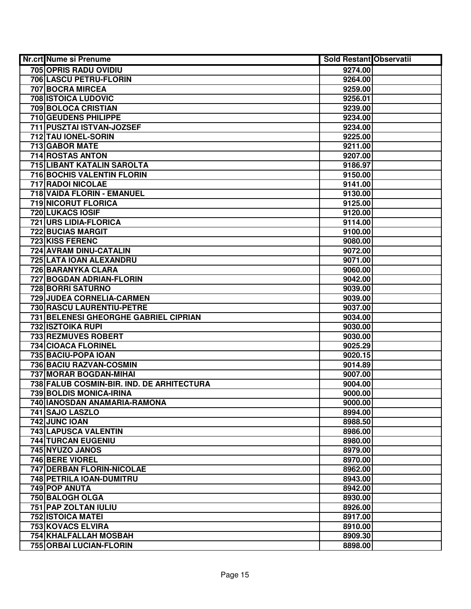| <b>Nr.crt Nume si Prenume</b>             | <b>Sold Restant Observatii</b> |
|-------------------------------------------|--------------------------------|
| 705 OPRIS RADU OVIDIU                     | 9274.00                        |
| 706 LASCU PETRU-FLORIN                    | 9264.00                        |
| 707 BOCRA MIRCEA                          | 9259.00                        |
| 708 ISTOICA LUDOVIC                       | 9256.01                        |
| 709 BOLOCA CRISTIAN                       | 9239.00                        |
| 710 GEUDENS PHILIPPE                      | 9234.00                        |
| 711 PUSZTAI ISTVAN-JOZSEF                 | 9234.00                        |
| 712 TAU IONEL-SORIN                       | 9225.00                        |
| 713 GABOR MATE                            | 9211.00                        |
| <b>714 ROSTAS ANTON</b>                   | 9207.00                        |
| <b>715 LIBANT KATALIN SAROLTA</b>         | 9186.97                        |
| <b>716 BOCHIS VALENTIN FLORIN</b>         | 9150.00                        |
| <b>717 RADOI NICOLAE</b>                  | 9141.00                        |
| 718 VAIDA FLORIN - EMANUEL                | 9130.00                        |
| 719 NICORUT FLORICA                       | 9125.00                        |
| 720 LUKACS IOSIF                          | 9120.00                        |
| 721 URS LIDIA-FLORICA                     | 9114.00                        |
| 722 BUCIAS MARGIT                         | 9100.00                        |
| <b>723 KISS FERENC</b>                    | 9080.00                        |
| 724 AVRAM DINU-CATALIN                    | 9072.00                        |
| 725 LATA IOAN ALEXANDRU                   | 9071.00                        |
| 726 BARANYKA CLARA                        | 9060.00                        |
| 727 BOGDAN ADRIAN-FLORIN                  | 9042.00                        |
| 728 BORRI SATURNO                         | 9039.00                        |
| 729 JUDEA CORNELIA-CARMEN                 | 9039.00                        |
| 730 RASCU LAURENTIU-PETRE                 | 9037.00                        |
| 731 BELENESI GHEORGHE GABRIEL CIPRIAN     | 9034.00                        |
| 732 ISZTOIKA RUPI                         | 9030.00                        |
| 733 REZMUVES ROBERT                       | 9030.00                        |
| 734 CIOACA FLORINEL                       | 9025.29                        |
| 735 BACIU-POPA IOAN                       | 9020.15                        |
| 736 BACIU RAZVAN-COSMIN                   | 9014.89                        |
| 737 MORAR BOGDAN-MIHAI                    | 9007.00                        |
| 738 FALUB COSMIN-BIR. IND. DE ARHITECTURA | 9004.00                        |
| <b>739 BOLDIS MONICA-IRINA</b>            | 9000.00                        |
| 740 IANOSDAN ANAMARIA-RAMONA              | 9000.00                        |
| 741 SAJO LASZLO                           | 8994.00                        |
| 742 JUNC IOAN                             | 8988.50                        |
| <b>743 LAPUSCA VALENTIN</b>               | 8986.00                        |
| 744 TURCAN EUGENIU                        | 8980.00                        |
| <b>745 NYUZO JANOS</b>                    | 8979.00                        |
| 746 BERE VIOREL                           | 8970.00                        |
| 747 DERBAN FLORIN-NICOLAE                 | 8962.00                        |
| 748 PETRILA IOAN-DUMITRU                  | 8943.00                        |
| 749 POP ANUTA                             | 8942.00                        |
| 750 BALOGH OLGA                           | 8930.00                        |
| 751 PAP ZOLTAN IULIU                      | 8926.00                        |
| <b>752 ISTOICA MATEI</b>                  | 8917.00                        |
| 753 KOVACS ELVIRA                         | 8910.00                        |
| <b>754 KHALFALLAH MOSBAH</b>              | 8909.30                        |
| 755 ORBAI LUCIAN-FLORIN                   | 8898.00                        |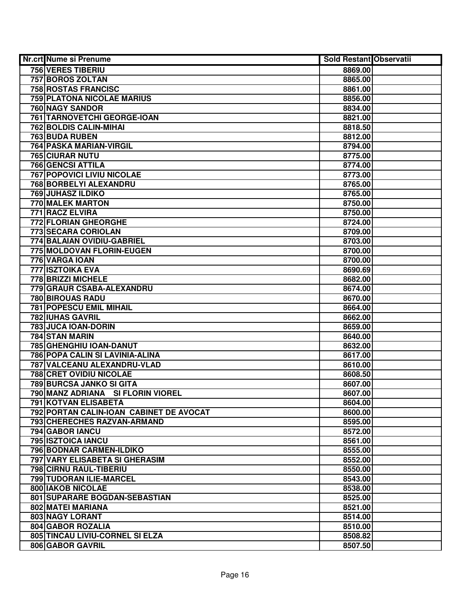| <b>Nr.crt Nume si Prenume</b>           | <b>Sold Restant Observatii</b> |  |
|-----------------------------------------|--------------------------------|--|
| 756 VERES TIBERIU                       | 8869.00                        |  |
| <b>757 BOROS ZOLTAN</b>                 | 8865.00                        |  |
| <b>758 ROSTAS FRANCISC</b>              | 8861.00                        |  |
| <b>759 PLATONA NICOLAE MARIUS</b>       | 8856.00                        |  |
| 760 NAGY SANDOR                         | 8834.00                        |  |
| <b>761 TARNOVETCHI GEORGE-IOAN</b>      | 8821.00                        |  |
| 762 BOLDIS CALIN-MIHAI                  | 8818.50                        |  |
| 763 BUDA RUBEN                          | 8812.00                        |  |
| 764 PASKA MARIAN-VIRGIL                 | 8794.00                        |  |
| <b>765 CIURAR NUTU</b>                  | 8775.00                        |  |
| <b>766 GENCSI ATTILA</b>                | 8774.00                        |  |
| <b>767 POPOVICI LIVIU NICOLAE</b>       | 8773.00                        |  |
| 768 BORBELYI ALEXANDRU                  | 8765.00                        |  |
| <b>769 JUHASZ ILDIKO</b>                | 8765.00                        |  |
| 770 MALEK MARTON                        | 8750.00                        |  |
| 771 RACZ ELVIRA                         | 8750.00                        |  |
| 772 FLORIAN GHEORGHE                    | 8724.00                        |  |
| 773 SECARA CORIOLAN                     | 8709.00                        |  |
| 774 BALAIAN OVIDIU-GABRIEL              | 8703.00                        |  |
| 775 MOLDOVAN FLORIN-EUGEN               | 8700.00                        |  |
| 776 VARGA IOAN                          | 8700.00                        |  |
| 777 ISZTOIKA EVA                        | 8690.69                        |  |
| 778 BRIZZI MICHELE                      | 8682.00                        |  |
| 779 GRAUR CSABA-ALEXANDRU               | 8674.00                        |  |
| <b>780 BIROUAS RADU</b>                 | 8670.00                        |  |
| <b>781 POPESCU EMIL MIHAIL</b>          | 8664.00                        |  |
| <b>782 IUHAS GAVRIL</b>                 | 8662.00                        |  |
| 783 JUCA IOAN-DORIN                     | 8659.00                        |  |
| 784 STAN MARIN                          | 8640.00                        |  |
| 785 GHENGHIU IOAN-DANUT                 | 8632.00                        |  |
| 786 POPA CALIN SI LAVINIA-ALINA         | 8617.00                        |  |
| 787 VALCEANU ALEXANDRU-VLAD             | 8610.00                        |  |
| <b>788 CRET OVIDIU NICOLAE</b>          | 8608.50                        |  |
| 789 BURCSA JANKO SI GITA                | 8607.00                        |  |
| 790 MANZ ADRIANA SI FLORIN VIOREL       | 8607.00                        |  |
| <b>791 KOTVAN ELISABETA</b>             | 8604.00                        |  |
| 792 PORTAN CALIN-IOAN CABINET DE AVOCAT | 8600.00                        |  |
| 793 CHERECHES RAZVAN-ARMAND             | 8595.00                        |  |
| <b>794 GABOR IANCU</b>                  | 8572.00                        |  |
| 795 ISZTOICA IANCU                      | 8561.00                        |  |
| 796 BODNAR CARMEN-ILDIKO                | 8555.00                        |  |
| 797 VARY ELISABETA SI GHERASIM          | 8552.00                        |  |
| 798 CIRNU RAUL-TIBERIU                  | 8550.00                        |  |
| 799 TUDORAN ILIE-MARCEL                 | 8543.00                        |  |
| 800 IAKOB NICOLAE                       | 8538.00                        |  |
| 801 SUPARARE BOGDAN-SEBASTIAN           | 8525.00                        |  |
| 802 MATEI MARIANA                       | 8521.00                        |  |
| 803 NAGY LORANT                         | 8514.00                        |  |
| 804 GABOR ROZALIA                       | 8510.00                        |  |
| 805 TINCAU LIVIU-CORNEL SI ELZA         | 8508.82                        |  |
| 806 GABOR GAVRIL                        | 8507.50                        |  |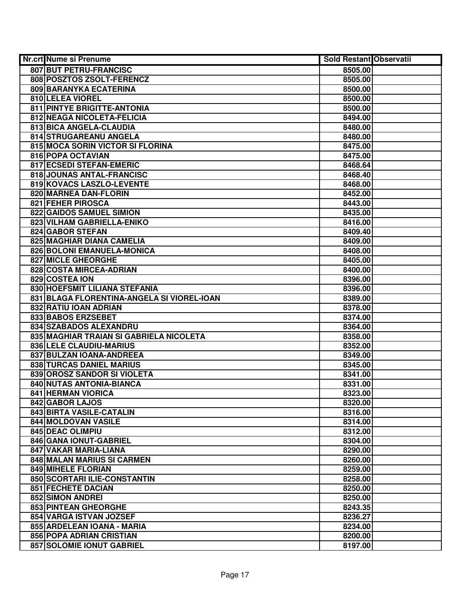| Nr.crt Nume si Prenume                     | <b>Sold Restant Observatii</b> |
|--------------------------------------------|--------------------------------|
| 807 BUT PETRU-FRANCISC                     | 8505.00                        |
| 808 POSZTOS ZSOLT-FERENCZ                  | 8505.00                        |
| 809 BARANYKA ECATERINA                     | 8500.00                        |
| 810 LELEA VIOREL                           | 8500.00                        |
| 811 PINTYE BRIGITTE-ANTONIA                | 8500.00                        |
| 812 NEAGA NICOLETA-FELICIA                 | 8494.00                        |
| 813 BICA ANGELA-CLAUDIA                    | 8480.00                        |
| 814 STRUGAREANU ANGELA                     | 8480.00                        |
| 815 MOCA SORIN VICTOR SI FLORINA           | 8475.00                        |
| 816 POPA OCTAVIAN                          | 8475.00                        |
| 817 ECSEDI STEFAN-EMERIC                   | 8468.64                        |
| 818 JOUNAS ANTAL-FRANCISC                  | 8468.40                        |
| 819 KOVACS LASZLO-LEVENTE                  | 8468.00                        |
| 820 MARNEA DAN-FLORIN                      | 8452.00                        |
| 821 FEHER PIROSCA                          | 8443.00                        |
| 822 GAIDOS SAMUEL SIMION                   | 8435.00                        |
| 823 VILHAM GABRIELLA-ENIKO                 | 8416.00                        |
| 824 GABOR STEFAN                           | 8409.40                        |
| 825 MAGHIAR DIANA CAMELIA                  | 8409.00                        |
| 826 BOLONI EMANUELA-MONICA                 | 8408.00                        |
| 827 MICLE GHEORGHE                         | 8405.00                        |
| 828 COSTA MIRCEA-ADRIAN                    | 8400.00                        |
| 829 COSTEA ION                             | 8396.00                        |
| 830 HOEFSMIT LILIANA STEFANIA              | 8396.00                        |
| 831 BLAGA FLORENTINA-ANGELA SI VIOREL-IOAN | 8389.00                        |
| 832 RATIU IOAN ADRIAN                      | 8378.00                        |
| 833 BABOS ERZSEBET                         | 8374.00                        |
| 834 SZABADOS ALEXANDRU                     | 8364.00                        |
| 835 MAGHIAR TRAIAN SI GABRIELA NICOLETA    | 8358.00                        |
| 836 LELE CLAUDIU-MARIUS                    | 8352.00                        |
| 837 BULZAN IOANA-ANDREEA                   | 8349.00                        |
| 838 TURCAS DANIEL MARIUS                   | 8345.00                        |
| 839 OROSZ SANDOR SI VIOLETA                | 8341.00                        |
| 840 NUTAS ANTONIA-BIANCA                   | 8331.00                        |
| 841 HERMAN VIORICA                         | 8323.00                        |
| 842 GABOR LAJOS                            | 8320.00                        |
| 843 BIRTA VASILE-CATALIN                   | 8316.00                        |
| <b>844 MOLDOVAN VASILE</b>                 | 8314.00                        |
| 845 DEAC OLIMPIU                           | 8312.00                        |
| 846 GANA IONUT-GABRIEL                     | 8304.00                        |
| 847 VAKAR MARIA-LIANA                      | 8290.00                        |
| 848 MALAN MARIUS SI CARMEN                 | 8260.00                        |
| 849 MIHELE FLORIAN                         | 8259.00                        |
| 850 SCORTARI ILIE-CONSTANTIN               | 8258.00                        |
| <b>851 FECHETE DACIAN</b>                  | 8250.00                        |
| 852 SIMON ANDREI                           | 8250.00                        |
| 853 PINTEAN GHEORGHE                       | 8243.35                        |
| 854 VARGA ISTVAN JOZSEF                    | 8236.27                        |
| 855 ARDELEAN IOANA - MARIA                 | 8234.00                        |
| 856 POPA ADRIAN CRISTIAN                   | 8200.00                        |
| 857 SOLOMIE IONUT GABRIEL                  | 8197.00                        |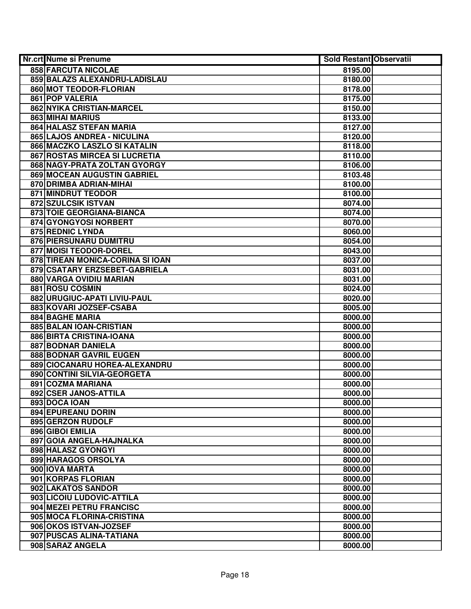| Nr.crt Nume si Prenume           | <b>Sold Restant Observatii</b> |
|----------------------------------|--------------------------------|
| 858 FARCUTA NICOLAE              | 8195.00                        |
| 859 BALAZS ALEXANDRU-LADISLAU    | 8180.00                        |
| 860 MOT TEODOR-FLORIAN           | 8178.00                        |
| 861 POP VALERIA                  | 8175.00                        |
| 862 NYIKA CRISTIAN-MARCEL        | 8150.00                        |
| 863 MIHAI MARIUS                 | 8133.00                        |
| 864 HALASZ STEFAN MARIA          | 8127.00                        |
| 865 LAJOS ANDREA - NICULINA      | 8120.00                        |
| 866 MACZKO LASZLO SI KATALIN     | 8118.00                        |
| 867 ROSTAS MIRCEA SI LUCRETIA    | 8110.00                        |
| 868 NAGY-PRATA ZOLTAN GYORGY     | 8106.00                        |
| 869 MOCEAN AUGUSTIN GABRIEL      | 8103.48                        |
| 870 DRIMBA ADRIAN-MIHAI          | 8100.00                        |
| 871 MINDRUT TEODOR               | 8100.00                        |
| 872 SZULCSIK ISTVAN              | 8074.00                        |
| 873 TOIE GEORGIANA-BIANCA        | 8074.00                        |
| 874 GYONGYOSI NORBERT            | 8070.00                        |
| 875 REDNIC LYNDA                 | 8060.00                        |
| 876 PIERSUNARU DUMITRU           | 8054.00                        |
| 877 MOISI TEODOR-DOREL           | 8043.00                        |
| 878 TIREAN MONICA-CORINA SI IOAN | 8037.00                        |
| 879 CSATARY ERZSEBET-GABRIELA    | 8031.00                        |
| 880 VARGA OVIDIU MARIAN          | 8031.00                        |
| 881 ROSU COSMIN                  | 8024.00                        |
| 882 URUGIUC-APATI LIVIU-PAUL     | 8020.00                        |
| 883 KOVARI JOZSEF-CSABA          | 8005.00                        |
| 884 BAGHE MARIA                  | 8000.00                        |
| 885 BALAN IOAN-CRISTIAN          | 8000.00                        |
| 886 BIRTA CRISTINA-IOANA         | 8000.00                        |
| 887 BODNAR DANIELA               | 8000.00                        |
| 888 BODNAR GAVRIL EUGEN          | 8000.00                        |
| 889 CIOCANARU HOREA-ALEXANDRU    | 8000.00                        |
| 890 CONTINI SILVIA-GEORGETA      | 8000.00                        |
| 891 COZMA MARIANA                | 8000.00                        |
| 892 CSER JANOS-ATTILA            | 8000.00                        |
| 893 DOCA IOAN                    | 8000.00                        |
| 894 EPUREANU DORIN               | 8000.00                        |
| 895 GERZON RUDOLF                | 8000.00                        |
| 896 GIBOI EMILIA                 | 8000.00                        |
| 897 GOIA ANGELA-HAJNALKA         | 8000.00                        |
| 898 HALASZ GYONGYI               | 8000.00                        |
| 899 HARAGOS ORSOLYA              | 8000.00                        |
| 900 IOVA MARTA                   | 8000.00                        |
| 901 KORPAS FLORIAN               | 8000.00                        |
| 902 LAKATOS SANDOR               | 8000.00                        |
| 903 LICOIU LUDOVIC-ATTILA        | 8000.00                        |
| 904 MEZEI PETRU FRANCISC         | 8000.00                        |
| 905 MOCA FLORINA-CRISTINA        | 8000.00                        |
| 906 OKOS ISTVAN-JOZSEF           | 8000.00                        |
| 907 PUSCAS ALINA-TATIANA         | 8000.00                        |
| 908 SARAZ ANGELA                 | 8000.00                        |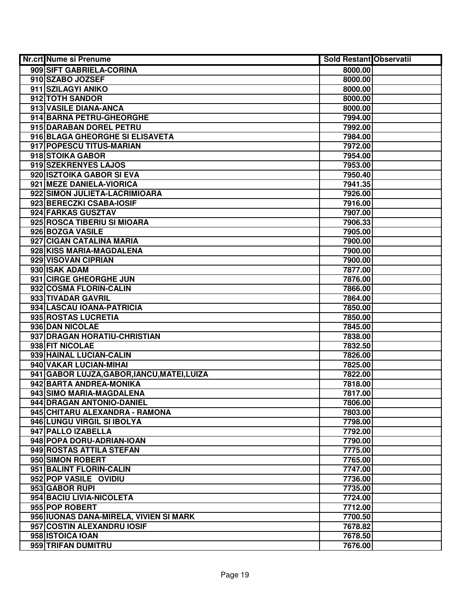| <b>Nr.crt Nume si Prenume</b>               | <b>Sold Restant Observatii</b> |
|---------------------------------------------|--------------------------------|
| 909 SIFT GABRIELA-CORINA                    | 8000.00                        |
| 910 SZABO JOZSEF                            | 8000.00                        |
| 911 SZILAGYI ANIKO                          | 8000.00                        |
| 912 TOTH SANDOR                             | 8000.00                        |
| 913 VASILE DIANA-ANCA                       | 8000.00                        |
| 914 BARNA PETRU-GHEORGHE                    | 7994.00                        |
| 915 DARABAN DOREL PETRU                     | 7992.00                        |
| 916 BLAGA GHEORGHE SI ELISAVETA             | 7984.00                        |
| 917 POPESCU TITUS-MARIAN                    | 7972.00                        |
| 918 STOIKA GABOR                            | 7954.00                        |
| 919 SZEKRENYES LAJOS                        | 7953.00                        |
| 920 ISZTOIKA GABOR SI EVA                   | 7950.40                        |
| 921 MEZE DANIELA-VIORICA                    | 7941.35                        |
| 922 SIMON JULIETA-LACRIMIOARA               | 7926.00                        |
| 923 BERECZKI CSABA-IOSIF                    | 7916.00                        |
| 924 FARKAS GUSZTAV                          | 7907.00                        |
| 925 ROSCA TIBERIU SI MIOARA                 | 7906.33                        |
| 926 BOZGA VASILE                            | 7905.00                        |
| 927 CIGAN CATALINA MARIA                    | 7900.00                        |
| 928 KISS MARIA-MAGDALENA                    | 7900.00                        |
| 929 VISOVAN CIPRIAN                         | 7900.00                        |
| 930 ISAK ADAM                               | 7877.00                        |
| 931 CIRGE GHEORGHE JUN                      | 7876.00                        |
| 932 COSMA FLORIN-CALIN                      | 7866.00                        |
| 933 TIVADAR GAVRIL                          | 7864.00                        |
| 934 LASCAU IOANA-PATRICIA                   | 7850.00                        |
| 935 ROSTAS LUCRETIA                         | 7850.00                        |
| 936 DAN NICOLAE                             | 7845.00                        |
| 937 DRAGAN HORATIU-CHRISTIAN                | 7838.00                        |
| 938 FIT NICOLAE                             | 7832.50                        |
| 939 HAINAL LUCIAN-CALIN                     | 7826.00                        |
| 940 VAKAR LUCIAN-MIHAI                      | 7825.00                        |
| 941 GABOR LUJZA, GABOR, IANCU, MATEI, LUIZA | 7822.00                        |
| 942 BARTA ANDREA-MONIKA                     | 7818.00                        |
| 943 SIMO MARIA-MAGDALENA                    | 7817.00                        |
| 944 DRAGAN ANTONIO-DANIEL                   | 7806.00                        |
| 945 CHITARU ALEXANDRA - RAMONA              | 7803.00                        |
| 946 LUNGU VIRGIL SI IBOLYA                  | 7798.00                        |
| 947 PALLO IZABELLA                          | 7792.00                        |
| 948 POPA DORU-ADRIAN-IOAN                   | 7790.00                        |
| 949 ROSTAS ATTILA STEFAN                    | 7775.00                        |
| 950 SIMON ROBERT                            | 7765.00                        |
| 951 BALINT FLORIN-CALIN                     | 7747.00                        |
| 952 POP VASILE OVIDIU                       | 7736.00                        |
| 953 GABOR RUPI                              | 7735.00                        |
| 954 BACIU LIVIA-NICOLETA                    | 7724.00                        |
| 955 POP ROBERT                              | 7712.00                        |
| 956 IUONAS DANA-MIRELA, VIVIEN SI MARK      | 7700.50                        |
| 957 COSTIN ALEXANDRU IOSIF                  | 7678.82                        |
| 958 ISTOICA IOAN                            | 7678.50                        |
| 959 TRIFAN DUMITRU                          | 7676.00                        |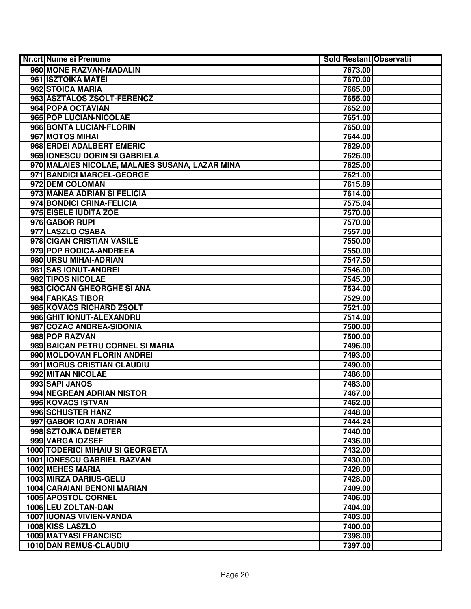| <b>Nr.crt Nume si Prenume</b>                   | <b>Sold Restant Observatii</b> |  |
|-------------------------------------------------|--------------------------------|--|
| 960 MONE RAZVAN-MADALIN                         | 7673.00                        |  |
| 961 ISZTOIKA MATEI                              | 7670.00                        |  |
| 962 STOICA MARIA                                | 7665.00                        |  |
| 963 ASZTALOS ZSOLT-FERENCZ                      | 7655.00                        |  |
| 964 POPA OCTAVIAN                               | 7652.00                        |  |
| 965 POP LUCIAN-NICOLAE                          | 7651.00                        |  |
| 966 BONTA LUCIAN-FLORIN                         | 7650.00                        |  |
| 967 MOTOS MIHAI                                 | 7644.00                        |  |
| 968 ERDEI ADALBERT EMERIC                       | 7629.00                        |  |
| 969 IONESCU DORIN SI GABRIELA                   | 7626.00                        |  |
| 970 MALAIES NICOLAE, MALAIES SUSANA, LAZAR MINA | 7625.00                        |  |
| 971 BANDICI MARCEL-GEORGE                       | 7621.00                        |  |
| 972 DEM COLOMAN                                 | 7615.89                        |  |
| 973 MANEA ADRIAN SI FELICIA                     | 7614.00                        |  |
| 974 BONDICI CRINA-FELICIA                       | 7575.04                        |  |
| 975 EISELE IUDITA ZOE                           | 7570.00                        |  |
| 976 GABOR RUPI                                  | 7570.00                        |  |
| 977 LASZLO CSABA                                | 7557.00                        |  |
| 978 CIGAN CRISTIAN VASILE                       | 7550.00                        |  |
| 979 POP RODICA-ANDREEA                          | 7550.00                        |  |
| 980 URSU MIHAI-ADRIAN                           | 7547.50                        |  |
| 981 SAS IONUT-ANDREI                            | 7546.00                        |  |
| 982 TIPOS NICOLAE                               | 7545.30                        |  |
| 983 CIOCAN GHEORGHE SI ANA                      | 7534.00                        |  |
| 984 FARKAS TIBOR                                | 7529.00                        |  |
| 985 KOVACS RICHARD ZSOLT                        | 7521.00                        |  |
| 986 GHIT IONUT-ALEXANDRU                        | 7514.00                        |  |
| 987 COZAC ANDREA-SIDONIA                        | 7500.00                        |  |
| 988 POP RAZVAN                                  | 7500.00                        |  |
| 989 BAICAN PETRU CORNEL SI MARIA                | 7496.00                        |  |
| 990 MOLDOVAN FLORIN ANDREI                      | 7493.00                        |  |
| 991 MORUS CRISTIAN CLAUDIU                      | 7490.00                        |  |
| 992 MITAN NICOLAE                               | 7486.00                        |  |
| 993 SAPI JANOS                                  | 7483.00                        |  |
| 994 NEGREAN ADRIAN NISTOR                       | 7467.00                        |  |
| 995 KOVACS ISTVAN                               | 7462.00                        |  |
| 996 SCHUSTER HANZ                               | 7448.00                        |  |
| 997 GABOR IOAN ADRIAN                           | 7444.24                        |  |
| 998 SZTOJKA DEMETER                             | 7440.00                        |  |
| 999 VARGA IOZSEF                                | 7436.00                        |  |
| 1000 TODERICI MIHAIU SI GEORGETA                | 7432.00                        |  |
| <b>1001 IONESCU GABRIEL RAZVAN</b>              | 7430.00                        |  |
| 1002 MEHES MARIA                                | 7428.00                        |  |
| 1003 MIRZA DARIUS-GELU                          | 7428.00                        |  |
| 1004 CARAIANI BENONI MARIAN                     | 7409.00                        |  |
| 1005 APOSTOL CORNEL                             | 7406.00                        |  |
| 1006 LEU ZOLTAN-DAN                             | 7404.00                        |  |
| 1007 IUONAS VIVIEN-VANDA                        | 7403.00                        |  |
| 1008 KISS LASZLO                                | 7400.00                        |  |
| 1009 MATYASI FRANCISC                           | 7398.00                        |  |
| 1010 DAN REMUS-CLAUDIU                          | 7397.00                        |  |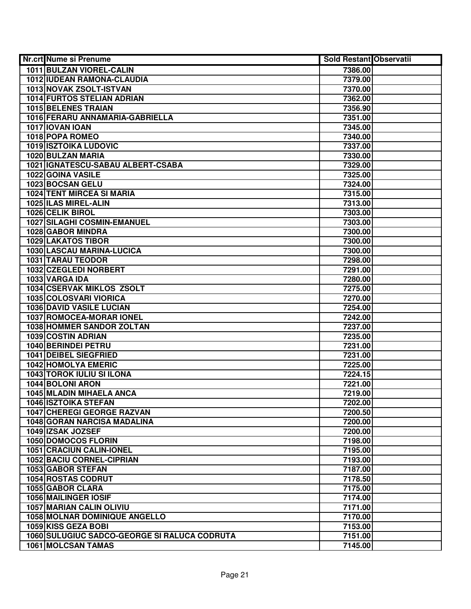| Nr.crt Nume si Prenume                       | <b>Sold Restant Observatii</b> |  |
|----------------------------------------------|--------------------------------|--|
| 1011 BULZAN VIOREL-CALIN                     | 7386.00                        |  |
| 1012 IUDEAN RAMONA-CLAUDIA                   | 7379.00                        |  |
| 1013 NOVAK ZSOLT-ISTVAN                      | 7370.00                        |  |
| <b>1014 FURTOS STELIAN ADRIAN</b>            | 7362.00                        |  |
| 1015 BELENES TRAIAN                          | 7356.90                        |  |
| 1016 FERARU ANNAMARIA-GABRIELLA              | 7351.00                        |  |
| 1017 IOVAN IOAN                              | 7345.00                        |  |
| 1018 POPA ROMEO                              | 7340.00                        |  |
| <b>1019 ISZTOIKA LUDOVIC</b>                 | 7337.00                        |  |
| 1020 BULZAN MARIA                            | 7330.00                        |  |
| 1021 IGNATESCU-SABAU ALBERT-CSABA            | 7329.00                        |  |
| 1022 GOINA VASILE                            | 7325.00                        |  |
| 1023 BOCSAN GELU                             | 7324.00                        |  |
| <b>1024 TENT MIRCEA SI MARIA</b>             | 7315.00                        |  |
| 1025 ILAS MIREL-ALIN                         | 7313.00                        |  |
| 1026 CELIK BIROL                             | 7303.00                        |  |
| 1027 SILAGHI COSMIN-EMANUEL                  | 7303.00                        |  |
| 1028 GABOR MINDRA                            | 7300.00                        |  |
| <b>1029 LAKATOS TIBOR</b>                    | 7300.00                        |  |
| 1030 LASCAU MARINA-LUCICA                    | 7300.00                        |  |
| 1031 TARAU TEODOR                            | 7298.00                        |  |
| 1032 CZEGLEDI NORBERT                        | 7291.00                        |  |
| 1033 VARGA IDA                               | 7280.00                        |  |
| 1034 CSERVAK MIKLOS ZSOLT                    | 7275.00                        |  |
| 1035 COLOSVARI VIORICA                       | 7270.00                        |  |
| <b>1036 DAVID VASILE LUCIAN</b>              | 7254.00                        |  |
| <b>1037 ROMOCEA-MORAR IONEL</b>              | 7242.00                        |  |
| <b>1038 HOMMER SANDOR ZOLTAN</b>             | 7237.00                        |  |
| 1039 COSTIN ADRIAN                           | 7235.00                        |  |
| 1040 BERINDEI PETRU                          | 7231.00                        |  |
| <b>1041 DEIBEL SIEGFRIED</b>                 | 7231.00                        |  |
| <b>1042 HOMOLYA EMERIC</b>                   | 7225.00                        |  |
| 1043 TOROK IULIU SI ILONA                    | 7224.15                        |  |
| 1044 BOLONI ARON                             | 7221.00                        |  |
| 1045 MLADIN MIHAELA ANCA                     | 7219.00                        |  |
| <b>1046 ISZTOIKA STEFAN</b>                  | 7202.00                        |  |
| <b>1047 CHEREGI GEORGE RAZVAN</b>            | 7200.50                        |  |
| 1048 GORAN NARCISA MADALINA                  | 7200.00                        |  |
| 1049 IZSAK JOZSEF                            | 7200.00                        |  |
| 1050 DOMOCOS FLORIN                          | 7198.00                        |  |
| <b>1051 CRACIUN CALIN-IONEL</b>              | 7195.00                        |  |
| 1052 BACIU CORNEL-CIPRIAN                    | 7193.00                        |  |
| 1053 GABOR STEFAN                            | 7187.00                        |  |
| <b>1054 ROSTAS CODRUT</b>                    | 7178.50                        |  |
| 1055 GABOR CLARA                             | 7175.00                        |  |
| 1056 MAILINGER IOSIF                         | 7174.00                        |  |
| 1057 MARIAN CALIN OLIVIU                     | 7171.00                        |  |
| <b>1058 MOLNAR DOMINIQUE ANGELLO</b>         | 7170.00                        |  |
| 1059 KISS GEZA BOBI                          | 7153.00                        |  |
| 1060 SULUGIUC SADCO-GEORGE SI RALUCA CODRUTA | 7151.00                        |  |
| 1061 MOLCSAN TAMAS                           | 7145.00                        |  |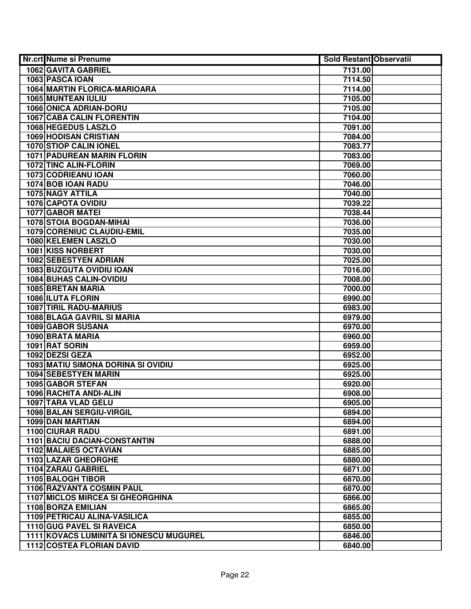| Nr.crt Nume si Prenume                  | <b>Sold Restant Observatii</b> |  |
|-----------------------------------------|--------------------------------|--|
| 1062 GAVITA GABRIEL                     | 7131.00                        |  |
| 1063 PASCA IOAN                         | 7114.50                        |  |
| 1064 MARTIN FLORICA-MARIOARA            | 7114.00                        |  |
| 1065 MUNTEAN IULIU                      | 7105.00                        |  |
| 1066 ONICA ADRIAN-DORU                  | 7105.00                        |  |
| <b>1067 CABA CALIN FLORENTIN</b>        | 7104.00                        |  |
| 1068 HEGEDUS LASZLO                     | 7091.00                        |  |
| <b>1069 HODISAN CRISTIAN</b>            | 7084.00                        |  |
| 1070 STIOP CALIN IONEL                  | 7083.77                        |  |
| <b>1071 PADUREAN MARIN FLORIN</b>       | 7083.00                        |  |
| 1072 TINC ALIN-FLORIN                   | 7069.00                        |  |
| 1073 CODRIEANU IOAN                     | 7060.00                        |  |
| 1074 BOB IOAN RADU                      | 7046.00                        |  |
| <b>1075 NAGY ATTILA</b>                 | 7040.00                        |  |
| 1076 CAPOTA OVIDIU                      | 7039.22                        |  |
| 1077 GABOR MATEI                        | 7038.44                        |  |
| 1078 STOIA BOGDAN-MIHAI                 | 7036.00                        |  |
| 1079 CORENIUC CLAUDIU-EMIL              | 7035.00                        |  |
| 1080 KELEMEN LASZLO                     | 7030.00                        |  |
| 1081 KISS NORBERT                       | 7030.00                        |  |
| <b>1082 SEBESTYEN ADRIAN</b>            | 7025.00                        |  |
| 1083 BUZGUTA OVIDIU IOAN                | 7016.00                        |  |
| 1084 BUHAS CALIN-OVIDIU                 | 7008.00                        |  |
| 1085 BRETAN MARIA                       | 7000.00                        |  |
| 1086 ILUTA FLORIN                       | 6990.00                        |  |
| 1087 TIRIL RADU-MARIUS                  | 6983.00                        |  |
| 1088 BLAGA GAVRIL SI MARIA              | 6979.00                        |  |
| 1089 GABOR SUSANA                       | 6970.00                        |  |
| 1090 BRATA MARIA                        | 6960.00                        |  |
| 1091 RAT SORIN                          | 6959.00                        |  |
| 1092 DEZSI GEZA                         | 6952.00                        |  |
| 1093 MATIU SIMONA DORINA SI OVIDIU      | 6925.00                        |  |
| 1094 SEBESTYEN MARIN                    | 6925.00                        |  |
| <b>1095 GABOR STEFAN</b>                | 6920.00                        |  |
| 1096 RACHITA ANDI-ALIN                  | 6908.00                        |  |
| 1097 TARA VLAD GELU                     | 6905.00                        |  |
| 1098 BALAN SERGIU-VIRGIL                | 6894.00                        |  |
| 1099 DAN MARTIAN                        | 6894.00                        |  |
| <b>1100 CIURAR RADU</b>                 | 6891.00                        |  |
| <b>1101 BACIU DACIAN-CONSTANTIN</b>     | 6888.00                        |  |
| <b>1102 MALAIES OCTAVIAN</b>            | 6885.00                        |  |
| 1103 LAZAR GHEORGHE                     | 6880.00                        |  |
| 1104 ZARAU GABRIEL                      | 6871.00                        |  |
| 1105 BALOGH TIBOR                       | 6870.00                        |  |
| 1106 RAZVANTA COSMIN PAUL               | 6870.00                        |  |
| <b>1107 MICLOS MIRCEA SI GHEORGHINA</b> | 6866.00                        |  |
| 1108 BORZA EMILIAN                      | 6865.00                        |  |
| 1109 PETRICAU ALINA-VASILICA            | 6855.00                        |  |
| 1110 GUG PAVEL SI RAVEICA               | 6850.00                        |  |
| 1111 KOVACS LUMINITA SI IONESCU MUGUREL | 6846.00                        |  |
| <b>1112 COSTEA FLORIAN DAVID</b>        | 6840.00                        |  |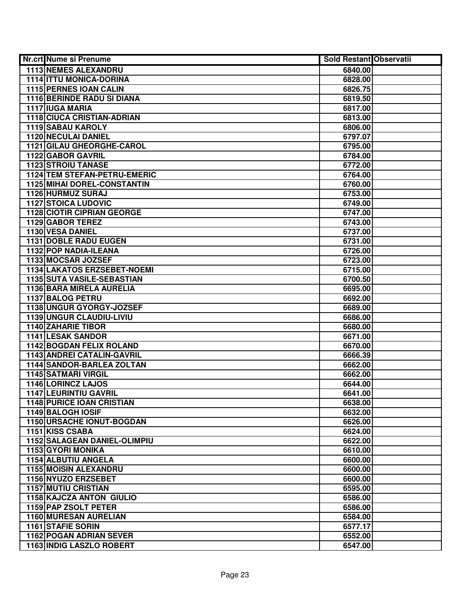| Nr.crt Nume si Prenume              | <b>Sold Restant Observatii</b> |  |
|-------------------------------------|--------------------------------|--|
| <b>1113 NEMES ALEXANDRU</b>         | 6840.00                        |  |
| <b>1114 ITTU MONICA-DORINA</b>      | 6828.00                        |  |
| 1115 PERNES IOAN CALIN              | 6826.75                        |  |
| 1116 BERINDE RADU SI DIANA          | 6819.50                        |  |
| 1117 IUGA MARIA                     | 6817.00                        |  |
| 1118 CIUCA CRISTIAN-ADRIAN          | 6813.00                        |  |
| 1119 SABAU KAROLY                   | 6806.00                        |  |
| <b>1120 NECULAI DANIEL</b>          | 6797.07                        |  |
| 1121 GILAU GHEORGHE-CAROL           | 6795.00                        |  |
| <b>1122 GABOR GAVRIL</b>            | 6784.00                        |  |
| <b>1123 STROIU TANASE</b>           | 6772.00                        |  |
| <b>1124 TEM STEFAN-PETRU-EMERIC</b> | 6764.00                        |  |
| <b>1125 MIHAI DOREL-CONSTANTIN</b>  | 6760.00                        |  |
| 1126 HURMUZ SURAJ                   | 6753.00                        |  |
| <b>1127 STOICA LUDOVIC</b>          | 6749.00                        |  |
| <b>1128 CIOTIR CIPRIAN GEORGE</b>   | 6747.00                        |  |
| 1129 GABOR TEREZ                    | 6743.00                        |  |
| 1130 VESA DANIEL                    | 6737.00                        |  |
| <b>1131 DOBLE RADU EUGEN</b>        | 6731.00                        |  |
| 1132 POP NADIA-ILEANA               | 6726.00                        |  |
| 1133 MOCSAR JOZSEF                  | 6723.00                        |  |
| 1134 LAKATOS ERZSEBET-NOEMI         | 6715.00                        |  |
| 1135 SUTA VASILE-SEBASTIAN          | 6700.50                        |  |
| 1136 BARA MIRELA AURELIA            | 6695.00                        |  |
| 1137 BALOG PETRU                    | 6692.00                        |  |
| 1138 UNGUR GYORGY-JOZSEF            | 6689.00                        |  |
| 1139 UNGUR CLAUDIU-LIVIU            | 6686.00                        |  |
| <b>1140 ZAHARIE TIBOR</b>           | 6680.00                        |  |
| 1141 LESAK SANDOR                   | 6671.00                        |  |
| 1142 BOGDAN FELIX ROLAND            | 6670.00                        |  |
| 1143 ANDREI CATALIN-GAVRIL          | 6666.39                        |  |
| 1144 SANDOR-BARLEA ZOLTAN           | 6662.00                        |  |
| <b>1145 SATMARI VIRGIL</b>          | 6662.00                        |  |
| 1146 LORINCZ LAJOS                  | 6644.00                        |  |
| <b>1147 LEURINTIU GAVRIL</b>        | 6641.00                        |  |
| <b>1148 PURICE IOAN CRISTIAN</b>    | 6638.00                        |  |
| 1149 BALOGH IOSIF                   | 6632.00                        |  |
| 1150 URSACHE IONUT-BOGDAN           | 6626.00                        |  |
| 1151 KISS CSABA                     | 6624.00                        |  |
| <b>1152 SALAGEAN DANIEL-OLIMPIU</b> | 6622.00                        |  |
| <b>1153 GYORI MONIKA</b>            | 6610.00                        |  |
| 1154 ALBUTIU ANGELA                 | 6600.00                        |  |
| <b>1155 MOISIN ALEXANDRU</b>        | 6600.00                        |  |
| 1156 NYUZO ERZSEBET                 | 6600.00                        |  |
| <b>1157 MUTIU CRISTIAN</b>          | 6595.00                        |  |
| 1158 KAJCZA ANTON GIULIO            | 6586.00                        |  |
| 1159 PAP ZSOLT PETER                | 6586.00                        |  |
| 1160 MURESAN AURELIAN               | 6584.00                        |  |
| 1161 STAFIE SORIN                   | 6577.17                        |  |
| <b>1162 POGAN ADRIAN SEVER</b>      | 6552.00                        |  |
| 1163 INDIG LASZLO ROBERT            | 6547.00                        |  |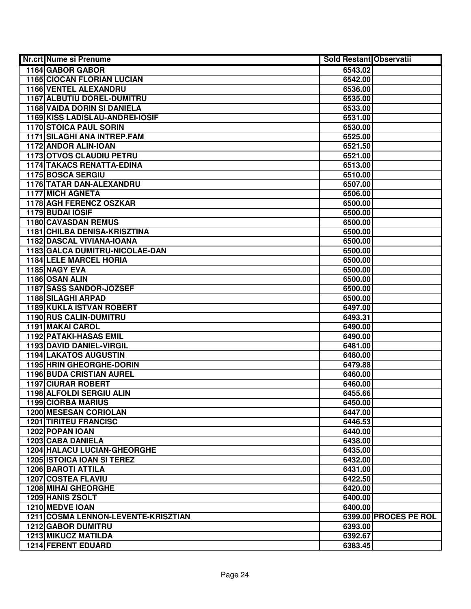| Nr.crt Nume si Prenume              | <b>Sold Restant Observatii</b> |
|-------------------------------------|--------------------------------|
| 1164 GABOR GABOR                    | 6543.02                        |
| <b>1165 CIOCAN FLORIAN LUCIAN</b>   | 6542.00                        |
| 1166 VENTEL ALEXANDRU               | 6536.00                        |
| 1167 ALBUTIU DOREL-DUMITRU          | 6535.00                        |
| <b>1168 VAIDA DORIN SI DANIELA</b>  | 6533.00                        |
| 1169 KISS LADISLAU-ANDREI-IOSIF     | 6531.00                        |
| <b>1170 STOICA PAUL SORIN</b>       | 6530.00                        |
| 1171 SILAGHI ANA INTREP.FAM         | 6525.00                        |
| 1172 ANDOR ALIN-IOAN                | 6521.50                        |
| 1173 OTVOS CLAUDIU PETRU            | 6521.00                        |
| <b>1174 TAKACS RENATTA-EDINA</b>    | 6513.00                        |
| <b>1175 BOSCA SERGIU</b>            | 6510.00                        |
| <b>1176 TATAR DAN-ALEXANDRU</b>     | 6507.00                        |
| <b>1177 MICH AGNETA</b>             | 6506.00                        |
| 1178 AGH FERENCZ OSZKAR             | 6500.00                        |
| 1179 BUDAI IOSIF                    | 6500.00                        |
| 1180 CAVASDAN REMUS                 | 6500.00                        |
| <b>1181 CHILBA DENISA-KRISZTINA</b> | 6500.00                        |
| 1182 DASCAL VIVIANA-IOANA           | 6500.00                        |
| 1183 GALCA DUMITRU-NICOLAE-DAN      | 6500.00                        |
| <b>1184 LELE MARCEL HORIA</b>       | 6500.00                        |
| 1185 NAGY EVA                       | 6500.00                        |
| 1186 OSAN ALIN                      | 6500.00                        |
| 1187 SASS SANDOR-JOZSEF             | 6500.00                        |
| <b>1188 SILAGHI ARPAD</b>           | 6500.00                        |
| 1189 KUKLA ISTVAN ROBERT            | 6497.00                        |
| 1190 RUS CALIN-DUMITRU              | 6493.31                        |
| 1191 MAKAI CAROL                    | 6490.00                        |
| <b>1192 PATAKI-HASAS EMIL</b>       | 6490.00                        |
| 1193 DAVID DANIEL-VIRGIL            | 6481.00                        |
| <b>1194 LAKATOS AUGUSTIN</b>        | 6480.00                        |
| 1195 HRIN GHEORGHE-DORIN            | 6479.88                        |
| <b>1196 BUDA CRISTIAN AUREL</b>     | 6460.00                        |
| <b>1197 CIURAR ROBERT</b>           | 6460.00                        |
| 1198 ALFOLDI SERGIU ALIN            | 6455.66                        |
| 1199 CIORBA MARIUS                  | 6450.00                        |
| <b>1200 MESESAN CORIOLAN</b>        | 6447.00                        |
| <b>1201 TIRITEU FRANCISC</b>        | 6446.53                        |
| 1202 POPAN IOAN                     | 6440.00                        |
| <b>1203 CABA DANIELA</b>            | 6438.00                        |
| <b>1204 HALACU LUCIAN-GHEORGHE</b>  | 6435.00                        |
| <b>1205 ISTOICA IOAN SI TEREZ</b>   | 6432.00                        |
| <b>1206 BAROTI ATTILA</b>           | 6431.00                        |
| <b>1207 COSTEA FLAVIU</b>           | 6422.50                        |
| <b>1208 MIHAI GHEORGHE</b>          | 6420.00                        |
| 1209 HANIS ZSOLT                    | 6400.00                        |
| 1210 MEDVE IOAN                     | 6400.00                        |
| 1211 COSMA LENNON-LEVENTE-KRISZTIAN | 6399.00 PROCES PE ROL          |
| <b>1212 GABOR DUMITRU</b>           | 6393.00                        |
| <b>1213 MIKUCZ MATILDA</b>          | 6392.67                        |
| <b>1214 FERENT EDUARD</b>           | 6383.45                        |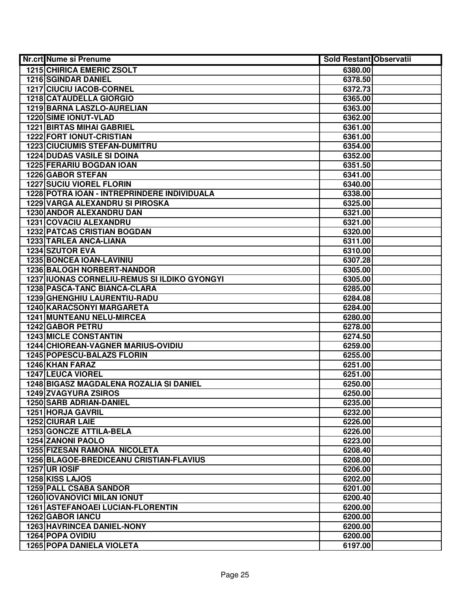| Nr.crt Nume si Prenume                         | <b>Sold Restant Observatii</b> |  |
|------------------------------------------------|--------------------------------|--|
| <b>1215 CHIRICA EMERIC ZSOLT</b>               | 6380.00                        |  |
| <b>1216 SGINDAR DANIEL</b>                     | 6378.50                        |  |
| 1217 CIUCIU IACOB-CORNEL                       | 6372.73                        |  |
| 1218 CATAUDELLA GIORGIO                        | 6365.00                        |  |
| 1219 BARNA LASZLO-AURELIAN                     | 6363.00                        |  |
| 1220 SIME IONUT-VLAD                           | 6362.00                        |  |
| <b>1221 BIRTAS MIHAI GABRIEL</b>               | 6361.00                        |  |
| 1222 FORT IONUT-CRISTIAN                       | 6361.00                        |  |
| <b>1223 CIUCIUMIS STEFAN-DUMITRU</b>           | 6354.00                        |  |
| <b>1224 DUDAS VASILE SI DOINA</b>              | 6352.00                        |  |
| <b>1225 FERARIU BOGDAN IOAN</b>                | 6351.50                        |  |
| <b>1226 GABOR STEFAN</b>                       | 6341.00                        |  |
| <b>1227 SUCIU VIOREL FLORIN</b>                | 6340.00                        |  |
| 1228 POTRA IOAN - INTREPRINDERE INDIVIDUALA    | 6338.00                        |  |
| 1229 VARGA ALEXANDRU SI PIROSKA                | 6325.00                        |  |
| 1230 ANDOR ALEXANDRU DAN                       | 6321.00                        |  |
| 1231 COVACIU ALEXANDRU                         | 6321.00                        |  |
| <b>1232 PATCAS CRISTIAN BOGDAN</b>             | 6320.00                        |  |
| 1233 TARLEA ANCA-LIANA                         | 6311.00                        |  |
| 1234 SZUTOR EVA                                | 6310.00                        |  |
| 1235 BONCEA IOAN-LAVINIU                       | 6307.28                        |  |
| 1236 BALOGH NORBERT-NANDOR                     | 6305.00                        |  |
| 1237 IUONAS CORNELIU-REMUS SI ILDIKO GYONGYI   | 6305.00                        |  |
| 1238 PASCA-TANC BIANCA-CLARA                   | 6285.00                        |  |
| 1239 GHENGHIU LAURENTIU-RADU                   | 6284.08                        |  |
| 1240 KARACSONYI MARGARETA                      | 6284.00                        |  |
| 1241 MUNTEANU NELU-MIRCEA                      | 6280.00                        |  |
| 1242 GABOR PETRU                               | 6278.00                        |  |
| <b>1243 MICLE CONSTANTIN</b>                   | 6274.50                        |  |
| <b>1244 CHIOREAN-VAGNER MARIUS-OVIDIU</b>      | 6259.00                        |  |
| 1245 POPESCU-BALAZS FLORIN                     | 6255.00                        |  |
| 1246 KHAN FARAZ                                | 6251.00                        |  |
| 1247 LEUCA VIOREL                              | 6251.00                        |  |
| 1248 BIGASZ MAGDALENA ROZALIA SI DANIEL        | 6250.00                        |  |
| <b>1249 ZVAGYURA ZSIROS</b>                    | 6250.00                        |  |
| 1250 SARB ADRIAN-DANIEL                        | 6235.00                        |  |
| 1251 HORJA GAVRIL                              | 6232.00                        |  |
| <b>1252 CIURAR LAIE</b>                        | 6226.00                        |  |
| <b>1253 GONCZE ATTILA-BELA</b>                 | 6226.00                        |  |
| <b>1254 ZANONI PAOLO</b>                       | 6223.00                        |  |
| <b>1255 FIZESAN RAMONA NICOLETA</b>            | 6208.40                        |  |
| <b>1256 BLAGOE-BREDICEANU CRISTIAN-FLAVIUS</b> | 6208.00                        |  |
| 1257 UR IOSIF                                  | 6206.00                        |  |
| <b>1258 KISS LAJOS</b>                         | 6202.00                        |  |
| <b>1259 PALL CSABA SANDOR</b>                  | 6201.00                        |  |
| <b>1260 IOVANOVICI MILAN IONUT</b>             | 6200.40                        |  |
| 1261 ASTEFANOAEI LUCIAN-FLORENTIN              | 6200.00                        |  |
| 1262 GABOR IANCU                               | 6200.00                        |  |
| <b>1263 HAVRINCEA DANIEL-NONY</b>              | 6200.00                        |  |
| <b>1264 POPA OVIDIU</b>                        | 6200.00                        |  |
| <b>1265 POPA DANIELA VIOLETA</b>               | 6197.00                        |  |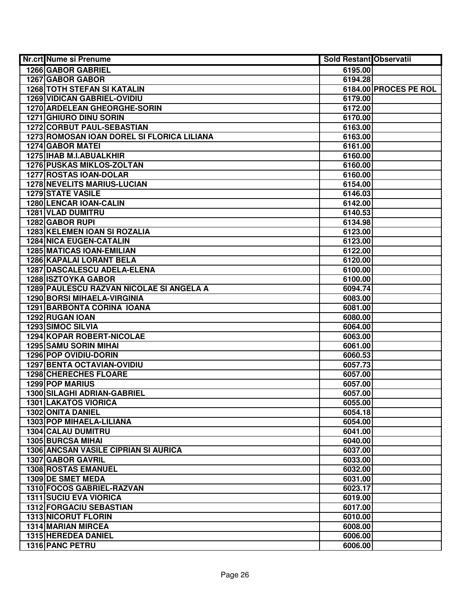| Nr.crt Nume si Prenume                                | <b>Sold Restant Observatii</b> |                       |
|-------------------------------------------------------|--------------------------------|-----------------------|
| 1266 GABOR GABRIEL                                    | 6195.00                        |                       |
| 1267 GABOR GABOR                                      | 6194.28                        |                       |
| <b>1268 TOTH STEFAN SI KATALIN</b>                    |                                | 6184.00 PROCES PE ROL |
| <b>1269 VIDICAN GABRIEL-OVIDIU</b>                    | 6179.00                        |                       |
| 1270 ARDELEAN GHEORGHE-SORIN                          | 6172.00                        |                       |
| 1271 GHIURO DINU SORIN                                | 6170.00                        |                       |
| 1272 CORBUT PAUL-SEBASTIAN                            | 6163.00                        |                       |
| 1273 ROMOSAN IOAN DOREL SI FLORICA LILIANA            | 6163.00                        |                       |
| <b>1274 GABOR MATEI</b>                               | 6161.00                        |                       |
| 1275   IHAB M.I.ABUALKHIR                             | 6160.00                        |                       |
| <b>1276 PUSKAS MIKLOS-ZOLTAN</b>                      | 6160.00                        |                       |
| <b>1277 ROSTAS IOAN-DOLAR</b>                         | 6160.00                        |                       |
| <b>1278 NEVELITS MARIUS-LUCIAN</b>                    | 6154.00                        |                       |
| <b>1279 STATE VASILE</b>                              | 6146.03                        |                       |
| 1280 LENCAR IOAN-CALIN                                | 6142.00                        |                       |
| 1281 VLAD DUMITRU                                     | 6140.53                        |                       |
| 1282 GABOR RUPI                                       | 6134.98                        |                       |
| 1283 KELEMEN IOAN SI ROZALIA                          | 6123.00                        |                       |
| <b>1284 NICA EUGEN-CATALIN</b>                        | 6123.00                        |                       |
| <b>1285 MATICAS IOAN-EMILIAN</b>                      | 6122.00                        |                       |
| 1286 KAPALAI LORANT BELA                              | 6120.00                        |                       |
| 1287 DASCALESCU ADELA-ELENA                           | 6100.00                        |                       |
| <b>1288 ISZTOYKA GABOR</b>                            | 6100.00                        |                       |
| 1289 PAULESCU RAZVAN NICOLAE SI ANGELA A              | 6094.74                        |                       |
| <b>1290 BORSI MIHAELA-VIRGINIA</b>                    | 6083.00                        |                       |
| <b>1291 BARBONTA CORINA IOANA</b>                     | 6081.00                        |                       |
| 1292 RUGAN IOAN                                       | 6080.00                        |                       |
| 1293 SIMOC SILVIA                                     | 6064.00                        |                       |
| 1294 KOPAR ROBERT-NICOLAE                             | 6063.00                        |                       |
| <b>1295 SAMU SORIN MIHAI</b>                          | 6061.00                        |                       |
| 1296 POP OVIDIU-DORIN                                 | 6060.53                        |                       |
| <b>1297 BENTA OCTAVIAN-OVIDIU</b>                     | 6057.73                        |                       |
| <b>1298 CHERECHES FLOARE</b>                          | 6057.00                        |                       |
| 1299 POP MARIUS                                       | 6057.00                        |                       |
| <b>1300 SILAGHI ADRIAN-GABRIEL</b>                    | 6057.00                        |                       |
| <b>1301 LAKATOS VIORICA</b>                           | 6055.00                        |                       |
| 1302 ONITA DANIEL                                     | 6054.18                        |                       |
| 1303 POP MIHAELA-LILIANA                              | 6054.00                        |                       |
| <b>1304 CALAU DUMITRU</b>                             | 6041.00                        |                       |
| 1305 BURCSA MIHAI                                     | 6040.00                        |                       |
| <b>1306 ANCSAN VASILE CIPRIAN SI AURICA</b>           | 6037.00                        |                       |
| 1307 GABOR GAVRIL                                     | 6033.00                        |                       |
| <b>1308 ROSTAS EMANUEL</b>                            | 6032.00                        |                       |
| 1309 DE SMET MEDA                                     | 6031.00                        |                       |
| 1310 FOCOS GABRIEL-RAZVAN                             | 6023.17                        |                       |
| <b>1311 SUCIU EVA VIORICA</b>                         | 6019.00                        |                       |
| 1312 FORGACIU SEBASTIAN<br><b>1313 NICORUT FLORIN</b> | 6017.00                        |                       |
| 1314 MARIAN MIRCEA                                    | 6010.00<br>6008.00             |                       |
| 1315 HEREDEA DANIEL                                   | 6006.00                        |                       |
| 1316 PANC PETRU                                       | 6006.00                        |                       |
|                                                       |                                |                       |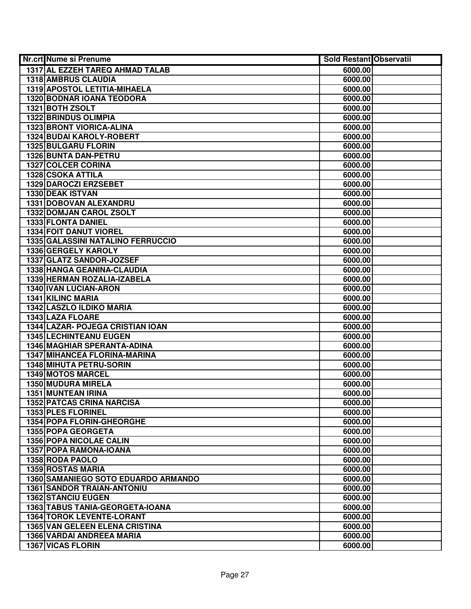| Nr.crt Nume si Prenume                   | <b>Sold Restant Observatii</b> |  |
|------------------------------------------|--------------------------------|--|
| 1317 AL EZZEH TAREQ AHMAD TALAB          | 6000.00                        |  |
| <b>1318 AMBRUS CLAUDIA</b>               | 6000.00                        |  |
| 1319 APOSTOL LETITIA-MIHAELA             | 6000.00                        |  |
| 1320 BODNAR IOANA TEODORA                | 6000.00                        |  |
| 1321 BOTH ZSOLT                          | 6000.00                        |  |
| <b>1322 BRINDUS OLIMPIA</b>              | 6000.00                        |  |
| 1323 BRONT VIORICA-ALINA                 | 6000.00                        |  |
| <b>1324 BUDAI KAROLY-ROBERT</b>          | 6000.00                        |  |
| <b>1325 BULGARU FLORIN</b>               | 6000.00                        |  |
| 1326 BUNTA DAN-PETRU                     | 6000.00                        |  |
| <b>1327 COLCER CORINA</b>                | 6000.00                        |  |
| 1328 CSOKA ATTILA                        | 6000.00                        |  |
| 1329 DAROCZI ERZSEBET                    | 6000.00                        |  |
| <b>1330 DEAK ISTVAN</b>                  | 6000.00                        |  |
| 1331 DOBOVAN ALEXANDRU                   | 6000.00                        |  |
| 1332 DOMJAN CAROL ZSOLT                  | 6000.00                        |  |
| 1333 FLONTA DANIEL                       | 6000.00                        |  |
| 1334 FOIT DANUT VIOREL                   | 6000.00                        |  |
| <b>1335 GALASSINI NATALINO FERRUCCIO</b> | 6000.00                        |  |
| 1336 GERGELY KAROLY                      | 6000.00                        |  |
| 1337 GLATZ SANDOR-JOZSEF                 | 6000.00                        |  |
| 1338 HANGA GEANINA-CLAUDIA               | 6000.00                        |  |
| 1339 HERMAN ROZALIA-IZABELA              | 6000.00                        |  |
| <b>1340 IVAN LUCIAN-ARON</b>             | 6000.00                        |  |
| 1341 KILINC MARIA                        | 6000.00                        |  |
| 1342 LASZLO ILDIKO MARIA                 | 6000.00                        |  |
| 1343 LAZA FLOARE                         | 6000.00                        |  |
| 1344 LAZAR- POJEGA CRISTIAN IOAN         | 6000.00                        |  |
| <b>1345 LECHINTEANU EUGEN</b>            | 6000.00                        |  |
| 1346 MAGHIAR SPERANTA-ADINA              | 6000.00                        |  |
| 1347 MIHANCEA FLORINA-MARINA             | 6000.00                        |  |
| 1348 MIHUTA PETRU-SORIN                  | 6000.00                        |  |
| 1349 MOTOS MARCEL                        | 6000.00                        |  |
| 1350 MUDURA MIRELA                       | 6000.00                        |  |
| <b>1351 MUNTEAN IRINA</b>                | 6000.00                        |  |
| <b>1352 PATCAS CRINA NARCISA</b>         | 6000.00                        |  |
| 1353 PLES FLORINEL                       | 6000.00                        |  |
| <b>1354 POPA FLORIN-GHEORGHE</b>         | 6000.00                        |  |
| 1355 POPA GEORGETA                       | 6000.00                        |  |
| <b>1356 POPA NICOLAE CALIN</b>           | 6000.00                        |  |
| 1357 POPA RAMONA-IOANA                   | 6000.00                        |  |
| 1358 RODA PAOLO                          | 6000.00                        |  |
| <b>1359 ROSTAS MARIA</b>                 | 6000.00                        |  |
| 1360 SAMANIEGO SOTO EDUARDO ARMANDO      | 6000.00                        |  |
| <b>1361 SANDOR TRAIAN-ANTONIU</b>        | 6000.00                        |  |
| <b>1362 STANCIU EUGEN</b>                | 6000.00                        |  |
| 1363 TABUS TANIA-GEORGETA-IOANA          | 6000.00                        |  |
| <b>1364 TOROK LEVENTE-LORANT</b>         | 6000.00                        |  |
| 1365 VAN GELEEN ELENA CRISTINA           | 6000.00                        |  |
| <b>1366 VARDAI ANDREEA MARIA</b>         | 6000.00                        |  |
| 1367 VICAS FLORIN                        | 6000.00                        |  |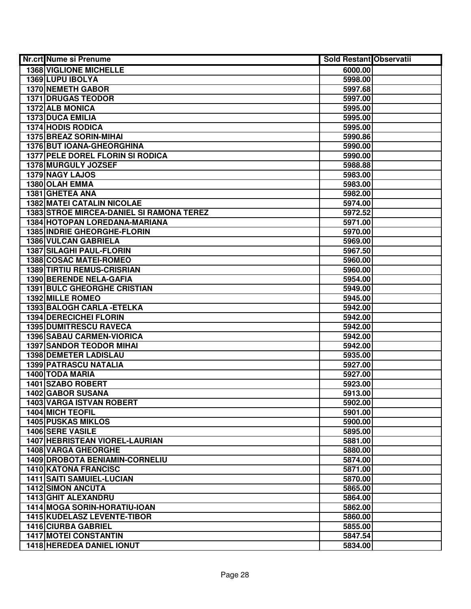| 1368 VIGLIONE MICHELLE<br>6000.00<br>1369 LUPU IBOLYA<br>5998.00<br>1370 NEMETH GABOR<br>5997.68<br><b>1371 DRUGAS TEODOR</b><br>5997.00<br>1372 ALB MONICA<br>5995.00<br>1373 DUCA EMILIA<br>5995.00<br><b>1374 HODIS RODICA</b><br>5995.00<br><b>1375 BREAZ SORIN-MIHAI</b><br>5990.86<br><b>1376 BUT IOANA-GHEORGHINA</b><br>5990.00<br><b>1377 PELE DOREL FLORIN SI RODICA</b><br>5990.00<br>1378 MURGULY JOZSEF<br>5988.88<br>1379 NAGY LAJOS<br>5983.00<br>1380 OLAH EMMA<br>5983.00<br>1381 GHETEA ANA<br>5982.00<br><b>1382 MATEI CATALIN NICOLAE</b><br>5974.00<br><b>1383 STROE MIRCEA-DANIEL SI RAMONA TEREZ</b><br>5972.52<br>1384 HOTOPAN LOREDANA-MARIANA<br>5971.00<br>1385 INDRIE GHEORGHE-FLORIN<br>5970.00<br>1386 VULCAN GABRIELA<br>5969.00 |
|-----------------------------------------------------------------------------------------------------------------------------------------------------------------------------------------------------------------------------------------------------------------------------------------------------------------------------------------------------------------------------------------------------------------------------------------------------------------------------------------------------------------------------------------------------------------------------------------------------------------------------------------------------------------------------------------------------------------------------------------------------------------|
|                                                                                                                                                                                                                                                                                                                                                                                                                                                                                                                                                                                                                                                                                                                                                                 |
|                                                                                                                                                                                                                                                                                                                                                                                                                                                                                                                                                                                                                                                                                                                                                                 |
|                                                                                                                                                                                                                                                                                                                                                                                                                                                                                                                                                                                                                                                                                                                                                                 |
|                                                                                                                                                                                                                                                                                                                                                                                                                                                                                                                                                                                                                                                                                                                                                                 |
|                                                                                                                                                                                                                                                                                                                                                                                                                                                                                                                                                                                                                                                                                                                                                                 |
|                                                                                                                                                                                                                                                                                                                                                                                                                                                                                                                                                                                                                                                                                                                                                                 |
|                                                                                                                                                                                                                                                                                                                                                                                                                                                                                                                                                                                                                                                                                                                                                                 |
|                                                                                                                                                                                                                                                                                                                                                                                                                                                                                                                                                                                                                                                                                                                                                                 |
|                                                                                                                                                                                                                                                                                                                                                                                                                                                                                                                                                                                                                                                                                                                                                                 |
|                                                                                                                                                                                                                                                                                                                                                                                                                                                                                                                                                                                                                                                                                                                                                                 |
|                                                                                                                                                                                                                                                                                                                                                                                                                                                                                                                                                                                                                                                                                                                                                                 |
|                                                                                                                                                                                                                                                                                                                                                                                                                                                                                                                                                                                                                                                                                                                                                                 |
|                                                                                                                                                                                                                                                                                                                                                                                                                                                                                                                                                                                                                                                                                                                                                                 |
|                                                                                                                                                                                                                                                                                                                                                                                                                                                                                                                                                                                                                                                                                                                                                                 |
|                                                                                                                                                                                                                                                                                                                                                                                                                                                                                                                                                                                                                                                                                                                                                                 |
|                                                                                                                                                                                                                                                                                                                                                                                                                                                                                                                                                                                                                                                                                                                                                                 |
|                                                                                                                                                                                                                                                                                                                                                                                                                                                                                                                                                                                                                                                                                                                                                                 |
|                                                                                                                                                                                                                                                                                                                                                                                                                                                                                                                                                                                                                                                                                                                                                                 |
|                                                                                                                                                                                                                                                                                                                                                                                                                                                                                                                                                                                                                                                                                                                                                                 |
| 1387 SILAGHI PAUL-FLORIN<br>5967.50                                                                                                                                                                                                                                                                                                                                                                                                                                                                                                                                                                                                                                                                                                                             |
| 1388 COSAC MATEI-ROMEO<br>5960.00                                                                                                                                                                                                                                                                                                                                                                                                                                                                                                                                                                                                                                                                                                                               |
| <b>1389 TIRTIU REMUS-CRISRIAN</b><br>5960.00                                                                                                                                                                                                                                                                                                                                                                                                                                                                                                                                                                                                                                                                                                                    |
| 1390 BERENDE NELA-GAFIA<br>5954.00                                                                                                                                                                                                                                                                                                                                                                                                                                                                                                                                                                                                                                                                                                                              |
| <b>1391 BULC GHEORGHE CRISTIAN</b><br>5949.00                                                                                                                                                                                                                                                                                                                                                                                                                                                                                                                                                                                                                                                                                                                   |
| 1392 MILLE ROMEO<br>5945.00                                                                                                                                                                                                                                                                                                                                                                                                                                                                                                                                                                                                                                                                                                                                     |
| 1393 BALOGH CARLA - ETELKA<br>5942.00                                                                                                                                                                                                                                                                                                                                                                                                                                                                                                                                                                                                                                                                                                                           |
| 1394 DERECICHEI FLORIN<br>5942.00                                                                                                                                                                                                                                                                                                                                                                                                                                                                                                                                                                                                                                                                                                                               |
| <b>1395 DUMITRESCU RAVECA</b><br>5942.00                                                                                                                                                                                                                                                                                                                                                                                                                                                                                                                                                                                                                                                                                                                        |
| <b>1396 SABAU CARMEN-VIORICA</b><br>5942.00                                                                                                                                                                                                                                                                                                                                                                                                                                                                                                                                                                                                                                                                                                                     |
| <b>1397 SANDOR TEODOR MIHAI</b><br>5942.00                                                                                                                                                                                                                                                                                                                                                                                                                                                                                                                                                                                                                                                                                                                      |
| <b>1398 DEMETER LADISLAU</b><br>5935.00                                                                                                                                                                                                                                                                                                                                                                                                                                                                                                                                                                                                                                                                                                                         |
| 1399 PATRASCU NATALIA<br>5927.00                                                                                                                                                                                                                                                                                                                                                                                                                                                                                                                                                                                                                                                                                                                                |
| 1400 TODA MARIA<br>5927.00                                                                                                                                                                                                                                                                                                                                                                                                                                                                                                                                                                                                                                                                                                                                      |
| 1401 SZABO ROBERT<br>5923.00                                                                                                                                                                                                                                                                                                                                                                                                                                                                                                                                                                                                                                                                                                                                    |
| 1402 GABOR SUSANA<br>5913.00                                                                                                                                                                                                                                                                                                                                                                                                                                                                                                                                                                                                                                                                                                                                    |
| <b>1403 VARGA ISTVAN ROBERT</b><br>5902.00                                                                                                                                                                                                                                                                                                                                                                                                                                                                                                                                                                                                                                                                                                                      |
| <b>1404 MICH TEOFIL</b><br>5901.00                                                                                                                                                                                                                                                                                                                                                                                                                                                                                                                                                                                                                                                                                                                              |
| <b>1405 PUSKAS MIKLOS</b><br>5900.00                                                                                                                                                                                                                                                                                                                                                                                                                                                                                                                                                                                                                                                                                                                            |
| 1406 SERE VASILE<br>5895.00                                                                                                                                                                                                                                                                                                                                                                                                                                                                                                                                                                                                                                                                                                                                     |
| <b>1407 HEBRISTEAN VIOREL-LAURIAN</b><br>5881.00<br><b>1408 VARGA GHEORGHE</b><br>5880.00                                                                                                                                                                                                                                                                                                                                                                                                                                                                                                                                                                                                                                                                       |
|                                                                                                                                                                                                                                                                                                                                                                                                                                                                                                                                                                                                                                                                                                                                                                 |
| <b>1409 DROBOTA BENIAMIN-CORNELIU</b><br>5874.00<br><b>1410 KATONA FRANCISC</b><br>5871.00                                                                                                                                                                                                                                                                                                                                                                                                                                                                                                                                                                                                                                                                      |
| 1411 SAITI SAMUIEL-LUCIAN                                                                                                                                                                                                                                                                                                                                                                                                                                                                                                                                                                                                                                                                                                                                       |
| 5870.00<br><b>1412 SIMON ANCUTA</b><br>5865.00                                                                                                                                                                                                                                                                                                                                                                                                                                                                                                                                                                                                                                                                                                                  |
| 1413 GHIT ALEXANDRU<br>5864.00                                                                                                                                                                                                                                                                                                                                                                                                                                                                                                                                                                                                                                                                                                                                  |
| 1414 MOGA SORIN-HORATIU-IOAN<br>5862.00                                                                                                                                                                                                                                                                                                                                                                                                                                                                                                                                                                                                                                                                                                                         |
| 1415 KUDELASZ LEVENTE-TIBOR<br>5860.00                                                                                                                                                                                                                                                                                                                                                                                                                                                                                                                                                                                                                                                                                                                          |
| <b>1416 CIURBA GABRIEL</b><br>5855.00                                                                                                                                                                                                                                                                                                                                                                                                                                                                                                                                                                                                                                                                                                                           |
| <b>1417 MOTEI CONSTANTIN</b><br>5847.54                                                                                                                                                                                                                                                                                                                                                                                                                                                                                                                                                                                                                                                                                                                         |
| 1418 HEREDEA DANIEL IONUT<br>5834.00                                                                                                                                                                                                                                                                                                                                                                                                                                                                                                                                                                                                                                                                                                                            |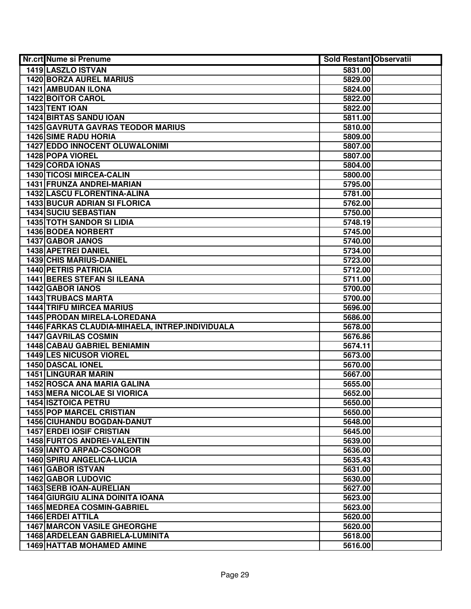| Nr.crt Nume si Prenume                          | <b>Sold Restant Observatii</b> |  |
|-------------------------------------------------|--------------------------------|--|
| <b>1419 LASZLO ISTVAN</b>                       | 5831.00                        |  |
| <b>1420 BORZA AUREL MARIUS</b>                  | 5829.00                        |  |
| 1421 AMBUDAN ILONA                              | 5824.00                        |  |
| 1422 BOITOR CAROL                               | 5822.00                        |  |
| 1423 TENT IOAN                                  | 5822.00                        |  |
| 1424 BIRTAS SANDU IOAN                          | 5811.00                        |  |
| <b>1425 GAVRUTA GAVRAS TEODOR MARIUS</b>        | 5810.00                        |  |
| <b>1426 SIME RADU HORIA</b>                     | 5809.00                        |  |
| <b>1427 EDDO INNOCENT OLUWALONIMI</b>           | 5807.00                        |  |
| 1428 POPA VIOREL                                | 5807.00                        |  |
| <b>1429 CORDA IONAS</b>                         | 5804.00                        |  |
| <b>1430 TICOSI MIRCEA-CALIN</b>                 | 5800.00                        |  |
| 1431 FRUNZA ANDREI-MARIAN                       | 5795.00                        |  |
| <b>1432 LASCU FLORENTINA-ALINA</b>              | 5781.00                        |  |
| <b>1433 BUCUR ADRIAN SI FLORICA</b>             | 5762.00                        |  |
| 1434 SUCIU SEBASTIAN                            | 5750.00                        |  |
| <b>1435 TOTH SANDOR SI LIDIA</b>                | 5748.19                        |  |
| 1436 BODEA NORBERT                              | 5745.00                        |  |
| 1437 GABOR JANOS                                | 5740.00                        |  |
| 1438 APETREI DANIEL                             | 5734.00                        |  |
| 1439 CHIS MARIUS-DANIEL                         | 5723.00                        |  |
| <b>1440 PETRIS PATRICIA</b>                     | 5712.00                        |  |
| <b>1441 BERES STEFAN SI ILEANA</b>              | 5711.00                        |  |
| 1442 GABOR IANOS                                | 5700.00                        |  |
| <b>1443 TRUBACS MARTA</b>                       | 5700.00                        |  |
| <b>1444 TRIFU MIRCEA MARIUS</b>                 | 5696.00                        |  |
| 1445 PRODAN MIRELA-LOREDANA                     | 5686.00                        |  |
| 1446 FARKAS CLAUDIA-MIHAELA, INTREP.INDIVIDUALA | 5678.00                        |  |
| 1447 GAVRILAS COSMIN                            | 5676.86                        |  |
| <b>1448 CABAU GABRIEL BENIAMIN</b>              | 5674.11                        |  |
| <b>1449 LES NICUSOR VIOREL</b>                  | 5673.00                        |  |
| 1450 DASCAL IONEL                               | 5670.00                        |  |
| <b>1451 LINGURAR MARIN</b>                      | 5667.00                        |  |
| 1452 ROSCA ANA MARIA GALINA                     | 5655.00                        |  |
| <b>1453 MERA NICOLAE SI VIORICA</b>             | 5652.00                        |  |
| 1454 ISZTOICA PETRU                             | 5650.00                        |  |
| <b>1455 POP MARCEL CRISTIAN</b>                 | 5650.00                        |  |
| <b>1456 CIUHANDU BOGDAN-DANUT</b>               | 5648.00                        |  |
| <b>1457 ERDEI IOSIF CRISTIAN</b>                | 5645.00                        |  |
| <b>1458 FURTOS ANDREI-VALENTIN</b>              | 5639.00                        |  |
| 1459 IANTO ARPAD-CSONGOR                        | 5636.00                        |  |
| <b>1460 SPIRU ANGELICA-LUCIA</b>                | 5635.43                        |  |
| 1461 GABOR ISTVAN                               | 5631.00                        |  |
| <b>1462 GABOR LUDOVIC</b>                       | 5630.00                        |  |
| 1463 SERB IOAN-AURELIAN                         | 5627.00                        |  |
| <b>1464 GIURGIU ALINA DOINITA IOANA</b>         | 5623.00                        |  |
| <b>1465 MEDREA COSMIN-GABRIEL</b>               | 5623.00                        |  |
| 1466 ERDEI ATTILA                               | 5620.00                        |  |
| <b>1467 MARCON VASILE GHEORGHE</b>              | 5620.00                        |  |
| 1468 ARDELEAN GABRIELA-LUMINITA                 | 5618.00                        |  |
| <b>1469 HATTAB MOHAMED AMINE</b>                | 5616.00                        |  |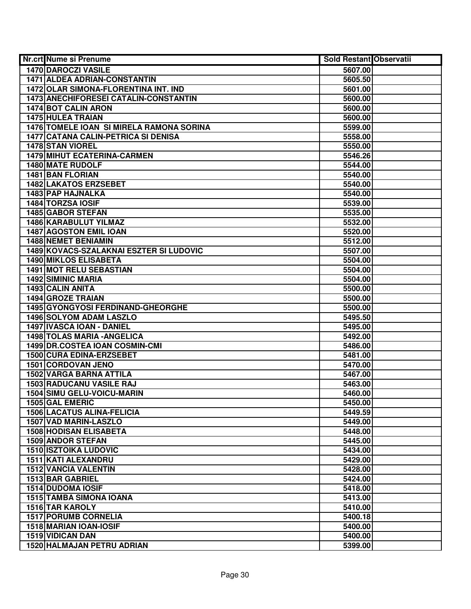| Nr.crt Nume si Prenume                     | <b>Sold Restant Observatii</b> |  |
|--------------------------------------------|--------------------------------|--|
| 1470 DAROCZI VASILE                        | 5607.00                        |  |
| <b>1471 ALDEA ADRIAN-CONSTANTIN</b>        | 5605.50                        |  |
| 1472 OLAR SIMONA-FLORENTINA INT. IND       | 5601.00                        |  |
| 1473 ANECHIFORESEI CATALIN-CONSTANTIN      | 5600.00                        |  |
| <b>1474 BOT CALIN ARON</b>                 | 5600.00                        |  |
| 1475 HULEA TRAIAN                          | 5600.00                        |  |
| 1476 TOMELE IOAN SI MIRELA RAMONA SORINA   | 5599.00                        |  |
| <b>1477 CATANA CALIN-PETRICA SI DENISA</b> | 5558.00                        |  |
| <b>1478 STAN VIOREL</b>                    | 5550.00                        |  |
| <b>1479 MIHUT ECATERINA-CARMEN</b>         | 5546.26                        |  |
| 1480 MATE RUDOLF                           | 5544.00                        |  |
| <b>1481 BAN FLORIAN</b>                    | 5540.00                        |  |
| <b>1482 LAKATOS ERZSEBET</b>               | 5540.00                        |  |
| 1483 PAP HAJNALKA                          | 5540.00                        |  |
| 1484 TORZSA IOSIF                          | 5539.00                        |  |
| 1485 GABOR STEFAN                          | 5535.00                        |  |
| 1486 KARABULUT YILMAZ                      | 5532.00                        |  |
| 1487 AGOSTON EMIL IOAN                     | 5520.00                        |  |
| <b>1488 NEMET BENIAMIN</b>                 | 5512.00                        |  |
| 1489 KOVACS-SZALAKNAI ESZTER SI LUDOVIC    | 5507.00                        |  |
| 1490 MIKLOS ELISABETA                      | 5504.00                        |  |
| 1491 MOT RELU SEBASTIAN                    | 5504.00                        |  |
| <b>1492 SIMINIC MARIA</b>                  | 5504.00                        |  |
| 1493 CALIN ANITA                           | 5500.00                        |  |
| <b>1494 GROZE TRAIAN</b>                   | 5500.00                        |  |
| 1495 GYONGYOSI FERDINAND-GHEORGHE          | 5500.00                        |  |
| <b>1496 SOLYOM ADAM LASZLO</b>             | 5495.50                        |  |
| 1497 IVASCA IOAN - DANIEL                  | 5495.00                        |  |
| <b>1498 TOLAS MARIA - ANGELICA</b>         | 5492.00                        |  |
| 1499 DR.COSTEA IOAN COSMIN-CMI             | 5486.00                        |  |
| 1500 CURA EDINA-ERZSEBET                   | 5481.00                        |  |
| 1501 CORDOVAN JENO                         | 5470.00                        |  |
| 1502 VARGA BARNA ATTILA                    | 5467.00                        |  |
| 1503 RADUCANU VASILE RAJ                   | 5463.00                        |  |
| 1504 SIMU GELU-VOICU-MARIN                 | 5460.00                        |  |
| 1505 GAL EMERIC                            | 5450.00                        |  |
| <b>1506 LACATUS ALINA-FELICIA</b>          | 5449.59                        |  |
| 1507 VAD MARIN-LASZLO                      | 5449.00                        |  |
| <b>1508 HODISAN ELISABETA</b>              | 5448.00                        |  |
| <b>1509 ANDOR STEFAN</b>                   | 5445.00                        |  |
| <b>1510 ISZTOIKA LUDOVIC</b>               | 5434.00                        |  |
| 1511 KATI ALEXANDRU                        | 5429.00                        |  |
| <b>1512 VANCIA VALENTIN</b>                | 5428.00                        |  |
| 1513 BAR GABRIEL                           | 5424.00                        |  |
| <b>1514 DUDOMA IOSIF</b>                   | 5418.00                        |  |
| <b>1515 TAMBA SIMONA IOANA</b>             | 5413.00                        |  |
| 1516 TAR KAROLY                            | 5410.00                        |  |
| <b>1517 PORUMB CORNELIA</b>                | 5400.18                        |  |
| 1518 MARIAN IOAN-IOSIF                     | 5400.00                        |  |
| 1519 VIDICAN DAN                           | 5400.00                        |  |
| 1520 HALMAJAN PETRU ADRIAN                 | 5399.00                        |  |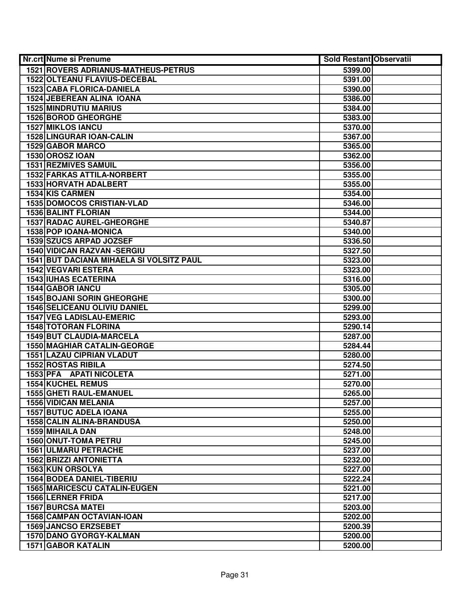| Nr.crt Nume si Prenume                     | <b>Sold Restant Observatii</b> |  |
|--------------------------------------------|--------------------------------|--|
| <b>1521 ROVERS ADRIANUS-MATHEUS-PETRUS</b> | 5399.00                        |  |
| 1522 OLTEANU FLAVIUS-DECEBAL               | 5391.00                        |  |
| <b>1523 CABA FLORICA-DANIELA</b>           | 5390.00                        |  |
| 1524 JEBEREAN ALINA IOANA                  | 5386.00                        |  |
| <b>1525 MINDRUTIU MARIUS</b>               | 5384.00                        |  |
| 1526 BOROD GHEORGHE                        | 5383.00                        |  |
| <b>1527 MIKLOS IANCU</b>                   | 5370.00                        |  |
| <b>1528 LINGURAR IOAN-CALIN</b>            | 5367.00                        |  |
| <b>1529 GABOR MARCO</b>                    | 5365.00                        |  |
| 1530 OROSZ IOAN                            | 5362.00                        |  |
| <b>1531 REZMIVES SAMUIL</b>                | 5356.00                        |  |
| <b>1532 FARKAS ATTILA-NORBERT</b>          | 5355.00                        |  |
| 1533 HORVATH ADALBERT                      | 5355.00                        |  |
| 1534 KIS CARMEN                            | 5354.00                        |  |
| <b>1535 DOMOCOS CRISTIAN-VLAD</b>          | 5346.00                        |  |
| <b>1536 BALINT FLORIAN</b>                 | 5344.00                        |  |
| <b>1537 RADAC AUREL-GHEORGHE</b>           | 5340.87                        |  |
| 1538 POP IOANA-MONICA                      | 5340.00                        |  |
| 1539 SZUCS ARPAD JOZSEF                    | 5336.50                        |  |
| 1540 VIDICAN RAZVAN - SERGIU               | 5327.50                        |  |
| 1541 BUT DACIANA MIHAELA SI VOLSITZ PAUL   | 5323.00                        |  |
| <b>1542 VEGVARI ESTERA</b>                 | 5323.00                        |  |
| <b>1543 IUHAS ECATERINA</b>                | 5316.00                        |  |
| 1544 GABOR IANCU                           | 5305.00                        |  |
| <b>1545 BOJANI SORIN GHEORGHE</b>          | 5300.00                        |  |
| <b>1546 SELICEANU OLIVIU DANIEL</b>        | 5299.00                        |  |
| <b>1547 VEG LADISLAU-EMERIC</b>            | 5293.00                        |  |
| <b>1548 TOTORAN FLORINA</b>                | 5290.14                        |  |
| 1549 BUT CLAUDIA-MARCELA                   | 5287.00                        |  |
| <b>1550 MAGHIAR CATALIN-GEORGE</b>         | 5284.44                        |  |
| <b>1551 LAZAU CIPRIAN VLADUT</b>           | 5280.00                        |  |
| <b>1552 ROSTAS RIBILA</b>                  | 5274.50                        |  |
| 1553 PFA APATI NICOLETA                    | 5271.00                        |  |
| <b>1554 KUCHEL REMUS</b>                   | 5270.00                        |  |
| 1555 GHETI RAUL-EMANUEL                    | 5265.00                        |  |
| <b>1556 VIDICAN MELANIA</b>                | 5257.00                        |  |
| <b>1557 BUTUC ADELA IOANA</b>              | 5255.00                        |  |
| 1558 CALIN ALINA-BRANDUSA                  | 5250.00                        |  |
| 1559 MIHAILA DAN                           | 5248.00                        |  |
| <b>1560 ONUT-TOMA PETRU</b>                | 5245.00                        |  |
| <b>1561 ULMARU PETRACHE</b>                | 5237.00                        |  |
| <b>1562 BRIZZI ANTONIETTA</b>              | 5232.00                        |  |
| <b>1563 KUN ORSOLYA</b>                    | 5227.00                        |  |
| <b>1564 BODEA DANIEL-TIBERIU</b>           | 5222.24                        |  |
| <b>1565 MARICESCU CATALIN-EUGEN</b>        | 5221.00                        |  |
| <b>1566 LERNER FRIDA</b>                   | 5217.00                        |  |
| <b>1567 BURCSA MATEI</b>                   | 5203.00                        |  |
| 1568 CAMPAN OCTAVIAN-IOAN                  | 5202.00                        |  |
| 1569 JANCSO ERZSEBET                       | 5200.39                        |  |
| 1570 DANO GYORGY-KALMAN                    | 5200.00                        |  |
| <b>1571 GABOR KATALIN</b>                  | 5200.00                        |  |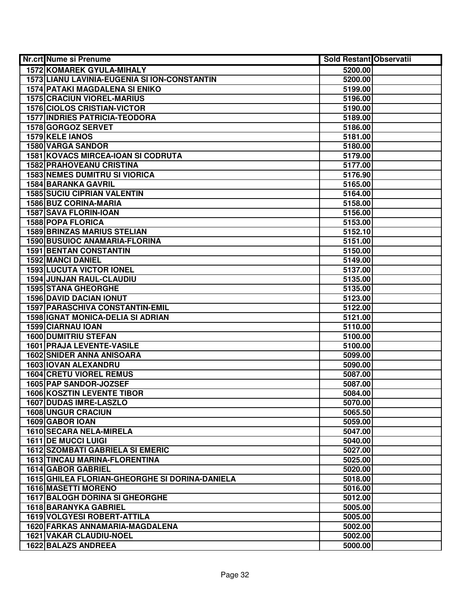| Nr.crt Nume si Prenume                         | <b>Sold Restant Observatii</b> |  |
|------------------------------------------------|--------------------------------|--|
| <b>1572 KOMAREK GYULA-MIHALY</b>               | 5200.00                        |  |
| 1573 LIANU LAVINIA-EUGENIA SI ION-CONSTANTIN   | 5200.00                        |  |
| <b>1574 PATAKI MAGDALENA SI ENIKO</b>          | 5199.00                        |  |
| <b>1575 CRACIUN VIOREL-MARIUS</b>              | 5196.00                        |  |
| <b>1576 CIOLOS CRISTIAN-VICTOR</b>             | 5190.00                        |  |
| <b>1577 INDRIES PATRICIA-TEODORA</b>           | 5189.00                        |  |
| 1578 GORGOZ SERVET                             | 5186.00                        |  |
| 1579 KELE IANOS                                | 5181.00                        |  |
| <b>1580 VARGA SANDOR</b>                       | 5180.00                        |  |
| <b>1581 KOVACS MIRCEA-IOAN SI CODRUTA</b>      | 5179.00                        |  |
| <b>1582 PRAHOVEANU CRISTINA</b>                | 5177.00                        |  |
| <b>1583 NEMES DUMITRU SI VIORICA</b>           | 5176.90                        |  |
| <b>1584 BARANKA GAVRIL</b>                     | 5165.00                        |  |
| <b>1585 SUCIU CIPRIAN VALENTIN</b>             | 5164.00                        |  |
| 1586 BUZ CORINA-MARIA                          | 5158.00                        |  |
| 1587 SAVA FLORIN-IOAN                          | 5156.00                        |  |
| 1588 POPA FLORICA                              | 5153.00                        |  |
| <b>1589 BRINZAS MARIUS STELIAN</b>             | 5152.10                        |  |
| 1590 BUSUIOC ANAMARIA-FLORINA                  | 5151.00                        |  |
| <b>1591 BENTAN CONSTANTIN</b>                  | 5150.00                        |  |
| 1592 MANCI DANIEL                              | 5149.00                        |  |
| <b>1593 LUCUTA VICTOR IONEL</b>                | 5137.00                        |  |
| 1594 JUNJAN RAUL-CLAUDIU                       | 5135.00                        |  |
| <b>1595 STANA GHEORGHE</b>                     | 5135.00                        |  |
| <b>1596 DAVID DACIAN IONUT</b>                 | 5123.00                        |  |
| 1597 PARASCHIVA CONSTANTIN-EMIL                | 5122.00                        |  |
| <b>1598 IGNAT MONICA-DELIA SI ADRIAN</b>       | 5121.00                        |  |
| 1599 CIARNAU IOAN                              | 5110.00                        |  |
| <b>1600 DUMITRIU STEFAN</b>                    | 5100.00                        |  |
| 1601 PRAJA LEVENTE-VASILE                      | 5100.00                        |  |
| <b>1602 SNIDER ANNA ANISOARA</b>               | 5099.00                        |  |
| 1603 IOVAN ALEXANDRU                           | 5090.00                        |  |
| <b>1604 CRETU VIOREL REMUS</b>                 | 5087.00                        |  |
| 1605 PAP SANDOR-JOZSEF                         | 5087.00                        |  |
| <b>1606 KOSZTIN LEVENTE TIBOR</b>              | 5084.00                        |  |
| <b>1607 DUDAS IMRE-LASZLO</b>                  | 5070.00                        |  |
| <b>1608 UNGUR CRACIUN</b>                      | 5065.50                        |  |
| 1609 GABOR IOAN                                | 5059.00                        |  |
| 1610 SECARA NELA-MIRELA                        | 5047.00                        |  |
| <b>1611 DE MUCCI LUIGI</b>                     | 5040.00                        |  |
| <b>1612 SZOMBATI GABRIELA SI EMERIC</b>        | 5027.00                        |  |
| <b>1613 TINCAU MARINA-FLORENTINA</b>           | 5025.00                        |  |
| 1614 GABOR GABRIEL                             | 5020.00                        |  |
| 1615 GHILEA FLORIAN-GHEORGHE SI DORINA-DANIELA | 5018.00                        |  |
| 1616 MASETTI MORENO                            | 5016.00                        |  |
| <b>1617 BALOGH DORINA SI GHEORGHE</b>          | 5012.00                        |  |
| 1618 BARANYKA GABRIEL                          | 5005.00                        |  |
| 1619 VOLGYESI ROBERT-ATTILA                    | 5005.00                        |  |
| 1620 FARKAS ANNAMARIA-MAGDALENA                | 5002.00                        |  |
| 1621 VAKAR CLAUDIU-NOEL                        | 5002.00                        |  |
| 1622 BALAZS ANDREEA                            | 5000.00                        |  |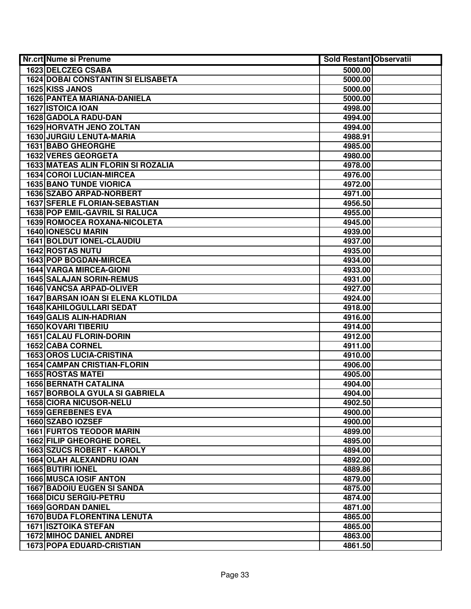| Nr.crt Nume si Prenume                               | <b>Sold Restant Observatii</b> |  |
|------------------------------------------------------|--------------------------------|--|
| 1623 DELCZEG CSABA                                   | 5000.00                        |  |
| <b>1624 DOBAI CONSTANTIN SI ELISABETA</b>            | 5000.00                        |  |
| 1625 KISS JANOS                                      | 5000.00                        |  |
| 1626 PANTEA MARIANA-DANIELA                          | 5000.00                        |  |
| <b>1627 ISTOICA IOAN</b>                             | 4998.00                        |  |
| 1628 GADOLA RADU-DAN                                 | 4994.00                        |  |
| <b>1629 HORVATH JENO ZOLTAN</b>                      | 4994.00                        |  |
| 1630 JURGIU LENUTA-MARIA                             | 4988.91                        |  |
| <b>1631 BABO GHEORGHE</b>                            | 4985.00                        |  |
| <b>1632 VERES GEORGETA</b>                           | 4980.00                        |  |
| <b>1633 MATEAS ALIN FLORIN SI ROZALIA</b>            | 4978.00                        |  |
| 1634 COROI LUCIAN-MIRCEA                             | 4976.00                        |  |
| <b>1635 BANO TUNDE VIORICA</b>                       | 4972.00                        |  |
| 1636 SZABO ARPAD-NORBERT                             | 4971.00                        |  |
| <b>1637 SFERLE FLORIAN-SEBASTIAN</b>                 | 4956.50                        |  |
| 1638 POP EMIL-GAVRIL SI RALUCA                       | 4955.00                        |  |
| 1639 ROMOCEA ROXANA-NICOLETA                         | 4945.00                        |  |
| <b>1640 IONESCU MARIN</b>                            | 4939.00                        |  |
| <b>1641 BOLDUT IONEL-CLAUDIU</b>                     | 4937.00                        |  |
| 1642 ROSTAS NUTU                                     | 4935.00                        |  |
| 1643 POP BOGDAN-MIRCEA                               | 4934.00                        |  |
| <b>1644 VARGA MIRCEA-GIONI</b>                       | 4933.00                        |  |
| <b>1645 SALAJAN SORIN-REMUS</b>                      | 4931.00                        |  |
| 1646 VANCSA ARPAD-OLIVER                             | 4927.00                        |  |
| <b>1647 BARSAN IOAN SI ELENA KLOTILDA</b>            | 4924.00                        |  |
| 1648 KAHILOGULLARI SEDAT                             | 4918.00                        |  |
| 1649 GALIS ALIN-HADRIAN                              | 4916.00                        |  |
| 1650 KOVARI TIBERIU                                  | 4914.00                        |  |
| 1651 CALAU FLORIN-DORIN                              | 4912.00                        |  |
| 1652 CABA CORNEL                                     | 4911.00                        |  |
| <b>1653 OROS LUCIA-CRISTINA</b>                      | 4910.00                        |  |
| <b>1654 CAMPAN CRISTIAN-FLORIN</b>                   | 4906.00                        |  |
| <b>1655 ROSTAS MATEI</b>                             | 4905.00                        |  |
| <b>1656 BERNATH CATALINA</b>                         | 4904.00                        |  |
| <b>1657 BORBOLA GYULA SI GABRIELA</b>                | 4904.00                        |  |
| <b>1658 CIORA NICUSOR-NELU</b>                       | 4902.50                        |  |
| <b>1659 GEREBENES EVA</b>                            | 4900.00                        |  |
| 1660 SZABO IOZSEF<br><b>1661 FURTOS TEODOR MARIN</b> | 4900.00                        |  |
| <b>1662 FILIP GHEORGHE DOREL</b>                     | 4899.00<br>4895.00             |  |
| <b>1663 SZUCS ROBERT - KAROLY</b>                    |                                |  |
| <b>1664 OLAH ALEXANDRU IOAN</b>                      | 4894.00<br>4892.00             |  |
| 1665 BUTIRI IONEL                                    | 4889.86                        |  |
| <b>1666 MUSCA IOSIF ANTON</b>                        | 4879.00                        |  |
| <b>1667 BADOIU EUGEN SI SANDA</b>                    | 4875.00                        |  |
| 1668 DICU SERGIU-PETRU                               | 4874.00                        |  |
| 1669 GORDAN DANIEL                                   | 4871.00                        |  |
| <b>1670 BUDA FLORENTINA LENUTA</b>                   | 4865.00                        |  |
| <b>1671 ISZTOIKA STEFAN</b>                          | 4865.00                        |  |
| <b>1672 MIHOC DANIEL ANDREI</b>                      | 4863.00                        |  |
| <b>1673 POPA EDUARD-CRISTIAN</b>                     | 4861.50                        |  |
|                                                      |                                |  |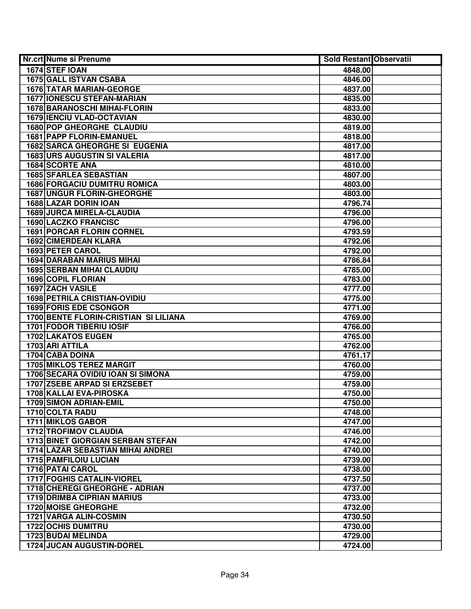| <b>Nr.crt Nume si Prenume</b>            | Sold Restant Observatii |  |
|------------------------------------------|-------------------------|--|
| 1674 STEF IOAN                           | 4848.00                 |  |
| <b>1675 GALL ISTVAN CSABA</b>            | 4846.00                 |  |
| <b>1676 TATAR MARIAN-GEORGE</b>          | 4837.00                 |  |
| <b>1677 IONESCU STEFAN-MARIAN</b>        | 4835.00                 |  |
| 1678 BARANOSCHI MIHAI-FLORIN             | 4833.00                 |  |
| <b>1679 IENCIU VLAD-OCTAVIAN</b>         | 4830.00                 |  |
| 1680 POP GHEORGHE CLAUDIU                | 4819.00                 |  |
| <b>1681 PAPP FLORIN-EMANUEL</b>          | 4818.00                 |  |
| <b>1682 SARCA GHEORGHE SI EUGENIA</b>    | 4817.00                 |  |
| <b>1683 URS AUGUSTIN SI VALERIA</b>      | 4817.00                 |  |
| 1684 SCORTE ANA                          | 4810.00                 |  |
| <b>1685 SFARLEA SEBASTIAN</b>            | 4807.00                 |  |
| <b>1686 FORGACIU DUMITRU ROMICA</b>      | 4803.00                 |  |
| <b>1687 UNGUR FLORIN-GHEORGHE</b>        | 4803.00                 |  |
| 1688 LAZAR DORIN IOAN                    | 4796.74                 |  |
| <b>1689 JURCA MIRELA-CLAUDIA</b>         | 4796.00                 |  |
| 1690 LACZKO FRANCISC                     | 4796.00                 |  |
| 1691 PORCAR FLORIN CORNEL                | 4793.59                 |  |
| 1692 CIMERDEAN KLARA                     | 4792.06                 |  |
| 1693 PETER CAROL                         | 4792.00                 |  |
| <b>1694 DARABAN MARIUS MIHAI</b>         | 4786.84                 |  |
| <b>1695 SERBAN MIHAI CLAUDIU</b>         | 4785.00                 |  |
| 1696 COPIL FLORIAN                       | 4783.00                 |  |
| 1697 ZACH VASILE                         | 4777.00                 |  |
| <b>1698 PETRILA CRISTIAN-OVIDIU</b>      | 4775.00                 |  |
| 1699 FORIS EDE CSONGOR                   | 4771.00                 |  |
| 1700 BENTE FLORIN-CRISTIAN SI LILIANA    | 4769.00                 |  |
| 1701 FODOR TIBERIU IOSIF                 | 4766.00                 |  |
| 1702 LAKATOS EUGEN                       | 4765.00                 |  |
| 1703 ARI ATTILA                          | 4762.00                 |  |
| 1704 CABA DOINA                          | 4761.17                 |  |
| <b>1705 MIKLOS TEREZ MARGIT</b>          | 4760.00                 |  |
| 1706 SECARA OVIDIU IOAN SI SIMONA        | 4759.00                 |  |
| 1707 ZSEBE ARPAD SI ERZSEBET             | 4759.00                 |  |
| 1708 KALLAI EVA-PIROSKA                  | 4750.00                 |  |
| 1709 SIMON ADRIAN-EMIL                   | 4750.00                 |  |
| 1710 COLTA RADU                          | 4748.00                 |  |
| <b>1711 MIKLOS GABOR</b>                 | 4747.00                 |  |
| <b>1712 TROFIMOV CLAUDIA</b>             | 4746.00                 |  |
| <b>1713 BINET GIORGIAN SERBAN STEFAN</b> | 4742.00                 |  |
| 1714 LAZAR SEBASTIAN MIHAI ANDREI        | 4740.00                 |  |
| <b>1715 PAMFILOIU LUCIAN</b>             | 4739.00                 |  |
| <b>1716 PATAI CAROL</b>                  | 4738.00                 |  |
| <b>1717 FOGHIS CATALIN-VIOREL</b>        | 4737.50                 |  |
| 1718 CHEREGI GHEORGHE - ADRIAN           | 4737.00                 |  |
| <b>1719 DRIMBA CIPRIAN MARIUS</b>        | 4733.00                 |  |
| <b>1720 MOISE GHEORGHE</b>               | 4732.00                 |  |
| 1721 VARGA ALIN-COSMIN                   | 4730.50                 |  |
| <b>1722 OCHIS DUMITRU</b>                | 4730.00                 |  |
| 1723 BUDAI MELINDA                       | 4729.00                 |  |
| <b>1724 JUCAN AUGUSTIN-DOREL</b>         | 4724.00                 |  |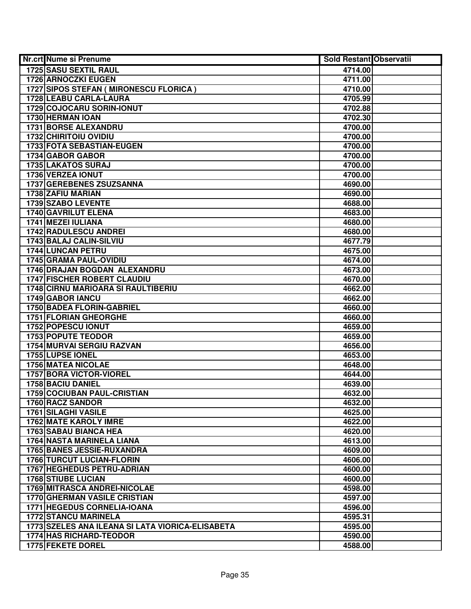| Nr.crt Nume si Prenume                           | <b>Sold Restant Observatii</b> |  |
|--------------------------------------------------|--------------------------------|--|
| <b>1725 SASU SEXTIL RAUL</b>                     | 4714.00                        |  |
| <b>1726 ARNOCZKI EUGEN</b>                       | 4711.00                        |  |
| 1727 SIPOS STEFAN ( MIRONESCU FLORICA )          | 4710.00                        |  |
| 1728 LEABU CARLA-LAURA                           | 4705.99                        |  |
| 1729 COJOCARU SORIN-IONUT                        | 4702.88                        |  |
| 1730 HERMAN IOAN                                 | 4702.30                        |  |
| <b>1731 BORSE ALEXANDRU</b>                      | 4700.00                        |  |
| 1732 CHIRITOIU OVIDIU                            | 4700.00                        |  |
| <b>1733 FOTA SEBASTIAN-EUGEN</b>                 | 4700.00                        |  |
| 1734 GABOR GABOR                                 | 4700.00                        |  |
| <b>1735 LAKATOS SURAJ</b>                        | 4700.00                        |  |
| <b>1736 VERZEA IONUT</b>                         | 4700.00                        |  |
| <b>1737 GEREBENES ZSUZSANNA</b>                  | 4690.00                        |  |
| 1738 ZAFIU MARIAN                                | 4690.00                        |  |
| 1739 SZABO LEVENTE                               | 4688.00                        |  |
| 1740 GAVRILUT ELENA                              | 4683.00                        |  |
| 1741 MEZEI IULIANA                               | 4680.00                        |  |
| <b>1742 RADULESCU ANDREI</b>                     | 4680.00                        |  |
| 1743 BALAJ CALIN-SILVIU                          | 4677.79                        |  |
| 1744 LUNCAN PETRU                                | 4675.00                        |  |
| 1745 GRAMA PAUL-OVIDIU                           | 4674.00                        |  |
| 1746 DRAJAN BOGDAN ALEXANDRU                     | 4673.00                        |  |
| <b>1747 FISCHER ROBERT CLAUDIU</b>               | 4670.00                        |  |
| <b>1748 CIRNU MARIOARA SI RAULTIBERIU</b>        | 4662.00                        |  |
| <b>1749 GABOR IANCU</b>                          | 4662.00                        |  |
| 1750 BADEA FLORIN-GABRIEL                        | 4660.00                        |  |
| 1751 FLORIAN GHEORGHE                            | 4660.00                        |  |
| 1752 POPESCU IONUT                               | 4659.00                        |  |
| 1753 POPUTE TEODOR                               | 4659.00                        |  |
| 1754 MURVAI SERGIU RAZVAN                        | 4656.00                        |  |
| 1755 LUPSE IONEL                                 | 4653.00                        |  |
| <b>1756 MATEA NICOLAE</b>                        | 4648.00                        |  |
| 1757 BORA VICTOR-VIOREL                          | 4644.00                        |  |
| 1758 BACIU DANIEL                                | 4639.00                        |  |
| <b>1759 COCIUBAN PAUL-CRISTIAN</b>               | 4632.00                        |  |
| 1760 RACZ SANDOR                                 | 4632.00                        |  |
| <b>1761 SILAGHI VASILE</b>                       | 4625.00                        |  |
| <b>1762 MATE KAROLY IMRE</b>                     | 4622.00                        |  |
| <b>1763 SABAU BIANCA HEA</b>                     | 4620.00                        |  |
| 1764 NASTA MARINELA LIANA                        | 4613.00                        |  |
| <b>1765 BANES JESSIE-RUXANDRA</b>                | 4609.00                        |  |
| <b>1766 TURCUT LUCIAN-FLORIN</b>                 | 4606.00                        |  |
| <b>1767 HEGHEDUS PETRU-ADRIAN</b>                | 4600.00                        |  |
| <b>1768 STIUBE LUCIAN</b>                        | 4600.00                        |  |
| 1769 MITRASCA ANDREI-NICOLAE                     | 4598.00                        |  |
| <b>1770 GHERMAN VASILE CRISTIAN</b>              | 4597.00                        |  |
| 1771 HEGEDUS CORNELIA-IOANA                      | 4596.00                        |  |
| <b>1772 STANCU MARINELA</b>                      | 4595.31                        |  |
| 1773 SZELES ANA ILEANA SI LATA VIORICA-ELISABETA | 4595.00                        |  |
| <b>1774 HAS RICHARD-TEODOR</b>                   | 4590.00                        |  |
| 1775 FEKETE DOREL                                | 4588.00                        |  |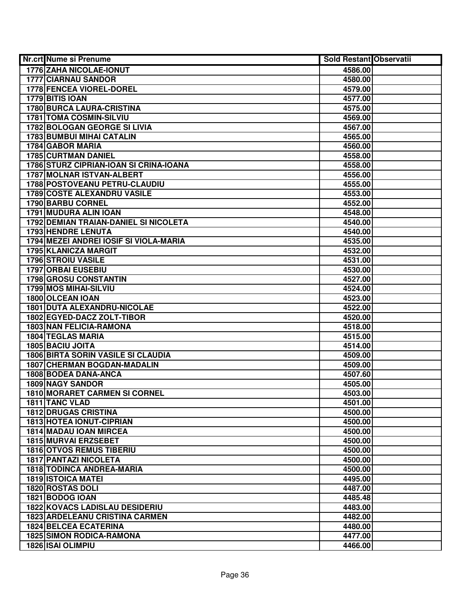| Nr.crt Nume si Prenume                    | <b>Sold Restant Observatii</b> |  |
|-------------------------------------------|--------------------------------|--|
| 1776 ZAHA NICOLAE-IONUT                   | 4586.00                        |  |
| 1777 CIARNAU SANDOR                       | 4580.00                        |  |
| 1778 FENCEA VIOREL-DOREL                  | 4579.00                        |  |
| 1779 BITIS IOAN                           | 4577.00                        |  |
| <b>1780 BURCA LAURA-CRISTINA</b>          | 4575.00                        |  |
| 1781 TOMA COSMIN-SILVIU                   | 4569.00                        |  |
| 1782 BOLOGAN GEORGE SI LIVIA              | 4567.00                        |  |
| <b>1783 BUMBUI MIHAI CATALIN</b>          | 4565.00                        |  |
| <b>1784 GABOR MARIA</b>                   | 4560.00                        |  |
| <b>1785 CURTMAN DANIEL</b>                | 4558.00                        |  |
| 1786 STURZ CIPRIAN-IOAN SI CRINA-IOANA    | 4558.00                        |  |
| <b>1787 MOLNAR ISTVAN-ALBERT</b>          | 4556.00                        |  |
| 1788 POSTOVEANU PETRU-CLAUDIU             | 4555.00                        |  |
| <b>1789 COSTE ALEXANDRU VASILE</b>        | 4553.00                        |  |
| 1790 BARBU CORNEL                         | 4552.00                        |  |
| 1791 MUDURA ALIN IOAN                     | 4548.00                        |  |
| 1792 DEMIAN TRAIAN-DANIEL SI NICOLETA     | 4540.00                        |  |
| <b>1793 HENDRE LENUTA</b>                 | 4540.00                        |  |
| 1794 MEZEI ANDREI IOSIF SI VIOLA-MARIA    | 4535.00                        |  |
| 1795 KLANICZA MARGIT                      | 4532.00                        |  |
| 1796 STROIU VASILE                        | 4531.00                        |  |
| 1797 ORBAI EUSEBIU                        | 4530.00                        |  |
| 1798 GROSU CONSTANTIN                     | 4527.00                        |  |
| 1799 MOS MIHAI-SILVIU                     | 4524.00                        |  |
| 1800 OLCEAN IOAN                          | 4523.00                        |  |
| 1801 DUTA ALEXANDRU-NICOLAE               | 4522.00                        |  |
| 1802 EGYED-DACZ ZOLT-TIBOR                | 4520.00                        |  |
| 1803 NAN FELICIA-RAMONA                   | 4518.00                        |  |
| <b>1804 TEGLAS MARIA</b>                  | 4515.00                        |  |
| 1805 BACIU JOITA                          | 4514.00                        |  |
| <b>1806 BIRTA SORIN VASILE SI CLAUDIA</b> | 4509.00                        |  |
| <b>1807 CHERMAN BOGDAN-MADALIN</b>        | 4509.00                        |  |
| <b>1808 BODEA DANA-ANCA</b>               | 4507.60                        |  |
| <b>1809 NAGY SANDOR</b>                   | 4505.00                        |  |
| 1810 MORARET CARMEN SI CORNEL             | 4503.00                        |  |
| 1811 TANC VLAD                            | 4501.00                        |  |
| <b>1812 DRUGAS CRISTINA</b>               | 4500.00                        |  |
| <b>1813 HOTEA IONUT-CIPRIAN</b>           | 4500.00                        |  |
| <b>1814 MADAU IOAN MIRCEA</b>             | 4500.00                        |  |
| <b>1815 MURVAI ERZSEBET</b>               | 4500.00                        |  |
| <b>1816 OTVOS REMUS TIBERIU</b>           | 4500.00                        |  |
| <b>1817 PANTAZI NICOLETA</b>              | 4500.00                        |  |
| 1818 TODINCA ANDREA-MARIA                 | 4500.00                        |  |
| <b>1819 ISTOICA MATEI</b>                 | 4495.00                        |  |
| 1820 ROSTAS DOLI                          | 4487.00                        |  |
| 1821 BODOG IOAN                           | 4485.48                        |  |
| <b>1822 KOVACS LADISLAU DESIDERIU</b>     | 4483.00                        |  |
| <b>1823 ARDELEANU CRISTINA CARMEN</b>     | 4482.00                        |  |
| <b>1824 BELCEA ECATERINA</b>              | 4480.00                        |  |
| <b>1825 SIMON RODICA-RAMONA</b>           | 4477.00                        |  |
| 1826 ISAI OLIMPIU                         | 4466.00                        |  |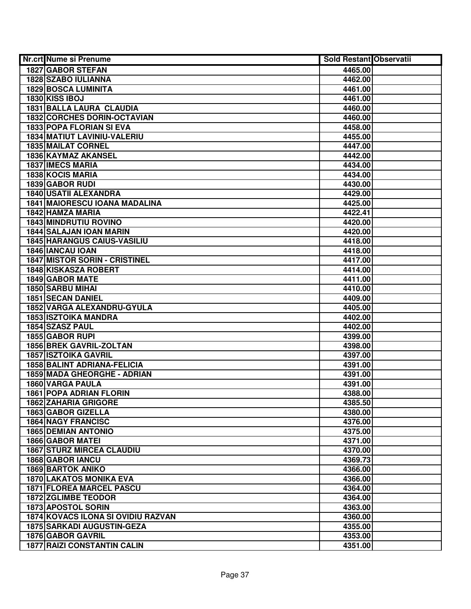| Nr.crt Nume si Prenume                    | <b>Sold Restant Observatii</b> |  |
|-------------------------------------------|--------------------------------|--|
| 1827 GABOR STEFAN                         | 4465.00                        |  |
| 1828 SZABO IULIANNA                       | 4462.00                        |  |
| <b>1829 BOSCA LUMINITA</b>                | 4461.00                        |  |
| <b>1830 KISS IBOJ</b>                     | 4461.00                        |  |
| 1831 BALLA LAURA CLAUDIA                  | 4460.00                        |  |
| <b>1832 CORCHES DORIN-OCTAVIAN</b>        | 4460.00                        |  |
| 1833 POPA FLORIAN SI EVA                  | 4458.00                        |  |
| <b>1834 MATIUT LAVINIU-VALERIU</b>        | 4455.00                        |  |
| <b>1835 MAILAT CORNEL</b>                 | 4447.00                        |  |
| 1836 KAYMAZ AKANSEL                       | 4442.00                        |  |
| <b>1837 IMECS MARIA</b>                   | 4434.00                        |  |
| 1838 KOCIS MARIA                          | 4434.00                        |  |
| 1839 GABOR RUDI                           | 4430.00                        |  |
| <b>1840 USATII ALEXANDRA</b>              | 4429.00                        |  |
| <b>1841 MAIORESCU IOANA MADALINA</b>      | 4425.00                        |  |
| 1842 HAMZA MARIA                          | 4422.41                        |  |
| 1843 MINDRUTIU ROVINO                     | 4420.00                        |  |
| 1844 SALAJAN IOAN MARIN                   | 4420.00                        |  |
| <b>1845 HARANGUS CAIUS-VASILIU</b>        | 4418.00                        |  |
| 1846 IANCAU IOAN                          | 4418.00                        |  |
| <b>1847 MISTOR SORIN - CRISTINEL</b>      | 4417.00                        |  |
| <b>1848 KISKASZA ROBERT</b>               | 4414.00                        |  |
| 1849 GABOR MATE                           | 4411.00                        |  |
| 1850 SARBU MIHAI                          | 4410.00                        |  |
| <b>1851 SECAN DANIEL</b>                  | 4409.00                        |  |
| 1852 VARGA ALEXANDRU-GYULA                | 4405.00                        |  |
| <b>1853 ISZTOIKA MANDRA</b>               | 4402.00                        |  |
| 1854 SZASZ PAUL                           | 4402.00                        |  |
| 1855 GABOR RUPI                           | 4399.00                        |  |
| 1856 BREK GAVRIL-ZOLTAN                   | 4398.00                        |  |
| <b>1857 ISZTOIKA GAVRIL</b>               | 4397.00                        |  |
| <b>1858 BALINT ADRIANA-FELICIA</b>        | 4391.00                        |  |
| 1859 MADA GHEORGHE - ADRIAN               | 4391.00                        |  |
| 1860 VARGA PAULA                          | 4391.00                        |  |
| <b>1861 POPA ADRIAN FLORIN</b>            | 4388.00                        |  |
| <b>1862 ZAHARIA GRIGORE</b>               | 4385.50                        |  |
| 1863 GABOR GIZELLA                        | 4380.00                        |  |
| <b>1864 NAGY FRANCISC</b>                 | 4376.00                        |  |
| <b>1865 DEMIAN ANTONIO</b>                | 4375.00                        |  |
| <b>1866 GABOR MATEI</b>                   | 4371.00                        |  |
| <b>1867 STURZ MIRCEA CLAUDIU</b>          | 4370.00                        |  |
| 1868 GABOR IANCU                          | 4369.73                        |  |
| <b>1869 BARTOK ANIKO</b>                  | 4366.00                        |  |
| <b>1870 LAKATOS MONIKA EVA</b>            | 4366.00                        |  |
| <b>1871 FLOREA MARCEL PASCU</b>           | 4364.00                        |  |
| <b>1872 ZGLIMBE TEODOR</b>                | 4364.00                        |  |
| 1873 APOSTOL SORIN                        | 4363.00                        |  |
| <b>1874 KOVACS ILONA SI OVIDIU RAZVAN</b> | 4360.00                        |  |
| <b>1875 SARKADI AUGUSTIN-GEZA</b>         | 4355.00                        |  |
| <b>1876 GABOR GAVRIL</b>                  | 4353.00                        |  |
| <b>1877 RAIZI CONSTANTIN CALIN</b>        | 4351.00                        |  |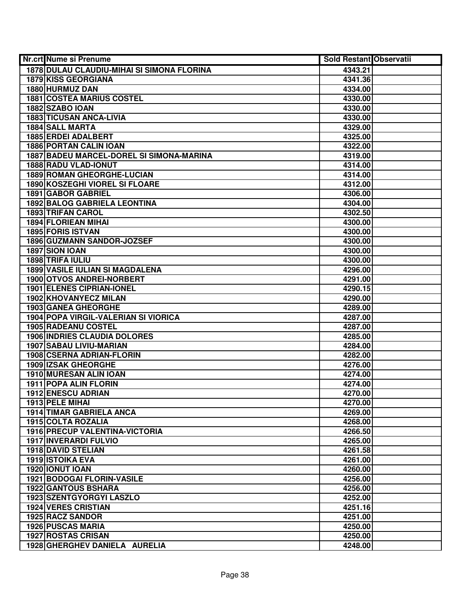| Nr.crt Nume si Prenume                     | <b>Sold Restant Observatii</b> |  |
|--------------------------------------------|--------------------------------|--|
| 1878 DULAU CLAUDIU-MIHAI SI SIMONA FLORINA | 4343.21                        |  |
| 1879 KISS GEORGIANA                        | 4341.36                        |  |
| 1880 HURMUZ DAN                            | 4334.00                        |  |
| <b>1881 COSTEA MARIUS COSTEL</b>           | 4330.00                        |  |
| 1882 SZABO IOAN                            | 4330.00                        |  |
| <b>1883 TICUSAN ANCA-LIVIA</b>             | 4330.00                        |  |
| 1884 SALL MARTA                            | 4329.00                        |  |
| 1885 ERDEI ADALBERT                        | 4325.00                        |  |
| <b>1886 PORTAN CALIN IOAN</b>              | 4322.00                        |  |
| 1887 BADEU MARCEL-DOREL SI SIMONA-MARINA   | 4319.00                        |  |
| 1888 RADU VLAD-IONUT                       | 4314.00                        |  |
| 1889 ROMAN GHEORGHE-LUCIAN                 | 4314.00                        |  |
| 1890 KOSZEGHI VIOREL SI FLOARE             | 4312.00                        |  |
| <b>1891 GABOR GABRIEL</b>                  | 4306.00                        |  |
| <b>1892 BALOG GABRIELA LEONTINA</b>        | 4304.00                        |  |
| <b>1893 TRIFAN CAROL</b>                   | 4302.50                        |  |
| <b>1894 FLORIEAN MIHAI</b>                 | 4300.00                        |  |
| <b>1895 FORIS ISTVAN</b>                   | 4300.00                        |  |
| 1896 GUZMANN SANDOR-JOZSEF                 | 4300.00                        |  |
| 1897 SION IOAN                             | 4300.00                        |  |
| 1898 TRIFA IULIU                           | 4300.00                        |  |
| 1899 VASILE IULIAN SI MAGDALENA            | 4296.00                        |  |
| 1900 OTVOS ANDREI-NORBERT                  | 4291.00                        |  |
| <b>1901 ELENES CIPRIAN-IONEL</b>           | 4290.15                        |  |
| <b>1902 KHOVANYECZ MILAN</b>               | 4290.00                        |  |
| <b>1903 GANEA GHEORGHE</b>                 | 4289.00                        |  |
| 1904 POPA VIRGIL-VALERIAN SI VIORICA       | 4287.00                        |  |
| 1905 RADEANU COSTEL                        | 4287.00                        |  |
| <b>1906 INDRIES CLAUDIA DOLORES</b>        | 4285.00                        |  |
| 1907 SABAU LIVIU-MARIAN                    | 4284.00                        |  |
| 1908 CSERNA ADRIAN-FLORIN                  | 4282.00                        |  |
| <b>1909 IZSAK GHEORGHE</b>                 | 4276.00                        |  |
| 1910 MURESAN ALIN IOAN                     | 4274.00                        |  |
| 1911 POPA ALIN FLORIN                      | 4274.00                        |  |
| 1912 ENESCU ADRIAN                         | 4270.00                        |  |
| 1913 PELE MIHAI                            | 4270.00                        |  |
| 1914 TIMAR GABRIELA ANCA                   | 4269.00                        |  |
| <b>1915 COLTA ROZALIA</b>                  | 4268.00                        |  |
| <b>1916 PRECUP VALENTINA-VICTORIA</b>      | 4266.50                        |  |
| 1917 INVERARDI FULVIO                      | 4265.00                        |  |
| 1918 DAVID STELIAN                         | 4261.58                        |  |
| <b>1919 ISTOIKA EVA</b>                    | 4261.00                        |  |
| 1920 IONUT IOAN                            | 4260.00                        |  |
| <b>1921 BODOGAI FLORIN-VASILE</b>          | 4256.00                        |  |
| <b>1922 GANTOUS BSHARA</b>                 | 4256.00                        |  |
| 1923 SZENTGYORGYI LASZLO                   | 4252.00                        |  |
| <b>1924 VERES CRISTIAN</b>                 | 4251.16                        |  |
| 1925 RACZ SANDOR                           | 4251.00                        |  |
| <b>1926 PUSCAS MARIA</b>                   | 4250.00                        |  |
| 1927 ROSTAS CRISAN                         | 4250.00                        |  |
| 1928 GHERGHEV DANIELA AURELIA              | 4248.00                        |  |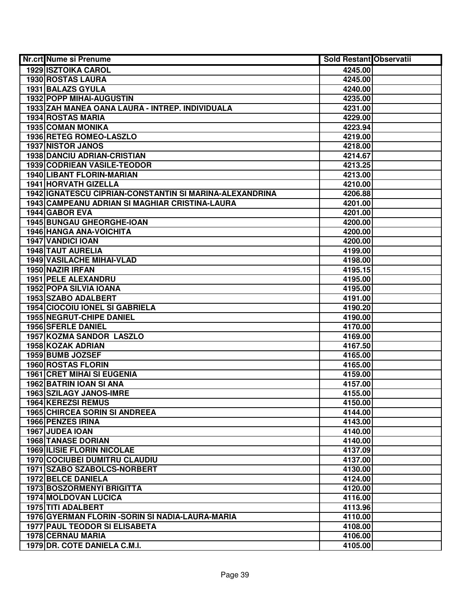| Nr.crt Nume si Prenume                                  | Sold Restant Observatii |  |
|---------------------------------------------------------|-------------------------|--|
| <b>1929 ISZTOIKA CAROL</b>                              | 4245.00                 |  |
| 1930 ROSTAS LAURA                                       | 4245.00                 |  |
| 1931 BALAZS GYULA                                       | 4240.00                 |  |
| <b>1932 POPP MIHAI-AUGUSTIN</b>                         | 4235.00                 |  |
| 1933 ZAH MANEA OANA LAURA - INTREP. INDIVIDUALA         | 4231.00                 |  |
| <b>1934 ROSTAS MARIA</b>                                | 4229.00                 |  |
| 1935 COMAN MONIKA                                       | 4223.94                 |  |
| 1936 RETEG ROMEO-LASZLO                                 | 4219.00                 |  |
| <b>1937 NISTOR JANOS</b>                                | 4218.00                 |  |
| <b>1938 DANCIU ADRIAN-CRISTIAN</b>                      | 4214.67                 |  |
| 1939 CODRIEAN VASILE-TEODOR                             | 4213.25                 |  |
| <b>1940 LIBANT FLORIN-MARIAN</b>                        | 4213.00                 |  |
| 1941 HORVATH GIZELLA                                    | 4210.00                 |  |
| 1942 IGNATESCU CIPRIAN-CONSTANTIN SI MARINA-ALEXANDRINA | 4206.88                 |  |
| 1943 CAMPEANU ADRIAN SI MAGHIAR CRISTINA-LAURA          | 4201.00                 |  |
| 1944 GABOR EVA                                          | 4201.00                 |  |
| 1945 BUNGAU GHEORGHE-IOAN                               | 4200.00                 |  |
| <b>1946 HANGA ANA-VOICHITA</b>                          | 4200.00                 |  |
| <b>1947 VANDICI IOAN</b>                                | 4200.00                 |  |
| 1948 TAUT AURELIA                                       | 4199.00                 |  |
| 1949 VASILACHE MIHAI-VLAD                               | 4198.00                 |  |
| 1950 NAZIR IRFAN                                        | 4195.15                 |  |
| 1951 PELE ALEXANDRU                                     | 4195.00                 |  |
| 1952 POPA SILVIA IOANA                                  | 4195.00                 |  |
| 1953 SZABO ADALBERT                                     | 4191.00                 |  |
| <b>1954 CIOCOIU IONEL SI GABRIELA</b>                   | 4190.20                 |  |
| <b>1955 NEGRUT-CHIPE DANIEL</b>                         | 4190.00                 |  |
| <b>1956 SFERLE DANIEL</b>                               | 4170.00                 |  |
| <b>1957 KOZMA SANDOR LASZLO</b>                         | 4169.00                 |  |
| 1958 KOZAK ADRIAN                                       | 4167.50                 |  |
| 1959 BUMB JOZSEF                                        | 4165.00                 |  |
| 1960 ROSTAS FLORIN                                      | 4165.00                 |  |
| <b>1961 CRET MIHAI SI EUGENIA</b>                       | 4159.00                 |  |
| 1962 BATRIN IOAN SI ANA                                 | 4157.00                 |  |
| <b>1963 SZILAGY JANOS-IMRE</b>                          | 4155.00                 |  |
| 1964 KEREZSI REMUS                                      | 4150.00                 |  |
| <b>1965 CHIRCEA SORIN SI ANDREEA</b>                    | 4144.00                 |  |
| <b>1966 PENZES IRINA</b>                                | 4143.00                 |  |
| 1967 JUDEA IOAN                                         | 4140.00                 |  |
| <b>1968 TANASE DORIAN</b>                               | 4140.00                 |  |
| <b>1969 ILISIE FLORIN NICOLAE</b>                       | 4137.09                 |  |
| <b>1970 COCIUBEI DUMITRU CLAUDIU</b>                    | 4137.00                 |  |
| 1971 SZABO SZABOLCS-NORBERT                             | 4130.00                 |  |
| 1972 BELCE DANIELA                                      | 4124.00                 |  |
| 1973 BOSZORMENYI BRIGITTA                               | 4120.00                 |  |
| <b>1974 MOLDOVAN LUCICA</b>                             | 4116.00                 |  |
| 1975 TITI ADALBERT                                      | 4113.96                 |  |
| 1976 GYERMAN FLORIN - SORIN SI NADIA-LAURA-MARIA        | 4110.00                 |  |
| <b>1977 PAUL TEODOR SI ELISABETA</b>                    | 4108.00                 |  |
| 1978 CERNAU MARIA                                       | 4106.00                 |  |
| 1979 DR. COTE DANIELA C.M.I.                            | 4105.00                 |  |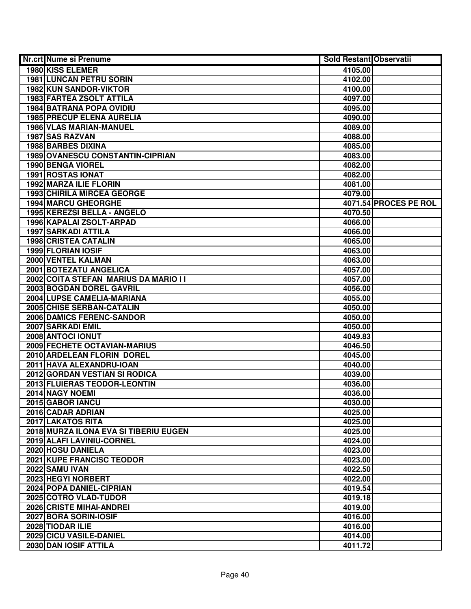| Nr.crt Nume si Prenume                  | <b>Sold Restant Observatii</b> |                       |
|-----------------------------------------|--------------------------------|-----------------------|
| 1980 KISS ELEMER                        | 4105.00                        |                       |
| <b>1981 LUNCAN PETRU SORIN</b>          | 4102.00                        |                       |
| 1982 KUN SANDOR-VIKTOR                  | 4100.00                        |                       |
| 1983 FARTEA ZSOLT ATTILA                | 4097.00                        |                       |
| <b>1984 BATRANA POPA OVIDIU</b>         | 4095.00                        |                       |
| <b>1985 PRECUP ELENA AURELIA</b>        | 4090.00                        |                       |
| 1986 VLAS MARIAN-MANUEL                 | 4089.00                        |                       |
| 1987 SAS RAZVAN                         | 4088.00                        |                       |
| <b>1988 BARBES DIXINA</b>               | 4085.00                        |                       |
| <b>1989 OVANESCU CONSTANTIN-CIPRIAN</b> | 4083.00                        |                       |
| 1990 BENGA VIOREL                       | 4082.00                        |                       |
| <b>1991 ROSTAS IONAT</b>                | 4082.00                        |                       |
| <b>1992 MARZA ILIE FLORIN</b>           | 4081.00                        |                       |
| <b>1993 CHIRILA MIRCEA GEORGE</b>       | 4079.00                        |                       |
| 1994 MARCU GHEORGHE                     |                                | 4071.54 PROCES PE ROL |
| 1995 KEREZSI BELLA - ANGELO             | 4070.50                        |                       |
| 1996 KAPALAI ZSOLT-ARPAD                | 4066.00                        |                       |
| <b>1997 SARKADI ATTILA</b>              | 4066.00                        |                       |
| 1998 CRISTEA CATALIN                    | 4065.00                        |                       |
| 1999 FLORIAN IOSIF                      | 4063.00                        |                       |
| 2000 VENTEL KALMAN                      | 4063.00                        |                       |
| 2001 BOTEZATU ANGELICA                  | 4057.00                        |                       |
| 2002 COITA STEFAN MARIUS DA MARIO II    | 4057.00                        |                       |
| 2003 BOGDAN DOREL GAVRIL                | 4056.00                        |                       |
| 2004 LUPSE CAMELIA-MARIANA              | 4055.00                        |                       |
| 2005 CHISE SERBAN-CATALIN               | 4050.00                        |                       |
| 2006 DAMICS FERENC-SANDOR               | 4050.00                        |                       |
| 2007 SARKADI EMIL                       | 4050.00                        |                       |
| 2008 ANTOCI IONUT                       | 4049.83                        |                       |
| 2009 FECHETE OCTAVIAN-MARIUS            | 4046.50                        |                       |
| 2010 ARDELEAN FLORIN DOREL              | 4045.00                        |                       |
| 2011 HAVA ALEXANDRU-IOAN                | 4040.00                        |                       |
| 2012 GORDAN VESTIAN SI RODICA           | 4039.00                        |                       |
| 2013 FLUIERAS TEODOR-LEONTIN            | 4036.00                        |                       |
| 2014 NAGY NOEMI                         | 4036.00                        |                       |
| 2015 GABOR IANCU                        | 4030.00                        |                       |
| 2016 CADAR ADRIAN                       | 4025.00                        |                       |
| 2017 LAKATOS RITA                       | 4025.00                        |                       |
| 2018 MURZA ILONA EVA SI TIBERIU EUGEN   | 4025.00                        |                       |
| 2019 ALAFI LAVINIU-CORNEL               | 4024.00                        |                       |
| 2020 HOSU DANIELA                       | 4023.00                        |                       |
| <b>2021 KUPE FRANCISC TEODOR</b>        | 4023.00                        |                       |
| <b>2022 SAMU IVAN</b>                   | 4022.50                        |                       |
| 2023 HEGYI NORBERT                      | 4022.00                        |                       |
| 2024 POPA DANIEL-CIPRIAN                | 4019.54                        |                       |
| 2025 COTRO VLAD-TUDOR                   | 4019.18                        |                       |
| 2026 CRISTE MIHAI-ANDREI                | 4019.00                        |                       |
| 2027 BORA SORIN-IOSIF                   | 4016.00                        |                       |
| 2028 TIODAR ILIE                        | 4016.00                        |                       |
| 2029 CICU VASILE-DANIEL                 | 4014.00                        |                       |
| 2030 DAN IOSIF ATTILA                   | 4011.72                        |                       |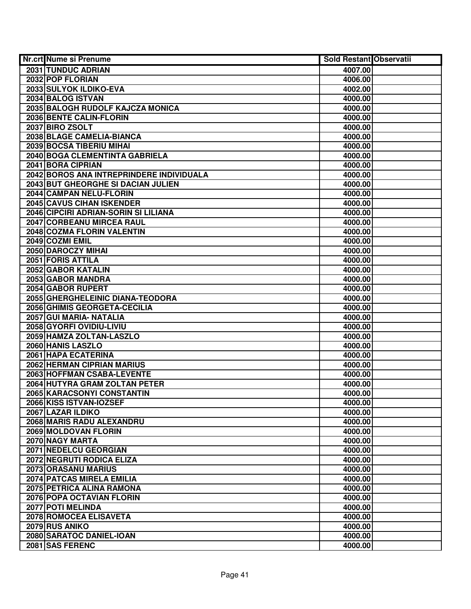| Nr.crt Nume si Prenume                            | <b>Sold Restant Observatii</b> |  |
|---------------------------------------------------|--------------------------------|--|
| 2031 TUNDUC ADRIAN                                | 4007.00                        |  |
| 2032 POP FLORIAN                                  | 4006.00                        |  |
| 2033 SULYOK ILDIKO-EVA                            | 4002.00                        |  |
| 2034 BALOG ISTVAN                                 | 4000.00                        |  |
| 2035 BALOGH RUDOLF KAJCZA MONICA                  | 4000.00                        |  |
| 2036 BENTE CALIN-FLORIN                           | 4000.00                        |  |
| 2037 BIRO ZSOLT                                   | 4000.00                        |  |
| 2038 BLAGE CAMELIA-BIANCA                         | 4000.00                        |  |
| <b>2039 BOCSA TIBERIU MIHAI</b>                   | 4000.00                        |  |
| 2040 BOGA CLEMENTINTA GABRIELA                    | 4000.00                        |  |
| 2041 BORA CIPRIAN                                 | 4000.00                        |  |
| 2042 BOROS ANA INTREPRINDERE INDIVIDUALA          | 4000.00                        |  |
| 2043 BUT GHEORGHE SI DACIAN JULIEN                | 4000.00                        |  |
| 2044 CAMPAN NELU-FLORIN                           | 4000.00                        |  |
| 2045 CAVUS CIHAN ISKENDER                         | 4000.00                        |  |
| 2046 CIPCIRI ADRIAN-SORIN SI LILIANA              | 4000.00                        |  |
| 2047 CORBEANU MIRCEA RAUL                         | 4000.00                        |  |
| 2048 COZMA FLORIN VALENTIN                        | 4000.00                        |  |
| 2049 COZMI EMIL                                   | 4000.00                        |  |
| 2050 DAROCZY MIHAI                                | 4000.00                        |  |
| 2051 FORIS ATTILA                                 | 4000.00                        |  |
| 2052 GABOR KATALIN                                | 4000.00                        |  |
| 2053 GABOR MANDRA                                 | 4000.00                        |  |
| 2054 GABOR RUPERT                                 | 4000.00                        |  |
| 2055 GHERGHELEINIC DIANA-TEODORA                  | 4000.00                        |  |
| 2056 GHIMIS GEORGETA-CECILIA                      | 4000.00                        |  |
| 2057 GUI MARIA- NATALIA                           | 4000.00                        |  |
| 2058 GYORFI OVIDIU-LIVIU                          | 4000.00                        |  |
| 2059 HAMZA ZOLTAN-LASZLO                          | 4000.00                        |  |
| 2060 HANIS LASZLO                                 | 4000.00                        |  |
| 2061 HAPA ECATERINA<br>2062 HERMAN CIPRIAN MARIUS | 4000.00                        |  |
| 2063 HOFFMAN CSABA-LEVENTE                        | 4000.00<br>4000.00             |  |
| 2064 HUTYRA GRAM ZOLTAN PETER                     | 4000.00                        |  |
| <b>2065 KARACSONYI CONSTANTIN</b>                 | 4000.00                        |  |
| 2066 KISS ISTVAN-IOZSEF                           | 4000.00                        |  |
| 2067 LAZAR ILDIKO                                 | 4000.00                        |  |
| 2068 MARIS RADU ALEXANDRU                         | 4000.00                        |  |
| 2069 MOLDOVAN FLORIN                              | 4000.00                        |  |
| 2070 NAGY MARTA                                   | 4000.00                        |  |
| 2071 NEDELCU GEORGIAN                             | 4000.00                        |  |
| <b>2072 NEGRUTI RODICA ELIZA</b>                  | 4000.00                        |  |
| 2073 ORASANU MARIUS                               | 4000.00                        |  |
| 2074 PATCAS MIRELA EMILIA                         | 4000.00                        |  |
| 2075 PETRICA ALINA RAMONA                         | 4000.00                        |  |
| 2076 POPA OCTAVIAN FLORIN                         | 4000.00                        |  |
| 2077 POTI MELINDA                                 | 4000.00                        |  |
| 2078 ROMOCEA ELISAVETA                            | 4000.00                        |  |
| 2079 RUS ANIKO                                    | 4000.00                        |  |
| 2080 SARATOC DANIEL-IOAN                          | 4000.00                        |  |
| 2081 SAS FERENC                                   | 4000.00                        |  |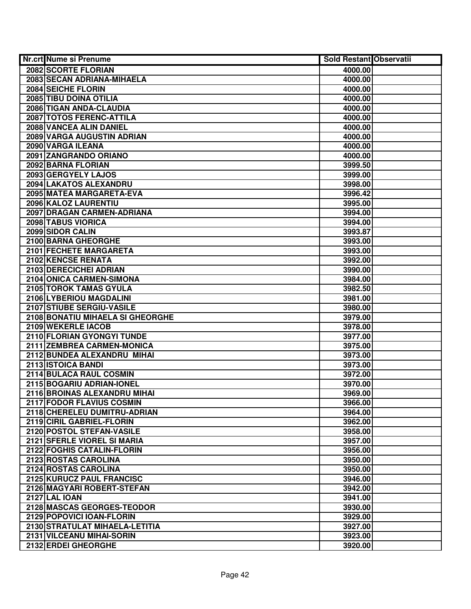| Nr.crt Nume si Prenume           | <b>Sold Restant Observatii</b> |  |
|----------------------------------|--------------------------------|--|
| 2082 SCORTE FLORIAN              | 4000.00                        |  |
| 2083 SECAN ADRIANA-MIHAELA       | 4000.00                        |  |
| 2084 SEICHE FLORIN               | 4000.00                        |  |
| 2085 TIBU DOINA OTILIA           | 4000.00                        |  |
| 2086 TIGAN ANDA-CLAUDIA          | 4000.00                        |  |
| 2087 TOTOS FERENC-ATTILA         | 4000.00                        |  |
| 2088 VANCEA ALIN DANIEL          | 4000.00                        |  |
| 2089 VARGA AUGUSTIN ADRIAN       | 4000.00                        |  |
| 2090 VARGA ILEANA                | 4000.00                        |  |
| 2091 ZANGRANDO ORIANO            | 4000.00                        |  |
| 2092 BARNA FLORIAN               | 3999.50                        |  |
| 2093 GERGYELY LAJOS              | 3999.00                        |  |
| 2094 LAKATOS ALEXANDRU           | 3998.00                        |  |
| 2095 MATEA MARGARETA-EVA         | 3996.42                        |  |
| 2096 KALOZ LAURENTIU             | 3995.00                        |  |
| 2097 DRAGAN CARMEN-ADRIANA       | 3994.00                        |  |
| 2098 TABUS VIORICA               | 3994.00                        |  |
| 2099 SIDOR CALIN                 | 3993.87                        |  |
| 2100 BARNA GHEORGHE              | 3993.00                        |  |
| 2101 FECHETE MARGARETA           | 3993.00                        |  |
| 2102 KENCSE RENATA               | 3992.00                        |  |
| 2103 DERECICHEI ADRIAN           | 3990.00                        |  |
| 2104 ONICA CARMEN-SIMONA         | 3984.00                        |  |
| 2105 TOROK TAMAS GYULA           | 3982.50                        |  |
| 2106 LYBERIOU MAGDALINI          | 3981.00                        |  |
| 2107 STIUBE SERGIU-VASILE        | 3980.00                        |  |
| 2108 BONATIU MIHAELA SI GHEORGHE | 3979.00                        |  |
| 2109 WEKERLE IACOB               | 3978.00                        |  |
| 2110 FLORIAN GYONGYI TUNDE       | 3977.00                        |  |
| 2111 ZEMBREA CARMEN-MONICA       | 3975.00                        |  |
| 2112 BUNDEA ALEXANDRU MIHAI      | 3973.00                        |  |
| 2113 ISTOICA BANDI               | 3973.00                        |  |
| 2114 BULACA RAUL COSMIN          | 3972.00                        |  |
| 2115 BOGARIU ADRIAN-IONEL        | 3970.00                        |  |
| 2116 BROINAS ALEXANDRU MIHAI     | 3969.00                        |  |
| 2117 FODOR FLAVIUS COSMIN        | 3966.00                        |  |
| 2118 CHERELEU DUMITRU-ADRIAN     | 3964.00                        |  |
| 2119 CIRIL GABRIEL-FLORIN        | 3962.00                        |  |
| 2120 POSTOL STEFAN-VASILE        | 3958.00                        |  |
| 2121 SFERLE VIOREL SI MARIA      | 3957.00                        |  |
| 2122 FOGHIS CATALIN-FLORIN       | 3956.00                        |  |
| 2123 ROSTAS CAROLINA             | 3950.00                        |  |
| 2124 ROSTAS CAROLINA             | 3950.00                        |  |
| 2125 KURUCZ PAUL FRANCISC        | 3946.00                        |  |
| 2126 MAGYARI ROBERT-STEFAN       | 3942.00                        |  |
| <b>2127 LAL IOAN</b>             | 3941.00                        |  |
| 2128 MASCAS GEORGES-TEODOR       | 3930.00                        |  |
| 2129 POPOVICI IOAN-FLORIN        | 3929.00                        |  |
| 2130 STRATULAT MIHAELA-LETITIA   | 3927.00                        |  |
| 2131 VILCEANU MIHAI-SORIN        | 3923.00                        |  |
| 2132 ERDEI GHEORGHE              | 3920.00                        |  |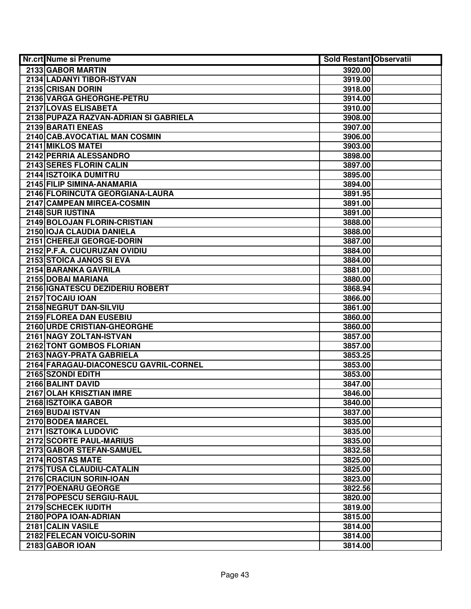| Nr.crt Nume si Prenume                               | <b>Sold Restant Observatii</b> |  |
|------------------------------------------------------|--------------------------------|--|
| 2133 GABOR MARTIN                                    | 3920.00                        |  |
| 2134 LADANYI TIBOR-ISTVAN                            | 3919.00                        |  |
| 2135 CRISAN DORIN                                    | 3918.00                        |  |
| 2136 VARGA GHEORGHE-PETRU                            | 3914.00                        |  |
| 2137 LOVAS ELISABETA                                 | 3910.00                        |  |
| 2138 PUPAZA RAZVAN-ADRIAN SI GABRIELA                | 3908.00                        |  |
| 2139 BARATI ENEAS                                    | 3907.00                        |  |
| 2140 CAB.AVOCATIAL MAN COSMIN                        | 3906.00                        |  |
| 2141 MIKLOS MATEI                                    | 3903.00                        |  |
| 2142 PERRIA ALESSANDRO                               | 3898.00                        |  |
| 2143 SERES FLORIN CALIN                              | 3897.00                        |  |
| <b>2144 ISZTOIKA DUMITRU</b>                         | 3895.00                        |  |
| 2145 FILIP SIMINA-ANAMARIA                           | 3894.00                        |  |
| 2146 FLORINCUTA GEORGIANA-LAURA                      | 3891.95                        |  |
| 2147 CAMPEAN MIRCEA-COSMIN                           | 3891.00                        |  |
| 2148 SUR IUSTINA                                     | 3891.00                        |  |
| 2149 BOLOJAN FLORIN-CRISTIAN                         | 3888.00                        |  |
| 2150 IOJA CLAUDIA DANIELA                            | 3888.00                        |  |
| 2151 CHEREJI GEORGE-DORIN                            | 3887.00                        |  |
| 2152 P.F.A. CUCURUZAN OVIDIU                         | 3884.00                        |  |
| 2153 STOICA JANOS SI EVA                             | 3884.00                        |  |
| 2154 BARANKA GAVRILA                                 | 3881.00                        |  |
| 2155 DOBAI MARIANA                                   | 3880.00                        |  |
| 2156   IGNATESCU DEZIDERIU ROBERT                    | 3868.94                        |  |
| 2157 TOCAIU IOAN                                     | 3866.00                        |  |
| 2158 NEGRUT DAN-SILVIU                               | 3861.00                        |  |
| 2159 FLOREA DAN EUSEBIU                              | 3860.00                        |  |
| 2160 URDE CRISTIAN-GHEORGHE                          | 3860.00                        |  |
| 2161 NAGY ZOLTAN-ISTVAN                              | 3857.00                        |  |
| 2162 TONT GOMBOS FLORIAN                             | 3857.00                        |  |
| 2163 NAGY-PRATA GABRIELA                             | 3853.25                        |  |
| 2164 FARAGAU-DIACONESCU GAVRIL-CORNEL                | 3853.00                        |  |
| 2165 SZONDI EDITH                                    | 3853.00                        |  |
| 2166 BALINT DAVID                                    | 3847.00                        |  |
| 2167 OLAH KRISZTIAN IMRE                             | 3846.00                        |  |
| 2168 ISZTOIKA GABOR                                  | 3840.00                        |  |
| 2169 BUDAI ISTVAN                                    | 3837.00                        |  |
| 2170 BODEA MARCEL                                    | 3835.00                        |  |
| <b>2171 ISZTOIKA LUDOVIC</b>                         | 3835.00                        |  |
| 2172 SCORTE PAUL-MARIUS                              | 3835.00                        |  |
| 2173 GABOR STEFAN-SAMUEL                             | 3832.58                        |  |
| 2174 ROSTAS MATE                                     | 3825.00                        |  |
| 2175 TUSA CLAUDIU-CATALIN<br>2176 CRACIUN SORIN-IOAN | 3825.00                        |  |
| 2177 POENARU GEORGE                                  | 3823.00                        |  |
|                                                      | 3822.56                        |  |
| 2178 POPESCU SERGIU-RAUL<br>2179 SCHECEK IUDITH      | 3820.00                        |  |
| 2180 POPA IOAN-ADRIAN                                | 3819.00<br>3815.00             |  |
| 2181 CALIN VASILE                                    | 3814.00                        |  |
| 2182 FELECAN VOICU-SORIN                             | 3814.00                        |  |
| 2183 GABOR IOAN                                      | 3814.00                        |  |
|                                                      |                                |  |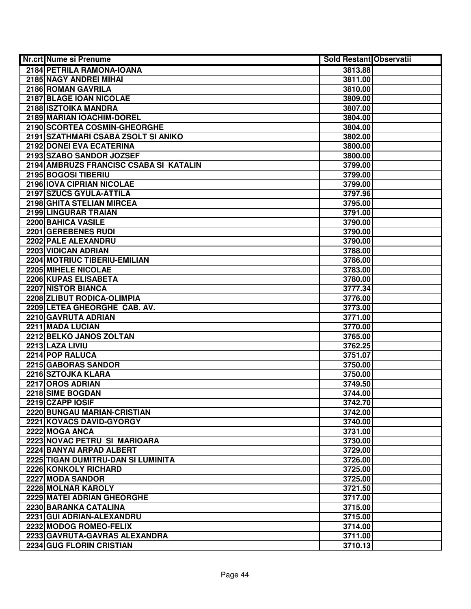| Nr.crt Nume si Prenume                 | <b>Sold Restant Observatii</b> |  |
|----------------------------------------|--------------------------------|--|
| 2184 PETRILA RAMONA-IOANA              | 3813.88                        |  |
| 2185 NAGY ANDREI MIHAI                 | 3811.00                        |  |
| 2186 ROMAN GAVRILA                     | 3810.00                        |  |
| 2187 BLAGE IOAN NICOLAE                | 3809.00                        |  |
| 2188 ISZTOIKA MANDRA                   | 3807.00                        |  |
| 2189 MARIAN IOACHIM-DOREL              | 3804.00                        |  |
| 2190 SCORTEA COSMIN-GHEORGHE           | 3804.00                        |  |
| 2191 SZATHMARI CSABA ZSOLT SI ANIKO    | 3802.00                        |  |
| 2192 DONEI EVA ECATERINA               | 3800.00                        |  |
| 2193 SZABO SANDOR JOZSEF               | 3800.00                        |  |
| 2194 AMBRUZS FRANCISC CSABA SI KATALIN | 3799.00                        |  |
| 2195 BOGOSI TIBERIU                    | 3799.00                        |  |
| 2196 IOVA CIPRIAN NICOLAE              | 3799.00                        |  |
| 2197 SZUCS GYULA-ATTILA                | 3797.96                        |  |
| 2198 GHITA STELIAN MIRCEA              | 3795.00                        |  |
| 2199 LINGURAR TRAIAN                   | 3791.00                        |  |
| 2200 BAHICA VASILE                     | 3790.00                        |  |
| 2201 GEREBENES RUDI                    | 3790.00                        |  |
| 2202 PALE ALEXANDRU                    | 3790.00                        |  |
| 2203 VIDICAN ADRIAN                    | 3788.00                        |  |
| 2204 MOTRIUC TIBERIU-EMILIAN           | 3786.00                        |  |
| 2205 MIHELE NICOLAE                    | 3783.00                        |  |
| 2206 KUPAS ELISABETA                   | 3780.00                        |  |
| <b>2207 NISTOR BIANCA</b>              | 3777.34                        |  |
| 2208 ZLIBUT RODICA-OLIMPIA             | 3776.00                        |  |
| 2209 LETEA GHEORGHE CAB. AV.           | 3773.00                        |  |
| 2210 GAVRUTA ADRIAN                    | 3771.00                        |  |
| 2211 MADA LUCIAN                       | 3770.00                        |  |
| 2212 BELKO JANOS ZOLTAN                | 3765.00                        |  |
| 2213 LAZA LIVIU                        | 3762.25                        |  |
| 2214 POP RALUCA                        | 3751.07                        |  |
| 2215 GABORAS SANDOR                    | 3750.00                        |  |
| 2216 SZTOJKA KLARA                     | 3750.00                        |  |
| 2217 OROS ADRIAN                       | 3749.50                        |  |
| 2218 SIME BOGDAN                       | 3744.00                        |  |
| 2219 CZAPP IOSIF                       | 3742.70                        |  |
| 2220 BUNGAU MARIAN-CRISTIAN            | 3742.00                        |  |
| 2221 KOVACS DAVID-GYORGY               | 3740.00                        |  |
| 2222 MOGA ANCA                         | 3731.00                        |  |
| 2223 NOVAC PETRU SI MARIOARA           | 3730.00                        |  |
| 2224 BANYAI ARPAD ALBERT               | 3729.00                        |  |
| 2225 TIGAN DUMITRU-DAN SI LUMINITA     | 3726.00                        |  |
| 2226 KONKOLY RICHARD                   | 3725.00                        |  |
| 2227 MODA SANDOR                       | 3725.00                        |  |
| 2228 MOLNAR KAROLY                     | 3721.50                        |  |
| 2229 MATEI ADRIAN GHEORGHE             | 3717.00                        |  |
| 2230 BARANKA CATALINA                  | 3715.00                        |  |
| 2231 GUI ADRIAN-ALEXANDRU              | 3715.00                        |  |
| 2232 MODOG ROMEO-FELIX                 | 3714.00                        |  |
| 2233 GAVRUTA-GAVRAS ALEXANDRA          | 3711.00                        |  |
| 2234 GUG FLORIN CRISTIAN               | 3710.13                        |  |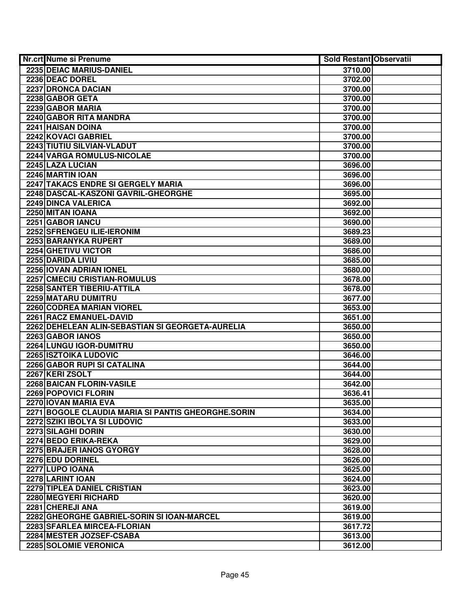| <b>Nr.crt Nume si Prenume</b>                      | <b>Sold Restant Observatii</b> |  |
|----------------------------------------------------|--------------------------------|--|
| 2235 DEIAC MARIUS-DANIEL                           | 3710.00                        |  |
| 2236 DEAC DOREL                                    | 3702.00                        |  |
| 2237 DRONCA DACIAN                                 | 3700.00                        |  |
| 2238 GABOR GETA                                    | 3700.00                        |  |
| 2239 GABOR MARIA                                   | 3700.00                        |  |
| 2240 GABOR RITA MANDRA                             | 3700.00                        |  |
| 2241 HAISAN DOINA                                  | 3700.00                        |  |
| 2242 KOVACI GABRIEL                                | 3700.00                        |  |
| 2243 TIUTIU SILVIAN-VLADUT                         | 3700.00                        |  |
| 2244 VARGA ROMULUS-NICOLAE                         | 3700.00                        |  |
| 2245 LAZA LUCIAN                                   | 3696.00                        |  |
| 2246 MARTIN IOAN                                   | 3696.00                        |  |
| 2247 TAKACS ENDRE SI GERGELY MARIA                 | 3696.00                        |  |
| 2248 DASCAL-KASZONI GAVRIL-GHEORGHE                | 3695.00                        |  |
| 2249 DINCA VALERICA                                | 3692.00                        |  |
| 2250 MITAN IOANA                                   | 3692.00                        |  |
| 2251 GABOR IANCU                                   | 3690.00                        |  |
| 2252 SFRENGEU ILIE-IERONIM                         | 3689.23                        |  |
| 2253 BARANYKA RUPERT                               | 3689.00                        |  |
| 2254 GHETIVU VICTOR                                | 3686.00                        |  |
| 2255 DARIDA LIVIU                                  | 3685.00                        |  |
| 2256 IOVAN ADRIAN IONEL                            | 3680.00                        |  |
| 2257 CMECIU CRISTIAN-ROMULUS                       | 3678.00                        |  |
| 2258 SANTER TIBERIU-ATTILA                         | 3678.00                        |  |
| 2259 MATARU DUMITRU                                | 3677.00                        |  |
| 2260 CODREA MARIAN VIOREL                          | 3653.00                        |  |
| 2261 RACZ EMANUEL-DAVID                            | 3651.00                        |  |
| 2262 DEHELEAN ALIN-SEBASTIAN SI GEORGETA-AURELIA   | 3650.00                        |  |
| 2263 GABOR IANOS                                   | 3650.00                        |  |
| 2264 LUNGU IGOR-DUMITRU                            | 3650.00                        |  |
| 2265 ISZTOIKA LUDOVIC                              | 3646.00                        |  |
| 2266 GABOR RUPI SI CATALINA                        | 3644.00                        |  |
| 2267 KERI ZSOLT                                    | 3644.00                        |  |
| 2268 BAICAN FLORIN-VASILE                          | 3642.00                        |  |
| 2269 POPOVICI FLORIN                               | 3636.41                        |  |
| 2270 IOVAN MARIA EVA                               | 3635.00                        |  |
| 2271 BOGOLE CLAUDIA MARIA SI PANTIS GHEORGHE.SORIN | 3634.00                        |  |
| 2272 SZIKI IBOLYA SI LUDOVIC                       | 3633.00                        |  |
| 2273 SILAGHI DORIN                                 | 3630.00                        |  |
| 2274 BEDO ERIKA-REKA                               | 3629.00                        |  |
| 2275 BRAJER IANOS GYORGY                           | 3628.00                        |  |
| 2276 EDU DORINEL                                   | 3626.00                        |  |
| 2277 LUPO IOANA                                    | 3625.00                        |  |
| 2278 LARINT IOAN                                   | 3624.00                        |  |
| 2279 TIPLEA DANIEL CRISTIAN                        | 3623.00                        |  |
| 2280 MEGYERI RICHARD                               | 3620.00                        |  |
| 2281 CHEREJI ANA                                   | 3619.00                        |  |
| 2282 GHEORGHE GABRIEL-SORIN SI IOAN-MARCEL         | 3619.00                        |  |
| 2283 SFARLEA MIRCEA-FLORIAN                        | 3617.72                        |  |
| 2284 MESTER JOZSEF-CSABA                           | 3613.00                        |  |
| 2285 SOLOMIE VERONICA                              | 3612.00                        |  |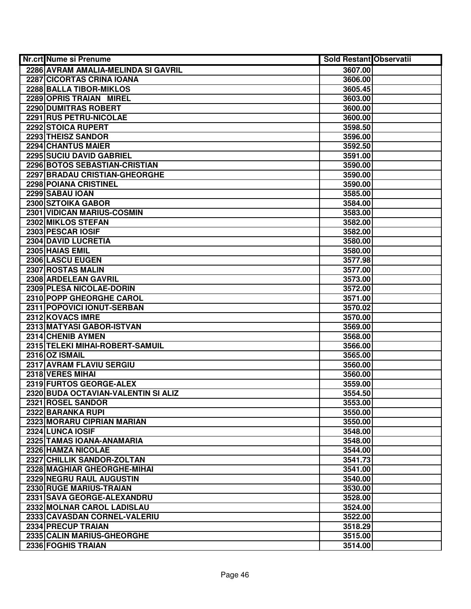| Nr.crt Nume si Prenume              | <b>Sold Restant Observatii</b> |  |
|-------------------------------------|--------------------------------|--|
| 2286 AVRAM AMALIA-MELINDA SI GAVRIL | 3607.00                        |  |
| 2287 CICORTAS CRINA IOANA           | 3606.00                        |  |
| 2288 BALLA TIBOR-MIKLOS             | 3605.45                        |  |
| 2289 OPRIS TRAIAN MIREL             | 3603.00                        |  |
| 2290 DUMITRAS ROBERT                | 3600.00                        |  |
| 2291 RUS PETRU-NICOLAE              | 3600.00                        |  |
| 2292 STOICA RUPERT                  | 3598.50                        |  |
| 2293 THEISZ SANDOR                  | 3596.00                        |  |
| 2294 CHANTUS MAIER                  | 3592.50                        |  |
| 2295 SUCIU DAVID GABRIEL            | 3591.00                        |  |
| 2296 BOTOS SEBASTIAN-CRISTIAN       | 3590.00                        |  |
| 2297 BRADAU CRISTIAN-GHEORGHE       | 3590.00                        |  |
| 2298 POIANA CRISTINEL               | 3590.00                        |  |
| 2299 SABAU IOAN                     | 3585.00                        |  |
| 2300 SZTOIKA GABOR                  | 3584.00                        |  |
| 2301 VIDICAN MARIUS-COSMIN          | 3583.00                        |  |
| 2302 MIKLOS STEFAN                  | 3582.00                        |  |
| 2303 PESCAR IOSIF                   | 3582.00                        |  |
| 2304 DAVID LUCRETIA                 | 3580.00                        |  |
| 2305 HAIAS EMIL                     | 3580.00                        |  |
| 2306 LASCU EUGEN                    | 3577.98                        |  |
| 2307 ROSTAS MALIN                   | 3577.00                        |  |
| 2308 ARDELEAN GAVRIL                | 3573.00                        |  |
| 2309 PLESA NICOLAE-DORIN            | 3572.00                        |  |
| 2310 POPP GHEORGHE CAROL            | 3571.00                        |  |
| 2311 POPOVICI IONUT-SERBAN          | 3570.02                        |  |
| 2312 KOVACS IMRE                    | 3570.00                        |  |
| 2313 MATYASI GABOR-ISTVAN           | 3569.00                        |  |
| 2314 CHENIB AYMEN                   | 3568.00                        |  |
| 2315 TELEKI MIHAI-ROBERT-SAMUIL     | 3566.00                        |  |
| 2316 OZ ISMAIL                      | 3565.00                        |  |
| 2317 AVRAM FLAVIU SERGIU            | 3560.00                        |  |
| 2318 VERES MIHAI                    | 3560.00                        |  |
| 2319 FURTOS GEORGE-ALEX             | 3559.00                        |  |
| 2320 BUDA OCTAVIAN-VALENTIN SI ALIZ | 3554.50                        |  |
| 2321 ROSEL SANDOR                   | 3553.00                        |  |
| 2322 BARANKA RUPI                   | 3550.00                        |  |
| 2323 MORARU CIPRIAN MARIAN          | 3550.00                        |  |
| 2324 LUNCA IOSIF                    | 3548.00                        |  |
| 2325 TAMAS IOANA-ANAMARIA           | 3548.00                        |  |
| 2326 HAMZA NICOLAE                  | 3544.00                        |  |
| 2327 CHILLIK SANDOR-ZOLTAN          | 3541.73                        |  |
| 2328 MAGHIAR GHEORGHE-MIHAI         | 3541.00                        |  |
| 2329 NEGRU RAUL AUGUSTIN            | 3540.00                        |  |
| 2330 RUGE MARIUS-TRAIAN             | 3530.00                        |  |
| 2331 SAVA GEORGE-ALEXANDRU          | 3528.00                        |  |
| 2332 MOLNAR CAROL LADISLAU          | 3524.00                        |  |
| 2333 CAVASDAN CORNEL-VALERIU        | 3522.00                        |  |
| 2334 PRECUP TRAIAN                  | 3518.29                        |  |
| 2335 CALIN MARIUS-GHEORGHE          | 3515.00                        |  |
| 2336 FOGHIS TRAIAN                  | 3514.00                        |  |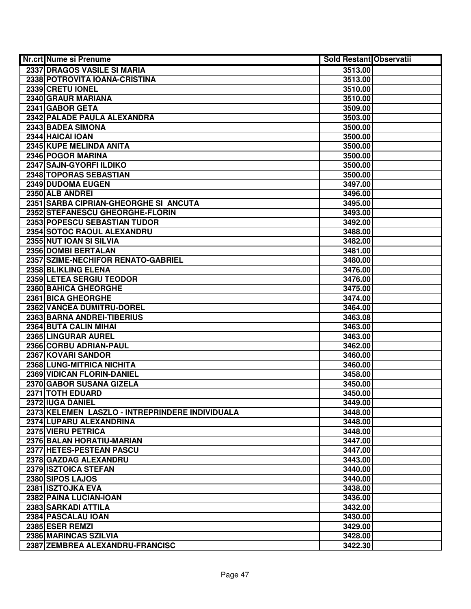| Nr.crt Nume si Prenume                          | <b>Sold Restant Observatii</b> |  |
|-------------------------------------------------|--------------------------------|--|
| 2337 DRAGOS VASILE SI MARIA                     | 3513.00                        |  |
| 2338 POTROVITA IOANA-CRISTINA                   | 3513.00                        |  |
| 2339 CRETU IONEL                                | 3510.00                        |  |
| 2340 GRAUR MARIANA                              | 3510.00                        |  |
| 2341 GABOR GETA                                 | 3509.00                        |  |
| 2342 PALADE PAULA ALEXANDRA                     | 3503.00                        |  |
| 2343 BADEA SIMONA                               | 3500.00                        |  |
| 2344 HAICAI IOAN                                | 3500.00                        |  |
| 2345 KUPE MELINDA ANITA                         | 3500.00                        |  |
| 2346 POGOR MARINA                               | 3500.00                        |  |
| 2347 SAJN-GYORFI ILDIKO                         | 3500.00                        |  |
| 2348 TOPORAS SEBASTIAN                          | 3500.00                        |  |
| 2349 DUDOMA EUGEN                               | 3497.00                        |  |
| 2350 ALB ANDREI                                 | 3496.00                        |  |
| 2351 SARBA CIPRIAN-GHEORGHE SI ANCUTA           | 3495.00                        |  |
| 2352 STEFANESCU GHEORGHE-FLORIN                 | 3493.00                        |  |
| 2353 POPESCU SEBASTIAN TUDOR                    | 3492.00                        |  |
| 2354 SOTOC RAOUL ALEXANDRU                      | 3488.00                        |  |
| 2355 NUT IOAN SI SILVIA                         | 3482.00                        |  |
| 2356 DOMBI BERTALAN                             | 3481.00                        |  |
| 2357 SZIME-NECHIFOR RENATO-GABRIEL              | 3480.00                        |  |
| 2358 BLIKLING ELENA                             | 3476.00                        |  |
| 2359 LETEA SERGIU TEODOR                        | 3476.00                        |  |
| 2360 BAHICA GHEORGHE                            | 3475.00                        |  |
| 2361 BICA GHEORGHE                              | 3474.00                        |  |
| 2362 VANCEA DUMITRU-DOREL                       | 3464.00                        |  |
| 2363 BARNA ANDREI-TIBERIUS                      | 3463.08                        |  |
| 2364 BUTA CALIN MIHAI                           | 3463.00                        |  |
| 2365 LINGURAR AUREL                             | 3463.00                        |  |
| 2366 CORBU ADRIAN-PAUL                          | 3462.00                        |  |
| 2367 KOVARI SANDOR                              | 3460.00                        |  |
| 2368 LUNG-MITRICA NICHITA                       | 3460.00                        |  |
| 2369 VIDICAN FLORIN-DANIEL                      | 3458.00                        |  |
| 2370 GABOR SUSANA GIZELA                        | 3450.00                        |  |
| 2371 TOTH EDUARD                                | 3450.00                        |  |
| 2372 IUGA DANIEL                                | 3449.00                        |  |
| 2373 KELEMEN LASZLO - INTREPRINDERE INDIVIDUALA | 3448.00                        |  |
| 2374 LUPARU ALEXANDRINA                         | 3448.00                        |  |
| 2375 VIERU PETRICA                              | 3448.00                        |  |
| 2376 BALAN HORATIU-MARIAN                       | 3447.00                        |  |
| 2377 HETES-PESTEAN PASCU                        | 3447.00                        |  |
| 2378 GAZDAG ALEXANDRU                           | 3443.00                        |  |
| 2379 ISZTOICA STEFAN                            | 3440.00                        |  |
| 2380 SIPOS LAJOS                                | 3440.00                        |  |
| 2381 ISZTOJKA EVA                               | 3438.00                        |  |
| 2382 PAINA LUCIAN-IOAN                          | 3436.00                        |  |
| 2383 SARKADI ATTILA                             | 3432.00                        |  |
| 2384 PASCALAU IOAN                              | 3430.00                        |  |
| 2385 ESER REMZI                                 | 3429.00                        |  |
| 2386 MARINCAS SZILVIA                           | 3428.00                        |  |
| 2387 ZEMBREA ALEXANDRU-FRANCISC                 | 3422.30                        |  |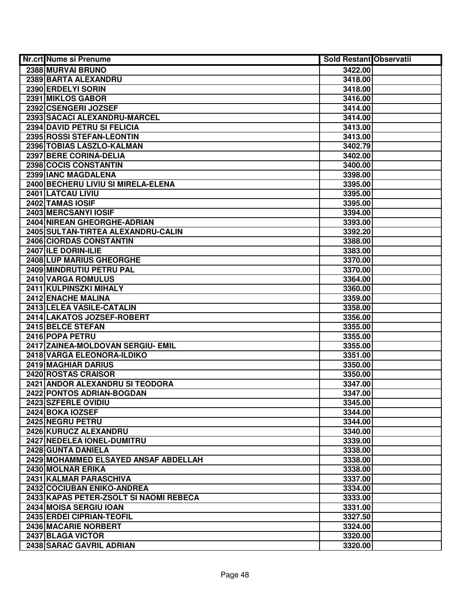| Nr.crt Nume si Prenume                 | <b>Sold Restant Observatii</b> |  |
|----------------------------------------|--------------------------------|--|
| 2388 MURVAI BRUNO                      | 3422.00                        |  |
| 2389 BARTA ALEXANDRU                   | 3418.00                        |  |
| 2390 ERDELYI SORIN                     | 3418.00                        |  |
| 2391 MIKLOS GABOR                      | 3416.00                        |  |
| 2392 CSENGERI JOZSEF                   | 3414.00                        |  |
| 2393 SACACI ALEXANDRU-MARCEL           | 3414.00                        |  |
| 2394 DAVID PETRU SI FELICIA            | 3413.00                        |  |
| 2395 ROSSI STEFAN-LEONTIN              | 3413.00                        |  |
| 2396 TOBIAS LASZLO-KALMAN              | 3402.79                        |  |
| 2397 BERE CORINA-DELIA                 | 3402.00                        |  |
| 2398 COCIS CONSTANTIN                  | 3400.00                        |  |
| 2399 IANC MAGDALENA                    | 3398.00                        |  |
| 2400 BECHERU LIVIU SI MIRELA-ELENA     | 3395.00                        |  |
| 2401 LATCAU LIVIU                      | 3395.00                        |  |
| 2402 TAMAS IOSIF                       | 3395.00                        |  |
| 2403 MERCSANYI IOSIF                   | 3394.00                        |  |
| 2404 NIREAN GHEORGHE-ADRIAN            | 3393.00                        |  |
| 2405 SULTAN-TIRTEA ALEXANDRU-CALIN     | 3392.20                        |  |
| 2406 CIORDAS CONSTANTIN                | 3388.00                        |  |
| 2407 ILE DORIN-ILIE                    | 3383.00                        |  |
| 2408 LUP MARIUS GHEORGHE               | 3370.00                        |  |
| 2409 MINDRUTIU PETRU PAL               | 3370.00                        |  |
| 2410 VARGA ROMULUS                     | 3364.00                        |  |
| 2411 KULPINSZKI MIHALY                 | 3360.00                        |  |
| 2412 ENACHE MALINA                     | 3359.00                        |  |
| 2413 LELEA VASILE-CATALIN              | 3358.00                        |  |
| 2414 LAKATOS JOZSEF-ROBERT             | 3356.00                        |  |
| 2415 BELCE STEFAN                      | 3355.00                        |  |
| 2416 POPA PETRU                        | 3355.00                        |  |
| 2417 ZAINEA-MOLDOVAN SERGIU- EMIL      | 3355.00                        |  |
| 2418 VARGA ELEONORA-ILDIKO             | 3351.00                        |  |
| 2419 MAGHIAR DARIUS                    | 3350.00                        |  |
| 2420 ROSTAS CRAISOR                    | 3350.00                        |  |
| 2421 ANDOR ALEXANDRU SI TEODORA        | 3347.00                        |  |
| 2422 PONTOS ADRIAN-BOGDAN              | 3347.00                        |  |
| 2423 SZFERLE OVIDIU                    | 3345.00                        |  |
| 2424 BOKA IOZSEF                       | 3344.00                        |  |
| 2425 NEGRU PETRU                       | 3344.00                        |  |
| 2426 KURUCZ ALEXANDRU                  | 3340.00                        |  |
| 2427 NEDELEA IONEL-DUMITRU             | 3339.00                        |  |
| 2428 GUNTA DANIELA                     | 3338.00                        |  |
| 2429 MOHAMMED ELSAYED ANSAF ABDELLAH   | 3338.00                        |  |
| 2430 MOLNAR ERIKA                      | 3338.00                        |  |
| 2431 KALMAR PARASCHIVA                 | 3337.00                        |  |
| 2432 COCIUBAN ENIKO-ANDREA             | 3334.00                        |  |
| 2433 KAPAS PETER-ZSOLT SI NAOMI REBECA | 3333.00                        |  |
| 2434 MOISA SERGIU IOAN                 | 3331.00                        |  |
| 2435 ERDEI CIPRIAN-TEOFIL              | 3327.50                        |  |
| 2436 MACARIE NORBERT                   | 3324.00                        |  |
| 2437 BLAGA VICTOR                      | 3320.00                        |  |
| 2438 SARAC GAVRIL ADRIAN               | 3320.00                        |  |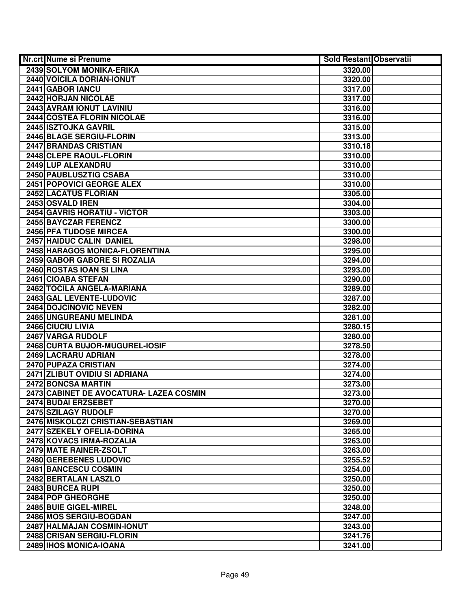| Nr.crt Nume si Prenume                                   | <b>Sold Restant Observatii</b> |  |
|----------------------------------------------------------|--------------------------------|--|
| 2439 SOLYOM MONIKA-ERIKA                                 | 3320.00                        |  |
| 2440 VOICILA DORIAN-IONUT                                | 3320.00                        |  |
| 2441 GABOR IANCU                                         | 3317.00                        |  |
| 2442 HORJAN NICOLAE                                      | 3317.00                        |  |
| 2443 AVRAM IONUT LAVINIU                                 | 3316.00                        |  |
| 2444 COSTEA FLORIN NICOLAE                               | 3316.00                        |  |
| 2445 ISZTOJKA GAVRIL                                     | 3315.00                        |  |
| 2446 BLAGE SERGIU-FLORIN                                 | 3313.00                        |  |
| <b>2447 BRANDAS CRISTIAN</b>                             | 3310.18                        |  |
| 2448 CLEPE RAOUL-FLORIN                                  | 3310.00                        |  |
| 2449 LUP ALEXANDRU                                       | 3310.00                        |  |
| 2450 PAUBLUSZTIG CSABA                                   | 3310.00                        |  |
| <b>2451 POPOVICI GEORGE ALEX</b>                         | 3310.00                        |  |
| 2452 LACATUS FLORIAN                                     | 3305.00                        |  |
| 2453 OSVALD IREN                                         | 3304.00                        |  |
| <b>2454 GAVRIS HORATIU - VICTOR</b>                      | 3303.00                        |  |
| 2455 BAYCZAR FERENCZ                                     | 3300.00                        |  |
| 2456 PFA TUDOSE MIRCEA                                   | 3300.00                        |  |
| 2457 HAIDUC CALIN DANIEL                                 | 3298.00                        |  |
| 2458 HARAGOS MONICA-FLORENTINA                           | 3295.00                        |  |
| 2459 GABOR GABORE SI ROZALIA                             | 3294.00                        |  |
| 2460 ROSTAS IOAN SI LINA                                 | 3293.00                        |  |
| 2461 CIOABA STEFAN                                       | 3290.00                        |  |
| 2462 TOCILA ANGELA-MARIANA                               | 3289.00                        |  |
| 2463 GAL LEVENTE-LUDOVIC                                 | 3287.00                        |  |
| <b>2464 DOJCINOVIC NEVEN</b>                             | 3282.00                        |  |
| 2465 UNGUREANU MELINDA                                   | 3281.00                        |  |
| 2466 CIUCIU LIVIA                                        | 3280.15                        |  |
| 2467 VARGA RUDOLF                                        | 3280.00                        |  |
| 2468 CURTA BUJOR-MUGUREL-IOSIF                           | 3278.50                        |  |
| 2469 LACRARU ADRIAN                                      | 3278.00                        |  |
| 2470 PUPAZA CRISTIAN                                     | 3274.00                        |  |
| 2471 ZLIBUT OVIDIU SI ADRIANA                            | 3274.00                        |  |
| 2472 BONCSA MARTIN                                       | 3273.00                        |  |
| 2473 CABINET DE AVOCATURA- LAZEA COSMIN                  | 3273.00                        |  |
| 2474 BUDAI ERZSEBET                                      | 3270.00                        |  |
| 2475 SZILAGY RUDOLF<br>2476 MISKOLCZI CRISTIAN-SEBASTIAN | 3270.00                        |  |
|                                                          | 3269.00                        |  |
| 2477 SZEKELY OFELIA-DORINA                               | 3265.00                        |  |
| 2478 KOVACS IRMA-ROZALIA                                 | 3263.00                        |  |
| 2479 MATE RAINER-ZSOLT<br>2480 GEREBENES LUDOVIC         | 3263.00<br>3255.52             |  |
| 2481 BANCESCU COSMIN                                     |                                |  |
| 2482 BERTALAN LASZLO                                     | 3254.00                        |  |
| 2483 BURCEA RUPI                                         | 3250.00<br>3250.00             |  |
| 2484 POP GHEORGHE                                        | 3250.00                        |  |
| 2485 BUIE GIGEL-MIREL                                    | 3248.00                        |  |
| 2486 MOS SERGIU-BOGDAN                                   | 3247.00                        |  |
| 2487 HALMAJAN COSMIN-IONUT                               | 3243.00                        |  |
| 2488 CRISAN SERGIU-FLORIN                                | 3241.76                        |  |
| 2489 IHOS MONICA-IOANA                                   | 3241.00                        |  |
|                                                          |                                |  |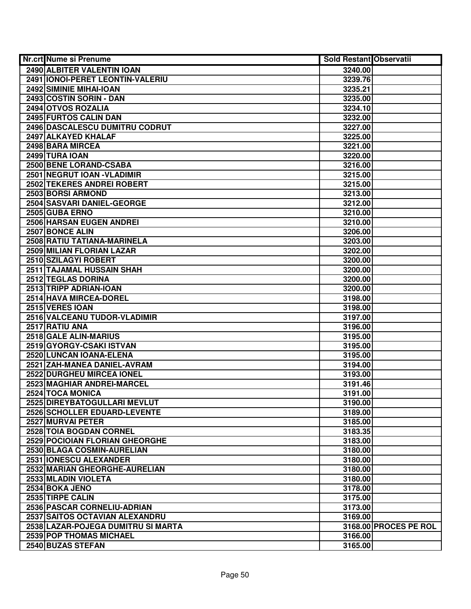| Nr.crt Nume si Prenume             | <b>Sold Restant Observatii</b> |                       |
|------------------------------------|--------------------------------|-----------------------|
| 2490 ALBITER VALENTIN IOAN         | 3240.00                        |                       |
| 2491   IONOI-PERET LEONTIN-VALERIU | 3239.76                        |                       |
| 2492 SIMINIE MIHAI-IOAN            | 3235.21                        |                       |
| 2493 COSTIN SORIN - DAN            | 3235.00                        |                       |
| 2494 OTVOS ROZALIA                 | 3234.10                        |                       |
| 2495 FURTOS CALIN DAN              | 3232.00                        |                       |
| 2496 DASCALESCU DUMITRU CODRUT     | 3227.00                        |                       |
| 2497 ALKAYED KHALAF                | 3225.00                        |                       |
| 2498 BARA MIRCEA                   | 3221.00                        |                       |
| 2499 TURA IOAN                     | 3220.00                        |                       |
| 2500 BENE LORAND-CSABA             | 3216.00                        |                       |
| 2501 NEGRUT IOAN - VLADIMIR        | 3215.00                        |                       |
| 2502 TEKERES ANDREI ROBERT         | 3215.00                        |                       |
| 2503 BORSI ARMOND                  | 3213.00                        |                       |
| 2504 SASVARI DANIEL-GEORGE         | 3212.00                        |                       |
| 2505 GUBA ERNO                     | 3210.00                        |                       |
| 2506 HARSAN EUGEN ANDREI           | 3210.00                        |                       |
| 2507 BONCE ALIN                    | 3206.00                        |                       |
| 2508 RATIU TATIANA-MARINELA        | 3203.00                        |                       |
| 2509 MILIAN FLORIAN LAZAR          | 3202.00                        |                       |
| 2510 SZILAGYI ROBERT               | 3200.00                        |                       |
| 2511 TAJAMAL HUSSAIN SHAH          | 3200.00                        |                       |
| 2512 TEGLAS DORINA                 | 3200.00                        |                       |
| 2513 TRIPP ADRIAN-IOAN             | 3200.00                        |                       |
| 2514 HAVA MIRCEA-DOREL             | 3198.00                        |                       |
| 2515 VERES IOAN                    | 3198.00                        |                       |
| 2516 VALCEANU TUDOR-VLADIMIR       | 3197.00                        |                       |
| 2517 RATIU ANA                     | 3196.00                        |                       |
| 2518 GALE ALIN-MARIUS              | 3195.00                        |                       |
| 2519 GYORGY-CSAKI ISTVAN           | 3195.00                        |                       |
| 2520 LUNCAN IOANA-ELENA            | 3195.00                        |                       |
| 2521 ZAH-MANEA DANIEL-AVRAM        | 3194.00                        |                       |
| 2522 DURGHEU MIRCEA IONEL          | 3193.00                        |                       |
| <b>2523 MAGHIAR ANDREI-MARCEL</b>  | 3191.46                        |                       |
| 2524 TOCA MONICA                   | 3191.00                        |                       |
| 2525 DIREYBATOGULLARI MEVLUT       | 3190.00                        |                       |
| 2526 SCHOLLER EDUARD-LEVENTE       | 3189.00                        |                       |
| 2527 MURVAI PETER                  | 3185.00                        |                       |
| 2528 TOIA BOGDAN CORNEL            | 3183.35                        |                       |
| 2529 POCIOIAN FLORIAN GHEORGHE     | 3183.00                        |                       |
| 2530 BLAGA COSMIN-AURELIAN         | 3180.00                        |                       |
| 2531 IONESCU ALEXANDER             | 3180.00                        |                       |
| 2532 MARIAN GHEORGHE-AURELIAN      | 3180.00                        |                       |
| 2533 MLADIN VIOLETA                | 3180.00                        |                       |
| 2534 BOKA JENO                     | 3178.00                        |                       |
| 2535 TIRPE CALIN                   | 3175.00                        |                       |
| 2536 PASCAR CORNELIU-ADRIAN        | 3173.00                        |                       |
| 2537 SAITOS OCTAVIAN ALEXANDRU     | 3169.00                        |                       |
| 2538 LAZAR-POJEGA DUMITRU SI MARTA |                                | 3168.00 PROCES PE ROL |
| 2539 POP THOMAS MICHAEL            | 3166.00                        |                       |
| 2540 BUZAS STEFAN                  | 3165.00                        |                       |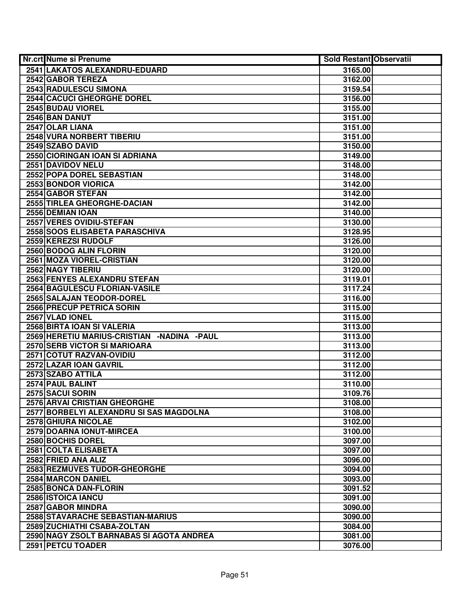| <b>Nr.crt Nume si Prenume</b>              | <b>Sold Restant Observatii</b> |  |
|--------------------------------------------|--------------------------------|--|
| 2541 LAKATOS ALEXANDRU-EDUARD              | 3165.00                        |  |
| 2542 GABOR TEREZA                          | 3162.00                        |  |
| 2543 RADULESCU SIMONA                      | 3159.54                        |  |
| <b>2544 CACUCI GHEORGHE DOREL</b>          | 3156.00                        |  |
| 2545 BUDAU VIOREL                          | 3155.00                        |  |
| 2546 BAN DANUT                             | 3151.00                        |  |
| 2547 OLAR LIANA                            | 3151.00                        |  |
| 2548 VURA NORBERT TIBERIU                  | 3151.00                        |  |
| 2549 SZABO DAVID                           | 3150.00                        |  |
| 2550 CIORINGAN IOAN SI ADRIANA             | 3149.00                        |  |
| 2551 DAVIDOV NELU                          | 3148.00                        |  |
| 2552 POPA DOREL SEBASTIAN                  | 3148.00                        |  |
| 2553 BONDOR VIORICA                        | 3142.00                        |  |
| 2554 GABOR STEFAN                          | 3142.00                        |  |
| 2555 TIRLEA GHEORGHE-DACIAN                | 3142.00                        |  |
| 2556 DEMIAN IOAN                           | 3140.00                        |  |
| 2557 VERES OVIDIU-STEFAN                   | 3130.00                        |  |
| 2558 SOOS ELISABETA PARASCHIVA             | 3128.95                        |  |
| 2559 KEREZSI RUDOLF                        | 3126.00                        |  |
| 2560 BODOG ALIN FLORIN                     | 3120.00                        |  |
| 2561 MOZA VIOREL-CRISTIAN                  | 3120.00                        |  |
| 2562 NAGY TIBERIU                          | 3120.00                        |  |
| 2563 FENYES ALEXANDRU STEFAN               | 3119.01                        |  |
| 2564 BAGULESCU FLORIAN-VASILE              | 3117.24                        |  |
| 2565 SALAJAN TEODOR-DOREL                  | 3116.00                        |  |
| 2566 PRECUP PETRICA SORIN                  | 3115.00                        |  |
| 2567 VLAD IONEL                            | 3115.00                        |  |
| 2568 BIRTA IOAN SI VALERIA                 | 3113.00                        |  |
| 2569 HERETIU MARIUS-CRISTIAN -NADINA -PAUL | 3113.00                        |  |
| 2570 SERB VICTOR SI MARIOARA               | 3113.00                        |  |
| 2571 COTUT RAZVAN-OVIDIU                   | 3112.00                        |  |
| 2572 LAZAR IOAN GAVRIL                     | 3112.00                        |  |
| 2573 SZABO ATTILA                          | 3112.00                        |  |
| 2574 PAUL BALINT                           | 3110.00                        |  |
| 2575 SACUI SORIN                           | 3109.76                        |  |
| <b>2576 ARVAI CRISTIAN GHEORGHE</b>        | 3108.00                        |  |
| 2577 BORBELYI ALEXANDRU SI SAS MAGDOLNA    | 3108.00                        |  |
| 2578 GHIURA NICOLAE                        | 3102.00                        |  |
| 2579 DOARNA IONUT-MIRCEA                   | 3100.00                        |  |
| 2580 BOCHIS DOREL                          | 3097.00                        |  |
| 2581 COLTA ELISABETA                       | 3097.00                        |  |
| 2582 FRIED ANA ALIZ                        | 3096.00                        |  |
| 2583 REZMUVES TUDOR-GHEORGHE               | 3094.00                        |  |
| 2584 MARCON DANIEL                         | 3093.00                        |  |
| 2585 BONCA DAN-FLORIN                      | 3091.52                        |  |
| 2586 ISTOICA IANCU                         | 3091.00                        |  |
| 2587 GABOR MINDRA                          | 3090.00                        |  |
| 2588 STAVARACHE SEBASTIAN-MARIUS           | 3090.00                        |  |
| 2589 ZUCHIATHI CSABA-ZOLTAN                | 3084.00                        |  |
| 2590 NAGY ZSOLT BARNABAS SI AGOTA ANDREA   | 3081.00                        |  |
| 2591 PETCU TOADER                          | 3076.00                        |  |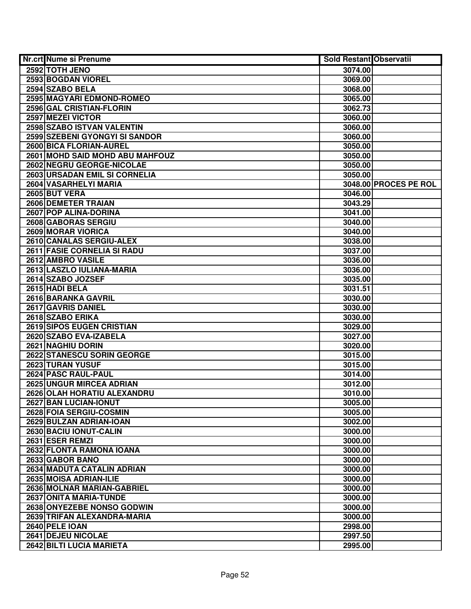| Nr.crt Nume si Prenume           | <b>Sold Restant Observatii</b> |                       |
|----------------------------------|--------------------------------|-----------------------|
| 2592 TOTH JENO                   | 3074.00                        |                       |
| 2593 BOGDAN VIOREL               | 3069.00                        |                       |
| 2594 SZABO BELA                  | 3068.00                        |                       |
| 2595 MAGYARI EDMOND-ROMEO        | 3065.00                        |                       |
| 2596 GAL CRISTIAN-FLORIN         | 3062.73                        |                       |
| 2597 MEZEI VICTOR                | 3060.00                        |                       |
| 2598 SZABO ISTVAN VALENTIN       | 3060.00                        |                       |
| 2599 SZEBENI GYONGYI SI SANDOR   | 3060.00                        |                       |
| 2600 BICA FLORIAN-AUREL          | 3050.00                        |                       |
| 2601 MOHD SAID MOHD ABU MAHFOUZ  | 3050.00                        |                       |
| <b>2602 NEGRU GEORGE-NICOLAE</b> | 3050.00                        |                       |
| 2603 URSADAN EMIL SI CORNELIA    | 3050.00                        |                       |
| 2604 VASARHELYI MARIA            |                                | 3048.00 PROCES PE ROL |
| 2605 BUT VERA                    | 3046.00                        |                       |
| 2606 DEMETER TRAIAN              | 3043.29                        |                       |
| 2607 POP ALINA-DORINA            | 3041.00                        |                       |
| 2608 GABORAS SERGIU              | 3040.00                        |                       |
| 2609 MORAR VIORICA               | 3040.00                        |                       |
| 2610 CANALAS SERGIU-ALEX         | 3038.00                        |                       |
| 2611 FASIE CORNELIA SI RADU      | 3037.00                        |                       |
| 2612 AMBRO VASILE                | 3036.00                        |                       |
| 2613 LASZLO IULIANA-MARIA        | 3036.00                        |                       |
| 2614 SZABO JOZSEF                | 3035.00                        |                       |
| 2615 HADI BELA                   | 3031.51                        |                       |
| 2616 BARANKA GAVRIL              | 3030.00                        |                       |
| 2617 GAVRIS DANIEL               | 3030.00                        |                       |
| 2618 SZABO ERIKA                 | 3030.00                        |                       |
| 2619 SIPOS EUGEN CRISTIAN        | 3029.00                        |                       |
| 2620 SZABO EVA-IZABELA           | 3027.00                        |                       |
| 2621 NAGHIU DORIN                | 3020.00                        |                       |
| 2622 STANESCU SORIN GEORGE       | 3015.00                        |                       |
| 2623 TURAN YUSUF                 | 3015.00                        |                       |
| 2624 PASC RAUL-PAUL              | 3014.00                        |                       |
| 2625 UNGUR MIRCEA ADRIAN         | 3012.00                        |                       |
| 2626 OLAH HORATIU ALEXANDRU      | 3010.00                        |                       |
| 2627 BAN LUCIAN-IONUT            | 3005.00                        |                       |
| 2628 FOIA SERGIU-COSMIN          | 3005.00                        |                       |
| 2629 BULZAN ADRIAN-IOAN          | 3002.00                        |                       |
| 2630 BACIU IONUT-CALIN           | 3000.00                        |                       |
| 2631 ESER REMZI                  | 3000.00                        |                       |
| 2632 FLONTA RAMONA IOANA         | 3000.00                        |                       |
| 2633 GABOR BANO                  | 3000.00                        |                       |
| 2634 MADUTA CATALIN ADRIAN       | 3000.00                        |                       |
| 2635 MOISA ADRIAN-ILIE           | 3000.00                        |                       |
| 2636 MOLNAR MARIAN-GABRIEL       | 3000.00                        |                       |
| 2637 ONITA MARIA-TUNDE           | 3000.00                        |                       |
| 2638 ONYEZEBE NONSO GODWIN       | 3000.00                        |                       |
| 2639 TRIFAN ALEXANDRA-MARIA      | 3000.00                        |                       |
| 2640 PELE IOAN                   | 2998.00                        |                       |
| 2641 DEJEU NICOLAE               | 2997.50                        |                       |
| 2642 BILTI LUCIA MARIETA         | 2995.00                        |                       |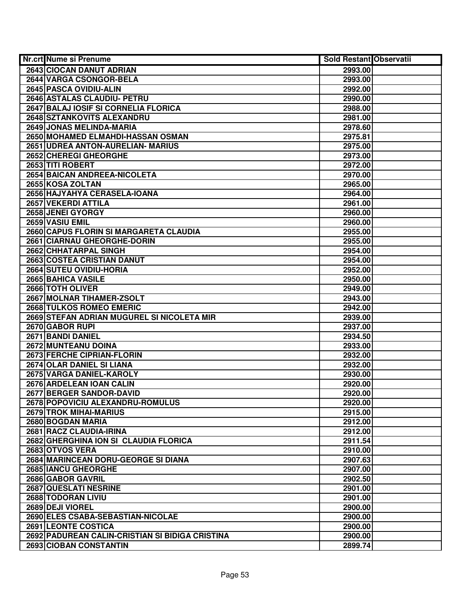| Nr.crt Nume si Prenume                          | <b>Sold Restant Observatii</b> |  |
|-------------------------------------------------|--------------------------------|--|
| 2643 CIOCAN DANUT ADRIAN                        | 2993.00                        |  |
| 2644 VARGA CSONGOR-BELA                         | 2993.00                        |  |
| 2645 PASCA OVIDIU-ALIN                          | 2992.00                        |  |
| 2646 ASTALAS CLAUDIU- PETRU                     | 2990.00                        |  |
| 2647 BALAJ IOSIF SI CORNELIA FLORICA            | 2988.00                        |  |
| 2648 SZTANKOVITS ALEXANDRU                      | 2981.00                        |  |
| 2649 JONAS MELINDA-MARIA                        | 2978.60                        |  |
| 2650 MOHAMED ELMAHDI-HASSAN OSMAN               | 2975.81                        |  |
| 2651 UDREA ANTON-AURELIAN- MARIUS               | 2975.00                        |  |
| 2652 CHEREGI GHEORGHE                           | 2973.00                        |  |
| 2653 TITI ROBERT                                | 2972.00                        |  |
| 2654 BAICAN ANDREEA-NICOLETA                    | 2970.00                        |  |
| 2655 KOSA ZOLTAN                                | 2965.00                        |  |
| 2656 HAJYAHYA CERASELA-IOANA                    | 2964.00                        |  |
| 2657 VEKERDI ATTILA                             | 2961.00                        |  |
| 2658 JENEI GYORGY                               | 2960.00                        |  |
| 2659 VASIU EMIL                                 | 2960.00                        |  |
| 2660 CAPUS FLORIN SI MARGARETA CLAUDIA          | 2955.00                        |  |
| 2661 CIARNAU GHEORGHE-DORIN                     | 2955.00                        |  |
| 2662 CHHATARPAL SINGH                           | 2954.00                        |  |
| 2663 COSTEA CRISTIAN DANUT                      | 2954.00                        |  |
| 2664 SUTEU OVIDIU-HORIA                         | 2952.00                        |  |
| 2665 BAHICA VASILE                              | 2950.00                        |  |
| 2666 TOTH OLIVER                                | 2949.00                        |  |
| 2667 MOLNAR TIHAMER-ZSOLT                       | 2943.00                        |  |
| 2668 TULKOS ROMEO EMERIC                        | 2942.00                        |  |
| 2669 STEFAN ADRIAN MUGUREL SI NICOLETA MIR      | 2939.00                        |  |
| 2670 GABOR RUPI                                 | 2937.00                        |  |
| 2671 BANDI DANIEL                               | 2934.50                        |  |
| 2672 MUNTEANU DOINA                             | 2933.00                        |  |
| 2673 FERCHE CIPRIAN-FLORIN                      | 2932.00                        |  |
| 2674 OLAR DANIEL SI LIANA                       | 2932.00                        |  |
| 2675 VARGA DANIEL-KAROLY                        | 2930.00                        |  |
| 2676 ARDELEAN IOAN CALIN                        | 2920.00                        |  |
| <b>2677 BERGER SANDOR-DAVID</b>                 | 2920.00                        |  |
| 2678 POPOVICIU ALEXANDRU-ROMULUS                | 2920.00                        |  |
| <b>2679 TROK MIHAI-MARIUS</b>                   | 2915.00                        |  |
| 2680 BOGDAN MARIA                               | 2912.00                        |  |
| 2681 RACZ CLAUDIA-IRINA                         | 2912.00                        |  |
| 2682 GHERGHINA ION SI CLAUDIA FLORICA           | 2911.54                        |  |
| 2683 OTVOS VERA                                 | 2910.00                        |  |
| 2684 MARINCEAN DORU-GEORGE SI DIANA             | 2907.63                        |  |
| <b>2685 IANCU GHEORGHE</b>                      | 2907.00                        |  |
| 2686 GABOR GAVRIL                               | 2902.50                        |  |
| 2687 QUESLATI NESRINE                           | 2901.00                        |  |
| 2688 TODORAN LIVIU                              | 2901.00                        |  |
| 2689 DEJI VIOREL                                | 2900.00                        |  |
| 2690 ELES CSABA-SEBASTIAN-NICOLAE               | 2900.00                        |  |
| <b>2691 LEONTE COSTICA</b>                      | 2900.00                        |  |
| 2692 PADUREAN CALIN-CRISTIAN SI BIDIGA CRISTINA | 2900.00                        |  |
| 2693 CIOBAN CONSTANTIN                          | 2899.74                        |  |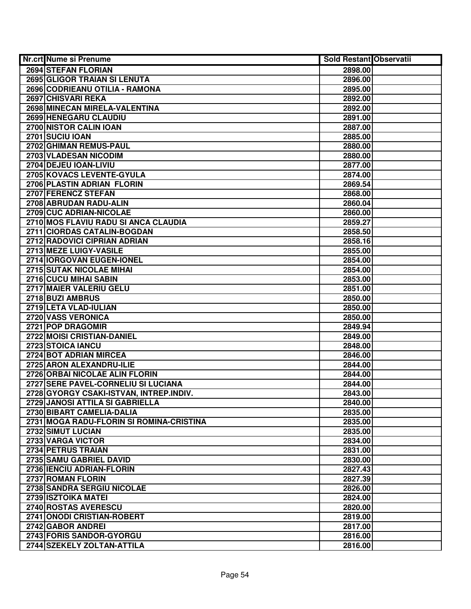| <b>Nr.crt Nume si Prenume</b>            | <b>Sold Restant Observatii</b> |  |
|------------------------------------------|--------------------------------|--|
| 2694 STEFAN FLORIAN                      | 2898.00                        |  |
| 2695 GLIGOR TRAIAN SI LENUTA             | 2896.00                        |  |
| 2696 CODRIEANU OTILIA - RAMONA           | 2895.00                        |  |
| 2697 CHISVARI REKA                       | 2892.00                        |  |
| 2698 MINECAN MIRELA-VALENTINA            | 2892.00                        |  |
| 2699 HENEGARU CLAUDIU                    | 2891.00                        |  |
| 2700 NISTOR CALIN IOAN                   | 2887.00                        |  |
| 2701 SUCIU IOAN                          | 2885.00                        |  |
| 2702 GHIMAN REMUS-PAUL                   | 2880.00                        |  |
| 2703 VLADESAN NICODIM                    | 2880.00                        |  |
| 2704 DEJEU IOAN-LIVIU                    | 2877.00                        |  |
| 2705 KOVACS LEVENTE-GYULA                | 2874.00                        |  |
| 2706 PLASTIN ADRIAN FLORIN               | 2869.54                        |  |
| 2707 FERENCZ STEFAN                      | 2868.00                        |  |
| 2708 ABRUDAN RADU-ALIN                   | 2860.04                        |  |
| 2709 CUC ADRIAN-NICOLAE                  | 2860.00                        |  |
| 2710 MOS FLAVIU RADU SI ANCA CLAUDIA     | 2859.27                        |  |
| 2711 CIORDAS CATALIN-BOGDAN              | 2858.50                        |  |
| 2712 RADOVICI CIPRIAN ADRIAN             | 2858.16                        |  |
| 2713 MEZE LUIGY-VASILE                   | 2855.00                        |  |
| 2714 IORGOVAN EUGEN-IONEL                | 2854.00                        |  |
| 2715 SUTAK NICOLAE MIHAI                 | 2854.00                        |  |
| 2716 CUCU MIHAI SABIN                    | 2853.00                        |  |
| 2717 MAIER VALERIU GELU                  | 2851.00                        |  |
| 2718 BUZI AMBRUS                         | 2850.00                        |  |
| 2719 LETA VLAD-IULIAN                    | 2850.00                        |  |
| 2720 VASS VERONICA                       | 2850.00                        |  |
| 2721 POP DRAGOMIR                        | 2849.94                        |  |
| 2722 MOISI CRISTIAN-DANIEL               | 2849.00                        |  |
| 2723 STOICA IANCU                        | 2848.00                        |  |
| 2724 BOT ADRIAN MIRCEA                   | 2846.00                        |  |
| 2725 ARON ALEXANDRU-ILIE                 | 2844.00                        |  |
| 2726 ORBAI NICOLAE ALIN FLORIN           | 2844.00                        |  |
| 2727 SERE PAVEL-CORNELIU SI LUCIANA      | 2844.00                        |  |
| 2728 GYORGY CSAKI-ISTVAN, INTREP.INDIV.  | 2843.00                        |  |
| 2729 JANOSI ATTILA SI GABRIELLA          | 2840.00                        |  |
| 2730 BIBART CAMELIA-DALIA                | 2835.00                        |  |
| 2731 MOGA RADU-FLORIN SI ROMINA-CRISTINA | 2835.00                        |  |
| 2732 SIMUT LUCIAN                        | 2835.00                        |  |
| 2733 VARGA VICTOR                        | 2834.00                        |  |
| 2734 PETRUS TRAIAN                       | 2831.00                        |  |
| 2735 SAMU GABRIEL DAVID                  | 2830.00                        |  |
| 2736 IENCIU ADRIAN-FLORIN                | 2827.43                        |  |
| 2737 ROMAN FLORIN                        | 2827.39                        |  |
| 2738 SANDRA SERGIU NICOLAE               | 2826.00                        |  |
| 2739 ISZTOIKA MATEL                      | 2824.00                        |  |
| 2740 ROSTAS AVERESCU                     | 2820.00                        |  |
| 2741 ONODI CRISTIAN-ROBERT               | 2819.00                        |  |
| 2742 GABOR ANDREI                        | 2817.00                        |  |
| 2743 FORIS SANDOR-GYORGU                 | 2816.00                        |  |
| 2744 SZEKELY ZOLTAN-ATTILA               | 2816.00                        |  |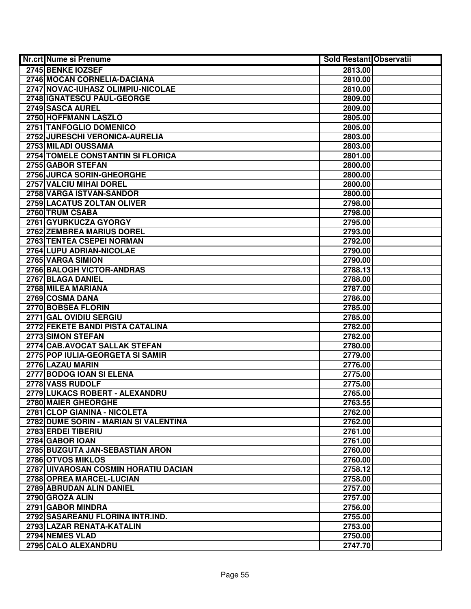| Nr.crt Nume si Prenume                | <b>Sold Restant Observatii</b> |  |
|---------------------------------------|--------------------------------|--|
| 2745 BENKE IOZSEF                     | 2813.00                        |  |
| 2746 MOCAN CORNELIA-DACIANA           | 2810.00                        |  |
| 2747 NOVAC-IUHASZ OLIMPIU-NICOLAE     | 2810.00                        |  |
| 2748 IGNATESCU PAUL-GEORGE            | 2809.00                        |  |
| 2749 SASCA AUREL                      | 2809.00                        |  |
| 2750 HOFFMANN LASZLO                  | 2805.00                        |  |
| 2751 TANFOGLIO DOMENICO               | 2805.00                        |  |
| 2752 JURESCHI VERONICA-AURELIA        | 2803.00                        |  |
| 2753 MILADI OUSSAMA                   | 2803.00                        |  |
| 2754 TOMELE CONSTANTIN SI FLORICA     | 2801.00                        |  |
| 2755 GABOR STEFAN                     | 2800.00                        |  |
| 2756 JURCA SORIN-GHEORGHE             | 2800.00                        |  |
| 2757 VALCIU MIHAI DOREL               | 2800.00                        |  |
| 2758 VARGA ISTVAN-SANDOR              | 2800.00                        |  |
| 2759 LACATUS ZOLTAN OLIVER            | 2798.00                        |  |
| 2760 TRUM CSABA                       | 2798.00                        |  |
| 2761 GYURKUCZA GYORGY                 | 2795.00                        |  |
| 2762 ZEMBREA MARIUS DOREL             | 2793.00                        |  |
| 2763 TENTEA CSEPEI NORMAN             | 2792.00                        |  |
| 2764 LUPU ADRIAN-NICOLAE              | 2790.00                        |  |
| 2765 VARGA SIMION                     | 2790.00                        |  |
| <b>2766 BALOGH VICTOR-ANDRAS</b>      | 2788.13                        |  |
| 2767 BLAGA DANIEL                     | 2788.00                        |  |
| 2768 MILEA MARIANA                    | 2787.00                        |  |
| 2769 COSMA DANA                       | 2786.00                        |  |
| 2770 BOBSEA FLORIN                    | 2785.00                        |  |
| 2771 GAL OVIDIU SERGIU                | 2785.00                        |  |
| 2772 FEKETE BANDI PISTA CATALINA      | 2782.00                        |  |
| 2773 SIMON STEFAN                     | 2782.00                        |  |
| 2774 CAB.AVOCAT SALLAK STEFAN         | 2780.00                        |  |
| 2775 POP IULIA-GEORGETA SI SAMIR      | 2779.00                        |  |
| 2776 LAZAU MARIN                      | 2776.00                        |  |
| 2777 BODOG IOAN SI ELENA              | 2775.00                        |  |
| 2778 VASS RUDOLF                      | 2775.00                        |  |
| 2779 LUKACS ROBERT - ALEXANDRU        | 2765.00                        |  |
| 2780 MAIER GHEORGHE                   | 2763.55                        |  |
| 2781 CLOP GIANINA - NICOLETA          | 2762.00                        |  |
| 2782 DUME SORIN - MARIAN SI VALENTINA | 2762.00                        |  |
| 2783 ERDEI TIBERIU                    | 2761.00                        |  |
| 2784 GABOR IOAN                       | 2761.00                        |  |
| 2785 BUZGUTA JAN-SEBASTIAN ARON       | 2760.00                        |  |
| 2786 OTVOS MIKLOS                     | 2760.00                        |  |
| 2787 UIVAROSAN COSMIN HORATIU DACIAN  | 2758.12                        |  |
| 2788 OPREA MARCEL-LUCIAN              | 2758.00                        |  |
| 2789 ABRUDAN ALIN DANIEL              | 2757.00                        |  |
| 2790 GROZA ALIN                       | 2757.00                        |  |
| 2791 GABOR MINDRA                     | 2756.00                        |  |
| 2792 SASAREANU FLORINA INTR.IND.      | 2755.00                        |  |
| 2793 LAZAR RENATA-KATALIN             | 2753.00                        |  |
| 2794 NEMES VLAD                       | 2750.00                        |  |
| 2795 CALO ALEXANDRU                   | 2747.70                        |  |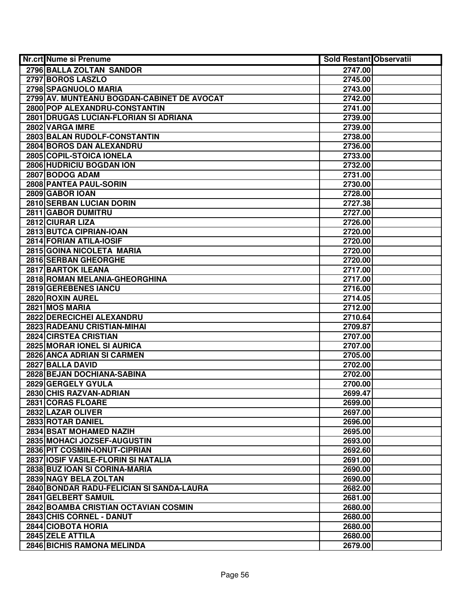| Nr.crt Nume si Prenume                     | <b>Sold Restant Observatii</b> |  |
|--------------------------------------------|--------------------------------|--|
| 2796 BALLA ZOLTAN SANDOR                   | 2747.00                        |  |
| 2797 BOROS LASZLO                          | 2745.00                        |  |
| 2798 SPAGNUOLO MARIA                       | 2743.00                        |  |
| 2799 AV. MUNTEANU BOGDAN-CABINET DE AVOCAT | 2742.00                        |  |
| 2800 POP ALEXANDRU-CONSTANTIN              | 2741.00                        |  |
| 2801 DRUGAS LUCIAN-FLORIAN SI ADRIANA      | 2739.00                        |  |
| 2802 VARGA IMRE                            | 2739.00                        |  |
| 2803 BALAN RUDOLF-CONSTANTIN               | 2738.00                        |  |
| 2804 BOROS DAN ALEXANDRU                   | 2736.00                        |  |
| 2805 COPIL-STOICA IONELA                   | 2733.00                        |  |
| <b>2806 HUDRICIU BOGDAN ION</b>            | 2732.00                        |  |
| 2807 BODOG ADAM                            | 2731.00                        |  |
| 2808 PANTEA PAUL-SORIN                     | 2730.00                        |  |
| 2809 GABOR IOAN                            | 2728.00                        |  |
| 2810 SERBAN LUCIAN DORIN                   | 2727.38                        |  |
| 2811 GABOR DUMITRU                         | 2727.00                        |  |
| 2812 CIURAR LIZA                           | 2726.00                        |  |
| 2813 BUTCA CIPRIAN-IOAN                    | 2720.00                        |  |
| 2814 FORIAN ATILA-IOSIF                    | 2720.00                        |  |
| 2815 GOINA NICOLETA MARIA                  | 2720.00                        |  |
| 2816 SERBAN GHEORGHE                       | 2720.00                        |  |
| 2817 BARTOK ILEANA                         | 2717.00                        |  |
| 2818 ROMAN MELANIA-GHEORGHINA              | 2717.00                        |  |
| 2819 GEREBENES IANCU                       | 2716.00                        |  |
| 2820 ROXIN AUREL                           | 2714.05                        |  |
| 2821 MOS MARIA                             | 2712.00                        |  |
| 2822 DERECICHEI ALEXANDRU                  | 2710.64                        |  |
| 2823 RADEANU CRISTIAN-MIHAI                | 2709.87                        |  |
| 2824 CIRSTEA CRISTIAN                      | 2707.00                        |  |
| 2825 MORAR IONEL SI AURICA                 | 2707.00                        |  |
| 2826 ANCA ADRIAN SI CARMEN                 | 2705.00                        |  |
| 2827 BALLA DAVID                           | 2702.00                        |  |
| 2828 BEJAN DOCHIANA-SABINA                 | 2702.00                        |  |
| 2829 GERGELY GYULA                         | 2700.00                        |  |
| 2830 CHIS RAZVAN-ADRIAN                    | 2699.47                        |  |
| 2831 CORAS FLOARE                          | 2699.00                        |  |
| 2832 LAZAR OLIVER                          | 2697.00                        |  |
| 2833 ROTAR DANIEL                          | 2696.00                        |  |
| 2834 BSAT MOHAMED NAZIH                    | 2695.00                        |  |
| 2835 MOHACI JOZSEF-AUGUSTIN                | 2693.00                        |  |
| 2836 PIT COSMIN-IONUT-CIPRIAN              | 2692.60                        |  |
| 2837 IOSIF VASILE-FLORIN SI NATALIA        | 2691.00                        |  |
| 2838 BUZ IOAN SI CORINA-MARIA              | 2690.00                        |  |
| 2839 NAGY BELA ZOLTAN                      | 2690.00                        |  |
| 2840 BONDAR RADU-FELICIAN SI SANDA-LAURA   | 2682.00                        |  |
| 2841 GELBERT SAMUIL                        | 2681.00                        |  |
| 2842 BOAMBA CRISTIAN OCTAVIAN COSMIN       | 2680.00                        |  |
| 2843 CHIS CORNEL - DANUT                   | 2680.00                        |  |
| 2844 CIOBOTA HORIA                         | 2680.00                        |  |
| 2845 ZELE ATTILA                           | 2680.00                        |  |
| 2846 BICHIS RAMONA MELINDA                 | 2679.00                        |  |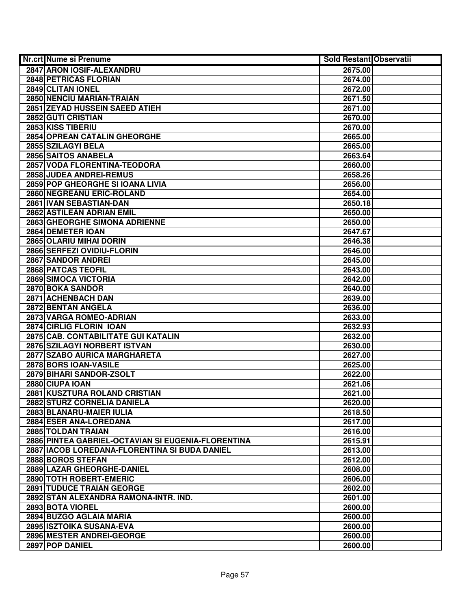| <b>Nr.crt Nume si Prenume</b>                      | <b>Sold Restant Observatii</b> |  |
|----------------------------------------------------|--------------------------------|--|
| 2847 ARON IOSIF-ALEXANDRU                          | 2675.00                        |  |
| <b>2848 PETRICAS FLORIAN</b>                       | 2674.00                        |  |
| 2849 CLITAN IONEL                                  | 2672.00                        |  |
| 2850 NENCIU MARIAN-TRAIAN                          | 2671.50                        |  |
| 2851 ZEYAD HUSSEIN SAEED ATIEH                     | 2671.00                        |  |
| 2852 GUTI CRISTIAN                                 | 2670.00                        |  |
| 2853 KISS TIBERIU                                  | 2670.00                        |  |
| 2854 OPREAN CATALIN GHEORGHE                       | 2665.00                        |  |
| 2855 SZILAGYI BELA                                 | 2665.00                        |  |
| <b>2856 SAITOS ANABELA</b>                         | 2663.64                        |  |
| 2857 VODA FLORENTINA-TEODORA                       | 2660.00                        |  |
| 2858 JUDEA ANDREI-REMUS                            | 2658.26                        |  |
| 2859 POP GHEORGHE SI IOANA LIVIA                   | 2656.00                        |  |
| 2860 NEGREANU ERIC-ROLAND                          | 2654.00                        |  |
| 2861 IVAN SEBASTIAN-DAN                            | 2650.18                        |  |
| 2862 ASTILEAN ADRIAN EMIL                          | 2650.00                        |  |
| 2863 GHEORGHE SIMONA ADRIENNE                      | 2650.00                        |  |
| 2864 DEMETER IOAN                                  | 2647.67                        |  |
| 2865 OLARIU MIHAI DORIN                            | 2646.38                        |  |
| 2866 SERFEZI OVIDIU-FLORIN                         | 2646.00                        |  |
| 2867 SANDOR ANDREI                                 | 2645.00                        |  |
| 2868 PATCAS TEOFIL                                 | 2643.00                        |  |
| 2869 SIMOCA VICTORIA                               | 2642.00                        |  |
| 2870 BOKA SANDOR                                   | 2640.00                        |  |
| 2871 ACHENBACH DAN                                 | 2639.00                        |  |
| 2872 BENTAN ANGELA                                 | 2636.00                        |  |
| 2873 VARGA ROMEO-ADRIAN                            | 2633.00                        |  |
| 2874 CIRLIG FLORIN IOAN                            | 2632.93                        |  |
| 2875 CAB. CONTABILITATE GUI KATALIN                | 2632.00                        |  |
| 2876 SZILAGYI NORBERT ISTVAN                       | 2630.00                        |  |
| 2877 SZABO AURICA MARGHARETA                       | 2627.00                        |  |
| 2878 BORS IOAN-VASILE                              | 2625.00                        |  |
| 2879 BIHARI SANDOR-ZSOLT                           | 2622.00                        |  |
| 2880 CIUPA IOAN                                    | 2621.06                        |  |
| 2881 KUSZTURA ROLAND CRISTIAN                      | 2621.00                        |  |
| 2882 STURZ CORNELIA DANIELA                        | 2620.00                        |  |
| 2883 BLANARU-MAIER IULIA                           | 2618.50                        |  |
| 2884 ESER ANA-LOREDANA                             | 2617.00                        |  |
| 2885 TOLDAN TRAIAN                                 | 2616.00                        |  |
| 2886 PINTEA GABRIEL-OCTAVIAN SI EUGENIA-FLORENTINA | 2615.91                        |  |
| 2887 IACOB LOREDANA-FLORENTINA SI BUDA DANIEL      | 2613.00                        |  |
| 2888 BOROS STEFAN                                  | 2612.00                        |  |
| 2889 LAZAR GHEORGHE-DANIEL                         | 2608.00                        |  |
| 2890 TOTH ROBERT-EMERIC                            | 2606.00                        |  |
| <b>2891 TUDUCE TRAIAN GEORGE</b>                   | 2602.00                        |  |
| 2892 STAN ALEXANDRA RAMONA-INTR. IND.              | 2601.00                        |  |
| 2893 BOTA VIOREL                                   | 2600.00                        |  |
| 2894 BUZGO AGLAIA MARIA                            | 2600.00                        |  |
| 2895 ISZTOIKA SUSANA-EVA                           | 2600.00                        |  |
| 2896 MESTER ANDREI-GEORGE                          | 2600.00                        |  |
| 2897 POP DANIEL                                    | 2600.00                        |  |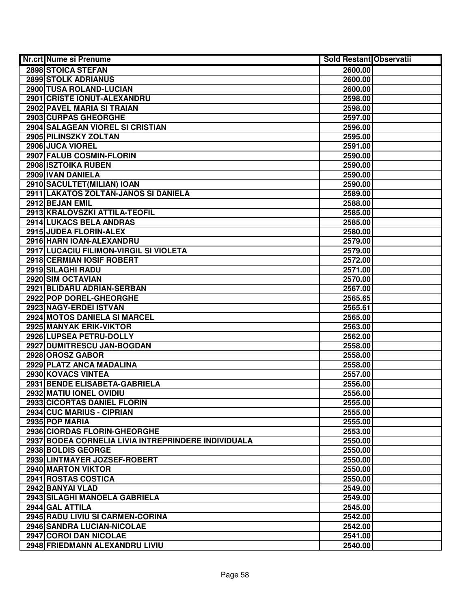| Nr.crt Nume si Prenume                              | <b>Sold Restant Observatii</b> |  |
|-----------------------------------------------------|--------------------------------|--|
| 2898 STOICA STEFAN                                  | 2600.00                        |  |
| <b>2899 STOLK ADRIANUS</b>                          | 2600.00                        |  |
| 2900 TUSA ROLAND-LUCIAN                             | 2600.00                        |  |
| 2901 CRISTE IONUT-ALEXANDRU                         | 2598.00                        |  |
| 2902 PAVEL MARIA SI TRAIAN                          | 2598.00                        |  |
| 2903 CURPAS GHEORGHE                                | 2597.00                        |  |
| 2904 SALAGEAN VIOREL SI CRISTIAN                    | 2596.00                        |  |
| 2905 PILINSZKY ZOLTAN                               | 2595.00                        |  |
| 2906 JUCA VIOREL                                    | 2591.00                        |  |
| 2907 FALUB COSMIN-FLORIN                            | 2590.00                        |  |
| 2908 ISZTOIKA RUBEN                                 | 2590.00                        |  |
| 2909 IVAN DANIELA                                   | 2590.00                        |  |
| 2910 SACULTET(MILIAN) IOAN                          | 2590.00                        |  |
| 2911 LAKATOS ZOLTAN-JANOS SI DANIELA                | 2589.00                        |  |
| 2912 BEJAN EMIL                                     | 2588.00                        |  |
| 2913 KRALOVSZKI ATTILA-TEOFIL                       | 2585.00                        |  |
| 2914 LUKACS BELA ANDRAS                             | 2585.00                        |  |
| 2915 JUDEA FLORIN-ALEX                              | 2580.00                        |  |
| 2916 HARN IOAN-ALEXANDRU                            | 2579.00                        |  |
| 2917 LUCACIU FILIMON-VIRGIL SI VIOLETA              | 2579.00                        |  |
| 2918 CERMIAN IOSIF ROBERT                           | 2572.00                        |  |
| 2919 SILAGHI RADU                                   | 2571.00                        |  |
| 2920 SIM OCTAVIAN                                   | 2570.00                        |  |
| 2921 BLIDARU ADRIAN-SERBAN                          | 2567.00                        |  |
| 2922 POP DOREL-GHEORGHE                             | 2565.65                        |  |
| 2923 NAGY-ERDEI ISTVAN                              | 2565.61                        |  |
| 2924 MOTOS DANIELA SI MARCEL                        | 2565.00                        |  |
| 2925 MANYAK ERIK-VIKTOR                             | 2563.00                        |  |
| 2926 LUPSEA PETRU-DOLLY                             | 2562.00                        |  |
| 2927 DUMITRESCU JAN-BOGDAN                          | 2558.00                        |  |
| 2928 OROSZ GABOR                                    | 2558.00                        |  |
| 2929 PLATZ ANCA MADALINA                            | 2558.00                        |  |
| 2930 KOVACS VINTEA                                  | 2557.00                        |  |
| 2931 BENDE ELISABETA-GABRIELA                       | 2556.00                        |  |
| 2932 MATIU IONEL OVIDIU                             | 2556.00                        |  |
| 2933 CICORTAS DANIEL FLORIN                         | 2555.00                        |  |
| 2934 CUC MARIUS - CIPRIAN                           | 2555.00                        |  |
| 2935 POP MARIA                                      | 2555.00                        |  |
| 2936 CIORDAS FLORIN-GHEORGHE                        | 2553.00                        |  |
| 2937 BODEA CORNELIA LIVIA INTREPRINDERE INDIVIDUALA | 2550.00                        |  |
| 2938 BOLDIS GEORGE                                  | 2550.00                        |  |
| 2939 LINTMAYER JOZSEF-ROBERT                        | 2550.00                        |  |
| 2940 MARTON VIKTOR                                  | 2550.00                        |  |
| 2941 ROSTAS COSTICA                                 | 2550.00                        |  |
| 2942 BANYAI VLAD                                    | 2549.00                        |  |
| 2943 SILAGHI MANOELA GABRIELA                       | 2549.00                        |  |
| 2944 GAL ATTILA                                     | 2545.00                        |  |
| 2945 RADU LIVIU SI CARMEN-CORINA                    | 2542.00                        |  |
| 2946 SANDRA LUCIAN-NICOLAE                          | 2542.00                        |  |
| 2947 COROI DAN NICOLAE                              | 2541.00                        |  |
| 2948 FRIEDMANN ALEXANDRU LIVIU                      | 2540.00                        |  |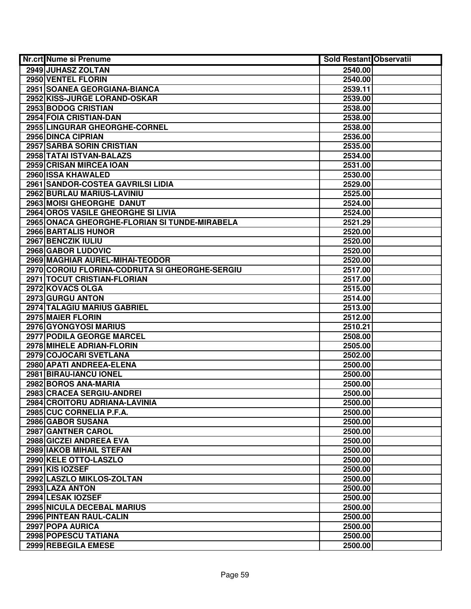| <b>Nr.crt Nume si Prenume</b>                  | <b>Sold Restant Observatii</b> |  |
|------------------------------------------------|--------------------------------|--|
| 2949 JUHASZ ZOLTAN                             | 2540.00                        |  |
| 2950 VENTEL FLORIN                             | 2540.00                        |  |
| 2951 SOANEA GEORGIANA-BIANCA                   | 2539.11                        |  |
| 2952 KISS-JURGE LORAND-OSKAR                   | 2539.00                        |  |
| 2953 BODOG CRISTIAN                            | 2538.00                        |  |
| 2954 FOIA CRISTIAN-DAN                         | 2538.00                        |  |
| 2955 LINGURAR GHEORGHE-CORNEL                  | 2538.00                        |  |
| 2956 DINCA CIPRIAN                             | 2536.00                        |  |
| 2957 SARBA SORIN CRISTIAN                      | 2535.00                        |  |
| 2958 TATAI ISTVAN-BALAZS                       | 2534.00                        |  |
| 2959 CRISAN MIRCEA IOAN                        | 2531.00                        |  |
| 2960 ISSA KHAWALED                             | 2530.00                        |  |
| 2961 SANDOR-COSTEA GAVRILSI LIDIA              | 2529.00                        |  |
| 2962 BURLAU MARIUS-LAVINIU                     | 2525.00                        |  |
| 2963 MOISI GHEORGHE DANUT                      | 2524.00                        |  |
| 2964 OROS VASILE GHEORGHE SI LIVIA             | 2524.00                        |  |
| 2965 ONACA GHEORGHE-FLORIAN SI TUNDE-MIRABELA  | 2521.29                        |  |
| 2966 BARTALIS HUNOR                            | 2520.00                        |  |
| 2967 BENCZIK IULIU                             | 2520.00                        |  |
| 2968 GABOR LUDOVIC                             | 2520.00                        |  |
| 2969 MAGHIAR AUREL-MIHAI-TEODOR                | 2520.00                        |  |
| 2970 COROIU FLORINA-CODRUTA SI GHEORGHE-SERGIU | 2517.00                        |  |
| 2971 TOCUT CRISTIAN-FLORIAN                    | 2517.00                        |  |
| 2972 KOVACS OLGA                               | 2515.00                        |  |
| 2973 GURGU ANTON                               | 2514.00                        |  |
| 2974 TALAGIU MARIUS GABRIEL                    | 2513.00                        |  |
| 2975 MAIER FLORIN                              | 2512.00                        |  |
| 2976 GYONGYOSI MARIUS                          | 2510.21                        |  |
| 2977 PODILA GEORGE MARCEL                      | 2508.00                        |  |
| 2978 MIHELE ADRIAN-FLORIN                      | 2505.00                        |  |
| 2979 COJOCARI SVETLANA                         | 2502.00                        |  |
| 2980 APATI ANDREEA-ELENA                       | 2500.00                        |  |
| 2981 BIRAU-IANCU IONEL                         | 2500.00                        |  |
| 2982 BOROS ANA-MARIA                           | 2500.00                        |  |
| 2983 CRACEA SERGIU-ANDREI                      | 2500.00                        |  |
| 2984 CROITORU ADRIANA-LAVINIA                  | 2500.00                        |  |
| 2985 CUC CORNELIA P.F.A.                       | 2500.00                        |  |
| 2986 GABOR SUSANA                              | 2500.00                        |  |
| 2987 GANTNER CAROL                             | 2500.00                        |  |
| 2988 GICZEI ANDREEA EVA                        | 2500.00                        |  |
| 2989 IAKOB MIHAIL STEFAN                       | 2500.00                        |  |
| 2990 KELE OTTO-LASZLO                          | 2500.00                        |  |
| 2991 KIS IOZSEF                                | 2500.00                        |  |
| 2992 LASZLO MIKLOS-ZOLTAN                      | 2500.00                        |  |
| 2993 LAZA ANTON                                | 2500.00                        |  |
| 2994 LESAK IOZSEF                              | 2500.00                        |  |
| 2995 NICULA DECEBAL MARIUS                     | 2500.00                        |  |
| 2996 PINTEAN RAUL-CALIN                        | 2500.00                        |  |
| 2997 POPA AURICA                               | 2500.00                        |  |
| 2998 POPESCU TATIANA                           | 2500.00                        |  |
| 2999 REBEGILA EMESE                            | 2500.00                        |  |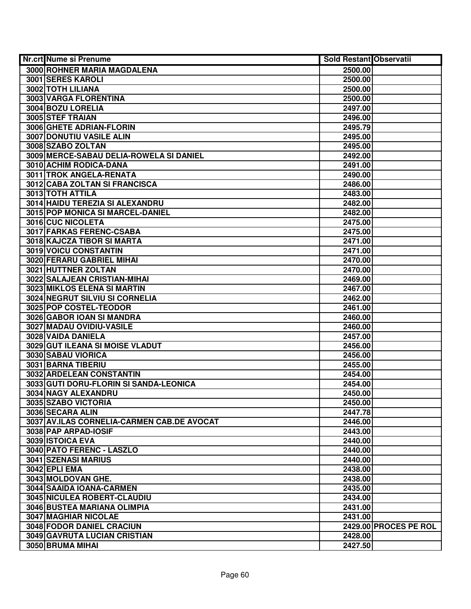| Nr.crt Nume si Prenume                     | <b>Sold Restant Observatii</b> |                       |
|--------------------------------------------|--------------------------------|-----------------------|
| 3000 ROHNER MARIA MAGDALENA                | 2500.00                        |                       |
| 3001 SERES KAROLI                          | 2500.00                        |                       |
| 3002 TOTH LILIANA                          | 2500.00                        |                       |
| 3003 VARGA FLORENTINA                      | 2500.00                        |                       |
| 3004 BOZU LORELIA                          | 2497.00                        |                       |
| 3005 STEF TRAIAN                           | 2496.00                        |                       |
| 3006 GHETE ADRIAN-FLORIN                   | 2495.79                        |                       |
| 3007 DONUTIU VASILE ALIN                   | 2495.00                        |                       |
| 3008 SZABO ZOLTAN                          | 2495.00                        |                       |
| 3009 MERCE-SABAU DELIA-ROWELA SI DANIEL    | 2492.00                        |                       |
| 3010 ACHIM RODICA-DANA                     | 2491.00                        |                       |
| 3011 TROK ANGELA-RENATA                    | 2490.00                        |                       |
| 3012 CABA ZOLTAN SI FRANCISCA              | 2486.00                        |                       |
| 3013 TOTH ATTILA                           | 2483.00                        |                       |
| 3014 HAIDU TEREZIA SI ALEXANDRU            | 2482.00                        |                       |
| 3015 POP MONICA SI MARCEL-DANIEL           | 2482.00                        |                       |
| 3016 CUC NICOLETA                          | 2475.00                        |                       |
| 3017 FARKAS FERENC-CSABA                   | 2475.00                        |                       |
| 3018 KAJCZA TIBOR SI MARTA                 | 2471.00                        |                       |
| 3019 VOICU CONSTANTIN                      | 2471.00                        |                       |
| 3020 FERARU GABRIEL MIHAI                  | 2470.00                        |                       |
| 3021 HUTTNER ZOLTAN                        | 2470.00                        |                       |
| 3022 SALAJEAN CRISTIAN-MIHAI               | 2469.00                        |                       |
| 3023 MIKLOS ELENA SI MARTIN                | 2467.00                        |                       |
| 3024 NEGRUT SILVIU SI CORNELIA             | 2462.00                        |                       |
| 3025 POP COSTEL-TEODOR                     | 2461.00                        |                       |
| 3026 GABOR IOAN SI MANDRA                  | 2460.00                        |                       |
| 3027 MADAU OVIDIU-VASILE                   | 2460.00                        |                       |
| 3028 VAIDA DANIELA                         | 2457.00                        |                       |
| 3029 GUT ILEANA SI MOISE VLADUT            | 2456.00                        |                       |
| 3030 SABAU VIORICA                         | 2456.00                        |                       |
| 3031 BARNA TIBERIU                         | 2455.00                        |                       |
| 3032 ARDELEAN CONSTANTIN                   | 2454.00                        |                       |
| 3033 GUTI DORU-FLORIN SI SANDA-LEONICA     | 2454.00                        |                       |
| 3034 NAGY ALEXANDRU                        | 2450.00                        |                       |
| 3035 SZABO VICTORIA                        | 2450.00                        |                       |
| 3036 SECARA ALIN                           | 2447.78                        |                       |
| 3037 AV.ILAS CORNELIA-CARMEN CAB.DE AVOCAT | 2446.00                        |                       |
| 3038 PAP ARPAD-IOSIF                       | 2443.00                        |                       |
| 3039 ISTOICA EVA                           | 2440.00                        |                       |
| 3040 PATO FERENC - LASZLO                  | 2440.00                        |                       |
| <b>3041 SZENASI MARIUS</b>                 | 2440.00                        |                       |
| <b>3042 EPLI EMA</b>                       | 2438.00                        |                       |
| 3043 MOLDOVAN GHE.                         | 2438.00                        |                       |
| 3044 SAAIDA IOANA-CARMEN                   | 2435.00                        |                       |
| 3045 NICULEA ROBERT-CLAUDIU                | 2434.00                        |                       |
| 3046 BUSTEA MARIANA OLIMPIA                | 2431.00                        |                       |
| <b>3047 MAGHIAR NICOLAE</b>                | 2431.00                        |                       |
| 3048 FODOR DANIEL CRACIUN                  |                                | 2429.00 PROCES PE ROL |
| 3049 GAVRUTA LUCIAN CRISTIAN               | 2428.00                        |                       |
| 3050 BRUMA MIHAI                           | 2427.50                        |                       |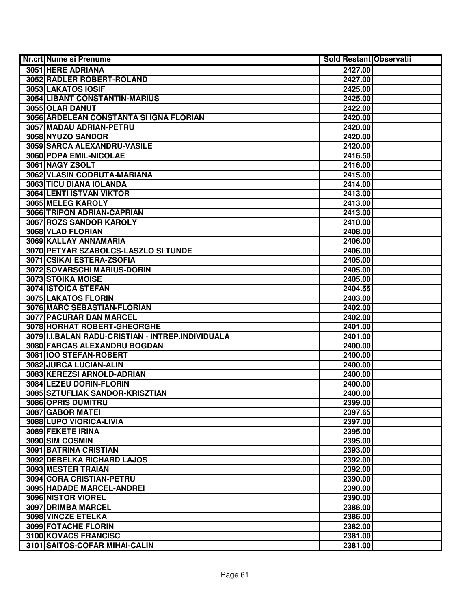| <b>Nr.crt Nume si Prenume</b>                      | <b>Sold Restant Observatii</b> |  |
|----------------------------------------------------|--------------------------------|--|
| 3051 HERE ADRIANA                                  | 2427.00                        |  |
| 3052 RADLER ROBERT-ROLAND                          | 2427.00                        |  |
| 3053 LAKATOS IOSIF                                 | 2425.00                        |  |
| 3054 LIBANT CONSTANTIN-MARIUS                      | 2425.00                        |  |
| 3055 OLAR DANUT                                    | 2422.00                        |  |
| 3056 ARDELEAN CONSTANTA SI IGNA FLORIAN            | 2420.00                        |  |
| 3057 MADAU ADRIAN-PETRU                            | 2420.00                        |  |
| 3058 NYUZO SANDOR                                  | 2420.00                        |  |
| 3059 SARCA ALEXANDRU-VASILE                        | 2420.00                        |  |
| <b>3060 POPA EMIL-NICOLAE</b>                      | 2416.50                        |  |
| 3061 NAGY ZSOLT                                    | 2416.00                        |  |
| 3062 VLASIN CODRUTA-MARIANA                        | 2415.00                        |  |
| 3063 TICU DIANA IOLANDA                            | 2414.00                        |  |
| 3064 LENTI ISTVAN VIKTOR                           | 2413.00                        |  |
| 3065 MELEG KAROLY                                  | 2413.00                        |  |
| 3066 TRIPON ADRIAN-CAPRIAN                         | 2413.00                        |  |
| 3067 ROZS SANDOR KAROLY                            | 2410.00                        |  |
| 3068 VLAD FLORIAN                                  | 2408.00                        |  |
| 3069 KALLAY ANNAMARIA                              | 2406.00                        |  |
| 3070 PETYAR SZABOLCS-LASZLO SI TUNDE               | 2406.00                        |  |
| 3071 CSIKAI ESTERA-ZSOFIA                          | 2405.00                        |  |
| 3072 SOVARSCHI MARIUS-DORIN                        | 2405.00                        |  |
| 3073 STOIKA MOISE                                  | 2405.00                        |  |
| 3074 ISTOICA STEFAN                                | 2404.55                        |  |
| 3075 LAKATOS FLORIN                                | 2403.00                        |  |
| 3076 MARC SEBASTIAN-FLORIAN                        | 2402.00                        |  |
| 3077 PACURAR DAN MARCEL                            | 2402.00                        |  |
| 3078 HORHAT ROBERT-GHEORGHE                        | 2401.00                        |  |
| 3079 II.I.BALAN RADU-CRISTIAN - INTREP.INDIVIDUALA | 2401.00                        |  |
| 3080 FARCAS ALEXANDRU BOGDAN                       | 2400.00                        |  |
| 3081 IOO STEFAN-ROBERT                             | 2400.00                        |  |
| 3082 JURCA LUCIAN-ALIN                             | 2400.00                        |  |
| 3083 KEREZSI ARNOLD-ADRIAN                         | 2400.00                        |  |
| 3084 LEZEU DORIN-FLORIN                            | 2400.00                        |  |
| 3085 SZTUFLIAK SANDOR-KRISZTIAN                    | 2400.00                        |  |
| 3086 OPRIS DUMITRU                                 | 2399.00                        |  |
| 3087 GABOR MATEL                                   | 2397.65                        |  |
| 3088 LUPO VIORICA-LIVIA                            | 2397.00                        |  |
| 3089 FEKETE IRINA                                  | 2395.00                        |  |
| 3090 SIM COSMIN                                    | 2395.00                        |  |
| 3091 BATRINA CRISTIAN                              | 2393.00                        |  |
| 3092 DEBELKA RICHARD LAJOS                         | 2392.00                        |  |
| 3093 MESTER TRAIAN                                 | 2392.00                        |  |
| 3094 CORA CRISTIAN-PETRU                           | 2390.00                        |  |
| 3095 HADADE MARCEL-ANDREI                          | 2390.00                        |  |
| 3096 NISTOR VIOREL                                 | 2390.00                        |  |
| 3097 DRIMBA MARCEL                                 | 2386.00                        |  |
| 3098 VINCZE ETELKA                                 | 2386.00                        |  |
| 3099 FOTACHE FLORIN                                | 2382.00                        |  |
| 3100 KOVACS FRANCISC                               | 2381.00                        |  |
| 3101 SAITOS-COFAR MIHAI-CALIN                      | 2381.00                        |  |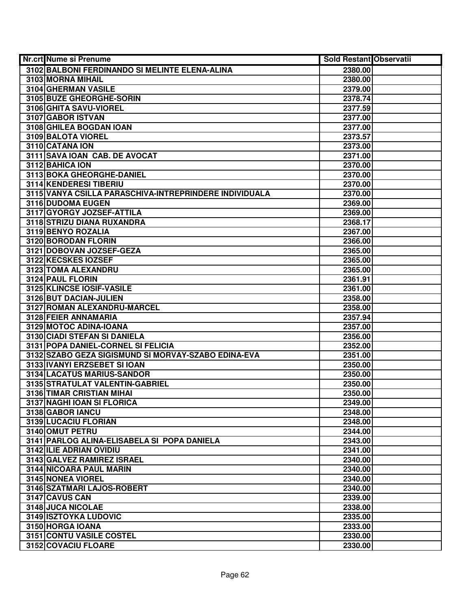| Nr.crt Nume si Prenume                                 | Sold Restant Observatii |  |
|--------------------------------------------------------|-------------------------|--|
| 3102 BALBONI FERDINANDO SI MELINTE ELENA-ALINA         | 2380.00                 |  |
| 3103 MORNA MIHAIL                                      | 2380.00                 |  |
| 3104 GHERMAN VASILE                                    | 2379.00                 |  |
| 3105 BUZE GHEORGHE-SORIN                               | 2378.74                 |  |
| 3106 GHITA SAVU-VIOREL                                 | 2377.59                 |  |
| 3107 GABOR ISTVAN                                      | 2377.00                 |  |
| 3108 GHILEA BOGDAN IOAN                                | 2377.00                 |  |
| 3109 BALOTA VIOREL                                     | 2373.57                 |  |
| 3110 CATANA ION                                        | 2373.00                 |  |
| 3111 SAVA IOAN CAB. DE AVOCAT                          | 2371.00                 |  |
| 3112 BAHICA ION                                        | 2370.00                 |  |
| 3113 BOKA GHEORGHE-DANIEL                              | 2370.00                 |  |
| 3114 KENDERESI TIBERIU                                 | 2370.00                 |  |
| 3115 VANYA CSILLA PARASCHIVA-INTREPRINDERE INDIVIDUALA | 2370.00                 |  |
| 3116 DUDOMA EUGEN                                      | 2369.00                 |  |
| 3117 GYORGY JOZSEF-ATTILA                              | 2369.00                 |  |
| 3118 STRIZU DIANA RUXANDRA                             | 2368.17                 |  |
| 3119 BENYO ROZALIA                                     | 2367.00                 |  |
| 3120 BORODAN FLORIN                                    | 2366.00                 |  |
| 3121 DOBOVAN JOZSEF-GEZA                               | 2365.00                 |  |
| 3122 KECSKES IOZSEF                                    | 2365.00                 |  |
| 3123 TOMA ALEXANDRU                                    | 2365.00                 |  |
| 3124 PAUL FLORIN                                       | 2361.91                 |  |
| 3125 KLINCSE IOSIF-VASILE                              | 2361.00                 |  |
| 3126 BUT DACIAN-JULIEN                                 | 2358.00                 |  |
| 3127 ROMAN ALEXANDRU-MARCEL                            | 2358.00                 |  |
| 3128 FEIER ANNAMARIA                                   | 2357.94                 |  |
| 3129 MOTOC ADINA-IOANA                                 | 2357.00                 |  |
| 3130 CIADI STEFAN SI DANIELA                           | 2356.00                 |  |
| 3131 POPA DANIEL-CORNEL SI FELICIA                     | 2352.00                 |  |
| 3132 SZABO GEZA SIGISMUND SI MORVAY-SZABO EDINA-EVA    | 2351.00                 |  |
| 3133 IVANYI ERZSEBET SI IOAN                           | 2350.00                 |  |
| 3134 LACATUS MARIUS-SANDOR                             | 2350.00                 |  |
| 3135 STRATULAT VALENTIN-GABRIEL                        | 2350.00                 |  |
| 3136 TIMAR CRISTIAN MIHAI                              | 2350.00                 |  |
| 3137 NAGHI IOAN SI FLORICA                             | 2349.00                 |  |
| 3138 GABOR IANCU                                       | 2348.00                 |  |
| 3139 LUCACIU FLORIAN                                   | 2348.00                 |  |
| 3140 OMUT PETRU                                        | 2344.00                 |  |
| 3141 PARLOG ALINA-ELISABELA SI POPA DANIELA            | 2343.00                 |  |
| 3142 ILIE ADRIAN OVIDIU                                | 2341.00                 |  |
| 3143 GALVEZ RAMIREZ ISRAEL                             | 2340.00                 |  |
| 3144 NICOARA PAUL MARIN                                | 2340.00                 |  |
| 3145 NONEA VIOREL                                      | 2340.00                 |  |
| 3146 SZATMARI LAJOS-ROBERT                             | 2340.00                 |  |
| 3147 CAVUS CAN                                         | 2339.00                 |  |
| 3148 JUCA NICOLAE                                      | 2338.00                 |  |
| 3149 ISZTOYKA LUDOVIC                                  | 2335.00                 |  |
| 3150 HORGA IOANA                                       | 2333.00                 |  |
| 3151 CONTU VASILE COSTEL                               | 2330.00                 |  |
| 3152 COVACIU FLOARE                                    | 2330.00                 |  |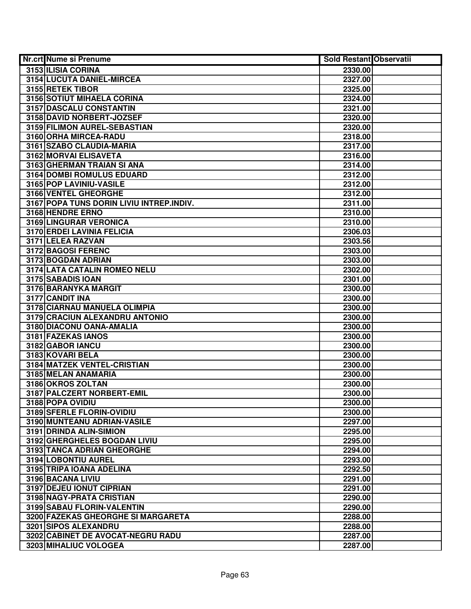| Nr.crt Nume si Prenume                          | <b>Sold Restant Observatii</b> |  |
|-------------------------------------------------|--------------------------------|--|
| 3153 ILISIA CORINA                              | 2330.00                        |  |
| 3154 LUCUTA DANIEL-MIRCEA                       | 2327.00                        |  |
| 3155 RETEK TIBOR                                | 2325.00                        |  |
| 3156 SOTIUT MIHAELA CORINA                      | 2324.00                        |  |
| 3157 DASCALU CONSTANTIN                         | 2321.00                        |  |
| 3158 DAVID NORBERT-JOZSEF                       | 2320.00                        |  |
| 3159 FILIMON AUREL-SEBASTIAN                    | 2320.00                        |  |
| 3160 ORHA MIRCEA-RADU                           | 2318.00                        |  |
| 3161 SZABO CLAUDIA-MARIA                        | 2317.00                        |  |
| 3162 MORVAI ELISAVETA                           | 2316.00                        |  |
| 3163 GHERMAN TRAIAN SI ANA                      | 2314.00                        |  |
| <b>3164 DOMBI ROMULUS EDUARD</b>                | 2312.00                        |  |
| 3165 POP LAVINIU-VASILE                         | 2312.00                        |  |
| 3166 VENTEL GHEORGHE                            | 2312.00                        |  |
| 3167 POPA TUNS DORIN LIVIU INTREP.INDIV.        | 2311.00                        |  |
| 3168 HENDRE ERNO                                | 2310.00                        |  |
| 3169 LINGURAR VERONICA                          | 2310.00                        |  |
| 3170 ERDEI LAVINIA FELICIA                      | 2306.03                        |  |
| 3171 LELEA RAZVAN                               | 2303.56                        |  |
| 3172 BAGOSI FERENC                              | 2303.00                        |  |
| 3173 BOGDAN ADRIAN                              | 2303.00                        |  |
| 3174 LATA CATALIN ROMEO NELU                    | 2302.00                        |  |
| 3175 SABADIS IOAN                               | 2301.00                        |  |
| 3176 BARANYKA MARGIT                            | 2300.00                        |  |
| 3177 CANDIT INA                                 | 2300.00                        |  |
| 3178 CIARNAU MANUELA OLIMPIA                    | 2300.00                        |  |
| 3179 CRACIUN ALEXANDRU ANTONIO                  | 2300.00                        |  |
| 3180 DIACONU OANA-AMALIA                        | 2300.00                        |  |
| 3181 FAZEKAS IANOS                              | 2300.00                        |  |
| 3182 GABOR IANCU                                | 2300.00                        |  |
| 3183 KOVARI BELA                                | 2300.00                        |  |
| 3184 MATZEK VENTEL-CRISTIAN                     | 2300.00                        |  |
| 3185 MELAN ANAMARIA                             | 2300.00                        |  |
| 3186 OKROS ZOLTAN<br>3187 PALCZERT NORBERT-EMIL | 2300.00<br>2300.00             |  |
| 3188 POPA OVIDIU                                |                                |  |
| 3189 SFERLE FLORIN-OVIDIU                       | 2300.00<br>2300.00             |  |
| 3190 MUNTEANU ADRIAN-VASILE                     | 2297.00                        |  |
| 3191 DRINDA ALIN-SIMION                         | 2295.00                        |  |
| 3192 GHERGHELES BOGDAN LIVIU                    | 2295.00                        |  |
| 3193 TANCA ADRIAN GHEORGHE                      | 2294.00                        |  |
| 3194 LOBONTIU AUREL                             | 2293.00                        |  |
| 3195 TRIPA IOANA ADELINA                        | 2292.50                        |  |
| 3196 BACANA LIVIU                               | 2291.00                        |  |
| 3197 DEJEU IONUT CIPRIAN                        | 2291.00                        |  |
| 3198 NAGY-PRATA CRISTIAN                        | 2290.00                        |  |
| 3199 SABAU FLORIN-VALENTIN                      | 2290.00                        |  |
| 3200 FAZEKAS GHEORGHE SI MARGARETA              | 2288.00                        |  |
| 3201 SIPOS ALEXANDRU                            | 2288.00                        |  |
| 3202 CABINET DE AVOCAT-NEGRU RADU               | 2287.00                        |  |
| 3203 MIHALIUC VOLOGEA                           | 2287.00                        |  |
|                                                 |                                |  |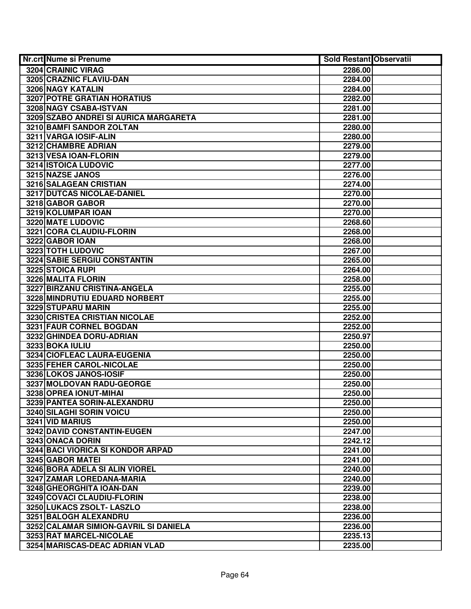| <b>Nr.crt Nume si Prenume</b>         | <b>Sold Restant Observatii</b> |  |
|---------------------------------------|--------------------------------|--|
| 3204 CRAINIC VIRAG                    | 2286.00                        |  |
| 3205 CRAZNIC FLAVIU-DAN               | 2284.00                        |  |
| <b>3206 NAGY KATALIN</b>              | 2284.00                        |  |
| 3207 POTRE GRATIAN HORATIUS           | 2282.00                        |  |
| 3208 NAGY CSABA-ISTVAN                | 2281.00                        |  |
| 3209 SZABO ANDREI SI AURICA MARGARETA | 2281.00                        |  |
| 3210 BAMFI SANDOR ZOLTAN              | 2280.00                        |  |
| 3211 VARGA IOSIF-ALIN                 | 2280.00                        |  |
| 3212 CHAMBRE ADRIAN                   | 2279.00                        |  |
| 3213 VESA IOAN-FLORIN                 | 2279.00                        |  |
| <b>3214 ISTOICA LUDOVIC</b>           | 2277.00                        |  |
| 3215 NAZSE JANOS                      | 2276.00                        |  |
| 3216 SALAGEAN CRISTIAN                | 2274.00                        |  |
| 3217 DUTCAS NICOLAE-DANIEL            | 2270.00                        |  |
| 3218 GABOR GABOR                      | 2270.00                        |  |
| 3219 KOLUMPAR IOAN                    | 2270.00                        |  |
| 3220 MATE LUDOVIC                     | 2268.60                        |  |
| 3221 CORA CLAUDIU-FLORIN              | 2268.00                        |  |
| 3222 GABOR IOAN                       | 2268.00                        |  |
| 3223 TOTH LUDOVIC                     | 2267.00                        |  |
| 3224 SABIE SERGIU CONSTANTIN          | 2265.00                        |  |
| 3225 STOICA RUPI                      | 2264.00                        |  |
| 3226 MALITA FLORIN                    | 2258.00                        |  |
| 3227 BIRZANU CRISTINA-ANGELA          | 2255.00                        |  |
| 3228 MINDRUTIU EDUARD NORBERT         | 2255.00                        |  |
| 3229 STUPARU MARIN                    | 2255.00                        |  |
| 3230 CRISTEA CRISTIAN NICOLAE         | 2252.00                        |  |
| 3231 FAUR CORNEL BOGDAN               | 2252.00                        |  |
| 3232 GHINDEA DORU-ADRIAN              | 2250.97                        |  |
| 3233 BOKA IULIU                       | 2250.00                        |  |
| 3234 CIOFLEAC LAURA-EUGENIA           | 2250.00                        |  |
| 3235 FEHER CAROL-NICOLAE              | 2250.00                        |  |
| 3236 LOKOS JANOS-IOSIF                | 2250.00                        |  |
| 3237 MOLDOVAN RADU-GEORGE             | 2250.00                        |  |
| 3238 OPREA IONUT-MIHAI                | 2250.00                        |  |
| 3239 PANTEA SORIN-ALEXANDRU           | 2250.00                        |  |
| 3240 SILAGHI SORIN VOICU              | 2250.00                        |  |
| 3241 VID MARIUS                       | 2250.00                        |  |
| 3242 DAVID CONSTANTIN-EUGEN           | 2247.00                        |  |
| 3243 ONACA DORIN                      | 2242.12                        |  |
| 3244 BACI VIORICA SI KONDOR ARPAD     | 2241.00                        |  |
| 3245 GABOR MATEI                      | 2241.00                        |  |
| 3246 BORA ADELA SI ALIN VIOREL        | 2240.00                        |  |
| 3247 ZAMAR LOREDANA-MARIA             | 2240.00                        |  |
| 3248 GHEORGHITA IOAN-DAN              | 2239.00                        |  |
| 3249 COVACI CLAUDIU-FLORIN            | 2238.00                        |  |
| 3250 LUKACS ZSOLT- LASZLO             | 2238.00                        |  |
| 3251 BALOGH ALEXANDRU                 | 2236.00                        |  |
| 3252 CALAMAR SIMION-GAVRIL SI DANIELA | 2236.00                        |  |
| 3253 RAT MARCEL-NICOLAE               | 2235.13                        |  |
| 3254 MARISCAS-DEAC ADRIAN VLAD        | 2235.00                        |  |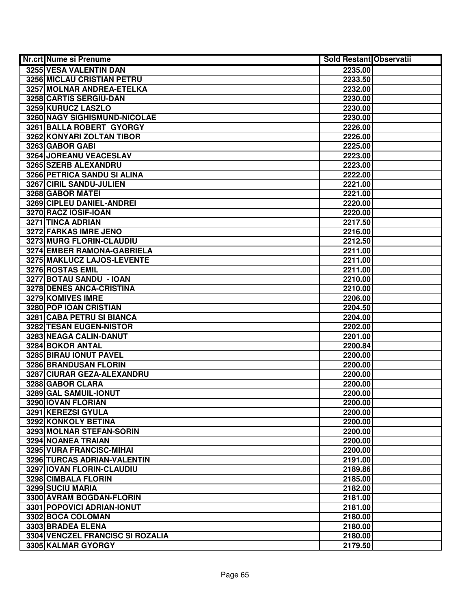| Nr.crt Nume si Prenume            | <b>Sold Restant Observatii</b> |  |
|-----------------------------------|--------------------------------|--|
| 3255 VESA VALENTIN DAN            | 2235.00                        |  |
| <b>3256 MICLAU CRISTIAN PETRU</b> | 2233.50                        |  |
| 3257 MOLNAR ANDREA-ETELKA         | 2232.00                        |  |
| 3258 CARTIS SERGIU-DAN            | 2230.00                        |  |
| 3259 KURUCZ LASZLO                | 2230.00                        |  |
| 3260 NAGY SIGHISMUND-NICOLAE      | 2230.00                        |  |
| 3261 BALLA ROBERT GYORGY          | 2226.00                        |  |
| 3262 KONYARI ZOLTAN TIBOR         | 2226.00                        |  |
| 3263 GABOR GABI                   | 2225.00                        |  |
| 3264 JOREANU VEACESLAV            | 2223.00                        |  |
| 3265 SZERB ALEXANDRU              | 2223.00                        |  |
| 3266 PETRICA SANDU SI ALINA       | 2222.00                        |  |
| 3267 CIRIL SANDU-JULIEN           | 2221.00                        |  |
| 3268 GABOR MATEI                  | 2221.00                        |  |
| 3269 CIPLEU DANIEL-ANDREI         | 2220.00                        |  |
| 3270 RACZ IOSIF-IOAN              | 2220.00                        |  |
| 3271 TINCA ADRIAN                 | 2217.50                        |  |
| 3272 FARKAS IMRE JENO             | 2216.00                        |  |
| 3273 MURG FLORIN-CLAUDIU          | 2212.50                        |  |
| 3274 EMBER RAMONA-GABRIELA        | 2211.00                        |  |
| 3275 MAKLUCZ LAJOS-LEVENTE        | 2211.00                        |  |
| 3276 ROSTAS EMIL                  | 2211.00                        |  |
| 3277 BOTAU SANDU - IOAN           | 2210.00                        |  |
| 3278 DENES ANCA-CRISTINA          | 2210.00                        |  |
| 3279 KOMIVES IMRE                 | 2206.00                        |  |
| 3280 POP IOAN CRISTIAN            | 2204.50                        |  |
| 3281 CABA PETRU SI BIANCA         | 2204.00                        |  |
| 3282 TESAN EUGEN-NISTOR           | 2202.00                        |  |
| 3283 NEAGA CALIN-DANUT            | 2201.00                        |  |
| 3284 BOKOR ANTAL                  | 2200.84                        |  |
| 3285 BIRAU IONUT PAVEL            | 2200.00                        |  |
| 3286 BRANDUSAN FLORIN             | 2200.00                        |  |
| 3287 CIURAR GEZA-ALEXANDRU        | 2200.00                        |  |
| 3288 GABOR CLARA                  | 2200.00                        |  |
| 3289 GAL SAMUIL-IONUT             | 2200.00                        |  |
| 3290 IOVAN FLORIAN                | 2200.00                        |  |
| 3291 KEREZSI GYULA                | 2200.00                        |  |
| <b>3292 KONKOLY BETINA</b>        | 2200.00                        |  |
| 3293 MOLNAR STEFAN-SORIN          | 2200.00                        |  |
| 3294 NOANEA TRAIAN                | 2200.00                        |  |
| 3295 VURA FRANCISC-MIHAI          | 2200.00                        |  |
| 3296 TURCAS ADRIAN-VALENTIN       | 2191.00                        |  |
| 3297 IOVAN FLORIN-CLAUDIU         | 2189.86                        |  |
| 3298 CIMBALA FLORIN               | 2185.00                        |  |
| 3299 SUCIU MARIA                  | 2182.00                        |  |
| 3300 AVRAM BOGDAN-FLORIN          | 2181.00                        |  |
| 3301 POPOVICI ADRIAN-IONUT        | 2181.00                        |  |
| 3302 BOCA COLOMAN                 | 2180.00                        |  |
| 3303 BRADEA ELENA                 | 2180.00                        |  |
| 3304 VENCZEL FRANCISC SI ROZALIA  | 2180.00                        |  |
| 3305 KALMAR GYORGY                | 2179.50                        |  |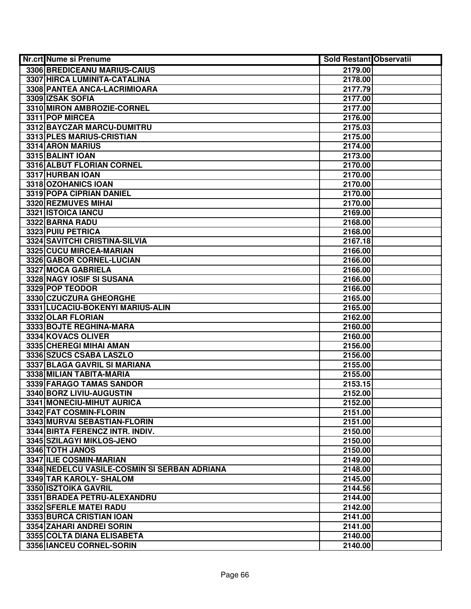| Nr.crt Nume si Prenume                       | <b>Sold Restant Observatii</b> |
|----------------------------------------------|--------------------------------|
| 3306 BREDICEANU MARIUS-CAIUS                 | 2179.00                        |
| 3307 HIRCA LUMINITA-CATALINA                 | 2178.00                        |
| 3308 PANTEA ANCA-LACRIMIOARA                 | 2177.79                        |
| 3309 IZSAK SOFIA                             | 2177.00                        |
| 3310 MIRON AMBROZIE-CORNEL                   | 2177.00                        |
| 3311 POP MIRCEA                              | 2176.00                        |
| 3312 BAYCZAR MARCU-DUMITRU                   | 2175.03                        |
| 3313 PLES MARIUS-CRISTIAN                    | 2175.00                        |
| 3314 ARON MARIUS                             | 2174.00                        |
| 3315 BALINT IOAN                             | 2173.00                        |
| 3316 ALBUT FLORIAN CORNEL                    | 2170.00                        |
| 3317 HURBAN IOAN                             | 2170.00                        |
| 3318 OZOHANICS IOAN                          | 2170.00                        |
| 3319 POPA CIPRIAN DANIEL                     | 2170.00                        |
| 3320 REZMUVES MIHAI                          | 2170.00                        |
| 3321 ISTOICA IANCU                           | 2169.00                        |
| 3322 BARNA RADU                              | 2168.00                        |
| 3323 PUIU PETRICA                            | 2168.00                        |
| 3324 SAVITCHI CRISTINA-SILVIA                | 2167.18                        |
| 3325 CUCU MIRCEA-MARIAN                      | 2166.00                        |
| 3326 GABOR CORNEL-LUCIAN                     | 2166.00                        |
| 3327 MOCA GABRIELA                           | 2166.00                        |
| 3328 NAGY IOSIF SI SUSANA                    | 2166.00                        |
| 3329 POP TEODOR                              | 2166.00                        |
| 3330 CZUCZURA GHEORGHE                       | 2165.00                        |
| 3331 LUCACIU-BOKENYI MARIUS-ALIN             | 2165.00                        |
| 3332 OLAR FLORIAN                            | 2162.00                        |
| 3333 BOJTE REGHINA-MARA                      | 2160.00                        |
| 3334 KOVACS OLIVER                           | 2160.00                        |
| 3335 CHEREGI MIHAI AMAN                      | 2156.00                        |
| 3336 SZUCS CSABA LASZLO                      | 2156.00                        |
| 3337 BLAGA GAVRIL SI MARIANA                 | 2155.00                        |
| 3338 MILIAN TABITA-MARIA                     | 2155.00                        |
| 3339 FARAGO TAMAS SANDOR                     | 2153.15                        |
| 3340 BORZ LIVIU-AUGUSTIN                     | 2152.00                        |
| 3341 MONECIU-MIHUT AURICA                    | 2152.00                        |
| 3342 FAT COSMIN-FLORIN                       | 2151.00                        |
| 3343 MURVAI SEBASTIAN-FLORIN                 | 2151.00                        |
| 3344 BIRTA FERENCZ INTR. INDIV.              | 2150.00                        |
| 3345 SZILAGYI MIKLOS-JENO                    | 2150.00                        |
| 3346 TOTH JANOS                              | 2150.00                        |
| 3347 ILIE COSMIN-MARIAN                      | 2149.00                        |
| 3348 NEDELCU VASILE-COSMIN SI SERBAN ADRIANA | 2148.00                        |
| 3349 TAR KAROLY- SHALOM                      | 2145.00                        |
| 3350 ISZTOIKA GAVRIL                         | 2144.56                        |
| 3351 BRADEA PETRU-ALEXANDRU                  | 2144.00                        |
| 3352 SFERLE MATEI RADU                       | 2142.00                        |
| 3353 BURCA CRISTIAN IOAN                     | 2141.00                        |
| 3354 ZAHARI ANDREI SORIN                     | 2141.00                        |
| 3355 COLTA DIANA ELISABETA                   | 2140.00                        |
| 3356 IANCEU CORNEL-SORIN                     | 2140.00                        |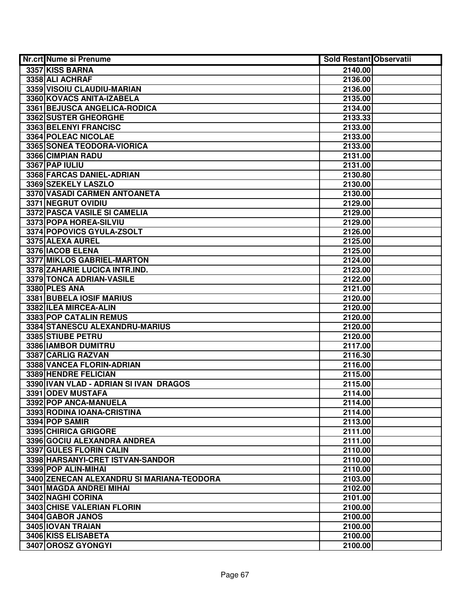| Nr.crt Nume si Prenume                    | <b>Sold Restant Observatii</b> |  |
|-------------------------------------------|--------------------------------|--|
| 3357 KISS BARNA                           | 2140.00                        |  |
| 3358 ALI ACHRAF                           | 2136.00                        |  |
| 3359 VISOIU CLAUDIU-MARIAN                | 2136.00                        |  |
| 3360 KOVACS ANITA-IZABELA                 | 2135.00                        |  |
| 3361 BEJUSCA ANGELICA-RODICA              | 2134.00                        |  |
| 3362 SUSTER GHEORGHE                      | 2133.33                        |  |
| 3363 BELENYI FRANCISC                     | 2133.00                        |  |
| 3364 POLEAC NICOLAE                       | 2133.00                        |  |
| 3365 SONEA TEODORA-VIORICA                | 2133.00                        |  |
| 3366 CIMPIAN RADU                         | 2131.00                        |  |
| 3367 PAP IULIU                            | 2131.00                        |  |
| 3368 FARCAS DANIEL-ADRIAN                 | 2130.80                        |  |
| 3369 SZEKELY LASZLO                       | 2130.00                        |  |
| 3370 VASADI CARMEN ANTOANETA              | 2130.00                        |  |
| 3371 NEGRUT OVIDIU                        | 2129.00                        |  |
| 3372 PASCA VASILE SI CAMELIA              | 2129.00                        |  |
| 3373 POPA HOREA-SILVIU                    | 2129.00                        |  |
| 3374 POPOVICS GYULA-ZSOLT                 | 2126.00                        |  |
| 3375 ALEXA AUREL                          | 2125.00                        |  |
| 3376 IACOB ELENA                          | 2125.00                        |  |
| 3377 MIKLOS GABRIEL-MARTON                | 2124.00                        |  |
| 3378 ZAHARIE LUCICA INTR.IND.             | 2123.00                        |  |
| 3379 TONCA ADRIAN-VASILE                  | 2122.00                        |  |
| 3380 PLES ANA                             | 2121.00                        |  |
| 3381 BUBELA IOSIF MARIUS                  | 2120.00                        |  |
| 3382 ILEA MIRCEA-ALIN                     | 2120.00                        |  |
| 3383 POP CATALIN REMUS                    | 2120.00                        |  |
| 3384 STANESCU ALEXANDRU-MARIUS            | 2120.00                        |  |
| 3385 STIUBE PETRU                         | 2120.00                        |  |
| 3386 IAMBOR DUMITRU                       | 2117.00                        |  |
| 3387 CARLIG RAZVAN                        | 2116.30                        |  |
| 3388 VANCEA FLORIN-ADRIAN                 | 2116.00                        |  |
| 3389 HENDRE FELICIAN                      | 2115.00                        |  |
| 3390 IVAN VLAD - ADRIAN SI IVAN DRAGOS    | 2115.00                        |  |
| 3391 ODEV MUSTAFA                         | 2114.00                        |  |
| 3392 POP ANCA-MANUELA                     | 2114.00                        |  |
| 3393 RODINA IOANA-CRISTINA                | 2114.00                        |  |
| 3394 POP SAMIR                            | 2113.00                        |  |
| 3395 CHIRICA GRIGORE                      | 2111.00                        |  |
| 3396 GOCIU ALEXANDRA ANDREA               | 2111.00                        |  |
| 3397 GULES FLORIN CALIN                   | 2110.00                        |  |
| 3398 HARSANYI-CRET ISTVAN-SANDOR          | 2110.00                        |  |
| 3399 POP ALIN-MIHAI                       | 2110.00                        |  |
| 3400 ZENECAN ALEXANDRU SI MARIANA-TEODORA | 2103.00                        |  |
| 3401 MAGDA ANDREI MIHAI                   | 2102.00                        |  |
| 3402 NAGHI CORINA                         | 2101.00                        |  |
| 3403 CHISE VALERIAN FLORIN                | 2100.00                        |  |
| 3404 GABOR JANOS                          | 2100.00                        |  |
| 3405 IOVAN TRAIAN                         | 2100.00                        |  |
| 3406 KISS ELISABETA                       | 2100.00                        |  |
| 3407 OROSZ GYONGYI                        | 2100.00                        |  |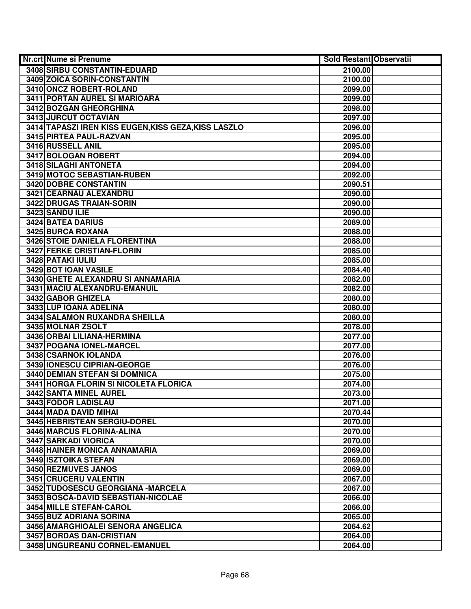| Nr.crt Nume si Prenume                               | <b>Sold Restant Observatii</b> |  |
|------------------------------------------------------|--------------------------------|--|
| 3408 SIRBU CONSTANTIN-EDUARD                         | 2100.00                        |  |
| 3409 ZOICA SORIN-CONSTANTIN                          | 2100.00                        |  |
| 3410 ONCZ ROBERT-ROLAND                              | 2099.00                        |  |
| 3411 PORTAN AUREL SI MARIOARA                        | 2099.00                        |  |
| 3412 BOZGAN GHEORGHINA                               | 2098.00                        |  |
| 3413 JURCUT OCTAVIAN                                 | 2097.00                        |  |
| 3414 TAPASZI IREN KISS EUGEN, KISS GEZA, KISS LASZLO | 2096.00                        |  |
| 3415 PIRTEA PAUL-RAZVAN                              | 2095.00                        |  |
| 3416 RUSSELL ANIL                                    | 2095.00                        |  |
| 3417 BOLOGAN ROBERT                                  | 2094.00                        |  |
| <b>3418 SILAGHI ANTONETA</b>                         | 2094.00                        |  |
| 3419 MOTOC SEBASTIAN-RUBEN                           | 2092.00                        |  |
| <b>3420 DOBRE CONSTANTIN</b>                         | 2090.51                        |  |
| 3421 CEARNAU ALEXANDRU                               | 2090.00                        |  |
| 3422 DRUGAS TRAIAN-SORIN                             | 2090.00                        |  |
| 3423 SANDU ILIE                                      | 2090.00                        |  |
| 3424 BATEA DARIUS                                    | 2089.00                        |  |
| 3425 BURCA ROXANA                                    | 2088.00                        |  |
| 3426 STOIE DANIELA FLORENTINA                        | 2088.00                        |  |
| 3427 FERKE CRISTIAN-FLORIN                           | 2085.00                        |  |
| 3428 PATAKI IULIU                                    | 2085.00                        |  |
| 3429 BOT IOAN VASILE                                 | 2084.40                        |  |
| 3430 GHETE ALEXANDRU SI ANNAMARIA                    | 2082.00                        |  |
| 3431 MACIU ALEXANDRU-EMANUIL                         | 2082.00                        |  |
| 3432 GABOR GHIZELA                                   | 2080.00                        |  |
| 3433 LUP IOANA ADELINA                               | 2080.00                        |  |
| 3434 SALAMON RUXANDRA SHEILLA                        | 2080.00                        |  |
| 3435 MOLNAR ZSOLT                                    | 2078.00                        |  |
| 3436 ORBAI LILIANA-HERMINA                           | 2077.00                        |  |
| 3437 POGANA IONEL-MARCEL                             | 2077.00                        |  |
| 3438 CSARNOK IOLANDA                                 | 2076.00                        |  |
| 3439 IONESCU CIPRIAN-GEORGE                          | 2076.00                        |  |
| 3440 DEMIAN STEFAN SI DOMNICA                        | 2075.00                        |  |
| <b>3441 HORGA FLORIN SI NICOLETA FLORICA</b>         | 2074.00                        |  |
| <b>3442 SANTA MINEL AUREL</b>                        | 2073.00                        |  |
| 3443 FODOR LADISLAU                                  | 2071.00                        |  |
| 3444 MADA DAVID MIHAI                                | 2070.44                        |  |
| 3445 HEBRISTEAN SERGIU-DOREL                         | 2070.00                        |  |
| 3446 MARCUS FLORINA-ALINA                            | 2070.00                        |  |
| 3447 SARKADI VIORICA                                 | 2070.00                        |  |
| 3448 HAINER MONICA ANNAMARIA                         | 2069.00                        |  |
| 3449 ISZTOIKA STEFAN                                 | 2069.00                        |  |
| 3450 REZMUVES JANOS                                  | 2069.00                        |  |
| 3451 CRUCERU VALENTIN                                | 2067.00                        |  |
| 3452 TUDOSESCU GEORGIANA - MARCELA                   | 2067.00                        |  |
| 3453 BOSCA-DAVID SEBASTIAN-NICOLAE                   | 2066.00                        |  |
| 3454 MILLE STEFAN-CAROL                              | 2066.00                        |  |
| 3455 BUZ ADRIANA SORINA                              | 2065.00                        |  |
| 3456 AMARGHIOALEI SENORA ANGELICA                    | 2064.62                        |  |
| 3457 BORDAS DAN-CRISTIAN                             | 2064.00                        |  |
| 3458 UNGUREANU CORNEL-EMANUEL                        | 2064.00                        |  |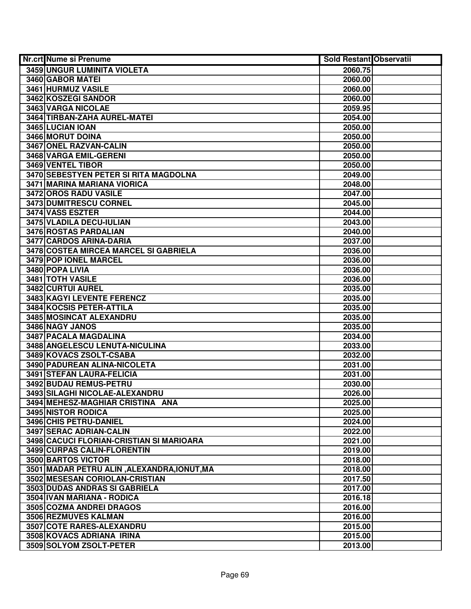| <b>Nr.crt Nume si Prenume</b>               | <b>Sold Restant Observatii</b> |  |
|---------------------------------------------|--------------------------------|--|
| 3459 UNGUR LUMINITA VIOLETA                 | 2060.75                        |  |
| 3460 GABOR MATEI                            | 2060.00                        |  |
| 3461 HURMUZ VASILE                          | 2060.00                        |  |
| 3462 KOSZEGI SANDOR                         | 2060.00                        |  |
| 3463 VARGA NICOLAE                          | 2059.95                        |  |
| 3464 TIRBAN-ZAHA AUREL-MATEI                | 2054.00                        |  |
| 3465 LUCIAN IOAN                            | 2050.00                        |  |
| 3466 MORUT DOINA                            | 2050.00                        |  |
| 3467 ONEL RAZVAN-CALIN                      | 2050.00                        |  |
| 3468 VARGA EMIL-GERENI                      | 2050.00                        |  |
| 3469 VENTEL TIBOR                           | 2050.00                        |  |
| 3470 SEBESTYEN PETER SI RITA MAGDOLNA       | 2049.00                        |  |
| 3471 MARINA MARIANA VIORICA                 | 2048.00                        |  |
| 3472 OROS RADU VASILE                       | 2047.00                        |  |
| 3473 DUMITRESCU CORNEL                      | 2045.00                        |  |
| 3474 VASS ESZTER                            | 2044.00                        |  |
| 3475 VLADILA DECU-IULIAN                    | 2043.00                        |  |
| 3476 ROSTAS PARDALIAN                       | 2040.00                        |  |
| 3477 CARDOS ARINA-DARIA                     | 2037.00                        |  |
| 3478 COSTEA MIRCEA MARCEL SI GABRIELA       | 2036.00                        |  |
| 3479 POP IONEL MARCEL                       | 2036.00                        |  |
| 3480 POPA LIVIA                             | 2036.00                        |  |
| 3481 TOTH VASILE                            | 2036.00                        |  |
| 3482 CURTUI AUREL                           | 2035.00                        |  |
| 3483 KAGYI LEVENTE FERENCZ                  | 2035.00                        |  |
| 3484 KOCSIS PETER-ATTILA                    | 2035.00                        |  |
| 3485 MOSINCAT ALEXANDRU                     | 2035.00                        |  |
| 3486 NAGY JANOS                             | 2035.00                        |  |
| 3487 PACALA MAGDALINA                       | 2034.00                        |  |
| 3488 ANGELESCU LENUTA-NICULINA              | 2033.00                        |  |
| 3489 KOVACS ZSOLT-CSABA                     | 2032.00                        |  |
| 3490 PADUREAN ALINA-NICOLETA                | 2031.00                        |  |
| 3491 STEFAN LAURA-FELICIA                   | 2031.00                        |  |
| 3492 BUDAU REMUS-PETRU                      | 2030.00                        |  |
| 3493 SILAGHI NICOLAE-ALEXANDRU              | 2026.00                        |  |
| 3494 MEHESZ-MAGHIAR CRISTINA ANA            | 2025.00                        |  |
| 3495 NISTOR RODICA                          | 2025.00                        |  |
| 3496 CHIS PETRU-DANIEL                      | 2024.00                        |  |
| 3497 SERAC ADRIAN-CALIN                     | 2022.00                        |  |
| 3498 CACUCI FLORIAN-CRISTIAN SI MARIOARA    | 2021.00                        |  |
| 3499 CURPAS CALIN-FLORENTIN                 | 2019.00                        |  |
| 3500 BARTOS VICTOR                          | 2018.00                        |  |
| 3501 MADAR PETRU ALIN, ALEXANDRA, IONUT, MA | 2018.00                        |  |
| 3502 MESESAN CORIOLAN-CRISTIAN              | 2017.50                        |  |
| 3503 DUDAS ANDRAS SI GABRIELA               | 2017.00                        |  |
| 3504 IVAN MARIANA - RODICA                  | 2016.18                        |  |
| 3505 COZMA ANDREI DRAGOS                    | 2016.00                        |  |
| 3506 REZMUVES KALMAN                        | 2016.00                        |  |
| 3507 COTE RARES-ALEXANDRU                   | 2015.00                        |  |
| 3508 KOVACS ADRIANA IRINA                   | 2015.00                        |  |
| 3509 SOLYOM ZSOLT-PETER                     | 2013.00                        |  |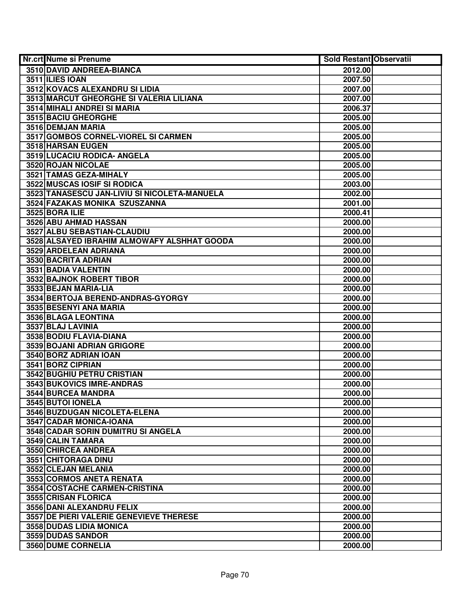| <b>Nr.crt Nume si Prenume</b>                | <b>Sold Restant Observatii</b> |  |
|----------------------------------------------|--------------------------------|--|
| 3510 DAVID ANDREEA-BIANCA                    | 2012.00                        |  |
| 3511 ILIES IOAN                              | 2007.50                        |  |
| 3512 KOVACS ALEXANDRU SI LIDIA               | 2007.00                        |  |
| 3513 MARCUT GHEORGHE SI VALERIA LILIANA      | 2007.00                        |  |
| 3514 MIHALI ANDREI SI MARIA                  | 2006.37                        |  |
| 3515 BACIU GHEORGHE                          | 2005.00                        |  |
| 3516 DEMJAN MARIA                            | 2005.00                        |  |
| 3517 GOMBOS CORNEL-VIOREL SI CARMEN          | 2005.00                        |  |
| 3518 HARSAN EUGEN                            | 2005.00                        |  |
| 3519 LUCACIU RODICA- ANGELA                  | 2005.00                        |  |
| 3520 ROJAN NICOLAE                           | 2005.00                        |  |
| 3521 TAMAS GEZA-MIHALY                       | 2005.00                        |  |
| <b>3522 MUSCAS IOSIF SI RODICA</b>           | 2003.00                        |  |
| 3523 TANASESCU JAN-LIVIU SI NICOLETA-MANUELA | 2002.00                        |  |
| 3524 FAZAKAS MONIKA SZUSZANNA                | 2001.00                        |  |
| 3525 BORA ILIE                               | 2000.41                        |  |
| 3526 ABU AHMAD HASSAN                        | 2000.00                        |  |
| 3527 ALBU SEBASTIAN-CLAUDIU                  | 2000.00                        |  |
| 3528 ALSAYED IBRAHIM ALMOWAFY ALSHHAT GOODA  | 2000.00                        |  |
| 3529 ARDELEAN ADRIANA                        | 2000.00                        |  |
| 3530 BACRITA ADRIAN                          | 2000.00                        |  |
| 3531 BADIA VALENTIN                          | 2000.00                        |  |
| 3532 BAJNOK ROBERT TIBOR                     | 2000.00                        |  |
| 3533 BEJAN MARIA-LIA                         | 2000.00                        |  |
| 3534 BERTOJA BEREND-ANDRAS-GYORGY            | 2000.00                        |  |
| 3535 BESENYI ANA MARIA                       | 2000.00                        |  |
| 3536 BLAGA LEONTINA                          | 2000.00                        |  |
| 3537 BLAJ LAVINIA                            | 2000.00                        |  |
| 3538 BODIU FLAVIA-DIANA                      | 2000.00                        |  |
| 3539 BOJANI ADRIAN GRIGORE                   | 2000.00                        |  |
| 3540 BORZ ADRIAN IOAN                        | 2000.00                        |  |
| 3541 BORZ CIPRIAN                            | 2000.00                        |  |
| 3542 BUGHIU PETRU CRISTIAN                   | 2000.00                        |  |
| <b>3543 BUKOVICS IMRE-ANDRAS</b>             | 2000.00                        |  |
| <b>3544 BURCEA MANDRA</b>                    | 2000.00                        |  |
| 3545 BUTOI IONELA                            | 2000.00                        |  |
| 3546 BUZDUGAN NICOLETA-ELENA                 | 2000.00                        |  |
| 3547 CADAR MONICA-IOANA                      | 2000.00                        |  |
| 3548 CADAR SORIN DUMITRU SI ANGELA           | 2000.00                        |  |
| 3549 CALIN TAMARA                            | 2000.00                        |  |
| 3550 CHIRCEA ANDREA                          | 2000.00                        |  |
| 3551 CHITORAGA DINU                          | 2000.00                        |  |
| 3552 CLEJAN MELANIA                          | 2000.00                        |  |
| 3553 CORMOS ANETA RENATA                     | 2000.00                        |  |
| 3554 COSTACHE CARMEN-CRISTINA                | 2000.00                        |  |
| 3555 CRISAN FLORICA                          | 2000.00                        |  |
| 3556 DANI ALEXANDRU FELIX                    | 2000.00                        |  |
| 3557 DE PIERI VALERIE GENEVIEVE THERESE      | 2000.00                        |  |
| 3558 DUDAS LIDIA MONICA                      | 2000.00                        |  |
| 3559 DUDAS SANDOR                            | 2000.00                        |  |
| 3560 DUME CORNELIA                           | 2000.00                        |  |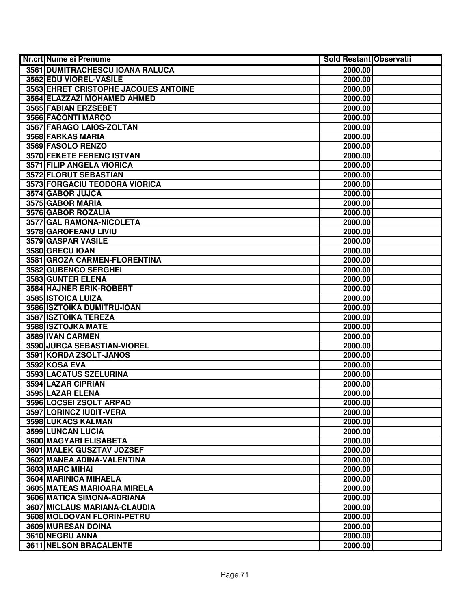| Nr.crt Nume si Prenume               | <b>Sold Restant Observatii</b> |  |
|--------------------------------------|--------------------------------|--|
| 3561 DUMITRACHESCU IOANA RALUCA      | 2000.00                        |  |
| 3562 EDU VIOREL-VASILE               | 2000.00                        |  |
| 3563 EHRET CRISTOPHE JACOUES ANTOINE | 2000.00                        |  |
| 3564 ELAZZAZI MOHAMED AHMED          | 2000.00                        |  |
| 3565 FABIAN ERZSEBET                 | 2000.00                        |  |
| 3566 FACONTI MARCO                   | 2000.00                        |  |
| 3567 FARAGO LAIOS-ZOLTAN             | 2000.00                        |  |
| 3568 FARKAS MARIA                    | 2000.00                        |  |
| 3569 FASOLO RENZO                    | 2000.00                        |  |
| <b>3570 FEKETE FERENC ISTVAN</b>     | 2000.00                        |  |
| 3571 FILIP ANGELA VIORICA            | 2000.00                        |  |
| 3572 FLORUT SEBASTIAN                | 2000.00                        |  |
| 3573 FORGACIU TEODORA VIORICA        | 2000.00                        |  |
| 3574 GABOR JUJCA                     | 2000.00                        |  |
| 3575 GABOR MARIA                     | 2000.00                        |  |
| 3576 GABOR ROZALIA                   | 2000.00                        |  |
| 3577 GAL RAMONA-NICOLETA             | 2000.00                        |  |
| 3578 GAROFEANU LIVIU                 | 2000.00                        |  |
| 3579 GASPAR VASILE                   | 2000.00                        |  |
| 3580 GRECU IOAN                      | 2000.00                        |  |
| 3581 GROZA CARMEN-FLORENTINA         | 2000.00                        |  |
| 3582 GUBENCO SERGHEI                 | 2000.00                        |  |
| 3583 GUNTER ELENA                    | 2000.00                        |  |
| 3584 HAJNER ERIK-ROBERT              | 2000.00                        |  |
| 3585 ISTOICA LUIZA                   | 2000.00                        |  |
| 3586 ISZTOIKA DUMITRU-IOAN           | 2000.00                        |  |
| 3587 ISZTOIKA TEREZA                 | 2000.00                        |  |
| 3588 ISZTOJKA MATE                   | 2000.00                        |  |
| 3589 IVAN CARMEN                     | 2000.00                        |  |
| 3590 JURCA SEBASTIAN-VIOREL          | 2000.00                        |  |
| 3591 KORDA ZSOLT-JANOS               | 2000.00                        |  |
| 3592 KOSA EVA                        | 2000.00                        |  |
| 3593 LACATUS SZELURINA               | 2000.00                        |  |
| 3594 LAZAR CIPRIAN                   | 2000.00                        |  |
| 3595 LAZAR ELENA                     | 2000.00                        |  |
| 3596 LOCSEI ZSOLT ARPAD              | 2000.00                        |  |
| 3597 LORINCZ IUDIT-VERA              | 2000.00                        |  |
| 3598 LUKACS KALMAN                   | 2000.00                        |  |
| 3599 LUNCAN LUCIA                    | 2000.00                        |  |
| 3600 MAGYARI ELISABETA               | 2000.00                        |  |
| 3601 MALEK GUSZTAV JOZSEF            | 2000.00                        |  |
| 3602 MANEA ADINA-VALENTINA           | 2000.00                        |  |
| 3603 MARC MIHAI                      | 2000.00                        |  |
| 3604 MARINICA MIHAELA                | 2000.00                        |  |
| 3605 MATEAS MARIOARA MIRELA          | 2000.00                        |  |
| 3606 MATICA SIMONA-ADRIANA           | 2000.00                        |  |
| 3607 MICLAUS MARIANA-CLAUDIA         | 2000.00                        |  |
| 3608 MOLDOVAN FLORIN-PETRU           | 2000.00                        |  |
| 3609 MURESAN DOINA                   | 2000.00                        |  |
| 3610 NEGRU ANNA                      | 2000.00                        |  |
| 3611 NELSON BRACALENTE               | 2000.00                        |  |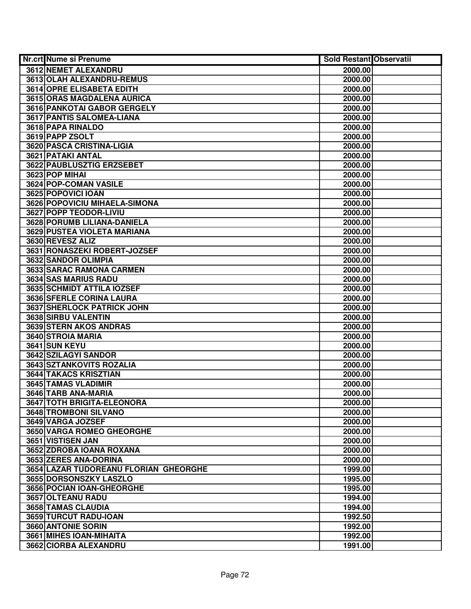| Nr.crt Nume si Prenume                | <b>Sold Restant Observatii</b> |  |
|---------------------------------------|--------------------------------|--|
| 3612 NEMET ALEXANDRU                  | 2000.00                        |  |
| 3613 OLAH ALEXANDRU-REMUS             | 2000.00                        |  |
| 3614 OPRE ELISABETA EDITH             | 2000.00                        |  |
| 3615 ORAS MAGDALENA AURICA            | 2000.00                        |  |
| 3616 PANKOTAI GABOR GERGELY           | 2000.00                        |  |
| 3617 PANTIS SALOMEA-LIANA             | 2000.00                        |  |
| 3618 PAPA RINALDO                     | 2000.00                        |  |
| 3619 PAPP ZSOLT                       | 2000.00                        |  |
| 3620 PASCA CRISTINA-LIGIA             | 2000.00                        |  |
| <b>3621 PATAKI ANTAL</b>              | 2000.00                        |  |
| <b>3622 PAUBLUSZTIG ERZSEBET</b>      | 2000.00                        |  |
| 3623 POP MIHAI                        | 2000.00                        |  |
| 3624 POP-COMAN VASILE                 | 2000.00                        |  |
| 3625 POPOVICI IOAN                    | 2000.00                        |  |
| 3626 POPOVICIU MIHAELA-SIMONA         | 2000.00                        |  |
| 3627 POPP TEODOR-LIVIU                | 2000.00                        |  |
| 3628 PORUMB LILIANA-DANIELA           | 2000.00                        |  |
| 3629 PUSTEA VIOLETA MARIANA           | 2000.00                        |  |
| 3630 REVESZ ALIZ                      | 2000.00                        |  |
| 3631 RONASZEKI ROBERT-JOZSEF          | 2000.00                        |  |
| 3632 SANDOR OLIMPIA                   | 2000.00                        |  |
| 3633 SARAC RAMONA CARMEN              | 2000.00                        |  |
| 3634 SAS MARIUS RADU                  | 2000.00                        |  |
| 3635 SCHMIDT ATTILA IOZSEF            | 2000.00                        |  |
| 3636 SFERLE CORINA LAURA              | 2000.00                        |  |
| 3637 SHERLOCK PATRICK JOHN            | 2000.00                        |  |
| 3638 SIRBU VALENTIN                   | 2000.00                        |  |
| 3639 STERN AKOS ANDRAS                | 2000.00                        |  |
| 3640 STROIA MARIA                     | 2000.00                        |  |
| 3641 SUN KEYU                         | 2000.00                        |  |
| 3642 SZILAGYI SANDOR                  | 2000.00                        |  |
| 3643 SZTANKOVITS ROZALIA              | 2000.00                        |  |
| 3644 TAKACS KRISZTIAN                 | 2000.00                        |  |
| 3645 TAMAS VLADIMIR                   | 2000.00                        |  |
| 3646 TARB ANA-MARIA                   | 2000.00                        |  |
| 3647 TOTH BRIGITA-ELEONORA            | 2000.00                        |  |
| 3648 TROMBONI SILVANO                 | 2000.00                        |  |
| 3649 VARGA JOZSEF                     | 2000.00                        |  |
| 3650 VARGA ROMEO GHEORGHE             | 2000.00                        |  |
| 3651 VISTISEN JAN                     | 2000.00                        |  |
| 3652 ZDROBA IOANA ROXANA              | 2000.00                        |  |
| 3653 ZERES ANA-DORINA                 | 2000.00                        |  |
| 3654 LAZAR TUDOREANU FLORIAN GHEORGHE | 1999.00                        |  |
| 3655 DORSONSZKY LASZLO                | 1995.00                        |  |
| 3656 POCIAN IOAN-GHEORGHE             | 1995.00                        |  |
| 3657 OLTEANU RADU                     | 1994.00                        |  |
| 3658 TAMAS CLAUDIA                    | 1994.00                        |  |
| 3659 TURCUT RADU-IOAN                 | 1992.50                        |  |
| 3660 ANTONIE SORIN                    | 1992.00                        |  |
| 3661 MIHES IOAN-MIHAITA               | 1992.00                        |  |
| 3662 CIORBA ALEXANDRU                 | 1991.00                        |  |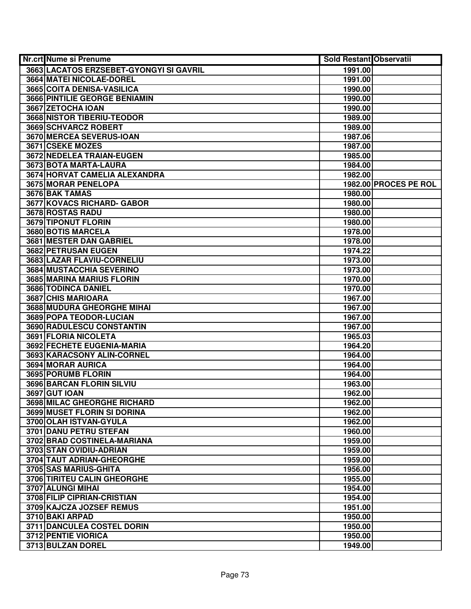| Nr.crt Nume si Prenume                  | <b>Sold Restant Observatii</b> |                       |
|-----------------------------------------|--------------------------------|-----------------------|
| 3663 LACATOS ERZSEBET-GYONGYI SI GAVRIL | 1991.00                        |                       |
| 3664 MATEI NICOLAE-DOREL                | 1991.00                        |                       |
| 3665 COITA DENISA-VASILICA              | 1990.00                        |                       |
| 3666 PINTILIE GEORGE BENIAMIN           | 1990.00                        |                       |
| 3667 ZETOCHA IOAN                       | 1990.00                        |                       |
| 3668 NISTOR TIBERIU-TEODOR              | 1989.00                        |                       |
| 3669 SCHVARCZ ROBERT                    | 1989.00                        |                       |
| 3670 MERCEA SEVERUS-IOAN                | 1987.06                        |                       |
| <b>3671 CSEKE MOZES</b>                 | 1987.00                        |                       |
| <b>3672 NEDELEA TRAIAN-EUGEN</b>        | 1985.00                        |                       |
| 3673 BOTA MARTA-LAURA                   | 1984.00                        |                       |
| 3674 HORVAT CAMELIA ALEXANDRA           | 1982.00                        |                       |
| 3675 MORAR PENELOPA                     |                                | 1982.00 PROCES PE ROL |
| 3676 BAK TAMAS                          | 1980.00                        |                       |
| 3677 KOVACS RICHARD- GABOR              | 1980.00                        |                       |
| 3678 ROSTAS RADU                        | 1980.00                        |                       |
| 3679 TIPONUT FLORIN                     | 1980.00                        |                       |
| 3680 BOTIS MARCELA                      | 1978.00                        |                       |
| 3681 MESTER DAN GABRIEL                 | 1978.00                        |                       |
| 3682 PETRUSAN EUGEN                     | 1974.22                        |                       |
| 3683 LAZAR FLAVIU-CORNELIU              | 1973.00                        |                       |
| 3684 MUSTACCHIA SEVERINO                | 1973.00                        |                       |
| 3685 MARINA MARIUS FLORIN               | 1970.00                        |                       |
| 3686 TODINCA DANIEL                     | 1970.00                        |                       |
| 3687 CHIS MARIOARA                      | 1967.00                        |                       |
| 3688 MUDURA GHEORGHE MIHAI              | 1967.00                        |                       |
| 3689 POPA TEODOR-LUCIAN                 | 1967.00                        |                       |
| 3690 RADULESCU CONSTANTIN               | 1967.00                        |                       |
| 3691 FLORIA NICOLETA                    | 1965.03                        |                       |
| 3692 FECHETE EUGENIA-MARIA              | 1964.20                        |                       |
| 3693 KARACSONY ALIN-CORNEL              | 1964.00                        |                       |
| 3694 MORAR AURICA                       | 1964.00                        |                       |
| 3695 PORUMB FLORIN                      | 1964.00                        |                       |
| 3696 BARCAN FLORIN SILVIU               | 1963.00                        |                       |
| <b>3697 GUT IOAN</b>                    | 1962.00                        |                       |
| 3698 MILAC GHEORGHE RICHARD             | 1962.00                        |                       |
| 3699 MUSET FLORIN SI DORINA             | 1962.00                        |                       |
| 3700 OLAH ISTVAN-GYULA                  | 1962.00                        |                       |
| 3701 DANU PETRU STEFAN                  | 1960.00                        |                       |
| 3702 BRAD COSTINELA-MARIANA             | 1959.00                        |                       |
| 3703 STAN OVIDIU-ADRIAN                 | 1959.00                        |                       |
| 3704 TAUT ADRIAN-GHEORGHE               | 1959.00                        |                       |
| 3705 SAS MARIUS-GHITA                   | 1956.00                        |                       |
| 3706 TIRITEU CALIN GHEORGHE             | 1955.00                        |                       |
| 3707 ALUNGI MIHAI                       | 1954.00                        |                       |
| 3708 FILIP CIPRIAN-CRISTIAN             | 1954.00                        |                       |
| 3709 KAJCZA JOZSEF REMUS                | 1951.00                        |                       |
| 3710 BAKI ARPAD                         | 1950.00                        |                       |
| 3711 DANCULEA COSTEL DORIN              | 1950.00                        |                       |
| 3712 PENTIE VIORICA                     | 1950.00                        |                       |
| 3713 BULZAN DOREL                       | 1949.00                        |                       |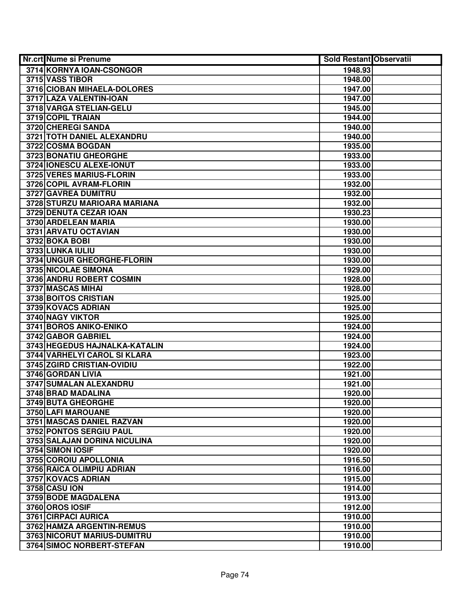| Nr.crt Nume si Prenume              | <b>Sold Restant Observatii</b> |
|-------------------------------------|--------------------------------|
| 3714 KORNYA IOAN-CSONGOR            | 1948.93                        |
| 3715 VASS TIBOR                     | 1948.00                        |
| 3716 CIOBAN MIHAELA-DOLORES         | 1947.00                        |
| 3717 LAZA VALENTIN-IOAN             | 1947.00                        |
| 3718 VARGA STELIAN-GELU             | 1945.00                        |
| 3719 COPIL TRAIAN                   | 1944.00                        |
| 3720 CHEREGI SANDA                  | 1940.00                        |
| <b>3721 TOTH DANIEL ALEXANDRU</b>   | 1940.00                        |
| 3722 COSMA BOGDAN                   | 1935.00                        |
| 3723 BONATIU GHEORGHE               | 1933.00                        |
| 3724 IONESCU ALEXE-IONUT            | 1933.00                        |
| 3725 VERES MARIUS-FLORIN            | 1933.00                        |
| 3726 COPIL AVRAM-FLORIN             | 1932.00                        |
| 3727 GAVREA DUMITRU                 | 1932.00                        |
| 3728 STURZU MARIOARA MARIANA        | 1932.00                        |
| 3729 DENUTA CEZAR IOAN              | 1930.23                        |
| 3730 ARDELEAN MARIA                 | 1930.00                        |
| 3731 ARVATU OCTAVIAN                | 1930.00                        |
| 3732 BOKA BOBI                      | 1930.00                        |
| 3733 LUNKA IULIU                    | 1930.00                        |
| 3734 UNGUR GHEORGHE-FLORIN          | 1930.00                        |
| 3735 NICOLAE SIMONA                 | 1929.00                        |
| 3736 ANDRU ROBERT COSMIN            | 1928.00                        |
| 3737 MASCAS MIHAI                   | 1928.00                        |
| 3738 BOITOS CRISTIAN                | 1925.00                        |
| 3739 KOVACS ADRIAN                  | 1925.00                        |
| 3740 NAGY VIKTOR                    | 1925.00                        |
| 3741 BOROS ANIKO-ENIKO              | 1924.00                        |
| 3742 GABOR GABRIEL                  | 1924.00                        |
| 3743 HEGEDUS HAJNALKA-KATALIN       | 1924.00                        |
| 3744 VARHELYI CAROL SI KLARA        | 1923.00                        |
| 3745 ZGIRD CRISTIAN-OVIDIU          | 1922.00                        |
| 3746 GORDAN LIVIA                   | 1921.00                        |
| 3747 SUMALAN ALEXANDRU              | 1921.00                        |
| 3748 BRAD MADALINA                  | 1920.00                        |
| 3749 BUTA GHEORGHE                  | 1920.00                        |
| 3750 LAFI MAROUANE                  | 1920.00                        |
| <b>3751 MASCAS DANIEL RAZVAN</b>    | 1920.00                        |
| 3752 PONTOS SERGIU PAUL             | 1920.00                        |
| <b>3753 SALAJAN DORINA NICULINA</b> | 1920.00                        |
| 3754 SIMON IOSIF                    | 1920.00                        |
| 3755 COROIU APOLLONIA               | 1916.50                        |
| 3756 RAICA OLIMPIU ADRIAN           | 1916.00                        |
| 3757 KOVACS ADRIAN                  | 1915.00                        |
| <b>3758 CASU ION</b>                | 1914.00                        |
| 3759 BODE MAGDALENA                 | 1913.00                        |
| 3760 OROS IOSIF                     | 1912.00                        |
| 3761 CIRPACI AURICA                 | 1910.00                        |
| 3762 HAMZA ARGENTIN-REMUS           | 1910.00                        |
| 3763 NICORUT MARIUS-DUMITRU         | 1910.00                        |
| 3764 SIMOC NORBERT-STEFAN           | 1910.00                        |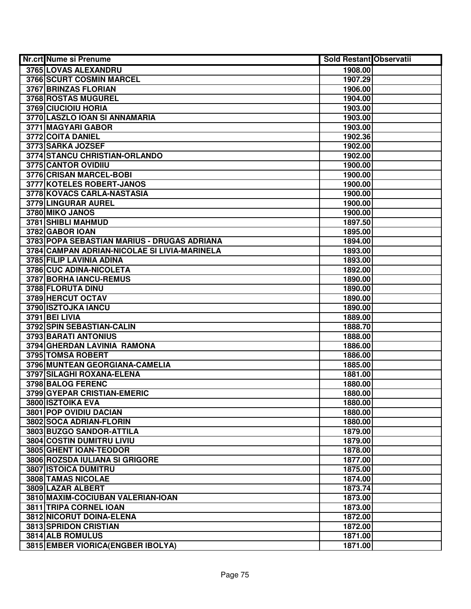| Nr.crt Nume si Prenume                       | <b>Sold Restant Observatii</b> |  |
|----------------------------------------------|--------------------------------|--|
| 3765 LOVAS ALEXANDRU                         | 1908.00                        |  |
| 3766 SCURT COSMIN MARCEL                     | 1907.29                        |  |
| 3767 BRINZAS FLORIAN                         | 1906.00                        |  |
| 3768 ROSTAS MUGUREL                          | 1904.00                        |  |
| 3769 CIUCIOIU HORIA                          | 1903.00                        |  |
| 3770 LASZLO IOAN SI ANNAMARIA                | 1903.00                        |  |
| 3771 MAGYARI GABOR                           | 1903.00                        |  |
| 3772 COITA DANIEL                            | 1902.36                        |  |
| 3773 SARKA JOZSEF                            | 1902.00                        |  |
| 3774 STANCU CHRISTIAN-ORLANDO                | 1902.00                        |  |
| 3775 CANTOR OVIDIIU                          | 1900.00                        |  |
| 3776 CRISAN MARCEL-BOBI                      | 1900.00                        |  |
| 3777 KOTELES ROBERT-JANOS                    | 1900.00                        |  |
| 3778 KOVACS CARLA-NASTASIA                   | 1900.00                        |  |
| 3779 LINGURAR AUREL                          | 1900.00                        |  |
| 3780 MIKO JANOS                              | 1900.00                        |  |
| 3781 SHIBLI MAHMUD                           | 1897.50                        |  |
| 3782 GABOR IOAN                              | 1895.00                        |  |
| 3783 POPA SEBASTIAN MARIUS - DRUGAS ADRIANA  | 1894.00                        |  |
| 3784 CAMPAN ADRIAN-NICOLAE SI LIVIA-MARINELA | 1893.00                        |  |
| 3785 FILIP LAVINIA ADINA                     | 1893.00                        |  |
| 3786 CUC ADINA-NICOLETA                      | 1892.00                        |  |
| 3787 BORHA IANCU-REMUS                       | 1890.00                        |  |
| 3788 FLORUTA DINU                            | 1890.00                        |  |
| 3789 HERCUT OCTAV                            | 1890.00                        |  |
| 3790 ISZTOJKA IANCU                          | 1890.00                        |  |
| 3791 BEI LIVIA                               | 1889.00                        |  |
| 3792 SPIN SEBASTIAN-CALIN                    | 1888.70                        |  |
| 3793 BARATI ANTONIUS                         | 1888.00                        |  |
| 3794 GHERDAN LAVINIA RAMONA                  | 1886.00                        |  |
| 3795 TOMSA ROBERT                            | 1886.00                        |  |
| 3796 MUNTEAN GEORGIANA-CAMELIA               | 1885.00                        |  |
| 3797 SILAGHI ROXANA-ELENA                    | 1881.00                        |  |
| 3798 BALOG FERENC                            | 1880.00                        |  |
| 3799 GYEPAR CRISTIAN-EMERIC                  | 1880.00                        |  |
| 3800 ISZTOIKA EVA                            | 1880.00                        |  |
| 3801 POP OVIDIU DACIAN                       | 1880.00                        |  |
| 3802 SOCA ADRIAN-FLORIN                      | 1880.00                        |  |
| 3803 BUZGO SANDOR-ATTILA                     | 1879.00                        |  |
| 3804 COSTIN DUMITRU LIVIU                    | 1879.00                        |  |
| 3805 GHENT IOAN-TEODOR                       | 1878.00                        |  |
| 3806 ROZSDA IULIANA SI GRIGORE               | 1877.00                        |  |
| <b>3807 ISTOICA DUMITRU</b>                  | 1875.00                        |  |
| 3808 TAMAS NICOLAE                           | 1874.00                        |  |
| 3809 LAZAR ALBERT                            | 1873.74                        |  |
| 3810 MAXIM-COCIUBAN VALERIAN-IOAN            | 1873.00                        |  |
| 3811 TRIPA CORNEL IOAN                       | 1873.00                        |  |
| 3812 NICORUT DOINA-ELENA                     | 1872.00                        |  |
| 3813 SPRIDON CRISTIAN                        | 1872.00                        |  |
| 3814 ALB ROMULUS                             | 1871.00                        |  |
| 3815 EMBER VIORICA (ENGBER IBOLYA)           | 1871.00                        |  |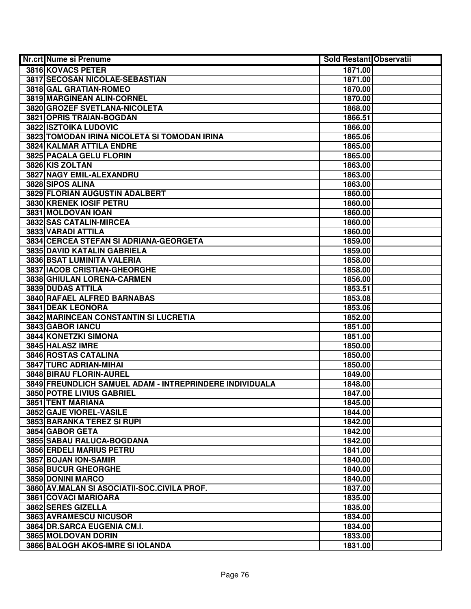| Nr.crt Nume si Prenume                                  | <b>Sold Restant Observatii</b> |  |
|---------------------------------------------------------|--------------------------------|--|
| 3816 KOVACS PETER                                       | 1871.00                        |  |
| 3817 SECOSAN NICOLAE-SEBASTIAN                          | 1871.00                        |  |
| 3818 GAL GRATIAN-ROMEO                                  | 1870.00                        |  |
| 3819 MARGINEAN ALIN-CORNEL                              | 1870.00                        |  |
| 3820 GROZEF SVETLANA-NICOLETA                           | 1868.00                        |  |
| 3821 OPRIS TRAIAN-BOGDAN                                | 1866.51                        |  |
| 3822 ISZTOIKA LUDOVIC                                   | 1866.00                        |  |
| 3823 TOMODAN IRINA NICOLETA SI TOMODAN IRINA            | 1865.06                        |  |
| <b>3824 KALMAR ATTILA ENDRE</b>                         | 1865.00                        |  |
| <b>3825 PACALA GELU FLORIN</b>                          | 1865.00                        |  |
| 3826 KIS ZOLTAN                                         | 1863.00                        |  |
| 3827 NAGY EMIL-ALEXANDRU                                | 1863.00                        |  |
| 3828 SIPOS ALINA                                        | 1863.00                        |  |
| 3829 FLORIAN AUGUSTIN ADALBERT                          | 1860.00                        |  |
| 3830 KRENEK IOSIF PETRU                                 | 1860.00                        |  |
| 3831 MOLDOVAN IOAN                                      | 1860.00                        |  |
| 3832 SAS CATALIN-MIRCEA                                 | 1860.00                        |  |
| 3833 VARADI ATTILA                                      | 1860.00                        |  |
| 3834 CERCEA STEFAN SI ADRIANA-GEORGETA                  | 1859.00                        |  |
| 3835 DAVID KATALIN GABRIELA                             | 1859.00                        |  |
| 3836 BSAT LUMINITA VALERIA                              | 1858.00                        |  |
| 3837 IACOB CRISTIAN-GHEORGHE                            | 1858.00                        |  |
| 3838 GHIULAN LORENA-CARMEN                              | 1856.00                        |  |
| 3839 DUDAS ATTILA                                       | 1853.51                        |  |
| 3840 RAFAEL ALFRED BARNABAS                             | 1853.08                        |  |
| <b>3841 DEAK LEONORA</b>                                | 1853.06                        |  |
| 3842 MARINCEAN CONSTANTIN SI LUCRETIA                   | 1852.00                        |  |
| 3843 GABOR IANCU                                        | 1851.00                        |  |
| 3844 KONETZKI SIMONA                                    | 1851.00                        |  |
| 3845 HALASZ IMRE                                        | 1850.00                        |  |
| 3846 ROSTAS CATALINA                                    | 1850.00                        |  |
| 3847 TURC ADRIAN-MIHAI                                  | 1850.00                        |  |
| 3848 BIRAU FLORIN-AUREL                                 | 1849.00                        |  |
| 3849 FREUNDLICH SAMUEL ADAM - INTREPRINDERE INDIVIDUALA | 1848.00                        |  |
| 3850 POTRE LIVIUS GABRIEL                               | 1847.00                        |  |
| 3851 TENT MARIANA                                       | 1845.00                        |  |
| 3852 GAJE VIOREL-VASILE                                 | 1844.00                        |  |
| 3853 BARANKA TEREZ SI RUPI                              | 1842.00                        |  |
| 3854 GABOR GETA                                         | 1842.00                        |  |
| 3855 SABAU RALUCA-BOGDANA                               | 1842.00                        |  |
| 3856 ERDELI MARIUS PETRU                                | 1841.00                        |  |
| 3857 BOJAN ION-SAMIR                                    | 1840.00                        |  |
| 3858 BUCUR GHEORGHE                                     | 1840.00                        |  |
| 3859 DONINI MARCO                                       | 1840.00                        |  |
| 3860 AV.MALAN SI ASOCIATII-SOC.CIVILA PROF.             | 1837.00                        |  |
| <b>3861 COVACI MARIOARA</b>                             | 1835.00                        |  |
| 3862 SERES GIZELLA                                      | 1835.00                        |  |
| 3863 AVRAMESCU NICUSOR                                  | 1834.00                        |  |
| 3864 DR.SARCA EUGENIA CM.I.                             | 1834.00                        |  |
| 3865 MOLDOVAN DORIN                                     | 1833.00                        |  |
| 3866 BALOGH AKOS-IMRE SI IOLANDA                        | 1831.00                        |  |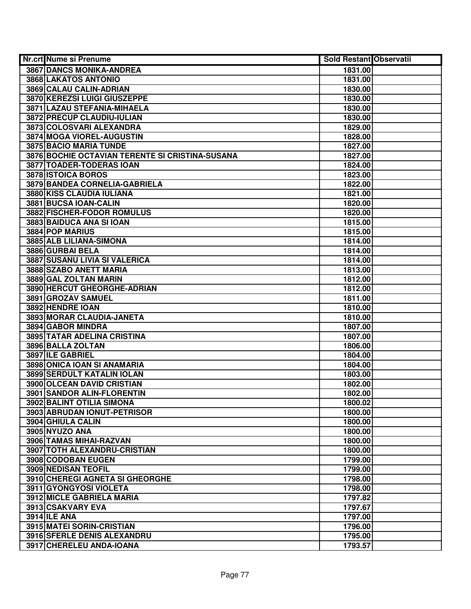| Nr.crt Nume si Prenume                          | <b>Sold Restant Observatii</b> |  |
|-------------------------------------------------|--------------------------------|--|
| 3867 DANCS MONIKA-ANDREA                        | 1831.00                        |  |
| 3868 LAKATOS ANTONIO                            | 1831.00                        |  |
| 3869 CALAU CALIN-ADRIAN                         | 1830.00                        |  |
| 3870 KEREZSI LUIGI GIUSZEPPE                    | 1830.00                        |  |
| 3871 LAZAU STEFANIA-MIHAELA                     | 1830.00                        |  |
| 3872 PRECUP CLAUDIU-IULIAN                      | 1830.00                        |  |
| 3873 COLOSVARI ALEXANDRA                        | 1829.00                        |  |
| 3874 MOGA VIOREL-AUGUSTIN                       | 1828.00                        |  |
| 3875 BACIO MARIA TUNDE                          | 1827.00                        |  |
| 3876 BOCHIE OCTAVIAN TERENTE SI CRISTINA-SUSANA | 1827.00                        |  |
| <b>3877 TOADER-TODERAS IOAN</b>                 | 1824.00                        |  |
| 3878 ISTOICA BOROS                              | 1823.00                        |  |
| 3879 BANDEA CORNELIA-GABRIELA                   | 1822.00                        |  |
| 3880 KISS CLAUDIA IULIANA                       | 1821.00                        |  |
| 3881 BUCSA IOAN-CALIN                           | 1820.00                        |  |
| 3882 FISCHER-FODOR ROMULUS                      | 1820.00                        |  |
| 3883 BAIDUCA ANA SI IOAN                        | 1815.00                        |  |
| 3884 POP MARIUS                                 | 1815.00                        |  |
| 3885 ALB LILIANA-SIMONA                         | 1814.00                        |  |
| 3886 GURBAI BELA                                | 1814.00                        |  |
| <b>3887 SUSANU LIVIA SI VALERICA</b>            | 1814.00                        |  |
| 3888 SZABO ANETT MARIA                          | 1813.00                        |  |
| 3889 GAL ZOLTAN MARIN                           | 1812.00                        |  |
| 3890 HERCUT GHEORGHE-ADRIAN                     | 1812.00                        |  |
| 3891 GROZAV SAMUEL                              | 1811.00                        |  |
| 3892 HENDRE IOAN                                | 1810.00                        |  |
| 3893 MORAR CLAUDIA-JANETA                       | 1810.00                        |  |
| 3894 GABOR MINDRA                               | 1807.00                        |  |
| 3895 TATAR ADELINA CRISTINA                     | 1807.00                        |  |
| 3896 BALLA ZOLTAN                               | 1806.00                        |  |
| 3897 ILE GABRIEL                                | 1804.00                        |  |
| 3898 ONICA IOAN SI ANAMARIA                     | 1804.00                        |  |
| 3899 SERDULT KATALIN IOLAN                      | 1803.00                        |  |
| 3900 OLCEAN DAVID CRISTIAN                      | 1802.00                        |  |
| <b>3901 SANDOR ALIN-FLORENTIN</b>               | 1802.00                        |  |
| 3902 BALINT OTILIA SIMONA                       | 1800.02                        |  |
| 3903 ABRUDAN IONUT-PETRISOR                     | 1800.00                        |  |
| 3904 GHIULA CALIN                               | 1800.00                        |  |
| 3905 NYUZO ANA                                  | 1800.00                        |  |
| 3906 TAMAS MIHAI-RAZVAN                         | 1800.00                        |  |
| 3907 TOTH ALEXANDRU-CRISTIAN                    | 1800.00                        |  |
| 3908 CODOBAN EUGEN                              | 1799.00                        |  |
| 3909 NEDISAN TEOFIL                             | 1799.00                        |  |
| 3910 CHEREGI AGNETA SI GHEORGHE                 | 1798.00                        |  |
| 3911 GYONGYOSI VIOLETA                          | 1798.00                        |  |
| 3912 MICLE GABRIELA MARIA                       | 1797.82                        |  |
| 3913 CSAKVARY EVA                               | 1797.67                        |  |
| <b>3914 ILE ANA</b>                             | 1797.00                        |  |
| 3915 MATEI SORIN-CRISTIAN                       | 1796.00                        |  |
| 3916 SFERLE DENIS ALEXANDRU                     | 1795.00                        |  |
| 3917 CHERELEU ANDA-IOANA                        | 1793.57                        |  |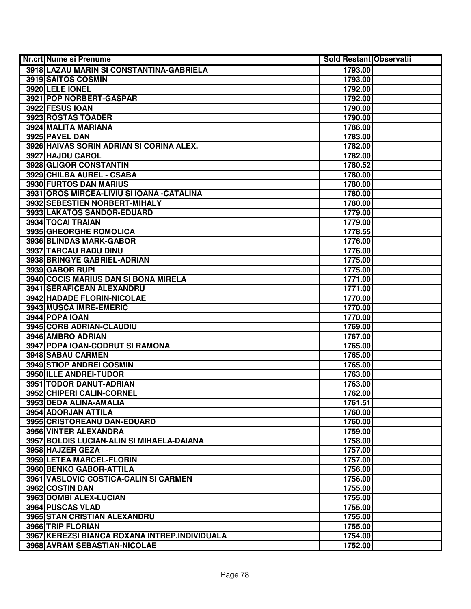| Nr.crt Nume si Prenume                        | Sold Restant Observatii |  |
|-----------------------------------------------|-------------------------|--|
| 3918 LAZAU MARIN SI CONSTANTINA-GABRIELA      | 1793.00                 |  |
| 3919 SAITOS COSMIN                            | 1793.00                 |  |
| 3920 LELE IONEL                               | 1792.00                 |  |
| 3921 POP NORBERT-GASPAR                       | 1792.00                 |  |
| 3922 FESUS IOAN                               | 1790.00                 |  |
| 3923 ROSTAS TOADER                            | 1790.00                 |  |
| 3924 MALITA MARIANA                           | 1786.00                 |  |
| 3925 PAVEL DAN                                | 1783.00                 |  |
| 3926 HAIVAS SORIN ADRIAN SI CORINA ALEX.      | 1782.00                 |  |
| 3927 HAJDU CAROL                              | 1782.00                 |  |
| 3928 GLIGOR CONSTANTIN                        | 1780.52                 |  |
| 3929 CHILBA AUREL - CSABA                     | 1780.00                 |  |
| 3930 FURTOS DAN MARIUS                        | 1780.00                 |  |
| 3931 OROS MIRCEA-LIVIU SI IOANA - CATALINA    | 1780.00                 |  |
| 3932 SEBESTIEN NORBERT-MIHALY                 | 1780.00                 |  |
| 3933 LAKATOS SANDOR-EDUARD                    | 1779.00                 |  |
| 3934 TOCAI TRAIAN                             | 1779.00                 |  |
| 3935 GHEORGHE ROMOLICA                        | 1778.55                 |  |
| 3936 BLINDAS MARK-GABOR                       | 1776.00                 |  |
| 3937 TARCAU RADU DINU                         | 1776.00                 |  |
| 3938 BRINGYE GABRIEL-ADRIAN                   | 1775.00                 |  |
| 3939 GABOR RUPI                               | 1775.00                 |  |
| 3940 COCIS MARIUS DAN SI BONA MIRELA          | 1771.00                 |  |
| 3941 SERAFICEAN ALEXANDRU                     | 1771.00                 |  |
| 3942 HADADE FLORIN-NICOLAE                    | 1770.00                 |  |
| 3943 MUSCA IMRE-EMERIC                        | 1770.00                 |  |
| 3944 POPA IOAN                                | 1770.00                 |  |
| 3945 CORB ADRIAN-CLAUDIU                      | 1769.00                 |  |
| 3946 AMBRO ADRIAN                             | 1767.00                 |  |
| 3947 POPA IOAN-CODRUT SI RAMONA               | 1765.00                 |  |
| 3948 SABAU CARMEN                             | 1765.00                 |  |
| 3949 STIOP ANDREI COSMIN                      | 1765.00                 |  |
| 3950 ILLE ANDREI-TUDOR                        | 1763.00                 |  |
| 3951 TODOR DANUT-ADRIAN                       | 1763.00                 |  |
| 3952 CHIPERI CALIN-CORNEL                     | 1762.00                 |  |
| 3953 DEDA ALINA-AMALIA                        | 1761.51                 |  |
| 3954 ADORJAN ATTILA                           | 1760.00                 |  |
| 3955 CRISTOREANU DAN-EDUARD                   | 1760.00                 |  |
| 3956 VINTER ALEXANDRA                         | 1759.00                 |  |
| 3957 BOLDIS LUCIAN-ALIN SI MIHAELA-DAIANA     | 1758.00                 |  |
| 3958 HAJZER GEZA                              | 1757.00                 |  |
| 3959 LETEA MARCEL-FLORIN                      | 1757.00                 |  |
| 3960 BENKO GABOR-ATTILA                       | 1756.00                 |  |
| 3961 VASLOVIC COSTICA-CALIN SI CARMEN         | 1756.00                 |  |
| 3962 COSTIN DAN                               | 1755.00                 |  |
| 3963 DOMBI ALEX-LUCIAN                        | 1755.00                 |  |
| 3964 PUSCAS VLAD                              | 1755.00                 |  |
| 3965 STAN CRISTIAN ALEXANDRU                  | 1755.00                 |  |
| 3966 TRIP FLORIAN                             | 1755.00                 |  |
| 3967 KEREZSI BIANCA ROXANA INTREP.INDIVIDUALA | 1754.00                 |  |
| 3968 AVRAM SEBASTIAN-NICOLAE                  | 1752.00                 |  |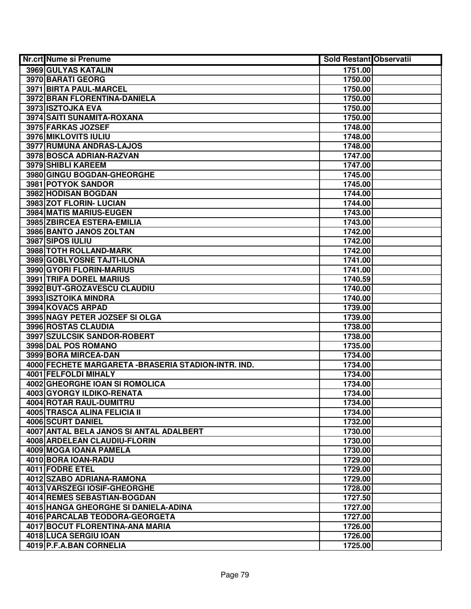| Nr.crt Nume si Prenume                               | <b>Sold Restant Observatii</b> |  |
|------------------------------------------------------|--------------------------------|--|
| 3969 GULYAS KATALIN                                  | 1751.00                        |  |
| 3970 BARATI GEORG                                    | 1750.00                        |  |
| 3971 BIRTA PAUL-MARCEL                               | 1750.00                        |  |
| 3972 BRAN FLORENTINA-DANIELA                         | 1750.00                        |  |
| 3973 ISZTOJKA EVA                                    | 1750.00                        |  |
| 3974 SAITI SUNAMITA-ROXANA                           | 1750.00                        |  |
| 3975 FARKAS JOZSEF                                   | 1748.00                        |  |
| 3976 MIKLOVITS IULIU                                 | 1748.00                        |  |
| 3977 RUMUNA ANDRAS-LAJOS                             | 1748.00                        |  |
| 3978 BOSCA ADRIAN-RAZVAN                             | 1747.00                        |  |
| <b>3979 SHIBLI KAREEM</b>                            | 1747.00                        |  |
| 3980 GINGU BOGDAN-GHEORGHE                           | 1745.00                        |  |
| 3981 POTYOK SANDOR                                   | 1745.00                        |  |
| 3982 HODISAN BOGDAN                                  | 1744.00                        |  |
| 3983 ZOT FLORIN- LUCIAN                              | 1744.00                        |  |
| 3984 MATIS MARIUS-EUGEN                              | 1743.00                        |  |
| 3985 ZBIRCEA ESTERA-EMILIA                           | 1743.00                        |  |
| 3986 BANTO JANOS ZOLTAN                              | 1742.00                        |  |
| 3987 SIPOS IULIU                                     | 1742.00                        |  |
| 3988 TOTH ROLLAND-MARK                               | 1742.00                        |  |
| 3989 GOBLYOSNE TAJTI-ILONA                           | 1741.00                        |  |
| 3990 GYORI FLORIN-MARIUS                             | 1741.00                        |  |
| 3991 TRIFA DOREL MARIUS                              | 1740.59                        |  |
| 3992 BUT-GROZAVESCU CLAUDIU                          | 1740.00                        |  |
| 3993 ISZTOIKA MINDRA                                 | 1740.00                        |  |
| 3994 KOVACS ARPAD                                    | 1739.00                        |  |
| 3995 NAGY PETER JOZSEF SI OLGA                       | 1739.00                        |  |
| 3996 ROSTAS CLAUDIA                                  | 1738.00                        |  |
| 3997 SZULCSIK SANDOR-ROBERT                          | 1738.00                        |  |
| 3998 DAL POS ROMANO                                  | 1735.00                        |  |
| 3999 BORA MIRCEA-DAN                                 | 1734.00                        |  |
| 4000 FECHETE MARGARETA - BRASERIA STADION-INTR. IND. | 1734.00                        |  |
| 4001 FELFOLDI MIHALY                                 | 1734.00                        |  |
| 4002 GHEORGHE IOAN SI ROMOLICA                       | 1734.00                        |  |
| <b>4003 GYORGY ILDIKO-RENATA</b>                     | 1734.00                        |  |
| 4004 ROTAR RAUL-DUMITRU                              | 1734.00                        |  |
| <b>4005 TRASCA ALINA FELICIA II</b>                  | 1734.00                        |  |
| <b>4006 SCURT DANIEL</b>                             | 1732.00                        |  |
| 4007 ANTAL BELA JANOS SI ANTAL ADALBERT              | 1730.00                        |  |
| 4008 ARDELEAN CLAUDIU-FLORIN                         | 1730.00                        |  |
| 4009 MOGA IOANA PAMELA                               | 1730.00                        |  |
| 4010 BORA IOAN-RADU                                  | 1729.00                        |  |
| 4011 FODRE ETEL                                      | 1729.00                        |  |
| 4012 SZABO ADRIANA-RAMONA                            | 1729.00                        |  |
| 4013 VARSZEGI IOSIF-GHEORGHE                         | 1728.00                        |  |
| 4014 REMES SEBASTIAN-BOGDAN                          | 1727.50                        |  |
| 4015 HANGA GHEORGHE SI DANIELA-ADINA                 | 1727.00                        |  |
| 4016 PARCALAB TEODORA-GEORGETA                       | 1727.00                        |  |
| 4017 BOCUT FLORENTINA-ANA MARIA                      | 1726.00                        |  |
| 4018 LUCA SERGIU IOAN                                | 1726.00                        |  |
| 4019 P.F.A.BAN CORNELIA                              | 1725.00                        |  |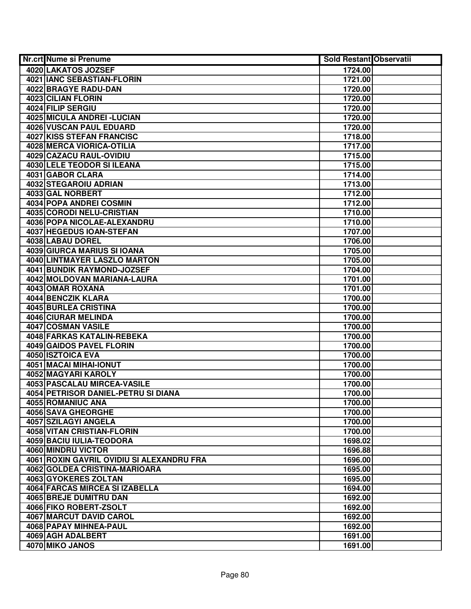| <b>Nr.crt Nume si Prenume</b>             | <b>Sold Restant Observatii</b> |
|-------------------------------------------|--------------------------------|
| 4020 LAKATOS JOZSEF                       | 1724.00                        |
| 4021 IANC SEBASTIAN-FLORIN                | 1721.00                        |
| 4022 BRAGYE RADU-DAN                      | 1720.00                        |
| 4023 CILIAN FLORIN                        | 1720.00                        |
| 4024 FILIP SERGIU                         | 1720.00                        |
| 4025 MICULA ANDREI - LUCIAN               | 1720.00                        |
| 4026 VUSCAN PAUL EDUARD                   | 1720.00                        |
| <b>4027 KISS STEFAN FRANCISC</b>          | 1718.00                        |
| 4028 MERCA VIORICA-OTILIA                 | 1717.00                        |
| 4029 CAZACU RAUL-OVIDIU                   | 1715.00                        |
| <b>4030 LELE TEODOR SI ILEANA</b>         | 1715.00                        |
| 4031 GABOR CLARA                          | 1714.00                        |
| 4032 STEGAROIU ADRIAN                     | 1713.00                        |
| 4033 GAL NORBERT                          | 1712.00                        |
| 4034 POPA ANDREI COSMIN                   | 1712.00                        |
| 4035 CORODI NELU-CRISTIAN                 | 1710.00                        |
| 4036 POPA NICOLAE-ALEXANDRU               | 1710.00                        |
| 4037 HEGEDUS IOAN-STEFAN                  | 1707.00                        |
| 4038 LABAU DOREL                          | 1706.00                        |
| 4039 GIURCA MARIUS SI IOANA               | 1705.00                        |
| 4040 LINTMAYER LASZLO MARTON              | 1705.00                        |
| 4041 BUNDIK RAYMOND-JOZSEF                | 1704.00                        |
| 4042 MOLDOVAN MARIANA-LAURA               | 1701.00                        |
| 4043 OMAR ROXANA                          | 1701.00                        |
| 4044 BENCZIK KLARA                        | 1700.00                        |
| 4045 BURLEA CRISTINA                      | 1700.00                        |
| 4046 CIURAR MELINDA                       | 1700.00                        |
| 4047 COSMAN VASILE                        | 1700.00                        |
| 4048 FARKAS KATALIN-REBEKA                | 1700.00                        |
| 4049 GAIDOS PAVEL FLORIN                  | 1700.00                        |
| 4050 ISZTOICA EVA                         | 1700.00                        |
| 4051 MACAI MIHAI-IONUT                    | 1700.00                        |
| 4052 MAGYARI KAROLY                       | 1700.00                        |
| 4053 PASCALAU MIRCEA-VASILE               | 1700.00                        |
| 4054 PETRISOR DANIEL-PETRU SI DIANA       | 1700.00                        |
| 4055 ROMANIUC ANA                         | 1700.00                        |
| <b>4056 SAVA GHEORGHE</b>                 | 1700.00                        |
| 4057 SZILAGYI ANGELA                      | 1700.00                        |
| 4058 VITAN CRISTIAN-FLORIN                | 1700.00                        |
| 4059 BACIU IULIA-TEODORA                  | 1698.02                        |
| 4060 MINDRU VICTOR                        | 1696.88                        |
| 4061 ROXIN GAVRIL OVIDIU SI ALEXANDRU FRA | 1696.00                        |
| 4062 GOLDEA CRISTINA-MARIOARA             | 1695.00                        |
| 4063 GYOKERES ZOLTAN                      | 1695.00                        |
| 4064 FARCAS MIRCEA SI IZABELLA            | 1694.00                        |
| 4065 BREJE DUMITRU DAN                    | 1692.00                        |
| 4066 FIKO ROBERT-ZSOLT                    | 1692.00                        |
| 4067 MARCUT DAVID CAROL                   | 1692.00                        |
| 4068 PAPAY MIHNEA-PAUL                    | 1692.00                        |
| 4069 AGH ADALBERT                         | 1691.00                        |
| 4070 MIKO JANOS                           | 1691.00                        |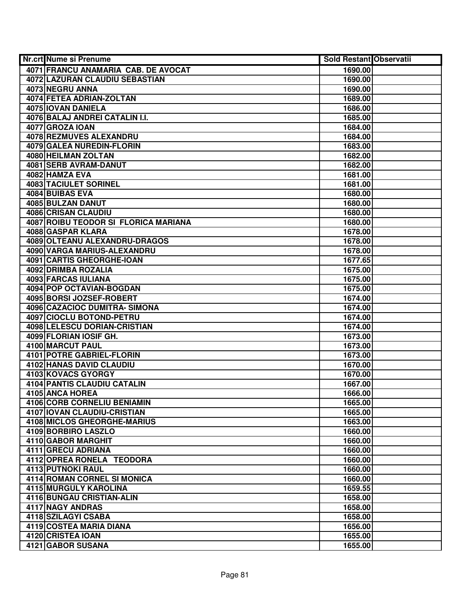| Nr.crt Nume si Prenume                               | <b>Sold Restant Observatii</b> |  |
|------------------------------------------------------|--------------------------------|--|
| 4071 FRANCU ANAMARIA CAB. DE AVOCAT                  | 1690.00                        |  |
| 4072 LAZURAN CLAUDIU SEBASTIAN                       | 1690.00                        |  |
| 4073 NEGRU ANNA                                      | 1690.00                        |  |
| 4074 FETEA ADRIAN-ZOLTAN                             | 1689.00                        |  |
| 4075 IOVAN DANIELA                                   | 1686.00                        |  |
| 4076 BALAJ ANDREI CATALIN I.I.                       | 1685.00                        |  |
| 4077 GROZA IOAN                                      | 1684.00                        |  |
| 4078 REZMUVES ALEXANDRU                              | 1684.00                        |  |
| <b>4079 GALEA NUREDIN-FLORIN</b>                     | 1683.00                        |  |
| 4080 HEILMAN ZOLTAN                                  | 1682.00                        |  |
| 4081 SERB AVRAM-DANUT                                | 1682.00                        |  |
| 4082 HAMZA EVA                                       | 1681.00                        |  |
| <b>4083 TACIULET SORINEL</b>                         | 1681.00                        |  |
| 4084 BUIBAS EVA                                      | 1680.00                        |  |
| 4085 BULZAN DANUT                                    | 1680.00                        |  |
| 4086 CRISAN CLAUDIU                                  | 1680.00                        |  |
| 4087 ROIBU TEODOR SI FLORICA MARIANA                 | 1680.00                        |  |
| <b>4088 GASPAR KLARA</b>                             | 1678.00                        |  |
| 4089 OLTEANU ALEXANDRU-DRAGOS                        | 1678.00                        |  |
| 4090 VARGA MARIUS-ALEXANDRU                          | 1678.00                        |  |
| 4091 CARTIS GHEORGHE-IOAN                            | 1677.65                        |  |
| 4092 DRIMBA ROZALIA                                  | 1675.00                        |  |
| 4093 FARCAS IULIANA                                  | 1675.00                        |  |
| 4094 POP OCTAVIAN-BOGDAN                             | 1675.00                        |  |
| 4095 BORSI JOZSEF-ROBERT                             | 1674.00                        |  |
| 4096 CAZACIOC DUMITRA- SIMONA                        | 1674.00                        |  |
| 4097 CIOCLU BOTOND-PETRU                             | 1674.00                        |  |
| 4098 LELESCU DORIAN-CRISTIAN                         | 1674.00                        |  |
| 4099 FLORIAN IOSIF GH.                               | 1673.00                        |  |
| 4100 MARCUT PAUL<br><b>4101 POTRE GABRIEL-FLORIN</b> | 1673.00                        |  |
| 4102 HANAS DAVID CLAUDIU                             | 1673.00<br>1670.00             |  |
| 4103 KOVACS GYORGY                                   | 1670.00                        |  |
| <b>4104 PANTIS CLAUDIU CATALIN</b>                   | 1667.00                        |  |
| 4105 ANCA HOREA                                      | 1666.00                        |  |
| <b>4106 CORB CORNELIU BENIAMIN</b>                   | 1665.00                        |  |
| <b>4107 IOVAN CLAUDIU-CRISTIAN</b>                   | 1665.00                        |  |
| <b>4108 MICLOS GHEORGHE-MARIUS</b>                   | 1663.00                        |  |
| 4109 BORBIRO LASZLO                                  | 1660.00                        |  |
| 4110 GABOR MARGHIT                                   | 1660.00                        |  |
| 4111 GRECU ADRIANA                                   | 1660.00                        |  |
| 4112 OPREA RONELA TEODORA                            | 1660.00                        |  |
| <b>4113 PUTNOKI RAUL</b>                             | 1660.00                        |  |
| 4114 ROMAN CORNEL SI MONICA                          | 1660.00                        |  |
| 4115 MURGULY KAROLINA                                | 1659.55                        |  |
| 4116 BUNGAU CRISTIAN-ALIN                            | 1658.00                        |  |
| 4117 NAGY ANDRAS                                     | 1658.00                        |  |
| 4118 SZILAGYI CSABA                                  | 1658.00                        |  |
| 4119 COSTEA MARIA DIANA                              | 1656.00                        |  |
| 4120 CRISTEA IOAN                                    | 1655.00                        |  |
| 4121 GABOR SUSANA                                    | 1655.00                        |  |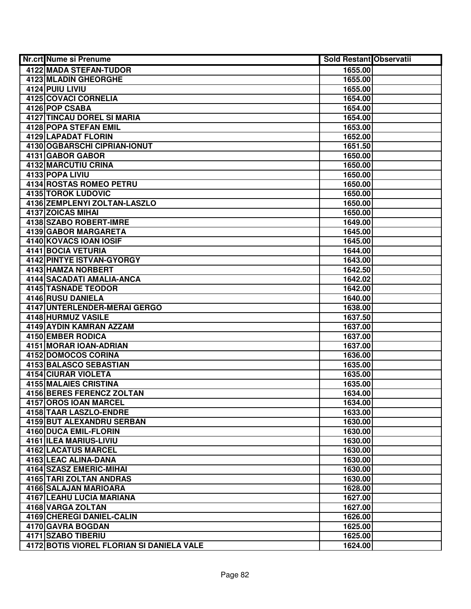| <b>Nr.crt Nume si Prenume</b>             | <b>Sold Restant Observatii</b> |  |
|-------------------------------------------|--------------------------------|--|
| 4122 MADA STEFAN-TUDOR                    | 1655.00                        |  |
| 4123 MLADIN GHEORGHE                      | 1655.00                        |  |
| 4124 PUIU LIVIU                           | 1655.00                        |  |
| 4125 COVACI CORNELIA                      | 1654.00                        |  |
| 4126 POP CSABA                            | 1654.00                        |  |
| <b>4127 TINCAU DOREL SI MARIA</b>         | 1654.00                        |  |
| 4128 POPA STEFAN EMIL                     | 1653.00                        |  |
| 4129 LAPADAT FLORIN                       | 1652.00                        |  |
| 4130 OGBARSCHI CIPRIAN-IONUT              | 1651.50                        |  |
| 4131 GABOR GABOR                          | 1650.00                        |  |
| 4132 MARCUTIU CRINA                       | 1650.00                        |  |
| 4133 POPA LIVIU                           | 1650.00                        |  |
| 4134 ROSTAS ROMEO PETRU                   | 1650.00                        |  |
| <b>4135 TOROK LUDOVIC</b>                 | 1650.00                        |  |
| 4136 ZEMPLENYI ZOLTAN-LASZLO              | 1650.00                        |  |
| 4137 ZOICAS MIHAI                         | 1650.00                        |  |
| 4138 SZABO ROBERT-IMRE                    | 1649.00                        |  |
| 4139 GABOR MARGARETA                      | 1645.00                        |  |
| 4140 KOVACS IOAN IOSIF                    | 1645.00                        |  |
| 4141 BOCIA VETURIA                        | 1644.00                        |  |
| 4142 PINTYE ISTVAN-GYORGY                 | 1643.00                        |  |
| 4143 HAMZA NORBERT                        | 1642.50                        |  |
| 4144 SACADATI AMALIA-ANCA                 | 1642.02                        |  |
| 4145 TASNADE TEODOR                       | 1642.00                        |  |
| 4146 RUSU DANIELA                         | 1640.00                        |  |
| 4147 UNTERLENDER-MERAI GERGO              | 1638.00                        |  |
| 4148 HURMUZ VASILE                        | 1637.50                        |  |
| 4149 AYDIN KAMRAN AZZAM                   | 1637.00                        |  |
| 4150 EMBER RODICA                         | 1637.00                        |  |
| 4151 MORAR IOAN-ADRIAN                    | 1637.00                        |  |
| 4152 DOMOCOS CORINA                       | 1636.00                        |  |
| <b>4153 BALASCO SEBASTIAN</b>             | 1635.00                        |  |
| 4154 CIURAR VIOLETA                       | 1635.00                        |  |
| <b>4155 MALAIES CRISTINA</b>              | 1635.00                        |  |
| <b>4156 BERES FERENCZ ZOLTAN</b>          | 1634.00                        |  |
| 4157 OROS IOAN MARCEL                     | 1634.00                        |  |
| 4158 TAAR LASZLO-ENDRE                    | 1633.00                        |  |
| <b>4159 BUT ALEXANDRU SERBAN</b>          | 1630.00                        |  |
| <b>4160 DUCA EMIL-FLORIN</b>              | 1630.00                        |  |
| 4161 ILEA MARIUS-LIVIU                    | 1630.00                        |  |
| 4162 LACATUS MARCEL                       | 1630.00                        |  |
| 4163 LEAC ALINA-DANA                      | 1630.00                        |  |
| 4164 SZASZ EMERIC-MIHAI                   | 1630.00                        |  |
| 4165 TARI ZOLTAN ANDRAS                   | 1630.00                        |  |
| 4166 SALAJAN MARIOARA                     | 1628.00                        |  |
| 4167 LEAHU LUCIA MARIANA                  | 1627.00                        |  |
| 4168 VARGA ZOLTAN                         | 1627.00                        |  |
| 4169 CHEREGI DANIEL-CALIN                 | 1626.00                        |  |
| 4170 GAVRA BOGDAN                         | 1625.00                        |  |
| 4171 SZABO TIBERIU                        | 1625.00                        |  |
| 4172 BOTIS VIOREL FLORIAN SI DANIELA VALE | 1624.00                        |  |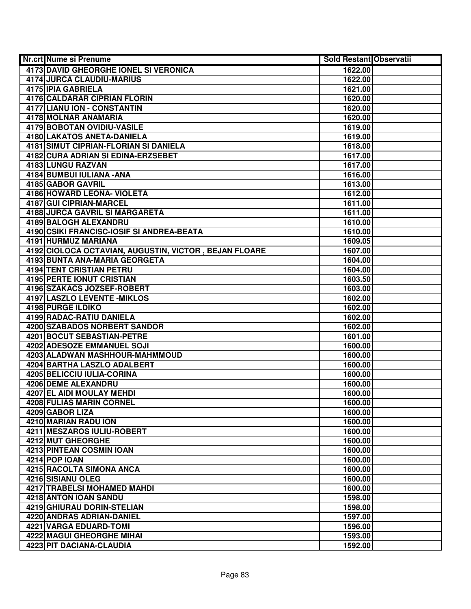| 4173 DAVID GHEORGHE IONEL SI VERONICA<br>1622.00<br>4174 JURCA CLAUDIU-MARIUS<br>1622.00<br>4175 IPIA GABRIELA<br>1621.00<br>4176 CALDARAR CIPRIAN FLORIN<br>1620.00<br>4177 LIANU ION - CONSTANTIN<br>1620.00<br>4178 MOLNAR ANAMARIA<br>1620.00<br>4179 BOBOTAN OVIDIU-VASILE<br>1619.00<br>4180 LAKATOS ANETA-DANIELA<br>1619.00<br><b>4181 SIMUT CIPRIAN-FLORIAN SI DANIELA</b><br>1618.00<br>4182 CURA ADRIAN SI EDINA-ERZSEBET<br>1617.00<br>4183 LUNGU RAZVAN<br>1617.00<br>4184 BUMBUI IULIANA - ANA<br>1616.00<br>4185 GABOR GAVRIL<br>1613.00<br><b>4186 HOWARD LEONA- VIOLETA</b><br>1612.00<br>4187 GUI CIPRIAN-MARCEL<br>1611.00<br>4188 JURCA GAVRIL SI MARGARETA<br>1611.00<br>4189 BALOGH ALEXANDRU<br>1610.00<br>4190 CSIKI FRANCISC-IOSIF SI ANDREA-BEATA<br>1610.00<br>4191 HURMUZ MARIANA<br>1609.05<br>4192 CIOLOCA OCTAVIAN, AUGUSTIN, VICTOR, BEJAN FLOARE<br>1607.00<br>4193 BUNTA ANA-MARIA GEORGETA<br>1604.00<br><b>4194 TENT CRISTIAN PETRU</b><br>1604.00<br><b>4195 PERTE IONUT CRISTIAN</b><br>1603.50<br>4196 SZAKACS JOZSEF-ROBERT<br>1603.00<br><b>4197 LASZLO LEVENTE - MIKLOS</b><br>1602.00<br>4198 PURGE ILDIKO<br>1602.00<br>4199 RADAC-RATIU DANIELA<br>1602.00<br>4200 SZABADOS NORBERT SANDOR<br>1602.00<br>4201 BOCUT SEBASTIAN-PETRE<br>1601.00<br>4202 ADESOZE EMMANUEL SOJI<br>1600.00<br>4203 ALADWAN MASHHOUR-MAHMMOUD<br>1600.00<br>4204 BARTHA LASZLO ADALBERT<br>1600.00<br>4205 BELICCIU IULIA-CORINA<br>1600.00<br>4206 DEME ALEXANDRU<br>1600.00<br>4207 EL AIDI MOULAY MEHDI<br>1600.00<br>4208 FULIAS MARIN CORNEL<br>1600.00<br>4209 GABOR LIZA<br>1600.00<br>4210 MARIAN RADU ION<br>1600.00<br><b>4211 MESZAROS IULIU-ROBERT</b><br>1600.00<br>4212 MUT GHEORGHE<br>1600.00<br>4213 PINTEAN COSMIN IOAN<br>1600.00<br>4214 POP IOAN<br>1600.00<br>4215 RACOLTA SIMONA ANCA<br>1600.00<br>4216 SISIANU OLEG<br>1600.00<br>4217 TRABELSI MOHAMED MAHDI<br>1600.00<br>4218 ANTON IOAN SANDU<br>1598.00<br>4219 GHIURAU DORIN-STELIAN<br>1598.00<br>4220 ANDRAS ADRIAN-DANIEL<br>1597.00<br>4221 VARGA EDUARD-TOMI<br>1596.00<br>4222 MAGUI GHEORGHE MIHAI<br>1593.00<br>4223 PIT DACIANA-CLAUDIA<br>1592.00 | <b>Nr.crt Nume si Prenume</b> | <b>Sold Restant Observatii</b> |  |
|---------------------------------------------------------------------------------------------------------------------------------------------------------------------------------------------------------------------------------------------------------------------------------------------------------------------------------------------------------------------------------------------------------------------------------------------------------------------------------------------------------------------------------------------------------------------------------------------------------------------------------------------------------------------------------------------------------------------------------------------------------------------------------------------------------------------------------------------------------------------------------------------------------------------------------------------------------------------------------------------------------------------------------------------------------------------------------------------------------------------------------------------------------------------------------------------------------------------------------------------------------------------------------------------------------------------------------------------------------------------------------------------------------------------------------------------------------------------------------------------------------------------------------------------------------------------------------------------------------------------------------------------------------------------------------------------------------------------------------------------------------------------------------------------------------------------------------------------------------------------------------------------------------------------------------------------------------------------------------------------------------------------------------------------------------------------------------------------------------------------------------------------------------------------|-------------------------------|--------------------------------|--|
|                                                                                                                                                                                                                                                                                                                                                                                                                                                                                                                                                                                                                                                                                                                                                                                                                                                                                                                                                                                                                                                                                                                                                                                                                                                                                                                                                                                                                                                                                                                                                                                                                                                                                                                                                                                                                                                                                                                                                                                                                                                                                                                                                                     |                               |                                |  |
|                                                                                                                                                                                                                                                                                                                                                                                                                                                                                                                                                                                                                                                                                                                                                                                                                                                                                                                                                                                                                                                                                                                                                                                                                                                                                                                                                                                                                                                                                                                                                                                                                                                                                                                                                                                                                                                                                                                                                                                                                                                                                                                                                                     |                               |                                |  |
|                                                                                                                                                                                                                                                                                                                                                                                                                                                                                                                                                                                                                                                                                                                                                                                                                                                                                                                                                                                                                                                                                                                                                                                                                                                                                                                                                                                                                                                                                                                                                                                                                                                                                                                                                                                                                                                                                                                                                                                                                                                                                                                                                                     |                               |                                |  |
|                                                                                                                                                                                                                                                                                                                                                                                                                                                                                                                                                                                                                                                                                                                                                                                                                                                                                                                                                                                                                                                                                                                                                                                                                                                                                                                                                                                                                                                                                                                                                                                                                                                                                                                                                                                                                                                                                                                                                                                                                                                                                                                                                                     |                               |                                |  |
|                                                                                                                                                                                                                                                                                                                                                                                                                                                                                                                                                                                                                                                                                                                                                                                                                                                                                                                                                                                                                                                                                                                                                                                                                                                                                                                                                                                                                                                                                                                                                                                                                                                                                                                                                                                                                                                                                                                                                                                                                                                                                                                                                                     |                               |                                |  |
|                                                                                                                                                                                                                                                                                                                                                                                                                                                                                                                                                                                                                                                                                                                                                                                                                                                                                                                                                                                                                                                                                                                                                                                                                                                                                                                                                                                                                                                                                                                                                                                                                                                                                                                                                                                                                                                                                                                                                                                                                                                                                                                                                                     |                               |                                |  |
|                                                                                                                                                                                                                                                                                                                                                                                                                                                                                                                                                                                                                                                                                                                                                                                                                                                                                                                                                                                                                                                                                                                                                                                                                                                                                                                                                                                                                                                                                                                                                                                                                                                                                                                                                                                                                                                                                                                                                                                                                                                                                                                                                                     |                               |                                |  |
|                                                                                                                                                                                                                                                                                                                                                                                                                                                                                                                                                                                                                                                                                                                                                                                                                                                                                                                                                                                                                                                                                                                                                                                                                                                                                                                                                                                                                                                                                                                                                                                                                                                                                                                                                                                                                                                                                                                                                                                                                                                                                                                                                                     |                               |                                |  |
|                                                                                                                                                                                                                                                                                                                                                                                                                                                                                                                                                                                                                                                                                                                                                                                                                                                                                                                                                                                                                                                                                                                                                                                                                                                                                                                                                                                                                                                                                                                                                                                                                                                                                                                                                                                                                                                                                                                                                                                                                                                                                                                                                                     |                               |                                |  |
|                                                                                                                                                                                                                                                                                                                                                                                                                                                                                                                                                                                                                                                                                                                                                                                                                                                                                                                                                                                                                                                                                                                                                                                                                                                                                                                                                                                                                                                                                                                                                                                                                                                                                                                                                                                                                                                                                                                                                                                                                                                                                                                                                                     |                               |                                |  |
|                                                                                                                                                                                                                                                                                                                                                                                                                                                                                                                                                                                                                                                                                                                                                                                                                                                                                                                                                                                                                                                                                                                                                                                                                                                                                                                                                                                                                                                                                                                                                                                                                                                                                                                                                                                                                                                                                                                                                                                                                                                                                                                                                                     |                               |                                |  |
|                                                                                                                                                                                                                                                                                                                                                                                                                                                                                                                                                                                                                                                                                                                                                                                                                                                                                                                                                                                                                                                                                                                                                                                                                                                                                                                                                                                                                                                                                                                                                                                                                                                                                                                                                                                                                                                                                                                                                                                                                                                                                                                                                                     |                               |                                |  |
|                                                                                                                                                                                                                                                                                                                                                                                                                                                                                                                                                                                                                                                                                                                                                                                                                                                                                                                                                                                                                                                                                                                                                                                                                                                                                                                                                                                                                                                                                                                                                                                                                                                                                                                                                                                                                                                                                                                                                                                                                                                                                                                                                                     |                               |                                |  |
|                                                                                                                                                                                                                                                                                                                                                                                                                                                                                                                                                                                                                                                                                                                                                                                                                                                                                                                                                                                                                                                                                                                                                                                                                                                                                                                                                                                                                                                                                                                                                                                                                                                                                                                                                                                                                                                                                                                                                                                                                                                                                                                                                                     |                               |                                |  |
|                                                                                                                                                                                                                                                                                                                                                                                                                                                                                                                                                                                                                                                                                                                                                                                                                                                                                                                                                                                                                                                                                                                                                                                                                                                                                                                                                                                                                                                                                                                                                                                                                                                                                                                                                                                                                                                                                                                                                                                                                                                                                                                                                                     |                               |                                |  |
|                                                                                                                                                                                                                                                                                                                                                                                                                                                                                                                                                                                                                                                                                                                                                                                                                                                                                                                                                                                                                                                                                                                                                                                                                                                                                                                                                                                                                                                                                                                                                                                                                                                                                                                                                                                                                                                                                                                                                                                                                                                                                                                                                                     |                               |                                |  |
|                                                                                                                                                                                                                                                                                                                                                                                                                                                                                                                                                                                                                                                                                                                                                                                                                                                                                                                                                                                                                                                                                                                                                                                                                                                                                                                                                                                                                                                                                                                                                                                                                                                                                                                                                                                                                                                                                                                                                                                                                                                                                                                                                                     |                               |                                |  |
|                                                                                                                                                                                                                                                                                                                                                                                                                                                                                                                                                                                                                                                                                                                                                                                                                                                                                                                                                                                                                                                                                                                                                                                                                                                                                                                                                                                                                                                                                                                                                                                                                                                                                                                                                                                                                                                                                                                                                                                                                                                                                                                                                                     |                               |                                |  |
|                                                                                                                                                                                                                                                                                                                                                                                                                                                                                                                                                                                                                                                                                                                                                                                                                                                                                                                                                                                                                                                                                                                                                                                                                                                                                                                                                                                                                                                                                                                                                                                                                                                                                                                                                                                                                                                                                                                                                                                                                                                                                                                                                                     |                               |                                |  |
|                                                                                                                                                                                                                                                                                                                                                                                                                                                                                                                                                                                                                                                                                                                                                                                                                                                                                                                                                                                                                                                                                                                                                                                                                                                                                                                                                                                                                                                                                                                                                                                                                                                                                                                                                                                                                                                                                                                                                                                                                                                                                                                                                                     |                               |                                |  |
|                                                                                                                                                                                                                                                                                                                                                                                                                                                                                                                                                                                                                                                                                                                                                                                                                                                                                                                                                                                                                                                                                                                                                                                                                                                                                                                                                                                                                                                                                                                                                                                                                                                                                                                                                                                                                                                                                                                                                                                                                                                                                                                                                                     |                               |                                |  |
|                                                                                                                                                                                                                                                                                                                                                                                                                                                                                                                                                                                                                                                                                                                                                                                                                                                                                                                                                                                                                                                                                                                                                                                                                                                                                                                                                                                                                                                                                                                                                                                                                                                                                                                                                                                                                                                                                                                                                                                                                                                                                                                                                                     |                               |                                |  |
|                                                                                                                                                                                                                                                                                                                                                                                                                                                                                                                                                                                                                                                                                                                                                                                                                                                                                                                                                                                                                                                                                                                                                                                                                                                                                                                                                                                                                                                                                                                                                                                                                                                                                                                                                                                                                                                                                                                                                                                                                                                                                                                                                                     |                               |                                |  |
|                                                                                                                                                                                                                                                                                                                                                                                                                                                                                                                                                                                                                                                                                                                                                                                                                                                                                                                                                                                                                                                                                                                                                                                                                                                                                                                                                                                                                                                                                                                                                                                                                                                                                                                                                                                                                                                                                                                                                                                                                                                                                                                                                                     |                               |                                |  |
|                                                                                                                                                                                                                                                                                                                                                                                                                                                                                                                                                                                                                                                                                                                                                                                                                                                                                                                                                                                                                                                                                                                                                                                                                                                                                                                                                                                                                                                                                                                                                                                                                                                                                                                                                                                                                                                                                                                                                                                                                                                                                                                                                                     |                               |                                |  |
|                                                                                                                                                                                                                                                                                                                                                                                                                                                                                                                                                                                                                                                                                                                                                                                                                                                                                                                                                                                                                                                                                                                                                                                                                                                                                                                                                                                                                                                                                                                                                                                                                                                                                                                                                                                                                                                                                                                                                                                                                                                                                                                                                                     |                               |                                |  |
|                                                                                                                                                                                                                                                                                                                                                                                                                                                                                                                                                                                                                                                                                                                                                                                                                                                                                                                                                                                                                                                                                                                                                                                                                                                                                                                                                                                                                                                                                                                                                                                                                                                                                                                                                                                                                                                                                                                                                                                                                                                                                                                                                                     |                               |                                |  |
|                                                                                                                                                                                                                                                                                                                                                                                                                                                                                                                                                                                                                                                                                                                                                                                                                                                                                                                                                                                                                                                                                                                                                                                                                                                                                                                                                                                                                                                                                                                                                                                                                                                                                                                                                                                                                                                                                                                                                                                                                                                                                                                                                                     |                               |                                |  |
|                                                                                                                                                                                                                                                                                                                                                                                                                                                                                                                                                                                                                                                                                                                                                                                                                                                                                                                                                                                                                                                                                                                                                                                                                                                                                                                                                                                                                                                                                                                                                                                                                                                                                                                                                                                                                                                                                                                                                                                                                                                                                                                                                                     |                               |                                |  |
|                                                                                                                                                                                                                                                                                                                                                                                                                                                                                                                                                                                                                                                                                                                                                                                                                                                                                                                                                                                                                                                                                                                                                                                                                                                                                                                                                                                                                                                                                                                                                                                                                                                                                                                                                                                                                                                                                                                                                                                                                                                                                                                                                                     |                               |                                |  |
|                                                                                                                                                                                                                                                                                                                                                                                                                                                                                                                                                                                                                                                                                                                                                                                                                                                                                                                                                                                                                                                                                                                                                                                                                                                                                                                                                                                                                                                                                                                                                                                                                                                                                                                                                                                                                                                                                                                                                                                                                                                                                                                                                                     |                               |                                |  |
|                                                                                                                                                                                                                                                                                                                                                                                                                                                                                                                                                                                                                                                                                                                                                                                                                                                                                                                                                                                                                                                                                                                                                                                                                                                                                                                                                                                                                                                                                                                                                                                                                                                                                                                                                                                                                                                                                                                                                                                                                                                                                                                                                                     |                               |                                |  |
|                                                                                                                                                                                                                                                                                                                                                                                                                                                                                                                                                                                                                                                                                                                                                                                                                                                                                                                                                                                                                                                                                                                                                                                                                                                                                                                                                                                                                                                                                                                                                                                                                                                                                                                                                                                                                                                                                                                                                                                                                                                                                                                                                                     |                               |                                |  |
|                                                                                                                                                                                                                                                                                                                                                                                                                                                                                                                                                                                                                                                                                                                                                                                                                                                                                                                                                                                                                                                                                                                                                                                                                                                                                                                                                                                                                                                                                                                                                                                                                                                                                                                                                                                                                                                                                                                                                                                                                                                                                                                                                                     |                               |                                |  |
|                                                                                                                                                                                                                                                                                                                                                                                                                                                                                                                                                                                                                                                                                                                                                                                                                                                                                                                                                                                                                                                                                                                                                                                                                                                                                                                                                                                                                                                                                                                                                                                                                                                                                                                                                                                                                                                                                                                                                                                                                                                                                                                                                                     |                               |                                |  |
|                                                                                                                                                                                                                                                                                                                                                                                                                                                                                                                                                                                                                                                                                                                                                                                                                                                                                                                                                                                                                                                                                                                                                                                                                                                                                                                                                                                                                                                                                                                                                                                                                                                                                                                                                                                                                                                                                                                                                                                                                                                                                                                                                                     |                               |                                |  |
|                                                                                                                                                                                                                                                                                                                                                                                                                                                                                                                                                                                                                                                                                                                                                                                                                                                                                                                                                                                                                                                                                                                                                                                                                                                                                                                                                                                                                                                                                                                                                                                                                                                                                                                                                                                                                                                                                                                                                                                                                                                                                                                                                                     |                               |                                |  |
|                                                                                                                                                                                                                                                                                                                                                                                                                                                                                                                                                                                                                                                                                                                                                                                                                                                                                                                                                                                                                                                                                                                                                                                                                                                                                                                                                                                                                                                                                                                                                                                                                                                                                                                                                                                                                                                                                                                                                                                                                                                                                                                                                                     |                               |                                |  |
|                                                                                                                                                                                                                                                                                                                                                                                                                                                                                                                                                                                                                                                                                                                                                                                                                                                                                                                                                                                                                                                                                                                                                                                                                                                                                                                                                                                                                                                                                                                                                                                                                                                                                                                                                                                                                                                                                                                                                                                                                                                                                                                                                                     |                               |                                |  |
|                                                                                                                                                                                                                                                                                                                                                                                                                                                                                                                                                                                                                                                                                                                                                                                                                                                                                                                                                                                                                                                                                                                                                                                                                                                                                                                                                                                                                                                                                                                                                                                                                                                                                                                                                                                                                                                                                                                                                                                                                                                                                                                                                                     |                               |                                |  |
|                                                                                                                                                                                                                                                                                                                                                                                                                                                                                                                                                                                                                                                                                                                                                                                                                                                                                                                                                                                                                                                                                                                                                                                                                                                                                                                                                                                                                                                                                                                                                                                                                                                                                                                                                                                                                                                                                                                                                                                                                                                                                                                                                                     |                               |                                |  |
|                                                                                                                                                                                                                                                                                                                                                                                                                                                                                                                                                                                                                                                                                                                                                                                                                                                                                                                                                                                                                                                                                                                                                                                                                                                                                                                                                                                                                                                                                                                                                                                                                                                                                                                                                                                                                                                                                                                                                                                                                                                                                                                                                                     |                               |                                |  |
|                                                                                                                                                                                                                                                                                                                                                                                                                                                                                                                                                                                                                                                                                                                                                                                                                                                                                                                                                                                                                                                                                                                                                                                                                                                                                                                                                                                                                                                                                                                                                                                                                                                                                                                                                                                                                                                                                                                                                                                                                                                                                                                                                                     |                               |                                |  |
|                                                                                                                                                                                                                                                                                                                                                                                                                                                                                                                                                                                                                                                                                                                                                                                                                                                                                                                                                                                                                                                                                                                                                                                                                                                                                                                                                                                                                                                                                                                                                                                                                                                                                                                                                                                                                                                                                                                                                                                                                                                                                                                                                                     |                               |                                |  |
|                                                                                                                                                                                                                                                                                                                                                                                                                                                                                                                                                                                                                                                                                                                                                                                                                                                                                                                                                                                                                                                                                                                                                                                                                                                                                                                                                                                                                                                                                                                                                                                                                                                                                                                                                                                                                                                                                                                                                                                                                                                                                                                                                                     |                               |                                |  |
|                                                                                                                                                                                                                                                                                                                                                                                                                                                                                                                                                                                                                                                                                                                                                                                                                                                                                                                                                                                                                                                                                                                                                                                                                                                                                                                                                                                                                                                                                                                                                                                                                                                                                                                                                                                                                                                                                                                                                                                                                                                                                                                                                                     |                               |                                |  |
|                                                                                                                                                                                                                                                                                                                                                                                                                                                                                                                                                                                                                                                                                                                                                                                                                                                                                                                                                                                                                                                                                                                                                                                                                                                                                                                                                                                                                                                                                                                                                                                                                                                                                                                                                                                                                                                                                                                                                                                                                                                                                                                                                                     |                               |                                |  |
|                                                                                                                                                                                                                                                                                                                                                                                                                                                                                                                                                                                                                                                                                                                                                                                                                                                                                                                                                                                                                                                                                                                                                                                                                                                                                                                                                                                                                                                                                                                                                                                                                                                                                                                                                                                                                                                                                                                                                                                                                                                                                                                                                                     |                               |                                |  |
|                                                                                                                                                                                                                                                                                                                                                                                                                                                                                                                                                                                                                                                                                                                                                                                                                                                                                                                                                                                                                                                                                                                                                                                                                                                                                                                                                                                                                                                                                                                                                                                                                                                                                                                                                                                                                                                                                                                                                                                                                                                                                                                                                                     |                               |                                |  |
|                                                                                                                                                                                                                                                                                                                                                                                                                                                                                                                                                                                                                                                                                                                                                                                                                                                                                                                                                                                                                                                                                                                                                                                                                                                                                                                                                                                                                                                                                                                                                                                                                                                                                                                                                                                                                                                                                                                                                                                                                                                                                                                                                                     |                               |                                |  |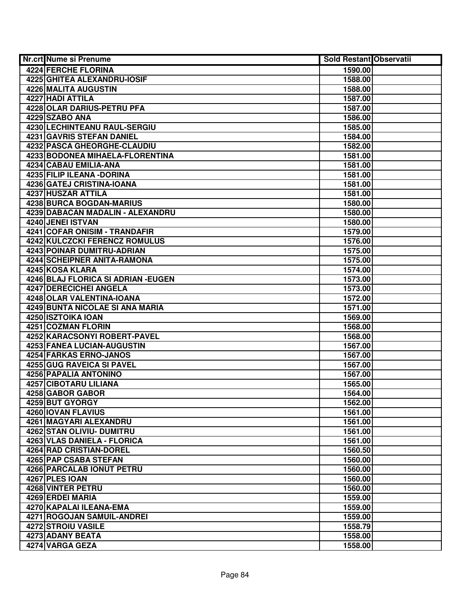| Nr.crt Nume si Prenume              | <b>Sold Restant Observatii</b> |  |
|-------------------------------------|--------------------------------|--|
| 4224 FERCHE FLORINA                 | 1590.00                        |  |
| 4225 GHITEA ALEXANDRU-IOSIF         | 1588.00                        |  |
| 4226 MALITA AUGUSTIN                | 1588.00                        |  |
| 4227 HADI ATTILA                    | 1587.00                        |  |
| 4228 OLAR DARIUS-PETRU PFA          | 1587.00                        |  |
| 4229 SZABO ANA                      | 1586.00                        |  |
| 4230 LECHINTEANU RAUL-SERGIU        | 1585.00                        |  |
| 4231 GAVRIS STEFAN DANIEL           | 1584.00                        |  |
| 4232 PASCA GHEORGHE-CLAUDIU         | 1582.00                        |  |
| 4233 BODONEA MIHAELA-FLORENTINA     | 1581.00                        |  |
| 4234 CABAU EMILIA-ANA               | 1581.00                        |  |
| 4235 FILIP ILEANA - DORINA          | 1581.00                        |  |
| 4236 GATEJ CRISTINA-IOANA           | 1581.00                        |  |
| 4237 HUSZAR ATTILA                  | 1581.00                        |  |
| 4238 BURCA BOGDAN-MARIUS            | 1580.00                        |  |
| 4239 DABACAN MADALIN - ALEXANDRU    | 1580.00                        |  |
| 4240 JENEI ISTVAN                   | 1580.00                        |  |
| 4241 COFAR ONISIM - TRANDAFIR       | 1579.00                        |  |
| 4242 KULCZCKI FERENCZ ROMULUS       | 1576.00                        |  |
| 4243 POINAR DUMITRU-ADRIAN          | 1575.00                        |  |
| 4244 SCHEIPNER ANITA-RAMONA         | 1575.00                        |  |
| 4245 KOSA KLARA                     | 1574.00                        |  |
| 4246 BLAJ FLORICA SI ADRIAN - EUGEN | 1573.00                        |  |
| 4247 DERECICHEI ANGELA              | 1573.00                        |  |
| 4248 OLAR VALENTINA-IOANA           | 1572.00                        |  |
| 4249 BUNTA NICOLAE SI ANA MARIA     | 1571.00                        |  |
| 4250 ISZTOIKA IOAN                  | 1569.00                        |  |
| 4251 COZMAN FLORIN                  | 1568.00                        |  |
| 4252 KARACSONYI ROBERT-PAVEL        | 1568.00                        |  |
| 4253 FANEA LUCIAN-AUGUSTIN          | 1567.00                        |  |
| 4254 FARKAS ERNO-JANOS              | 1567.00                        |  |
| 4255 GUG RAVEICA SI PAVEL           | 1567.00                        |  |
| 4256 PAPALIA ANTONINO               | 1567.00                        |  |
| 4257 CIBOTARU LILIANA               | 1565.00                        |  |
| 4258 GABOR GABOR                    | 1564.00                        |  |
| 4259 BUT GYORGY                     | 1562.00                        |  |
| 4260 IOVAN FLAVIUS                  | 1561.00                        |  |
| 4261 MAGYARI ALEXANDRU              | 1561.00                        |  |
| <b>4262 STAN OLIVIU- DUMITRU</b>    | 1561.00                        |  |
| 4263 VLAS DANIELA - FLORICA         | 1561.00                        |  |
| 4264 RAD CRISTIAN-DOREL             | 1560.50                        |  |
| 4265 PAP CSABA STEFAN               | 1560.00                        |  |
| <b>4266 PARCALAB IONUT PETRU</b>    | 1560.00                        |  |
| 4267 PLES IOAN                      | 1560.00                        |  |
| 4268 VINTER PETRU                   | 1560.00                        |  |
| 4269 ERDEI MARIA                    | 1559.00                        |  |
| 4270 KAPALAI ILEANA-EMA             | 1559.00                        |  |
| 4271 ROGOJAN SAMUIL-ANDREI          | 1559.00                        |  |
| 4272 STROIU VASILE                  | 1558.79                        |  |
| 4273 ADANY BEATA                    | 1558.00                        |  |
| 4274 VARGA GEZA                     | 1558.00                        |  |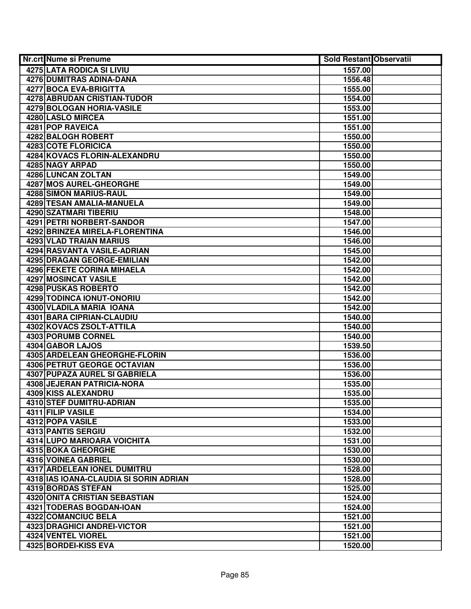| Nr.crt Nume si Prenume                        | <b>Sold Restant Observatii</b> |  |
|-----------------------------------------------|--------------------------------|--|
| 4275 LATA RODICA SI LIVIU                     | 1557.00                        |  |
| 4276 DUMITRAS ADINA-DANA                      | 1556.48                        |  |
| 4277 BOCA EVA-BRIGITTA                        | 1555.00                        |  |
| 4278 ABRUDAN CRISTIAN-TUDOR                   | 1554.00                        |  |
| <b>4279 BOLOGAN HORIA-VASILE</b>              | 1553.00                        |  |
| 4280 LASLO MIRCEA                             | 1551.00                        |  |
| 4281 POP RAVEICA                              | 1551.00                        |  |
| 4282 BALOGH ROBERT                            | 1550.00                        |  |
| <b>4283 COTE FLORICICA</b>                    | 1550.00                        |  |
| 4284 KOVACS FLORIN-ALEXANDRU                  | 1550.00                        |  |
| 4285 NAGY ARPAD                               | 1550.00                        |  |
| 4286 LUNCAN ZOLTAN                            | 1549.00                        |  |
| <b>4287 MOS AUREL-GHEORGHE</b>                | 1549.00                        |  |
| 4288 SIMON MARIUS-RAUL                        | 1549.00                        |  |
| 4289 TESAN AMALIA-MANUELA                     | 1549.00                        |  |
| 4290 SZATMARI TIBERIU                         | 1548.00                        |  |
| 4291 PETRI NORBERT-SANDOR                     | 1547.00                        |  |
| 4292 BRINZEA MIRELA-FLORENTINA                | 1546.00                        |  |
| 4293 VLAD TRAIAN MARIUS                       | 1546.00                        |  |
| <b>4294 RASVANTA VASILE-ADRIAN</b>            | 1545.00                        |  |
| 4295 DRAGAN GEORGE-EMILIAN                    | 1542.00                        |  |
| <b>4296 FEKETE CORINA MIHAELA</b>             | 1542.00                        |  |
| 4297 MOSINCAT VASILE                          | 1542.00                        |  |
| 4298 PUSKAS ROBERTO                           | 1542.00                        |  |
| 4299 TODINCA IONUT-ONORIU                     | 1542.00                        |  |
| 4300 VLADILA MARIA IOANA                      | 1542.00                        |  |
| 4301 BARA CIPRIAN-CLAUDIU                     | 1540.00                        |  |
| 4302 KOVACS ZSOLT-ATTILA                      | 1540.00                        |  |
| 4303 PORUMB CORNEL                            | 1540.00                        |  |
| 4304 GABOR LAJOS                              | 1539.50                        |  |
| 4305 ARDELEAN GHEORGHE-FLORIN                 | 1536.00                        |  |
| <b>4306 PETRUT GEORGE OCTAVIAN</b>            | 1536.00                        |  |
| 4307 PUPAZA AUREL SI GABRIELA                 | 1536.00                        |  |
| 4308 JEJERAN PATRICIA-NORA                    | 1535.00                        |  |
| 4309 KISS ALEXANDRU                           | 1535.00                        |  |
| 4310 STEF DUMITRU-ADRIAN                      | 1535.00                        |  |
| 4311 FILIP VASILE                             | 1534.00                        |  |
| 4312 POPA VASILE<br><b>4313 PANTIS SERGIU</b> | 1533.00                        |  |
| 4314 LUPO MARIOARA VOICHITA                   | 1532.00                        |  |
| 4315 BOKA GHEORGHE                            | 1531.00<br>1530.00             |  |
| 4316 VOINEA GABRIEL                           |                                |  |
| 4317 ARDELEAN IONEL DUMITRU                   | 1530.00<br>1528.00             |  |
| 4318 IAS IOANA-CLAUDIA SI SORIN ADRIAN        |                                |  |
| 4319 BORDAS STEFAN                            | 1528.00<br>1525.00             |  |
| 4320 ONITA CRISTIAN SEBASTIAN                 | 1524.00                        |  |
| 4321 TODERAS BOGDAN-IOAN                      | 1524.00                        |  |
| 4322 COMANCIUC BELA                           | 1521.00                        |  |
| 4323 DRAGHICI ANDREI-VICTOR                   | 1521.00                        |  |
| 4324 VENTEL VIOREL                            | 1521.00                        |  |
| 4325 BORDEI-KISS EVA                          | 1520.00                        |  |
|                                               |                                |  |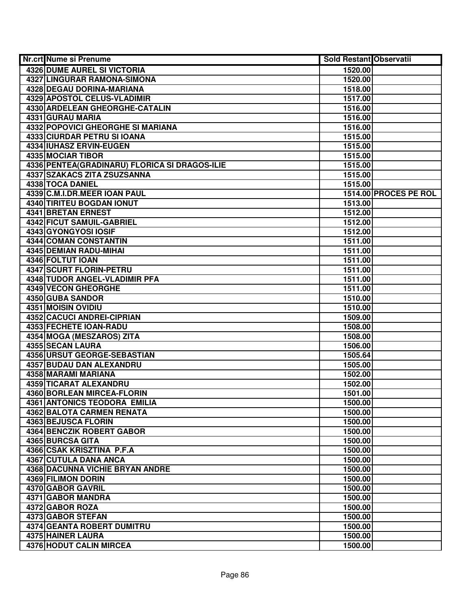| <b>Nr.crt Nume si Prenume</b>                      | <b>Sold Restant Observatii</b> |                       |
|----------------------------------------------------|--------------------------------|-----------------------|
| <b>4326 DUME AUREL SI VICTORIA</b>                 | 1520.00                        |                       |
| 4327 LINGURAR RAMONA-SIMONA                        | 1520.00                        |                       |
| 4328 DEGAU DORINA-MARIANA                          | 1518.00                        |                       |
| 4329 APOSTOL CELUS-VLADIMIR                        | 1517.00                        |                       |
| 4330 ARDELEAN GHEORGHE-CATALIN                     | 1516.00                        |                       |
| 4331 GURAU MARIA                                   | 1516.00                        |                       |
| <b>4332 POPOVICI GHEORGHE SI MARIANA</b>           | 1516.00                        |                       |
| 4333 CIURDAR PETRU SI IOANA                        | 1515.00                        |                       |
| 4334 IUHASZ ERVIN-EUGEN                            | 1515.00                        |                       |
| <b>4335 MOCIAR TIBOR</b>                           | 1515.00                        |                       |
| 4336 PENTEA (GRADINARU) FLORICA SI DRAGOS-ILIE     | 1515.00                        |                       |
| 4337 SZAKACS ZITA ZSUZSANNA                        | 1515.00                        |                       |
| 4338 TOCA DANIEL                                   | 1515.00                        |                       |
| 4339 C.M.I.DR.MEER IOAN PAUL                       |                                | 1514.00 PROCES PE ROL |
| 4340 TIRITEU BOGDAN IONUT                          | 1513.00                        |                       |
| 4341 BRETAN ERNEST                                 | 1512.00                        |                       |
| 4342 FICUT SAMUIL-GABRIEL                          | 1512.00                        |                       |
| 4343 GYONGYOSI IOSIF                               | 1512.00                        |                       |
| 4344 COMAN CONSTANTIN                              | 1511.00                        |                       |
| 4345 DEMIAN RADU-MIHAI                             | 1511.00                        |                       |
| 4346 FOLTUT IOAN                                   | 1511.00                        |                       |
| 4347 SCURT FLORIN-PETRU                            | 1511.00                        |                       |
| 4348 TUDOR ANGEL-VLADIMIR PFA                      | 1511.00                        |                       |
| <b>4349 VECON GHEORGHE</b>                         | 1511.00                        |                       |
| 4350 GUBA SANDOR                                   | 1510.00                        |                       |
| 4351 MOISIN OVIDIU                                 | 1510.00                        |                       |
| <b>4352 CACUCI ANDREI-CIPRIAN</b>                  | 1509.00                        |                       |
| 4353 FECHETE IOAN-RADU                             | 1508.00                        |                       |
| 4354 MOGA (MESZAROS) ZITA                          | 1508.00                        |                       |
| 4355 SECAN LAURA                                   | 1506.00                        |                       |
| 4356 URSUT GEORGE-SEBASTIAN                        | 1505.64                        |                       |
| 4357 BUDAU DAN ALEXANDRU                           | 1505.00                        |                       |
| 4358 MARAMI MARIANA                                | 1502.00                        |                       |
| 4359 TICARAT ALEXANDRU                             | 1502.00                        |                       |
| <b>4360 BORLEAN MIRCEA-FLORIN</b>                  | 1501.00                        |                       |
| 4361 ANTONICS TEODORA EMILIA                       | 1500.00                        |                       |
| <b>4362 BALOTA CARMEN RENATA</b>                   | 1500.00                        |                       |
| 4363 BEJUSCA FLORIN                                | 1500.00                        |                       |
| <b>4364 BENCZIK ROBERT GABOR</b>                   | 1500.00                        |                       |
| 4365 BURCSA GITA                                   | 1500.00                        |                       |
| 4366 CSAK KRISZTINA P.F.A<br>4367 CUTULA DANA ANCA | 1500.00                        |                       |
| <b>4368 DACUNNA VICHIE BRYAN ANDRE</b>             | 1500.00                        |                       |
| 4369 FILIMON DORIN                                 | 1500.00                        |                       |
| 4370 GABOR GAVRIL                                  | 1500.00<br>1500.00             |                       |
| 4371 GABOR MANDRA                                  | 1500.00                        |                       |
| 4372 GABOR ROZA                                    | 1500.00                        |                       |
| 4373 GABOR STEFAN                                  | 1500.00                        |                       |
| 4374 GEANTA ROBERT DUMITRU                         | 1500.00                        |                       |
| 4375 HAINER LAURA                                  | 1500.00                        |                       |
| 4376 HODUT CALIN MIRCEA                            | 1500.00                        |                       |
|                                                    |                                |                       |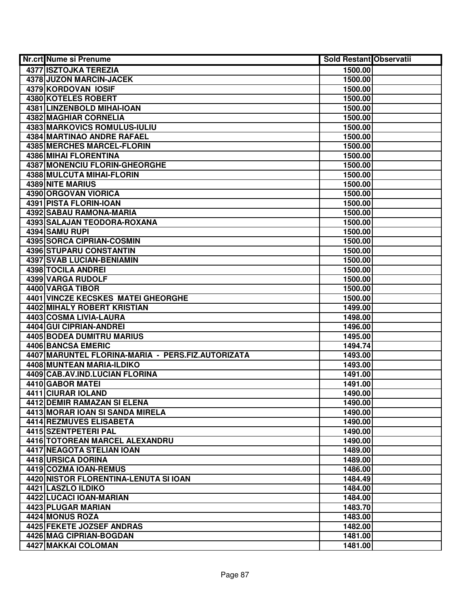| Nr.crt Nume si Prenume                            | <b>Sold Restant Observatii</b> |
|---------------------------------------------------|--------------------------------|
| <b>4377 ISZTOJKA TEREZIA</b>                      | 1500.00                        |
| 4378 JUZON MARCIN-JACEK                           | 1500.00                        |
| 4379 KORDOVAN IOSIF                               | 1500.00                        |
| 4380 KOTELES ROBERT                               | 1500.00                        |
| 4381 LINZENBOLD MIHAI-IOAN                        | 1500.00                        |
| 4382 MAGHIAR CORNELIA                             | 1500.00                        |
| <b>4383 MARKOVICS ROMULUS-IULIU</b>               | 1500.00                        |
| 4384 MARTINAO ANDRE RAFAEL                        | 1500.00                        |
| <b>4385 MERCHES MARCEL-FLORIN</b>                 | 1500.00                        |
| <b>4386 MIHAI FLORENTINA</b>                      | 1500.00                        |
| <b>4387 MONENCIU FLORIN-GHEORGHE</b>              | 1500.00                        |
| 4388 MULCUTA MIHAI-FLORIN                         | 1500.00                        |
| <b>4389 NITE MARIUS</b>                           | 1500.00                        |
| 4390 ORGOVAN VIORICA                              | 1500.00                        |
| 4391 PISTA FLORIN-IOAN                            | 1500.00                        |
| 4392 SABAU RAMONA-MARIA                           | 1500.00                        |
| 4393 SALAJAN TEODORA-ROXANA                       | 1500.00                        |
| 4394 SAMU RUPI                                    | 1500.00                        |
| 4395 SORCA CIPRIAN-COSMIN                         | 1500.00                        |
| <b>4396 STUPARU CONSTANTIN</b>                    | 1500.00                        |
| 4397 SVAB LUCIAN-BENIAMIN                         | 1500.00                        |
| 4398 TOCILA ANDREI                                | 1500.00                        |
| 4399 VARGA RUDOLF                                 | 1500.00                        |
| 4400 VARGA TIBOR                                  | 1500.00                        |
| 4401 VINCZE KECSKES MATEI GHEORGHE                | 1500.00                        |
| 4402 MIHALY ROBERT KRISTIAN                       | 1499.00                        |
| 4403 COSMA LIVIA-LAURA                            | 1498.00                        |
| 4404 GUI CIPRIAN-ANDREI                           | 1496.00                        |
| 4405 BODEA DUMITRU MARIUS                         | 1495.00                        |
| 4406 BANCSA EMERIC                                | 1494.74                        |
| 4407 MARUNTEL FLORINA-MARIA - PERS.FIZ.AUTORIZATA | 1493.00                        |
| 4408 MUNTEAN MARIA-ILDIKO                         | 1493.00                        |
| 4409 CAB.AV.IND.LUCIAN FLORINA                    | 1491.00                        |
| 4410 GABOR MATEI                                  | 1491.00                        |
| 4411 CIURAR IOLAND                                | 1490.00                        |
| <b>4412 DEMIR RAMAZAN SI ELENA</b>                | 1490.00                        |
| 4413 MORAR IOAN SI SANDA MIRELA                   | 1490.00                        |
| 4414 REZMUVES ELISABETA                           | 1490.00                        |
| 4415 SZENTPETERI PAL                              | 1490.00                        |
| 4416 TOTOREAN MARCEL ALEXANDRU                    | 1490.00                        |
| <b>4417 NEAGOTA STELIAN IOAN</b>                  | 1489.00                        |
| 4418 URSICA DORINA                                | 1489.00                        |
| 4419 COZMA IOAN-REMUS                             | 1486.00                        |
| 4420 NISTOR FLORENTINA-LENUTA SI IOAN             | 1484.49                        |
| 4421 LASZLO ILDIKO                                | 1484.00                        |
| 4422 LUCACI IOAN-MARIAN                           | 1484.00                        |
| 4423 PLUGAR MARIAN                                | 1483.70                        |
| 4424 MONUS ROZA                                   | 1483.00                        |
| 4425 FEKETE JOZSEF ANDRAS                         | 1482.00                        |
| 4426 MAG CIPRIAN-BOGDAN                           | 1481.00                        |
| 4427 MAKKAI COLOMAN                               | 1481.00                        |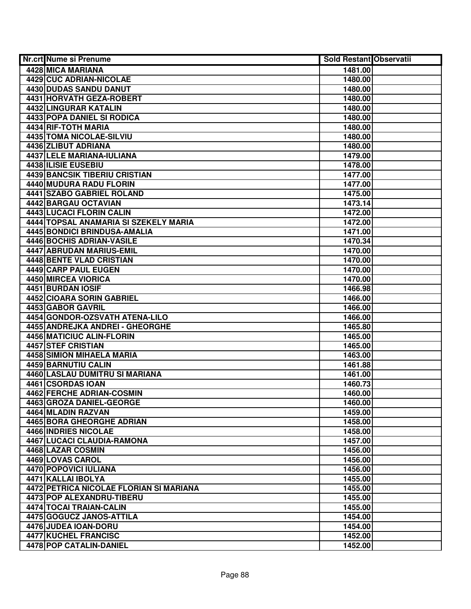| Nr.crt Nume si Prenume                  | <b>Sold Restant Observatii</b> |  |
|-----------------------------------------|--------------------------------|--|
| 4428 MICA MARIANA                       | 1481.00                        |  |
| 4429 CUC ADRIAN-NICOLAE                 | 1480.00                        |  |
| 4430 DUDAS SANDU DANUT                  | 1480.00                        |  |
| 4431 HORVATH GEZA-ROBERT                | 1480.00                        |  |
| 4432 LINGURAR KATALIN                   | 1480.00                        |  |
| 4433 POPA DANIEL SI RODICA              | 1480.00                        |  |
| 4434 RIF-TOTH MARIA                     | 1480.00                        |  |
| 4435 TOMA NICOLAE-SILVIU                | 1480.00                        |  |
| 4436 ZLIBUT ADRIANA                     | 1480.00                        |  |
| 4437 LELE MARIANA-IULIANA               | 1479.00                        |  |
| <b>4438 ILISIE EUSEBIU</b>              | 1478.00                        |  |
| <b>4439 BANCSIK TIBERIU CRISTIAN</b>    | 1477.00                        |  |
| 4440 MUDURA RADU FLORIN                 | 1477.00                        |  |
| 4441 SZABO GABRIEL ROLAND               | 1475.00                        |  |
| 4442 BARGAU OCTAVIAN                    | 1473.14                        |  |
| 4443 LUCACI FLORIN CALIN                | 1472.00                        |  |
| 4444 TOPSAL ANAMARIA SI SZEKELY MARIA   | 1472.00                        |  |
| <b>4445 BONDICI BRINDUSA-AMALIA</b>     | 1471.00                        |  |
| 4446 BOCHIS ADRIAN-VASILE               | 1470.34                        |  |
| 4447 ABRUDAN MARIUS-EMIL                | 1470.00                        |  |
| 4448 BENTE VLAD CRISTIAN                | 1470.00                        |  |
| 4449 CARP PAUL EUGEN                    | 1470.00                        |  |
| 4450 MIRCEA VIORICA                     | 1470.00                        |  |
| 4451 BURDAN IOSIF                       | 1466.98                        |  |
| 4452 CIOARA SORIN GABRIEL               | 1466.00                        |  |
| 4453 GABOR GAVRIL                       | 1466.00                        |  |
| 4454 GONDOR-OZSVATH ATENA-LILO          | 1466.00                        |  |
| 4455 ANDREJKA ANDREI - GHEORGHE         | 1465.80                        |  |
| 4456 MATICIUC ALIN-FLORIN               | 1465.00                        |  |
| 4457 STEF CRISTIAN                      | 1465.00                        |  |
| 4458 SIMION MIHAELA MARIA               | 1463.00                        |  |
| 4459 BARNUTIU CALIN                     | 1461.88                        |  |
| 4460 LASLAU DUMITRU SI MARIANA          | 1461.00                        |  |
| 4461 CSORDAS IOAN                       | 1460.73                        |  |
| <b>4462 FERCHE ADRIAN-COSMIN</b>        | 1460.00                        |  |
| 4463 GROZA DANIEL-GEORGE                | 1460.00                        |  |
| 4464 MLADIN RAZVAN                      | 1459.00                        |  |
| 4465 BORA GHEORGHE ADRIAN               | 1458.00                        |  |
| <b>4466 INDRIES NICOLAE</b>             | 1458.00                        |  |
| 4467 LUCACI CLAUDIA-RAMONA              | 1457.00                        |  |
| 4468 LAZAR COSMIN                       | 1456.00                        |  |
| 4469 LOVAS CAROL                        | 1456.00                        |  |
| <b>4470 POPOVICI IULIANA</b>            | 1456.00                        |  |
| 4471 KALLAI IBOLYA                      | 1455.00                        |  |
| 4472 PETRICA NICOLAE FLORIAN SI MARIANA | 1455.00                        |  |
| 4473 POP ALEXANDRU-TIBERU               | 1455.00                        |  |
| 4474 TOCAI TRAIAN-CALIN                 | 1455.00                        |  |
| 4475 GOGUCZ JANOS-ATTILA                | 1454.00                        |  |
| 4476 JUDEA IOAN-DORU                    | 1454.00                        |  |
| 4477 KUCHEL FRANCISC                    | 1452.00                        |  |
| 4478 POP CATALIN-DANIEL                 | 1452.00                        |  |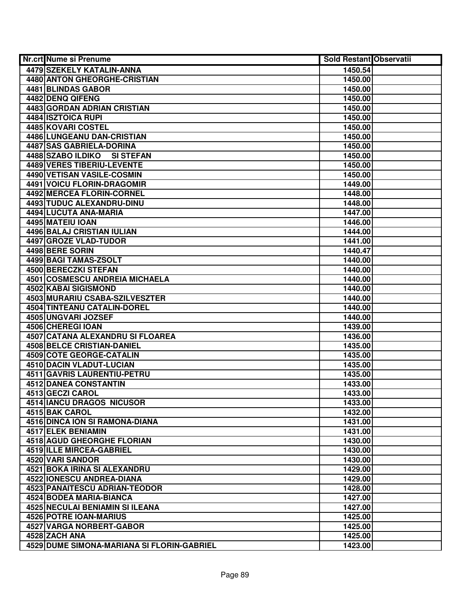| Nr.crt Nume si Prenume                     | <b>Sold Restant Observatii</b> |  |
|--------------------------------------------|--------------------------------|--|
| 4479 SZEKELY KATALIN-ANNA                  | 1450.54                        |  |
| 4480 ANTON GHEORGHE-CRISTIAN               | 1450.00                        |  |
| 4481 BLINDAS GABOR                         | 1450.00                        |  |
| 4482 DENQ QIFENG                           | 1450.00                        |  |
| <b>4483 GORDAN ADRIAN CRISTIAN</b>         | 1450.00                        |  |
| 4484 ISZTOICA RUPI                         | 1450.00                        |  |
| 4485 KOVARI COSTEL                         | 1450.00                        |  |
| 4486 LUNGEANU DAN-CRISTIAN                 | 1450.00                        |  |
| <b>4487 SAS GABRIELA-DORINA</b>            | 1450.00                        |  |
| 4488 SZABO ILDIKO<br><b>SI STEFAN</b>      | 1450.00                        |  |
| <b>4489 VERES TIBERIU-LEVENTE</b>          | 1450.00                        |  |
| 4490 VETISAN VASILE-COSMIN                 | 1450.00                        |  |
| <b>4491 VOICU FLORIN-DRAGOMIR</b>          | 1449.00                        |  |
| 4492 MERCEA FLORIN-CORNEL                  | 1448.00                        |  |
| 4493 TUDUC ALEXANDRU-DINU                  | 1448.00                        |  |
| 4494 LUCUTA ANA-MARIA                      | 1447.00                        |  |
| 4495 MATEIU IOAN                           | 1446.00                        |  |
| 4496 BALAJ CRISTIAN IULIAN                 | 1444.00                        |  |
| 4497 GROZE VLAD-TUDOR                      | 1441.00                        |  |
| 4498 BERE SORIN                            | 1440.47                        |  |
| 4499 BAGI TAMAS-ZSOLT                      | 1440.00                        |  |
| 4500 BERECZKI STEFAN                       | 1440.00                        |  |
| 4501 COSMESCU ANDREIA MICHAELA             | 1440.00                        |  |
| 4502 KABAI SIGISMOND                       | 1440.00                        |  |
| 4503 MURARIU CSABA-SZILVESZTER             | 1440.00                        |  |
| 4504 TINTEANU CATALIN-DOREL                | 1440.00                        |  |
| 4505 UNGVARI JOZSEF                        | 1440.00                        |  |
| 4506 CHEREGI IOAN                          | 1439.00                        |  |
| 4507 CATANA ALEXANDRU SI FLOAREA           | 1436.00                        |  |
| 4508 BELCE CRISTIAN-DANIEL                 | 1435.00                        |  |
| 4509 COTE GEORGE-CATALIN                   | 1435.00                        |  |
| 4510 DACIN VLADUT-LUCIAN                   | 1435.00                        |  |
| 4511 GAVRIS LAURENTIU-PETRU                | 1435.00                        |  |
| <b>4512 DANEA CONSTANTIN</b>               | 1433.00                        |  |
| 4513 GECZI CAROL                           | 1433.00                        |  |
| <b>4514 IANCU DRAGOS NICUSOR</b>           | 1433.00                        |  |
| 4515 BAK CAROL                             | 1432.00                        |  |
| <b>4516 DINCA ION SI RAMONA-DIANA</b>      | 1431.00                        |  |
| <b>4517 ELEK BENIAMIN</b>                  | 1431.00                        |  |
| 4518 AGUD GHEORGHE FLORIAN                 | 1430.00                        |  |
| 4519 ILLE MIRCEA-GABRIEL                   | 1430.00                        |  |
| 4520 VARI SANDOR                           | 1430.00                        |  |
| 4521 BOKA IRINA SI ALEXANDRU               | 1429.00                        |  |
| 4522 IONESCU ANDREA-DIANA                  | 1429.00                        |  |
| 4523 PANAITESCU ADRIAN-TEODOR              | 1428.00                        |  |
| 4524 BODEA MARIA-BIANCA                    | 1427.00                        |  |
| 4525 NECULAI BENIAMIN SI ILEANA            | 1427.00                        |  |
| 4526 POTRE IOAN-MARIUS                     | 1425.00                        |  |
| 4527 VARGA NORBERT-GABOR                   | 1425.00                        |  |
| 4528 ZACH ANA                              | 1425.00                        |  |
| 4529 DUME SIMONA-MARIANA SI FLORIN-GABRIEL | 1423.00                        |  |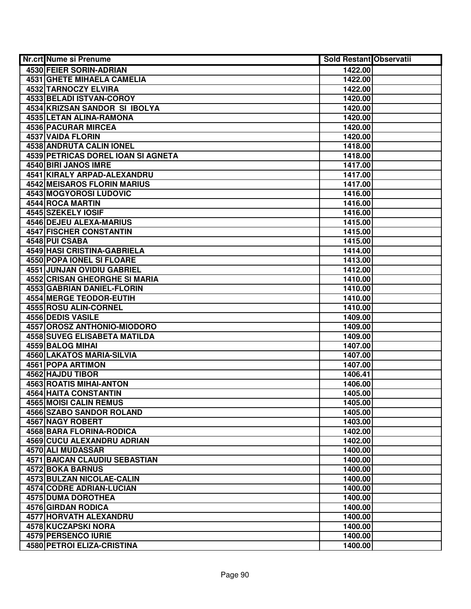| Nr.crt Nume si Prenume                                    | <b>Sold Restant Observatii</b> |  |
|-----------------------------------------------------------|--------------------------------|--|
| 4530 FEIER SORIN-ADRIAN                                   | 1422.00                        |  |
| 4531 GHETE MIHAELA CAMELIA                                | 1422.00                        |  |
| <b>4532 TARNOCZY ELVIRA</b>                               | 1422.00                        |  |
| 4533 BELADI ISTVAN-COROY                                  | 1420.00                        |  |
| 4534 KRIZSAN SANDOR SI IBOLYA                             | 1420.00                        |  |
| 4535 LETAN ALINA-RAMONA                                   | 1420.00                        |  |
| <b>4536 PACURAR MIRCEA</b>                                | 1420.00                        |  |
| <b>4537 VAIDA FLORIN</b>                                  | 1420.00                        |  |
| <b>4538 ANDRUTA CALIN IONEL</b>                           | 1418.00                        |  |
| 4539 PETRICAS DOREL IOAN SI AGNETA                        | 1418.00                        |  |
| 4540 BIRI JANOS IMRE                                      | 1417.00                        |  |
| 4541 KIRALY ARPAD-ALEXANDRU                               | 1417.00                        |  |
| <b>4542 MEISAROS FLORIN MARIUS</b>                        | 1417.00                        |  |
| 4543 MOGYOROSI LUDOVIC                                    | 1416.00                        |  |
| 4544 ROCA MARTIN                                          | 1416.00                        |  |
| 4545 SZEKELY IOSIF                                        | 1416.00                        |  |
| 4546 DEJEU ALEXA-MARIUS                                   | 1415.00                        |  |
| 4547 FISCHER CONSTANTIN                                   | 1415.00                        |  |
| 4548 PUI CSABA                                            | 1415.00                        |  |
| 4549 HASI CRISTINA-GABRIELA                               | 1414.00                        |  |
| 4550 POPA IONEL SI FLOARE                                 | 1413.00                        |  |
| 4551 JUNJAN OVIDIU GABRIEL                                | 1412.00                        |  |
| 4552 CRISAN GHEORGHE SI MARIA                             | 1410.00                        |  |
| 4553 GABRIAN DANIEL-FLORIN                                | 1410.00                        |  |
| 4554 MERGE TEODOR-EUTIH                                   | 1410.00                        |  |
| 4555 ROSU ALIN-CORNEL                                     | 1410.00                        |  |
| <b>4556 DEDIS VASILE</b>                                  | 1409.00                        |  |
| 4557 OROSZ ANTHONIO-MIODORO                               | 1409.00                        |  |
| 4558 SUVEG ELISABETA MATILDA                              | 1409.00                        |  |
| 4559 BALOG MIHAI                                          | 1407.00                        |  |
| 4560 LAKATOS MARIA-SILVIA                                 | 1407.00                        |  |
| 4561 POPA ARTIMON                                         | 1407.00                        |  |
| 4562 HAJDU TIBOR                                          | 1406.41                        |  |
| <b>4563 ROATIS MIHAI-ANTON</b>                            | 1406.00                        |  |
| 4564 HAITA CONSTANTIN                                     | 1405.00                        |  |
| <b>4565 MOISI CALIN REMUS</b>                             | 1405.00                        |  |
| <b>4566 SZABO SANDOR ROLAND</b>                           | 1405.00                        |  |
| <b>4567 NAGY ROBERT</b>                                   | 1403.00                        |  |
| <b>4568 BARA FLORINA-RODICA</b>                           | 1402.00                        |  |
| 4569 CUCU ALEXANDRU ADRIAN                                | 1402.00                        |  |
| 4570 ALI MUDASSAR<br><b>4571 BAICAN CLAUDIU SEBASTIAN</b> | 1400.00                        |  |
|                                                           | 1400.00                        |  |
| <b>4572 BOKA BARNUS</b>                                   | 1400.00                        |  |
| 4573 BULZAN NICOLAE-CALIN                                 | 1400.00                        |  |
| 4574 CODRE ADRIAN-LUCIAN                                  | 1400.00                        |  |
| <b>4575 DUMA DOROTHEA</b>                                 | 1400.00                        |  |
| 4576 GIRDAN RODICA                                        | 1400.00                        |  |
| 4577 HORVATH ALEXANDRU                                    | 1400.00                        |  |
| 4578 KUCZAPSKI NORA<br>4579 PERSENCO IURIE                | 1400.00<br>1400.00             |  |
| 4580 PETROI ELIZA-CRISTINA                                |                                |  |
|                                                           | 1400.00                        |  |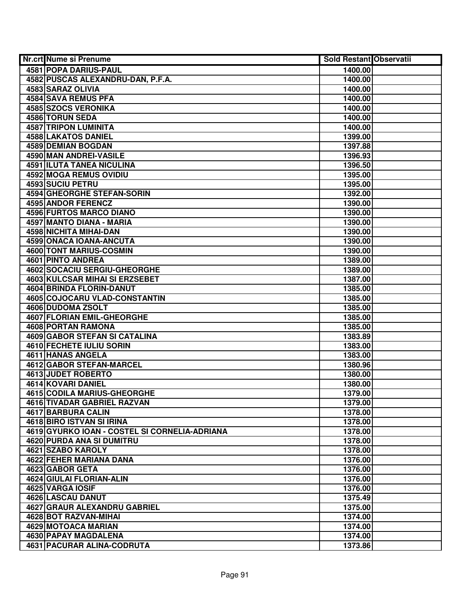| Nr.crt Nume si Prenume                             | <b>Sold Restant Observatii</b> |  |
|----------------------------------------------------|--------------------------------|--|
| 4581 POPA DARIUS-PAUL                              | 1400.00                        |  |
| 4582 PUSCAS ALEXANDRU-DAN, P.F.A.                  | 1400.00                        |  |
| 4583 SARAZ OLIVIA                                  | 1400.00                        |  |
| <b>4584 SAVA REMUS PFA</b>                         | 1400.00                        |  |
| 4585 SZOCS VERONIKA                                | 1400.00                        |  |
| 4586 TORUN SEDA                                    | 1400.00                        |  |
| 4587 TRIPON LUMINITA                               | 1400.00                        |  |
| 4588 LAKATOS DANIEL                                | 1399.00                        |  |
| <b>4589 DEMIAN BOGDAN</b>                          | 1397.88                        |  |
| 4590 MAN ANDREI-VASILE                             | 1396.93                        |  |
| <b>4591 ILUTA TANEA NICULINA</b>                   | 1396.50                        |  |
| <b>4592 MOGA REMUS OVIDIU</b>                      | 1395.00                        |  |
| <b>4593 SUCIU PETRU</b>                            | 1395.00                        |  |
| <b>4594 GHEORGHE STEFAN-SORIN</b>                  | 1392.00                        |  |
| 4595 ANDOR FERENCZ                                 | 1390.00                        |  |
| 4596 FURTOS MARCO DIANO                            | 1390.00                        |  |
| 4597 MANTO DIANA - MARIA                           | 1390.00                        |  |
| 4598 NICHITA MIHAI-DAN                             | 1390.00                        |  |
| 4599 ONACA IOANA-ANCUTA                            | 1390.00                        |  |
| <b>4600 TONT MARIUS-COSMIN</b>                     | 1390.00                        |  |
| 4601 PINTO ANDREA                                  | 1389.00                        |  |
| 4602 SOCACIU SERGIU-GHEORGHE                       | 1389.00                        |  |
| 4603 KULCSAR MIHAI SI ERZSEBET                     | 1387.00                        |  |
| 4604 BRINDA FLORIN-DANUT                           | 1385.00                        |  |
| 4605 COJOCARU VLAD-CONSTANTIN                      | 1385.00                        |  |
| 4606 DUDOMA ZSOLT                                  | 1385.00                        |  |
| <b>4607 FLORIAN EMIL-GHEORGHE</b>                  | 1385.00                        |  |
| 4608 PORTAN RAMONA                                 | 1385.00                        |  |
| 4609 GABOR STEFAN SI CATALINA                      | 1383.89                        |  |
| 4610 FECHETE IULIU SORIN                           | 1383.00                        |  |
| 4611 HANAS ANGELA                                  | 1383.00                        |  |
| <b>4612 GABOR STEFAN-MARCEL</b>                    | 1380.96                        |  |
| 4613 JUDET ROBERTO                                 | 1380.00                        |  |
| 4614 KOVARI DANIEL                                 | 1380.00                        |  |
| <b>4615 CODILA MARIUS-GHEORGHE</b>                 | 1379.00                        |  |
| <b>4616 TIVADAR GABRIEL RAZVAN</b>                 | 1379.00                        |  |
| 4617 BARBURA CALIN                                 | 1378.00                        |  |
| 4618 BIRO ISTVAN SI IRINA                          | 1378.00                        |  |
| 4619 GYURKO IOAN - COSTEL SI CORNELIA-ADRIANA      | 1378.00                        |  |
| <b>4620 PURDA ANA SI DUMITRU</b>                   | 1378.00                        |  |
| 4621 SZABO KAROLY                                  | 1378.00                        |  |
| 4622 FEHER MARIANA DANA                            | 1376.00                        |  |
| 4623 GABOR GETA                                    | 1376.00                        |  |
| 4624 GIULAI FLORIAN-ALIN                           | 1376.00                        |  |
| 4625 VARGA IOSIF                                   | 1376.00                        |  |
| 4626 LASCAU DANUT                                  | 1375.49                        |  |
| 4627 GRAUR ALEXANDRU GABRIEL                       | 1375.00                        |  |
| 4628 BOT RAZVAN-MIHAI                              | 1374.00                        |  |
| 4629 MOTOACA MARIAN                                | 1374.00                        |  |
| 4630 PAPAY MAGDALENA<br>4631 PACURAR ALINA-CODRUTA | 1374.00                        |  |
|                                                    | 1373.86                        |  |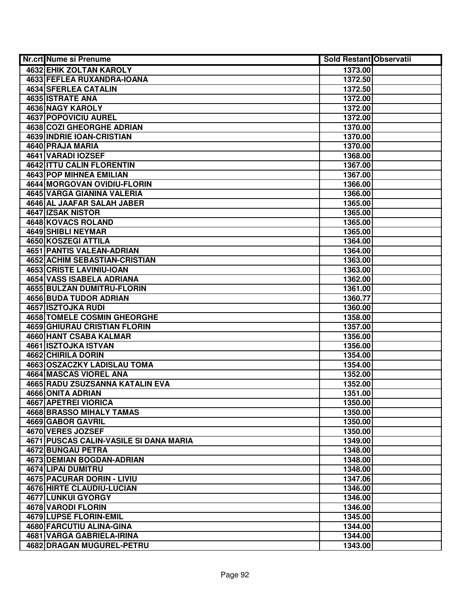| Nr.crt Nume si Prenume                 | <b>Sold Restant Observatii</b> |  |
|----------------------------------------|--------------------------------|--|
| 4632 EHIK ZOLTAN KAROLY                | 1373.00                        |  |
| 4633 FEFLEA RUXANDRA-IOANA             | 1372.50                        |  |
| 4634 SFERLEA CATALIN                   | 1372.50                        |  |
| 4635 ISTRATE ANA                       | 1372.00                        |  |
| 4636 NAGY KAROLY                       | 1372.00                        |  |
| <b>4637 POPOVICIU AUREL</b>            | 1372.00                        |  |
| 4638 COZI GHEORGHE ADRIAN              | 1370.00                        |  |
| 4639 INDRIE IOAN-CRISTIAN              | 1370.00                        |  |
| 4640 PRAJA MARIA                       | 1370.00                        |  |
| 4641 VARADI IOZSEF                     | 1368.00                        |  |
| <b>4642 ITTU CALIN FLORENTIN</b>       | 1367.00                        |  |
| <b>4643 POP MIHNEA EMILIAN</b>         | 1367.00                        |  |
| 4644 MORGOVAN OVIDIU-FLORIN            | 1366.00                        |  |
| <b>4645 VARGA GIANINA VALERIA</b>      | 1366.00                        |  |
| 4646 AL JAAFAR SALAH JABER             | 1365.00                        |  |
| 4647 IZSAK NISTOR                      | 1365.00                        |  |
| 4648 KOVACS ROLAND                     | 1365.00                        |  |
| 4649 SHIBLI NEYMAR                     | 1365.00                        |  |
| 4650 KOSZEGI ATTILA                    | 1364.00                        |  |
| <b>4651 PANTIS VALEAN-ADRIAN</b>       | 1364.00                        |  |
| 4652 ACHIM SEBASTIAN-CRISTIAN          | 1363.00                        |  |
| 4653 CRISTE LAVINIU-IOAN               | 1363.00                        |  |
| 4654 VASS ISABELA ADRIANA              | 1362.00                        |  |
| 4655 BULZAN DUMITRU-FLORIN             | 1361.00                        |  |
| <b>4656 BUDA TUDOR ADRIAN</b>          | 1360.77                        |  |
| 4657 ISZTOJKA RUDI                     | 1360.00                        |  |
| 4658 TOMELE COSMIN GHEORGHE            | 1358.00                        |  |
| <b>4659 GHIURAU CRISTIAN FLORIN</b>    | 1357.00                        |  |
| 4660 HANT CSABA KALMAR                 | 1356.00                        |  |
| 4661 ISZTOJKA ISTVAN                   | 1356.00                        |  |
| 4662 CHIRILA DORIN                     | 1354.00                        |  |
| 4663 OSZACZKY LADISLAU TOMA            | 1354.00                        |  |
| 4664 MASCAS VIOREL ANA                 | 1352.00                        |  |
| 4665 RADU ZSUZSANNA KATALIN EVA        | 1352.00                        |  |
| <b>4666 ONITA ADRIAN</b>               | 1351.00                        |  |
| 4667 APETREI VIORICA                   | 1350.00                        |  |
| 4668 BRASSO MIHALY TAMAS               | 1350.00                        |  |
| <b>4669 GABOR GAVRIL</b>               | 1350.00                        |  |
| 4670 VERES JOZSEF                      | 1350.00                        |  |
| 4671 PUSCAS CALIN-VASILE SI DANA MARIA | 1349.00                        |  |
| 4672 BUNGAU PETRA                      | 1348.00                        |  |
| <b>4673 DEMIAN BOGDAN-ADRIAN</b>       | 1348.00                        |  |
| 4674 LIPAI DUMITRU                     | 1348.00                        |  |
| 4675 PACURAR DORIN - LIVIU             | 1347.06                        |  |
| 4676 HIRTE CLAUDIU-LUCIAN              | 1346.00                        |  |
| 4677 LUNKUI GYORGY                     | 1346.00                        |  |
| 4678 VARODI FLORIN                     | 1346.00                        |  |
| 4679 LUPSE FLORIN-EMIL                 | 1345.00                        |  |
| 4680 FARCUTIU ALINA-GINA               | 1344.00                        |  |
| 4681 VARGA GABRIELA-IRINA              | 1344.00                        |  |
| 4682 DRAGAN MUGUREL-PETRU              | 1343.00                        |  |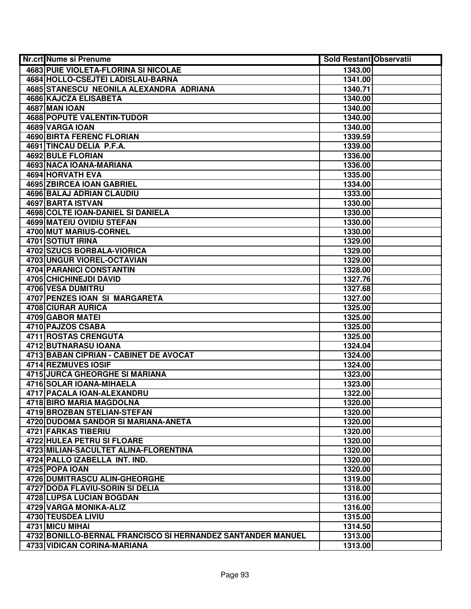| Nr.crt Nume si Prenume                                      | <b>Sold Restant Observatii</b> |  |
|-------------------------------------------------------------|--------------------------------|--|
| <b>4683 PUIE VIOLETA-FLORINA SI NICOLAE</b>                 | 1343.00                        |  |
| 4684 HOLLO-CSEJTEI LADISLAU-BARNA                           | 1341.00                        |  |
| 4685 STANESCU NEONILA ALEXANDRA ADRIANA                     | 1340.71                        |  |
| 4686 KAJCZA ELISABETA                                       | 1340.00                        |  |
| <b>4687 MAN IOAN</b>                                        | 1340.00                        |  |
| 4688 POPUTE VALENTIN-TUDOR                                  | 1340.00                        |  |
| 4689 VARGA IOAN                                             | 1340.00                        |  |
| <b>4690 BIRTA FERENC FLORIAN</b>                            | 1339.59                        |  |
| 4691 TINCAU DELIA P.F.A.                                    | 1339.00                        |  |
| <b>4692 BULE FLORIAN</b>                                    | 1336.00                        |  |
| 4693 NACA IOANA-MARIANA                                     | 1336.00                        |  |
| <b>4694 HORVATH EVA</b>                                     | 1335.00                        |  |
| <b>4695 ZBIRCEA IOAN GABRIEL</b>                            | 1334.00                        |  |
| 4696 BALAJ ADRIAN CLAUDIU                                   | 1333.00                        |  |
| 4697 BARTA ISTVAN                                           | 1330.00                        |  |
| 4698 COLTE IOAN-DANIEL SI DANIELA                           | 1330.00                        |  |
| 4699 MATEIU OVIDIU STEFAN                                   | 1330.00                        |  |
| 4700 MUT MARIUS-CORNEL                                      | 1330.00                        |  |
| 4701 SOTIUT IRINA                                           | 1329.00                        |  |
| <b>4702 SZUCS BORBALA-VIORICA</b>                           | 1329.00                        |  |
| 4703 UNGUR VIOREL-OCTAVIAN                                  | 1329.00                        |  |
| <b>4704 PARANICI CONSTANTIN</b>                             | 1328.00                        |  |
| 4705 CHICHINEJDI DAVID                                      | 1327.76                        |  |
| 4706 VESA DUMITRU                                           | 1327.68                        |  |
| 4707 PENZES IOAN SI MARGARETA                               | 1327.00                        |  |
| 4708 CIURAR AURICA                                          | 1325.00                        |  |
| 4709 GABOR MATEI                                            | 1325.00                        |  |
| 4710 PAJZOS CSABA                                           | 1325.00                        |  |
| 4711 ROSTAS CRENGUTA                                        | 1325.00                        |  |
| 4712 BUTNARASU IOANA                                        | 1324.04                        |  |
| 4713 BABAN CIPRIAN - CABINET DE AVOCAT                      | 1324.00                        |  |
| 4714 REZMUVES IOSIF                                         | 1324.00                        |  |
| 4715 JURCA GHEORGHE SI MARIANA                              | 1323.00                        |  |
| 4716 SOLAR IOANA-MIHAELA                                    | 1323.00                        |  |
| <b>4717 PACALA IOAN-ALEXANDRU</b>                           | 1322.00                        |  |
| 4718 BIRO MARIA MAGDOLNA                                    | 1320.00                        |  |
| 4719 BROZBAN STELIAN-STEFAN                                 | 1320.00                        |  |
| 4720 DUDOMA SANDOR SI MARIANA-ANETA                         | 1320.00                        |  |
| 4721 FARKAS TIBERIU                                         | 1320.00                        |  |
| 4722 HULEA PETRU SI FLOARE                                  | 1320.00                        |  |
| 4723 MILIAN-SACULTET ALINA-FLORENTINA                       | 1320.00                        |  |
| 4724 PALLO IZABELLA INT. IND.                               | 1320.00                        |  |
| 4725 POPA IOAN                                              | 1320.00                        |  |
| 4726 DUMITRASCU ALIN-GHEORGHE                               | 1319.00                        |  |
| 4727 DODA FLAVIU-SORIN SI DELIA                             | 1318.00                        |  |
| 4728 LUPSA LUCIAN BOGDAN                                    | 1316.00                        |  |
| 4729 VARGA MONIKA-ALIZ                                      | 1316.00                        |  |
| 4730 TEUSDEA LIVIU                                          | 1315.00                        |  |
| 4731 MICU MIHAI                                             | 1314.50                        |  |
| 4732 BONILLO-BERNAL FRANCISCO SI HERNANDEZ SANTANDER MANUEL | 1313.00                        |  |
| 4733 VIDICAN CORINA-MARIANA                                 | 1313.00                        |  |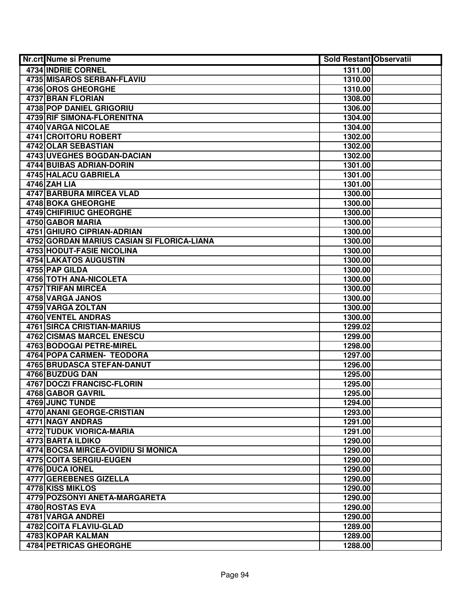| Nr.crt Nume si Prenume                     | <b>Sold Restant Observatii</b> |  |
|--------------------------------------------|--------------------------------|--|
| 4734 INDRIE CORNEL                         | 1311.00                        |  |
| <b>4735 MISAROS SERBAN-FLAVIU</b>          | 1310.00                        |  |
| 4736 OROS GHEORGHE                         | 1310.00                        |  |
| 4737 BRAN FLORIAN                          | 1308.00                        |  |
| 4738 POP DANIEL GRIGORIU                   | 1306.00                        |  |
| 4739 RIF SIMONA-FLORENITNA                 | 1304.00                        |  |
| 4740 VARGA NICOLAE                         | 1304.00                        |  |
| 4741 CROITORU ROBERT                       | 1302.00                        |  |
| 4742 OLAR SEBASTIAN                        | 1302.00                        |  |
| <b>4743 UVEGHES BOGDAN-DACIAN</b>          | 1302.00                        |  |
| <b>4744 BUIBAS ADRIAN-DORIN</b>            | 1301.00                        |  |
| 4745 HALACU GABRIELA                       | 1301.00                        |  |
| 4746 ZAH LIA                               | 1301.00                        |  |
| <b>4747 BARBURA MIRCEA VLAD</b>            | 1300.00                        |  |
| 4748 BOKA GHEORGHE                         | 1300.00                        |  |
| 4749 CHIFIRIUC GHEORGHE                    | 1300.00                        |  |
| 4750 GABOR MARIA                           | 1300.00                        |  |
| 4751 GHIURO CIPRIAN-ADRIAN                 | 1300.00                        |  |
| 4752 GORDAN MARIUS CASIAN SI FLORICA-LIANA | 1300.00                        |  |
| 4753 HODUT-FASIE NICOLINA                  | 1300.00                        |  |
| 4754 LAKATOS AUGUSTIN                      | 1300.00                        |  |
| 4755 PAP GILDA                             | 1300.00                        |  |
| 4756 TOTH ANA-NICOLETA                     | 1300.00                        |  |
| 4757 TRIFAN MIRCEA                         | 1300.00                        |  |
| 4758 VARGA JANOS                           | 1300.00                        |  |
| 4759 VARGA ZOLTAN                          | 1300.00                        |  |
| <b>4760 VENTEL ANDRAS</b>                  | 1300.00                        |  |
| 4761 SIRCA CRISTIAN-MARIUS                 | 1299.02                        |  |
| 4762 CISMAS MARCEL ENESCU                  | 1299.00                        |  |
| 4763 BODOGAI PETRE-MIREL                   | 1298.00                        |  |
| 4764 POPA CARMEN- TEODORA                  | 1297.00                        |  |
| 4765 BRUDASCA STEFAN-DANUT                 | 1296.00                        |  |
| 4766 BUZDUG DAN                            | 1295.00                        |  |
| <b>4767 DOCZI FRANCISC-FLORIN</b>          | 1295.00                        |  |
| 4768 GABOR GAVRIL                          | 1295.00                        |  |
| 4769 JUNC TUNDE                            | 1294.00                        |  |
| <b>4770 ANANI GEORGE-CRISTIAN</b>          | 1293.00                        |  |
| 4771 NAGY ANDRAS                           | 1291.00                        |  |
| <b>4772 TUDUK VIORICA-MARIA</b>            | 1291.00                        |  |
| 4773 BARTA ILDIKO                          | 1290.00                        |  |
| 4774 BOCSA MIRCEA-OVIDIU SI MONICA         | 1290.00                        |  |
| <b>4775 COITA SERGIU-EUGEN</b>             | 1290.00                        |  |
| 4776 DUCA IONEL                            | 1290.00                        |  |
| 4777 GEREBENES GIZELLA                     | 1290.00                        |  |
| 4778 KISS MIKLOS                           | 1290.00                        |  |
| 4779 POZSONYI ANETA-MARGARETA              | 1290.00                        |  |
| 4780 ROSTAS EVA                            | 1290.00                        |  |
| 4781 VARGA ANDREI                          | 1290.00                        |  |
| 4782 COITA FLAVIU-GLAD                     | 1289.00                        |  |
| 4783 KOPAR KALMAN                          | 1289.00                        |  |
| 4784 PETRICAS GHEORGHE                     | 1288.00                        |  |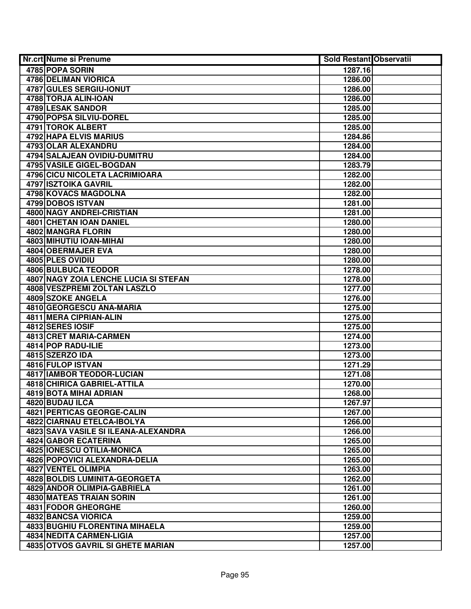| Nr.crt Nume si Prenume                | <b>Sold Restant Observatii</b> |  |
|---------------------------------------|--------------------------------|--|
| 4785 POPA SORIN                       | 1287.16                        |  |
| <b>4786 DELIMAN VIORICA</b>           | 1286.00                        |  |
| 4787 GULES SERGIU-IONUT               | 1286.00                        |  |
| 4788 TORJA ALIN-IOAN                  | 1286.00                        |  |
| 4789 LESAK SANDOR                     | 1285.00                        |  |
| 4790 POPSA SILVIU-DOREL               | 1285.00                        |  |
| 4791 TOROK ALBERT                     | 1285.00                        |  |
| 4792 HAPA ELVIS MARIUS                | 1284.86                        |  |
| 4793 OLAR ALEXANDRU                   | 1284.00                        |  |
| 4794 SALAJEAN OVIDIU-DUMITRU          | 1284.00                        |  |
| 4795 VASILE GIGEL-BOGDAN              | 1283.79                        |  |
| 4796 CICU NICOLETA LACRIMIOARA        | 1282.00                        |  |
| 4797 ISZTOIKA GAVRIL                  | 1282.00                        |  |
| 4798 KOVACS MAGDOLNA                  | 1282.00                        |  |
| 4799 DOBOS ISTVAN                     | 1281.00                        |  |
| 4800 NAGY ANDREI-CRISTIAN             | 1281.00                        |  |
| 4801 CHETAN IOAN DANIEL               | 1280.00                        |  |
| 4802 MANGRA FLORIN                    | 1280.00                        |  |
| <b>4803 MIHUTIU IOAN-MIHAI</b>        | 1280.00                        |  |
| 4804 OBERMAJER EVA                    | 1280.00                        |  |
| 4805 PLES OVIDIU                      | 1280.00                        |  |
| <b>4806 BULBUCA TEODOR</b>            | 1278.00                        |  |
| 4807 NAGY ZOIA LENCHE LUCIA SI STEFAN | 1278.00                        |  |
| 4808 VESZPREMI ZOLTAN LASZLO          | 1277.00                        |  |
| 4809 SZOKE ANGELA                     | 1276.00                        |  |
| 4810 GEORGESCU ANA-MARIA              | 1275.00                        |  |
| 4811 MERA CIPRIAN-ALIN                | 1275.00                        |  |
| 4812 SERES IOSIF                      | 1275.00                        |  |
| 4813 CRET MARIA-CARMEN                | 1274.00                        |  |
| 4814 POP RADU-ILIE                    | 1273.00                        |  |
| 4815 SZERZO IDA                       | 1273.00                        |  |
| 4816 FULOP ISTVAN                     | 1271.29                        |  |
| <b>4817 IAMBOR TEODOR-LUCIAN</b>      | 1271.08                        |  |
| <b>4818 CHIRICA GABRIEL-ATTILA</b>    | 1270.00                        |  |
| 4819 BOTA MIHAI ADRIAN                | 1268.00                        |  |
| 4820 BUDAU ILCA                       | 1267.97                        |  |
| <b>4821 PERTICAS GEORGE-CALIN</b>     | 1267.00                        |  |
| 4822 CIARNAU ETELCA-IBOLYA            | 1266.00                        |  |
| 4823 SAVA VASILE SI ILEANA-ALEXANDRA  | 1266.00                        |  |
| 4824 GABOR ECATERINA                  | 1265.00                        |  |
| 4825 IONESCU OTILIA-MONICA            | 1265.00                        |  |
| 4826 POPOVICI ALEXANDRA-DELIA         | 1265.00                        |  |
| <b>4827 VENTEL OLIMPIA</b>            | 1263.00                        |  |
| <b>4828 BOLDIS LUMINITA-GEORGETA</b>  | 1262.00                        |  |
| 4829 ANDOR OLIMPIA-GABRIELA           | 1261.00                        |  |
| 4830 MATEAS TRAIAN SORIN              | 1261.00                        |  |
| 4831 FODOR GHEORGHE                   | 1260.00                        |  |
| 4832 BANCSA VIORICA                   | 1259.00                        |  |
| 4833 BUGHIU FLORENTINA MIHAELA        | 1259.00                        |  |
| 4834 NEDITA CARMEN-LIGIA              | 1257.00                        |  |
| 4835 OTVOS GAVRIL SI GHETE MARIAN     | 1257.00                        |  |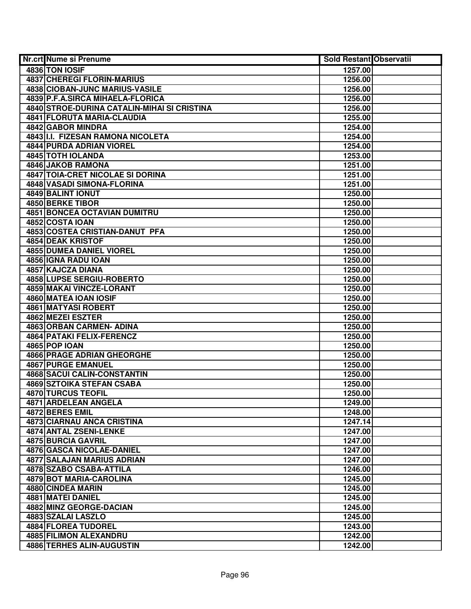| Nr.crt Nume si Prenume                      | Sold Restant Observatii |  |
|---------------------------------------------|-------------------------|--|
| 4836 TON IOSIF                              | 1257.00                 |  |
| <b>4837 CHEREGI FLORIN-MARIUS</b>           | 1256.00                 |  |
| 4838 CIOBAN-JUNC MARIUS-VASILE              | 1256.00                 |  |
| 4839 P.F.A.SIRCA MIHAELA-FLORICA            | 1256.00                 |  |
| 4840 STROE-DURINA CATALIN-MIHAI SI CRISTINA | 1256.00                 |  |
| 4841 FLORUTA MARIA-CLAUDIA                  | 1255.00                 |  |
| 4842 GABOR MINDRA                           | 1254.00                 |  |
| 4843 II.I. FIZESAN RAMONA NICOLETA          | 1254.00                 |  |
| 4844 PURDA ADRIAN VIOREL                    | 1254.00                 |  |
| <b>4845 TOTH IOLANDA</b>                    | 1253.00                 |  |
| <b>4846 JAKOB RAMONA</b>                    | 1251.00                 |  |
| <b>4847 TOIA-CRET NICOLAE SI DORINA</b>     | 1251.00                 |  |
| 4848 VASADI SIMONA-FLORINA                  | 1251.00                 |  |
| 4849 BALINT IONUT                           | 1250.00                 |  |
| 4850 BERKE TIBOR                            | 1250.00                 |  |
| <b>4851 BONCEA OCTAVIAN DUMITRU</b>         | 1250.00                 |  |
| 4852 COSTA IOAN                             | 1250.00                 |  |
| 4853 COSTEA CRISTIAN-DANUT PFA              | 1250.00                 |  |
| <b>4854 DEAK KRISTOF</b>                    | 1250.00                 |  |
| <b>4855 DUMEA DANIEL VIOREL</b>             | 1250.00                 |  |
| 4856 IGNA RADU IOAN                         | 1250.00                 |  |
| 4857 KAJCZA DIANA                           | 1250.00                 |  |
| 4858 LUPSE SERGIU-ROBERTO                   | 1250.00                 |  |
| 4859 MAKAI VINCZE-LORANT                    | 1250.00                 |  |
| 4860 MATEA IOAN IOSIF                       | 1250.00                 |  |
| 4861 MATYASI ROBERT                         | 1250.00                 |  |
| 4862 MEZEI ESZTER                           | 1250.00                 |  |
| 4863 ORBAN CARMEN- ADINA                    | 1250.00                 |  |
| 4864 PATAKI FELIX-FERENCZ                   | 1250.00                 |  |
| <b>4865 POP IOAN</b>                        | 1250.00                 |  |
| <b>4866 PRAGE ADRIAN GHEORGHE</b>           | 1250.00                 |  |
| 4867 PURGE EMANUEL                          | 1250.00                 |  |
| 4868 SACUI CALIN-CONSTANTIN                 | 1250.00                 |  |
| 4869 SZTOIKA STEFAN CSABA                   | 1250.00                 |  |
| <b>4870 TURCUS TEOFIL</b>                   | 1250.00                 |  |
| 4871 ARDELEAN ANGELA                        | 1249.00                 |  |
| 4872 BERES EMIL                             | 1248.00                 |  |
| 4873 CIARNAU ANCA CRISTINA                  | 1247.14                 |  |
| 4874 ANTAL ZSENI-LENKE                      | 1247.00                 |  |
| 4875 BURCIA GAVRIL                          | 1247.00                 |  |
| 4876 GASCA NICOLAE-DANIEL                   | 1247.00                 |  |
| <b>4877 SALAJAN MARIUS ADRIAN</b>           | 1247.00                 |  |
| 4878 SZABO CSABA-ATTILA                     | 1246.00                 |  |
| 4879 BOT MARIA-CAROLINA                     | 1245.00                 |  |
| 4880 CINDEA MARIN                           | 1245.00                 |  |
| 4881 MATEI DANIEL                           | 1245.00                 |  |
| 4882 MINZ GEORGE-DACIAN                     | 1245.00                 |  |
| 4883 SZALAI LASZLO                          | 1245.00                 |  |
| 4884 FLOREA TUDOREL                         | 1243.00                 |  |
| 4885 FILIMON ALEXANDRU                      | 1242.00                 |  |
| 4886 TERHES ALIN-AUGUSTIN                   | 1242.00                 |  |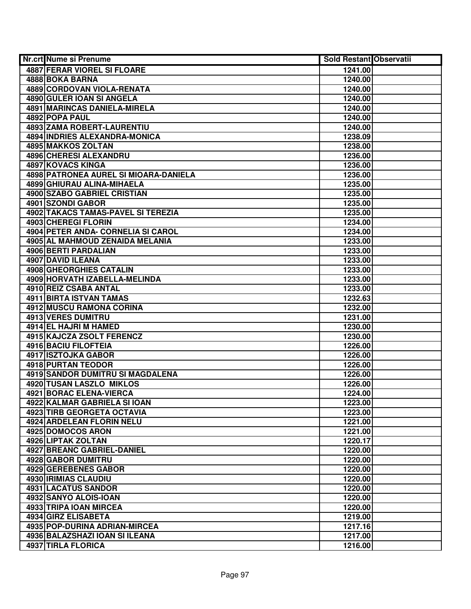| Nr.crt Nume si Prenume                  | <b>Sold Restant Observatii</b> |  |
|-----------------------------------------|--------------------------------|--|
| <b>4887 FERAR VIOREL SI FLOARE</b>      | 1241.00                        |  |
| 4888 BOKA BARNA                         | 1240.00                        |  |
| 4889 CORDOVAN VIOLA-RENATA              | 1240.00                        |  |
| 4890 GULER IOAN SI ANGELA               | 1240.00                        |  |
| 4891 MARINCAS DANIELA-MIRELA            | 1240.00                        |  |
| 4892 POPA PAUL                          | 1240.00                        |  |
| 4893 ZAMA ROBERT-LAURENTIU              | 1240.00                        |  |
| 4894 INDRIES ALEXANDRA-MONICA           | 1238.09                        |  |
| <b>4895 MAKKOS ZOLTAN</b>               | 1238.00                        |  |
| 4896 CHERESI ALEXANDRU                  | 1236.00                        |  |
| <b>4897 KOVACS KINGA</b>                | 1236.00                        |  |
| 4898 PATRONEA AUREL SI MIOARA-DANIELA   | 1236.00                        |  |
| 4899 GHIURAU ALINA-MIHAELA              | 1235.00                        |  |
| 4900 SZABO GABRIEL CRISTIAN             | 1235.00                        |  |
| 4901 SZONDI GABOR                       | 1235.00                        |  |
| 4902 TAKACS TAMAS-PAVEL SI TEREZIA      | 1235.00                        |  |
| 4903 CHEREGI FLORIN                     | 1234.00                        |  |
| 4904 PETER ANDA- CORNELIA SI CAROL      | 1234.00                        |  |
| 4905 AL MAHMOUD ZENAIDA MELANIA         | 1233.00                        |  |
| 4906 BERTI PARDALIAN                    | 1233.00                        |  |
| 4907 DAVID ILEANA                       | 1233.00                        |  |
| 4908 GHEORGHIES CATALIN                 | 1233.00                        |  |
| 4909 HORVATH IZABELLA-MELINDA           | 1233.00                        |  |
| 4910 REIZ CSABA ANTAL                   | 1233.00                        |  |
| 4911 BIRTA ISTVAN TAMAS                 | 1232.63                        |  |
| 4912 MUSCU RAMONA CORINA                | 1232.00                        |  |
| 4913 VERES DUMITRU                      | 1231.00                        |  |
| 4914 EL HAJRI M HAMED                   | 1230.00                        |  |
| 4915 KAJCZA ZSOLT FERENCZ               | 1230.00                        |  |
| 4916 BACIU FILOFTEIA                    | 1226.00                        |  |
| 4917 ISZTOJKA GABOR                     | 1226.00                        |  |
| 4918 PURTAN TEODOR                      | 1226.00                        |  |
| <b>4919 SANDOR DUMITRU SI MAGDALENA</b> | 1226.00                        |  |
| <b>4920 TUSAN LASZLO MIKLOS</b>         | 1226.00                        |  |
| 4921 BORAC ELENA-VIERCA                 | 1224.00                        |  |
| 4922 KALMAR GABRIELA SI IOAN            | 1223.00                        |  |
| <b>4923 TIRB GEORGETA OCTAVIA</b>       | 1223.00                        |  |
| <b>4924 ARDELEAN FLORIN NELU</b>        | 1221.00                        |  |
| 4925 DOMOCOS ARON                       | 1221.00                        |  |
| 4926 LIPTAK ZOLTAN                      | 1220.17                        |  |
| 4927 BREANC GABRIEL-DANIEL              | 1220.00                        |  |
| 4928 GABOR DUMITRU                      | 1220.00                        |  |
| 4929 GEREBENES GABOR                    | 1220.00                        |  |
| 4930 IRIMIAS CLAUDIU                    | 1220.00                        |  |
| 4931 LACATUS SANDOR                     | 1220.00                        |  |
| 4932 SANYO ALOIS-IOAN                   | 1220.00                        |  |
| 4933 TRIPA IOAN MIRCEA                  | 1220.00                        |  |
| 4934 GIRZ ELISABETA                     | 1219.00                        |  |
| 4935 POP-DURINA ADRIAN-MIRCEA           | 1217.16                        |  |
| 4936 BALAZSHAZI IOAN SI ILEANA          | 1217.00                        |  |
| 4937 TIRLA FLORICA                      | 1216.00                        |  |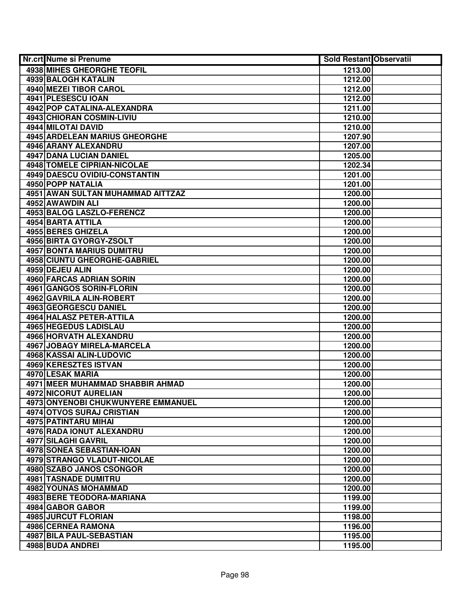| Nr.crt Nume si Prenume               | <b>Sold Restant Observatii</b> |  |
|--------------------------------------|--------------------------------|--|
| <b>4938 MIHES GHEORGHE TEOFIL</b>    | 1213.00                        |  |
| 4939 BALOGH KATALIN                  | 1212.00                        |  |
| 4940 MEZEI TIBOR CAROL               | 1212.00                        |  |
| 4941 PLESESCU IOAN                   | 1212.00                        |  |
| 4942 POP CATALINA-ALEXANDRA          | 1211.00                        |  |
| 4943 CHIORAN COSMIN-LIVIU            | 1210.00                        |  |
| 4944 MILOTAI DAVID                   | 1210.00                        |  |
| <b>4945 ARDELEAN MARIUS GHEORGHE</b> | 1207.90                        |  |
| 4946 ARANY ALEXANDRU                 | 1207.00                        |  |
| <b>4947 DANA LUCIAN DANIEL</b>       | 1205.00                        |  |
| <b>4948 TOMELE CIPRIAN-NICOLAE</b>   | 1202.34                        |  |
| 4949 DAESCU OVIDIU-CONSTANTIN        | 1201.00                        |  |
| <b>4950 POPP NATALIA</b>             | 1201.00                        |  |
| 4951 AWAN SULTAN MUHAMMAD AITTZAZ    | 1200.00                        |  |
| 4952 AWAWDIN ALI                     | 1200.00                        |  |
| 4953 BALOG LASZLO-FERENCZ            | 1200.00                        |  |
| 4954 BARTA ATTILA                    | 1200.00                        |  |
| 4955 BERES GHIZELA                   | 1200.00                        |  |
| 4956 BIRTA GYORGY-ZSOLT              | 1200.00                        |  |
| <b>4957 BONTA MARIUS DUMITRU</b>     | 1200.00                        |  |
| 4958 CIUNTU GHEORGHE-GABRIEL         | 1200.00                        |  |
| 4959 DEJEU ALIN                      | 1200.00                        |  |
| 4960 FARCAS ADRIAN SORIN             | 1200.00                        |  |
| 4961 GANGOS SORIN-FLORIN             | 1200.00                        |  |
| 4962 GAVRILA ALIN-ROBERT             | 1200.00                        |  |
| 4963 GEORGESCU DANIEL                | 1200.00                        |  |
| 4964 HALASZ PETER-ATTILA             | 1200.00                        |  |
| 4965 HEGEDUS LADISLAU                | 1200.00                        |  |
| 4966 HORVATH ALEXANDRU               | 1200.00                        |  |
| 4967 JOBAGY MIRELA-MARCELA           | 1200.00                        |  |
| 4968 KASSAI ALIN-LUDOVIC             | 1200.00                        |  |
| 4969 KERESZTES ISTVAN                | 1200.00                        |  |
| 4970 LESAK MARIA                     | 1200.00                        |  |
| 4971 MEER MUHAMMAD SHABBIR AHMAD     | 1200.00                        |  |
| <b>4972 NICORUT AURELIAN</b>         | 1200.00                        |  |
| 4973 ONYENOBI CHUKWUNYERE EMMANUEL   | 1200.00                        |  |
| 4974 OTVOS SURAJ CRISTIAN            | 1200.00                        |  |
| <b>4975 PATINTARU MIHAI</b>          | 1200.00                        |  |
| 4976 RADA IONUT ALEXANDRU            | 1200.00                        |  |
| 4977 SILAGHI GAVRIL                  | 1200.00                        |  |
| 4978 SONEA SEBASTIAN-IOAN            | 1200.00                        |  |
| 4979 STRANGO VLADUT-NICOLAE          | 1200.00                        |  |
| 4980 SZABO JANOS CSONGOR             | 1200.00                        |  |
| <b>4981 TASNADE DUMITRU</b>          | 1200.00                        |  |
| 4982 YOUNAS MOHAMMAD                 | 1200.00                        |  |
| 4983 BERE TEODORA-MARIANA            | 1199.00                        |  |
| 4984 GABOR GABOR                     | 1199.00                        |  |
| 4985 JURCUT FLORIAN                  | 1198.00                        |  |
| 4986 CERNEA RAMONA                   | 1196.00                        |  |
| 4987 BILA PAUL-SEBASTIAN             | 1195.00                        |  |
| 4988 BUDA ANDREI                     | 1195.00                        |  |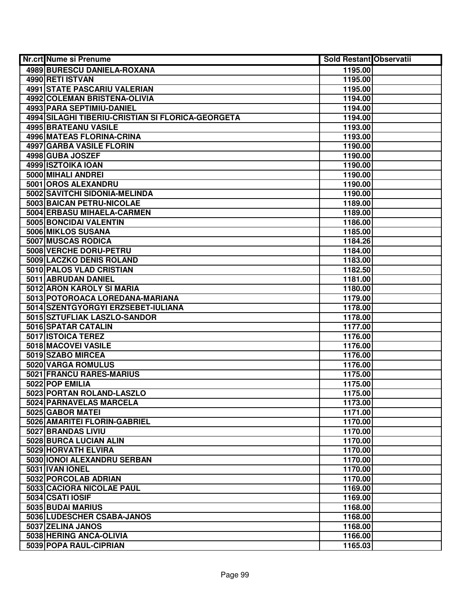| <b>Nr.crt Nume si Prenume</b>                     | <b>Sold Restant Observatii</b> |  |
|---------------------------------------------------|--------------------------------|--|
| 4989 BURESCU DANIELA-ROXANA                       | 1195.00                        |  |
| 4990 RETI ISTVAN                                  | 1195.00                        |  |
| <b>4991 STATE PASCARIU VALERIAN</b>               | 1195.00                        |  |
| 4992 COLEMAN BRISTENA-OLIVIA                      | 1194.00                        |  |
| 4993 PARA SEPTIMIU-DANIEL                         | 1194.00                        |  |
| 4994 SILAGHI TIBERIU-CRISTIAN SI FLORICA-GEORGETA | 1194.00                        |  |
| 4995 BRATEANU VASILE                              | 1193.00                        |  |
| <b>4996 MATEAS FLORINA-CRINA</b>                  | 1193.00                        |  |
| <b>4997 GARBA VASILE FLORIN</b>                   | 1190.00                        |  |
| 4998 GUBA JOSZEF                                  | 1190.00                        |  |
| 4999 ISZTOIKA IOAN                                | 1190.00                        |  |
| 5000 MIHALI ANDREI                                | 1190.00                        |  |
| 5001 OROS ALEXANDRU                               | 1190.00                        |  |
| 5002 SAVITCHI SIDONIA-MELINDA                     | 1190.00                        |  |
| 5003 BAICAN PETRU-NICOLAE                         | 1189.00                        |  |
| 5004 ERBASU MIHAELA-CARMEN                        | 1189.00                        |  |
| 5005 BONCIDAI VALENTIN                            | 1186.00                        |  |
| 5006 MIKLOS SUSANA                                | 1185.00                        |  |
| 5007 MUSCAS RODICA                                | 1184.26                        |  |
| 5008 VERCHE DORU-PETRU                            | 1184.00                        |  |
| 5009 LACZKO DENIS ROLAND                          | 1183.00                        |  |
| 5010 PALOS VLAD CRISTIAN                          | 1182.50                        |  |
| 5011 ABRUDAN DANIEL                               | 1181.00                        |  |
| 5012 ARON KAROLY SI MARIA                         | 1180.00                        |  |
| 5013 POTOROACA LOREDANA-MARIANA                   | 1179.00                        |  |
| 5014 SZENTGYORGYI ERZSEBET-IULIANA                | 1178.00                        |  |
| 5015 SZTUFLIAK LASZLO-SANDOR                      | 1178.00                        |  |
| 5016 SPATAR CATALIN                               | 1177.00                        |  |
| 5017 ISTOICA TEREZ                                | 1176.00                        |  |
| 5018 MACOVEI VASILE                               | 1176.00                        |  |
| 5019 SZABO MIRCEA                                 | 1176.00                        |  |
| 5020 VARGA ROMULUS                                | 1176.00                        |  |
| 5021 FRANCU RARES-MARIUS                          | 1175.00                        |  |
| 5022 POP EMILIA                                   | 1175.00                        |  |
| 5023 PORTAN ROLAND-LASZLO                         | 1175.00                        |  |
| 5024 PARNAVELAS MARCELA                           | 1173.00                        |  |
| 5025 GABOR MATEI                                  | 1171.00                        |  |
| 5026 AMARITEI FLORIN-GABRIEL                      | 1170.00                        |  |
| 5027 BRANDAS LIVIU                                | 1170.00                        |  |
| 5028 BURCA LUCIAN ALIN                            | 1170.00                        |  |
| 5029 HORVATH ELVIRA                               | 1170.00                        |  |
| 5030 IONOI ALEXANDRU SERBAN                       | 1170.00                        |  |
| 5031 IVAN IONEL                                   | 1170.00                        |  |
| 5032 PORCOLAB ADRIAN                              | 1170.00                        |  |
| 5033 CACIORA NICOLAE PAUL                         | 1169.00                        |  |
| 5034 CSATI IOSIF                                  | 1169.00                        |  |
| 5035 BUDAI MARIUS                                 | 1168.00                        |  |
| 5036 LUDESCHER CSABA-JANOS                        | 1168.00                        |  |
| 5037 ZELINA JANOS                                 | 1168.00                        |  |
| 5038 HERING ANCA-OLIVIA                           | 1166.00                        |  |
| 5039 POPA RAUL-CIPRIAN                            | 1165.03                        |  |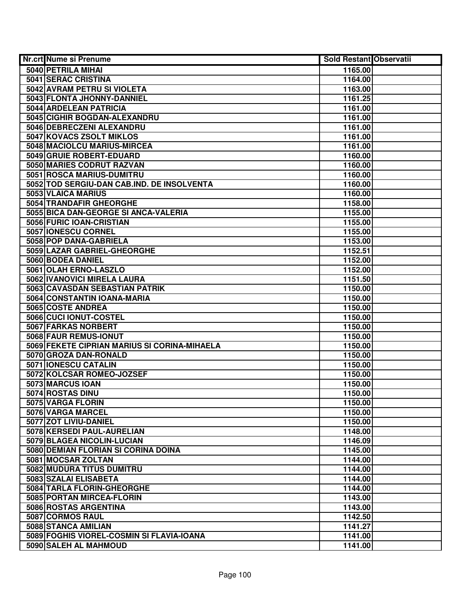| Nr.crt Nume si Prenume                       | <b>Sold Restant Observatii</b> |  |
|----------------------------------------------|--------------------------------|--|
| 5040 PETRILA MIHAI                           | 1165.00                        |  |
| 5041 SERAC CRISTINA                          | 1164.00                        |  |
| 5042 AVRAM PETRU SI VIOLETA                  | 1163.00                        |  |
| 5043 FLONTA JHONNY-DANNIEL                   | 1161.25                        |  |
| 5044 ARDELEAN PATRICIA                       | 1161.00                        |  |
| 5045 CIGHIR BOGDAN-ALEXANDRU                 | 1161.00                        |  |
| 5046 DEBRECZENI ALEXANDRU                    | 1161.00                        |  |
| <b>5047 KOVACS ZSOLT MIKLOS</b>              | 1161.00                        |  |
| 5048 MACIOLCU MARIUS-MIRCEA                  | 1161.00                        |  |
| 5049 GRUIE ROBERT-EDUARD                     | 1160.00                        |  |
| 5050 MARIES CODRUT RAZVAN                    | 1160.00                        |  |
| 5051 ROSCA MARIUS-DUMITRU                    | 1160.00                        |  |
| 5052 TOD SERGIU-DAN CAB.IND. DE INSOLVENTA   | 1160.00                        |  |
| 5053 VLAICA MARIUS                           | 1160.00                        |  |
| 5054 TRANDAFIR GHEORGHE                      | 1158.00                        |  |
| 5055 BICA DAN-GEORGE SI ANCA-VALERIA         | 1155.00                        |  |
| 5056 FURIC IOAN-CRISTIAN                     | 1155.00                        |  |
| 5057 IONESCU CORNEL                          | 1155.00                        |  |
| 5058 POP DANA-GABRIELA                       | 1153.00                        |  |
| 5059 LAZAR GABRIEL-GHEORGHE                  | 1152.51                        |  |
| 5060 BODEA DANIEL                            | 1152.00                        |  |
| 5061 OLAH ERNO-LASZLO                        | 1152.00                        |  |
| 5062 IVANOVICI MIRELA LAURA                  | 1151.50                        |  |
| 5063 CAVASDAN SEBASTIAN PATRIK               | 1150.00                        |  |
| 5064 CONSTANTIN IOANA-MARIA                  | 1150.00                        |  |
| 5065 COSTE ANDREA                            | 1150.00                        |  |
| 5066 CUCI IONUT-COSTEL                       | 1150.00                        |  |
| 5067 FARKAS NORBERT                          | 1150.00                        |  |
| 5068 FAUR REMUS-IONUT                        | 1150.00                        |  |
| 5069 FEKETE CIPRIAN MARIUS SI CORINA-MIHAELA | 1150.00                        |  |
| 5070 GROZA DAN-RONALD                        | 1150.00                        |  |
| 5071 IONESCU CATALIN                         | 1150.00                        |  |
| 5072 KOLCSAR ROMEO-JOZSEF                    | 1150.00                        |  |
| 5073 MARCUS IOAN                             | 1150.00                        |  |
| 5074 ROSTAS DINU                             | 1150.00                        |  |
| 5075 VARGA FLORIN                            | 1150.00                        |  |
| 5076 VARGA MARCEL                            | 1150.00                        |  |
| 5077 ZOT LIVIU-DANIEL                        | 1150.00                        |  |
| 5078 KERSEDI PAUL-AURELIAN                   | 1148.00                        |  |
| 5079 BLAGEA NICOLIN-LUCIAN                   | 1146.09                        |  |
| 5080 DEMIAN FLORIAN SI CORINA DOINA          | 1145.00                        |  |
| 5081 MOCSAR ZOLTAN                           | 1144.00                        |  |
| 5082 MUDURA TITUS DUMITRU                    | 1144.00                        |  |
| 5083 SZALAI ELISABETA                        | 1144.00                        |  |
| 5084 TARLA FLORIN-GHEORGHE                   | 1144.00                        |  |
| 5085 PORTAN MIRCEA-FLORIN                    | 1143.00                        |  |
| 5086 ROSTAS ARGENTINA                        | 1143.00                        |  |
| 5087 CORMOS RAUL                             | 1142.50                        |  |
| 5088 STANCA AMILIAN                          | 1141.27                        |  |
| 5089 FOGHIS VIOREL-COSMIN SI FLAVIA-IOANA    | 1141.00                        |  |
| 5090 SALEH AL MAHMOUD                        | 1141.00                        |  |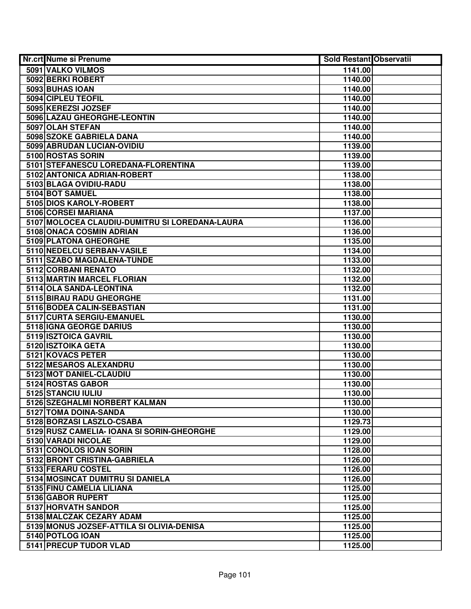| Nr.crt Nume si Prenume                         | Sold Restant Observatii |  |
|------------------------------------------------|-------------------------|--|
| 5091 VALKO VILMOS                              | 1141.00                 |  |
| 5092 BERKI ROBERT                              | 1140.00                 |  |
| 5093 BUHAS IOAN                                | 1140.00                 |  |
| 5094 CIPLEU TEOFIL                             | 1140.00                 |  |
| 5095 KEREZSI JOZSEF                            | 1140.00                 |  |
| 5096 LAZAU GHEORGHE-LEONTIN                    | 1140.00                 |  |
| 5097 OLAH STEFAN                               | 1140.00                 |  |
| 5098 SZOKE GABRIELA DANA                       | 1140.00                 |  |
| 5099 ABRUDAN LUCIAN-OVIDIU                     | 1139.00                 |  |
| 5100 ROSTAS SORIN                              | 1139.00                 |  |
| 5101 STEFANESCU LOREDANA-FLORENTINA            | 1139.00                 |  |
| 5102 ANTONICA ADRIAN-ROBERT                    | 1138.00                 |  |
| 5103 BLAGA OVIDIU-RADU                         | 1138.00                 |  |
| 5104 BOT SAMUEL                                | 1138.00                 |  |
| 5105 DIOS KAROLY-ROBERT                        | 1138.00                 |  |
| 5106 CORSEI MARIANA                            | 1137.00                 |  |
| 5107 MOLOCEA CLAUDIU-DUMITRU SI LOREDANA-LAURA | 1136.00                 |  |
| 5108 ONACA COSMIN ADRIAN                       | 1136.00                 |  |
| 5109 PLATONA GHEORGHE                          | 1135.00                 |  |
| 5110 NEDELCU SERBAN-VASILE                     | 1134.00                 |  |
| 5111 SZABO MAGDALENA-TUNDE                     | 1133.00                 |  |
| 5112 CORBANI RENATO                            | 1132.00                 |  |
| 5113 MARTIN MARCEL FLORIAN                     | 1132.00                 |  |
| 5114 OLA SANDA-LEONTINA                        | 1132.00                 |  |
| 5115 BIRAU RADU GHEORGHE                       | 1131.00                 |  |
| 5116 BODEA CALIN-SEBASTIAN                     | 1131.00                 |  |
| 5117 CURTA SERGIU-EMANUEL                      | 1130.00                 |  |
| 5118 IGNA GEORGE DARIUS                        | 1130.00                 |  |
| 5119 ISZTOICA GAVRIL                           | 1130.00                 |  |
| 5120 ISZTOIKA GETA                             | 1130.00                 |  |
| 5121 KOVACS PETER                              | 1130.00                 |  |
| 5122 MESAROS ALEXANDRU                         | 1130.00                 |  |
| 5123 MOT DANIEL-CLAUDIU                        | 1130.00                 |  |
| 5124 ROSTAS GABOR                              | 1130.00                 |  |
| 5125 STANCIU IULIU                             | 1130.00                 |  |
| 5126 SZEGHALMI NORBERT KALMAN                  | 1130.00                 |  |
| 5127 TOMA DOINA-SANDA                          | 1130.00                 |  |
| 5128 BORZASI LASZLO-CSABA                      | 1129.73                 |  |
| 5129 RUSZ CAMELIA- IOANA SI SORIN-GHEORGHE     | 1129.00                 |  |
| 5130 VARADI NICOLAE                            | 1129.00                 |  |
| 5131 CONOLOS IOAN SORIN                        | 1128.00                 |  |
| 5132 BRONT CRISTINA-GABRIELA                   | 1126.00                 |  |
| 5133 FERARU COSTEL                             | 1126.00                 |  |
| 5134 MOSINCAT DUMITRU SI DANIELA               | 1126.00                 |  |
| 5135 FINU CAMELIA LILIANA                      | 1125.00                 |  |
| 5136 GABOR RUPERT                              | 1125.00                 |  |
| 5137 HORVATH SANDOR                            | 1125.00                 |  |
| 5138 MALCZAK CEZARY ADAM                       | 1125.00                 |  |
| 5139 MONUS JOZSEF-ATTILA SI OLIVIA-DENISA      | 1125.00                 |  |
| 5140 POTLOG IOAN                               | 1125.00                 |  |
| 5141 PRECUP TUDOR VLAD                         | 1125.00                 |  |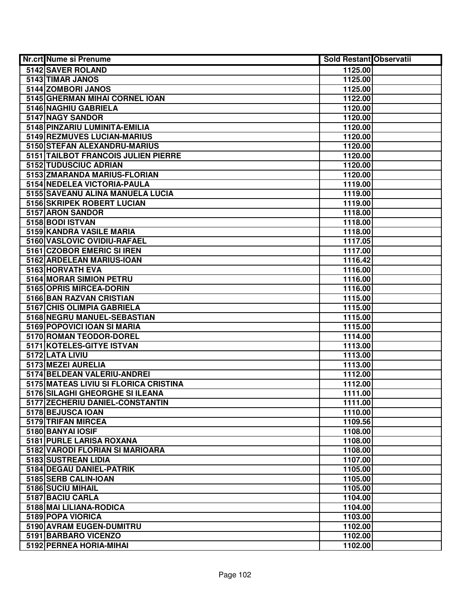| Nr.crt Nume si Prenume                | <b>Sold Restant Observatii</b> |  |
|---------------------------------------|--------------------------------|--|
| 5142 SAVER ROLAND                     | 1125.00                        |  |
| 5143 TIMAR JANOS                      | 1125.00                        |  |
| 5144 ZOMBORI JANOS                    | 1125.00                        |  |
| 5145 GHERMAN MIHAI CORNEL IOAN        | 1122.00                        |  |
| 5146 NAGHIU GABRIELA                  | 1120.00                        |  |
| 5147 NAGY SANDOR                      | 1120.00                        |  |
| 5148 PINZARIU LUMINITA-EMILIA         | 1120.00                        |  |
| 5149 REZMUVES LUCIAN-MARIUS           | 1120.00                        |  |
| 5150 STEFAN ALEXANDRU-MARIUS          | 1120.00                        |  |
| 5151 TAILBOT FRANCOIS JULIEN PIERRE   | 1120.00                        |  |
| 5152 TUDUSCIUC ADRIAN                 | 1120.00                        |  |
| 5153 ZMARANDA MARIUS-FLORIAN          | 1120.00                        |  |
| 5154 NEDELEA VICTORIA-PAULA           | 1119.00                        |  |
| 5155 SAVEANU ALINA MANUELA LUCIA      | 1119.00                        |  |
| 5156 SKRIPEK ROBERT LUCIAN            | 1119.00                        |  |
| 5157 ARON SANDOR                      | 1118.00                        |  |
| 5158 BODI ISTVAN                      | 1118.00                        |  |
| 5159 KANDRA VASILE MARIA              | 1118.00                        |  |
| 5160 VASLOVIC OVIDIU-RAFAEL           | 1117.05                        |  |
| 5161 CZOBOR EMERIC SI IREN            | 1117.00                        |  |
| 5162 ARDELEAN MARIUS-IOAN             | 1116.42                        |  |
| 5163 HORVATH EVA                      | 1116.00                        |  |
| 5164 MORAR SIMION PETRU               | 1116.00                        |  |
| 5165 OPRIS MIRCEA-DORIN               | 1116.00                        |  |
| 5166 BAN RAZVAN CRISTIAN              | 1115.00                        |  |
| 5167 CHIS OLIMPIA GABRIELA            | 1115.00                        |  |
| 5168 NEGRU MANUEL-SEBASTIAN           | 1115.00                        |  |
| 5169 POPOVICI IOAN SI MARIA           | 1115.00                        |  |
| 5170 ROMAN TEODOR-DOREL               | 1114.00                        |  |
| 5171 KOTELES-GITYE ISTVAN             | 1113.00                        |  |
| 5172 LATA LIVIU                       | 1113.00                        |  |
| 5173 MEZEI AURELIA                    | 1113.00                        |  |
| 5174 BELDEAN VALERIU-ANDREI           | 1112.00                        |  |
| 5175 MATEAS LIVIU SI FLORICA CRISTINA | 1112.00                        |  |
| 5176 SILAGHI GHEORGHE SI ILEANA       | 1111.00                        |  |
| 5177 ZECHERIU DANIEL-CONSTANTIN       | 1111.00                        |  |
| 5178 BEJUSCA IOAN                     | 1110.00                        |  |
| 5179 TRIFAN MIRCEA                    | 1109.56                        |  |
| 5180 BANYAI IOSIF                     | 1108.00                        |  |
| 5181 PURLE LARISA ROXANA              | 1108.00                        |  |
| 5182 VARODI FLORIAN SI MARIOARA       | 1108.00                        |  |
| 5183 SUSTREAN LIDIA                   | 1107.00                        |  |
| 5184 DEGAU DANIEL-PATRIK              | 1105.00                        |  |
| 5185 SERB CALIN-IOAN                  | 1105.00                        |  |
| 5186 SUCIU MIHAIL                     | 1105.00                        |  |
| 5187 BACIU CARLA                      | 1104.00                        |  |
| 5188 MAI LILIANA-RODICA               | 1104.00                        |  |
| 5189 POPA VIORICA                     | 1103.00                        |  |
| 5190 AVRAM EUGEN-DUMITRU              | 1102.00                        |  |
| 5191 BARBARO VICENZO                  | 1102.00                        |  |
| 5192 PERNEA HORIA-MIHAI               | 1102.00                        |  |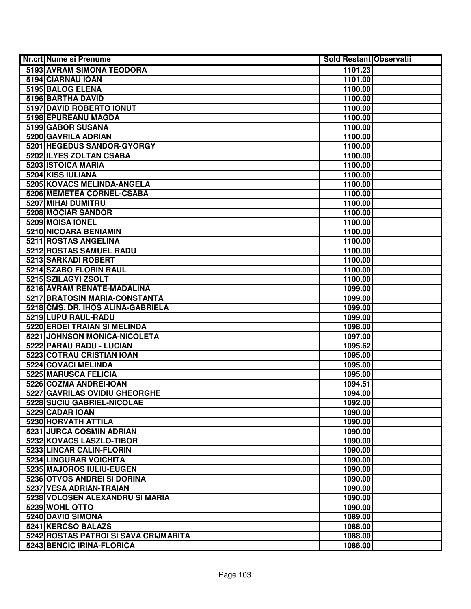| Nr.crt Nume si Prenume                            | <b>Sold Restant Observatii</b> |
|---------------------------------------------------|--------------------------------|
| 5193 AVRAM SIMONA TEODORA                         | 1101.23                        |
| 5194 CIARNAU IOAN                                 | 1101.00                        |
| 5195 BALOG ELENA                                  | 1100.00                        |
| 5196 BARTHA DAVID                                 | 1100.00                        |
| 5197 DAVID ROBERTO IONUT                          | 1100.00                        |
| 5198 EPUREANU MAGDA                               | 1100.00                        |
| 5199 GABOR SUSANA                                 | 1100.00                        |
| 5200 GAVRILA ADRIAN                               | 1100.00                        |
| 5201 HEGEDUS SANDOR-GYORGY                        | 1100.00                        |
| 5202 ILYES ZOLTAN CSABA                           | 1100.00                        |
| 5203 ISTOICA MARIA                                | 1100.00                        |
| 5204 KISS IULIANA                                 | 1100.00                        |
| 5205 KOVACS MELINDA-ANGELA                        | 1100.00                        |
| 5206 MEMETEA CORNEL-CSABA                         | 1100.00                        |
| 5207 MIHAI DUMITRU                                | 1100.00                        |
| 5208 MOCIAR SANDOR                                | 1100.00                        |
| 5209 MOISA IONEL                                  | 1100.00                        |
| 5210 NICOARA BENIAMIN                             | 1100.00                        |
| 5211 ROSTAS ANGELINA                              | 1100.00                        |
| 5212 ROSTAS SAMUEL RADU                           | 1100.00                        |
| 5213 SARKADI ROBERT                               | 1100.00                        |
| 5214 SZABO FLORIN RAUL                            | 1100.00                        |
| 5215 SZILAGYI ZSOLT                               | 1100.00                        |
| 5216 AVRAM RENATE-MADALINA                        | 1099.00                        |
| 5217 BRATOSIN MARIA-CONSTANTA                     | 1099.00                        |
| 5218 CMS. DR. IHOS ALINA-GABRIELA                 | 1099.00                        |
| 5219 LUPU RAUL-RADU                               | 1099.00                        |
| 5220 ERDEI TRAIAN SI MELINDA                      | 1098.00                        |
| 5221 JOHNSON MONICA-NICOLETA                      | 1097.00                        |
| 5222 PARAU RADU - LUCIAN                          | 1095.62                        |
| 5223 COTRAU CRISTIAN IOAN                         | 1095.00                        |
| 5224 COVACI MELINDA                               | 1095.00                        |
| 5225 MARUSCA FELICIA                              | 1095.00                        |
| 5226 COZMA ANDREI-IOAN                            | 1094.51                        |
| 5227 GAVRILAS OVIDIU GHEORGHE                     | 1094.00                        |
| 5228 SUCIU GABRIEL-NICOLAE                        | 1092.00                        |
| 5229 CADAR IOAN                                   | 1090.00                        |
| 5230 HORVATH ATTILA                               | 1090.00                        |
| 5231 JURCA COSMIN ADRIAN                          | 1090.00                        |
| 5232 KOVACS LASZLO-TIBOR                          | 1090.00                        |
| 5233 LINCAR CALIN-FLORIN                          | 1090.00                        |
| 5234 LINGURAR VOICHITA                            | 1090.00                        |
| 5235 MAJOROS IULIU-EUGEN                          | 1090.00                        |
| 5236 OTVOS ANDREI SI DORINA                       | 1090.00                        |
| 5237 VESA ADRIAN-TRAIAN                           | 1090.00                        |
| 5238 VOLOSEN ALEXANDRU SI MARIA<br>5239 WOHL OTTO | 1090.00                        |
| 5240 DAVID SIMONA                                 | 1090.00<br>1089.00             |
| 5241 KERCSO BALAZS                                | 1088.00                        |
| 5242 ROSTAS PATROI SI SAVA CRIJMARITA             | 1088.00                        |
| 5243 BENCIC IRINA-FLORICA                         | 1086.00                        |
|                                                   |                                |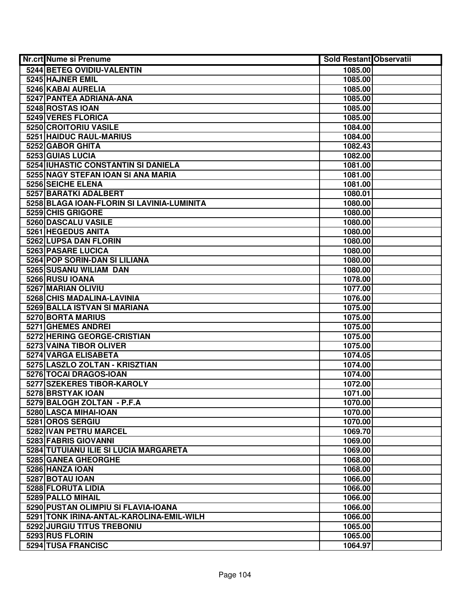| Nr.crt Nume si Prenume                     | <b>Sold Restant Observatii</b> |  |
|--------------------------------------------|--------------------------------|--|
| 5244 BETEG OVIDIU-VALENTIN                 | 1085.00                        |  |
| 5245 HAJNER EMIL                           | 1085.00                        |  |
| 5246 KABAI AURELIA                         | 1085.00                        |  |
| 5247 PANTEA ADRIANA-ANA                    | 1085.00                        |  |
| 5248 ROSTAS IOAN                           | 1085.00                        |  |
| 5249 VERES FLORICA                         | 1085.00                        |  |
| 5250 CROITORIU VASILE                      | 1084.00                        |  |
| 5251 HAIDUC RAUL-MARIUS                    | 1084.00                        |  |
| 5252 GABOR GHITA                           | 1082.43                        |  |
| 5253 GUIAS LUCIA                           | 1082.00                        |  |
| 5254 IUHASTIC CONSTANTIN SI DANIELA        | 1081.00                        |  |
| 5255 NAGY STEFAN IOAN SI ANA MARIA         | 1081.00                        |  |
| <b>5256 SEICHE ELENA</b>                   | 1081.00                        |  |
| 5257 BARATKI ADALBERT                      | 1080.01                        |  |
| 5258 BLAGA IOAN-FLORIN SI LAVINIA-LUMINITA | 1080.00                        |  |
| 5259 CHIS GRIGORE                          | 1080.00                        |  |
| 5260 DASCALU VASILE                        | 1080.00                        |  |
| 5261 HEGEDUS ANITA                         | 1080.00                        |  |
| 5262 LUPSA DAN FLORIN                      | 1080.00                        |  |
| 5263 PASARE LUCICA                         | 1080.00                        |  |
| 5264 POP SORIN-DAN SI LILIANA              | 1080.00                        |  |
| 5265 SUSANU WILIAM DAN                     | 1080.00                        |  |
| 5266 RUSU IOANA                            | 1078.00                        |  |
| 5267 MARIAN OLIVIU                         | 1077.00                        |  |
| 5268 CHIS MADALINA-LAVINIA                 | 1076.00                        |  |
| 5269 BALLA ISTVAN SI MARIANA               | 1075.00                        |  |
| 5270 BORTA MARIUS                          | 1075.00                        |  |
| 5271 GHEMES ANDREI                         | 1075.00                        |  |
| 5272 HERING GEORGE-CRISTIAN                | 1075.00                        |  |
| 5273 VAINA TIBOR OLIVER                    | 1075.00                        |  |
| 5274 VARGA ELISABETA                       | 1074.05                        |  |
| 5275 LASZLO ZOLTAN - KRISZTIAN             | 1074.00                        |  |
| 5276 TOCAI DRAGOS-IOAN                     | 1074.00                        |  |
| 5277 SZEKERES TIBOR-KAROLY                 | 1072.00                        |  |
| 5278 BRSTYAK IOAN                          | 1071.00                        |  |
| 5279 BALOGH ZOLTAN - P.F.A                 | 1070.00                        |  |
| 5280 LASCA MIHAI-IOAN                      | 1070.00                        |  |
| 5281 OROS SERGIU                           | 1070.00                        |  |
| 5282 IVAN PETRU MARCEL                     | 1069.70                        |  |
| 5283 FABRIS GIOVANNI                       | 1069.00                        |  |
| 5284 TUTUIANU ILIE SI LUCIA MARGARETA      | 1069.00                        |  |
| 5285 GANEA GHEORGHE                        | 1068.00                        |  |
| 5286 HANZA IOAN                            | 1068.00                        |  |
| 5287 BOTAU IOAN                            | 1066.00                        |  |
| 5288 FLORUTA LIDIA                         | 1066.00                        |  |
| 5289 PALLO MIHAIL                          | 1066.00                        |  |
| 5290 PUSTAN OLIMPIU SI FLAVIA-IOANA        | 1066.00                        |  |
| 5291 TONK IRINA-ANTAL-KAROLINA-EMIL-WILH   | 1066.00                        |  |
| 5292 JURGIU TITUS TREBONIU                 | 1065.00                        |  |
| 5293 RUS FLORIN                            | 1065.00                        |  |
| 5294 TUSA FRANCISC                         | 1064.97                        |  |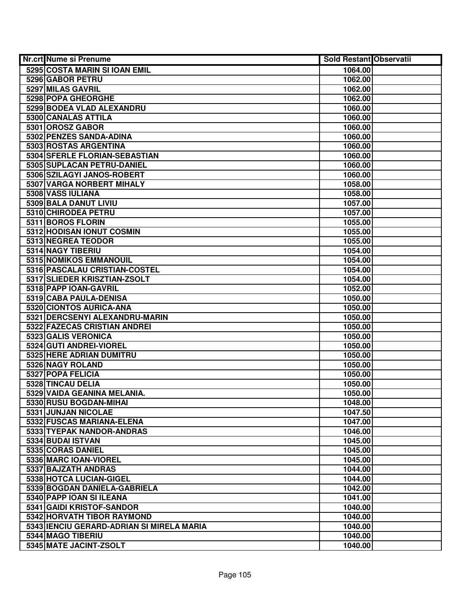| Nr.crt Nume si Prenume                    | <b>Sold Restant Observatii</b> |  |
|-------------------------------------------|--------------------------------|--|
| 5295 COSTA MARIN SI IOAN EMIL             | 1064.00                        |  |
| 5296 GABOR PETRU                          | 1062.00                        |  |
| 5297 MILAS GAVRIL                         | 1062.00                        |  |
| 5298 POPA GHEORGHE                        | 1062.00                        |  |
| 5299 BODEA VLAD ALEXANDRU                 | 1060.00                        |  |
| 5300 CANALAS ATTILA                       | 1060.00                        |  |
| 5301 OROSZ GABOR                          | 1060.00                        |  |
| 5302 PENZES SANDA-ADINA                   | 1060.00                        |  |
| 5303 ROSTAS ARGENTINA                     | 1060.00                        |  |
| 5304 SFERLE FLORIAN-SEBASTIAN             | 1060.00                        |  |
| 5305 SUPLACAN PETRU-DANIEL                | 1060.00                        |  |
| 5306 SZILAGYI JANOS-ROBERT                | 1060.00                        |  |
| 5307 VARGA NORBERT MIHALY                 | 1058.00                        |  |
| 5308 VASS IULIANA                         | 1058.00                        |  |
| 5309 BALA DANUT LIVIU                     | 1057.00                        |  |
| 5310 CHIRODEA PETRU                       | 1057.00                        |  |
| 5311 BOROS FLORIN                         | 1055.00                        |  |
| 5312 HODISAN IONUT COSMIN                 | 1055.00                        |  |
| 5313 NEGREA TEODOR                        | 1055.00                        |  |
| 5314 NAGY TIBERIU                         | 1054.00                        |  |
| 5315 NOMIKOS EMMANOUIL                    | 1054.00                        |  |
| 5316 PASCALAU CRISTIAN-COSTEL             | 1054.00                        |  |
| 5317 SLIEDER KRISZTIAN-ZSOLT              | 1054.00                        |  |
| 5318 PAPP IOAN-GAVRIL                     | 1052.00                        |  |
| 5319 CABA PAULA-DENISA                    | 1050.00                        |  |
| 5320 CIONTOS AURICA-ANA                   | 1050.00                        |  |
| 5321 DERCSENYI ALEXANDRU-MARIN            | 1050.00                        |  |
| 5322 FAZECAS CRISTIAN ANDREI              | 1050.00                        |  |
| 5323 GALIS VERONICA                       | 1050.00                        |  |
| 5324 GUTI ANDREI-VIOREL                   | 1050.00                        |  |
| 5325 HERE ADRIAN DUMITRU                  | 1050.00                        |  |
| 5326 NAGY ROLAND                          | 1050.00                        |  |
| 5327 POPA FELICIA                         | 1050.00                        |  |
| 5328 TINCAU DELIA                         | 1050.00                        |  |
| 5329 VAIDA GEANINA MELANIA.               | 1050.00                        |  |
| 5330 RUSU BOGDAN-MIHAI                    | 1048.00                        |  |
| 5331 JUNJAN NICOLAE                       | 1047.50                        |  |
| 5332 FUSCAS MARIANA-ELENA                 | 1047.00                        |  |
| 5333 TYEPAK NANDOR-ANDRAS                 | 1046.00                        |  |
| 5334 BUDAI ISTVAN                         | 1045.00                        |  |
| 5335 CORAS DANIEL                         | 1045.00                        |  |
| 5336 MARC IOAN-VIOREL                     | 1045.00                        |  |
| 5337 BAJZATH ANDRAS                       | 1044.00                        |  |
| 5338 HOTCA LUCIAN-GIGEL                   | 1044.00                        |  |
| 5339 BOGDAN DANIELA-GABRIELA              | 1042.00                        |  |
| 5340 PAPP IOAN SI ILEANA                  | 1041.00                        |  |
| 5341 GAIDI KRISTOF-SANDOR                 | 1040.00                        |  |
| 5342 HORVATH TIBOR RAYMOND                | 1040.00                        |  |
| 5343 IENCIU GERARD-ADRIAN SI MIRELA MARIA | 1040.00                        |  |
| 5344 MAGO TIBERIU                         | 1040.00                        |  |
| 5345 MATE JACINT-ZSOLT                    | 1040.00                        |  |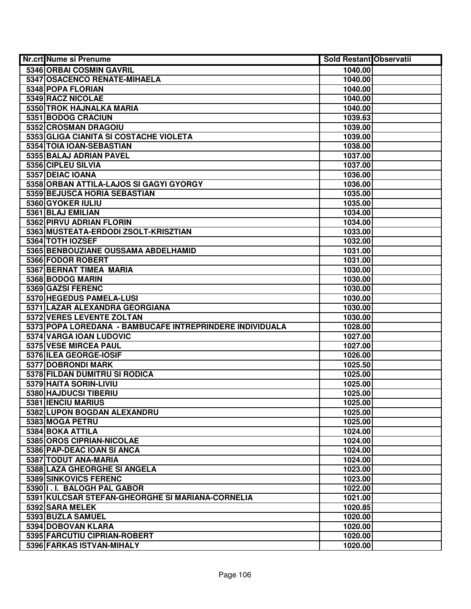| Nr.crt Nume si Prenume                                   | <b>Sold Restant Observatii</b> |  |
|----------------------------------------------------------|--------------------------------|--|
| 5346 ORBAI COSMIN GAVRIL                                 | 1040.00                        |  |
| 5347 OSACENCO RENATE-MIHAELA                             | 1040.00                        |  |
| 5348 POPA FLORIAN                                        | 1040.00                        |  |
| 5349 RACZ NICOLAE                                        | 1040.00                        |  |
| 5350 TROK HAJNALKA MARIA                                 | 1040.00                        |  |
| 5351 BODOG CRACIUN                                       | 1039.63                        |  |
| 5352 CROSMAN DRAGOIU                                     | 1039.00                        |  |
| 5353 GLIGA CIANITA SI COSTACHE VIOLETA                   | 1039.00                        |  |
| 5354 TOIA IOAN-SEBASTIAN                                 | 1038.00                        |  |
| 5355 BALAJ ADRIAN PAVEL                                  | 1037.00                        |  |
| 5356 CIPLEU SILVIA                                       | 1037.00                        |  |
| 5357 DEIAC IOANA                                         | 1036.00                        |  |
| 5358 ORBAN ATTILA-LAJOS SI GAGYI GYORGY                  | 1036.00                        |  |
| 5359 BEJUSCA HORIA SEBASTIAN                             | 1035.00                        |  |
| 5360 GYOKER IULIU                                        | 1035.00                        |  |
| 5361 BLAJ EMILIAN                                        | 1034.00                        |  |
| 5362 PIRVU ADRIAN FLORIN                                 | 1034.00                        |  |
| 5363 MUSTEATA-ERDODI ZSOLT-KRISZTIAN                     | 1033.00                        |  |
| 5364 TOTH IOZSEF                                         | 1032.00                        |  |
| 5365 BENBOUZIANE OUSSAMA ABDELHAMID                      | 1031.00                        |  |
| 5366 FODOR ROBERT                                        | 1031.00                        |  |
| 5367 BERNAT TIMEA MARIA                                  | 1030.00                        |  |
| 5368 BODOG MARIN                                         | 1030.00                        |  |
| 5369 GAZSI FERENC                                        | 1030.00                        |  |
| 5370 HEGEDUS PAMELA-LUSI                                 | 1030.00                        |  |
| 5371 LAZAR ALEXANDRA GEORGIANA                           | 1030.00                        |  |
| 5372 VERES LEVENTE ZOLTAN                                | 1030.00                        |  |
| 5373 POPA LOREDANA - BAMBUCAFE INTREPRINDERE INDIVIDUALA | 1028.00                        |  |
| 5374 VARGA IOAN LUDOVIC                                  | 1027.00                        |  |
| 5375 VESE MIRCEA PAUL                                    | 1027.00                        |  |
| 5376 ILEA GEORGE-IOSIF                                   | 1026.00                        |  |
| 5377 DOBRONDI MARK                                       | 1025.50                        |  |
| 5378 FILDAN DUMITRU SI RODICA                            | 1025.00                        |  |
| 5379 HAITA SORIN-LIVIU                                   | 1025.00                        |  |
| 5380 HAJDUCSI TIBERIU                                    | 1025.00                        |  |
| 5381 IENCIU MARIUS                                       | 1025.00                        |  |
| 5382 LUPON BOGDAN ALEXANDRU                              | 1025.00                        |  |
| 5383 MOGA PETRU                                          | 1025.00                        |  |
| 5384 BOKA ATTILA                                         | 1024.00                        |  |
| 5385 OROS CIPRIAN-NICOLAE                                | 1024.00                        |  |
| 5386 PAP-DEAC IOAN SI ANCA                               | 1024.00                        |  |
| 5387 TODUT ANA-MARIA                                     | 1024.00                        |  |
| 5388 LAZA GHEORGHE SI ANGELA                             | 1023.00                        |  |
| 5389 SINKOVICS FERENC                                    | 1023.00                        |  |
| 5390 I.I. BALOGH PAL GABOR                               | 1022.00                        |  |
| 5391 KULCSAR STEFAN-GHEORGHE SI MARIANA-CORNELIA         | 1021.00                        |  |
| 5392 SARA MELEK                                          | 1020.85                        |  |
| 5393 BUZLA SAMUEL                                        | 1020.00                        |  |
| 5394 DOBOVAN KLARA                                       | 1020.00                        |  |
| 5395 FARCUTIU CIPRIAN-ROBERT                             | 1020.00                        |  |
| 5396 FARKAS ISTVAN-MIHALY                                | 1020.00                        |  |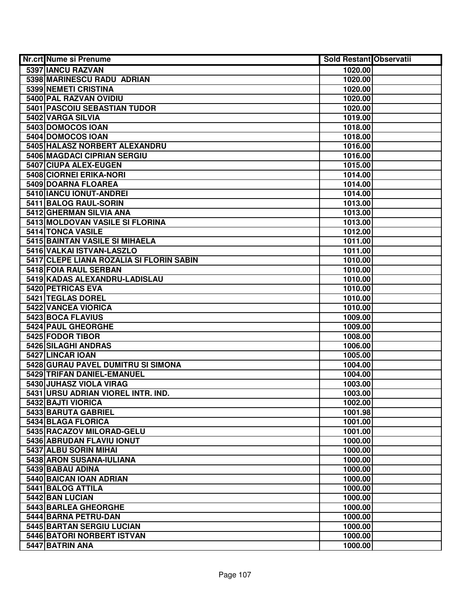| Nr.crt Nume si Prenume                   | <b>Sold Restant Observatii</b> |  |
|------------------------------------------|--------------------------------|--|
| 5397 IANCU RAZVAN                        | 1020.00                        |  |
| 5398 MARINESCU RADU ADRIAN               | 1020.00                        |  |
| 5399 NEMETI CRISTINA                     | 1020.00                        |  |
| 5400 PAL RAZVAN OVIDIU                   | 1020.00                        |  |
| 5401 PASCOIU SEBASTIAN TUDOR             | 1020.00                        |  |
| 5402 VARGA SILVIA                        | 1019.00                        |  |
| 5403 DOMOCOS IOAN                        | 1018.00                        |  |
| 5404 DOMOCOS IOAN                        | 1018.00                        |  |
| 5405 HALASZ NORBERT ALEXANDRU            | 1016.00                        |  |
| <b>5406 MAGDACI CIPRIAN SERGIU</b>       | 1016.00                        |  |
| 5407 CIUPA ALEX-EUGEN                    | 1015.00                        |  |
| 5408 CIORNEI ERIKA-NORI                  | 1014.00                        |  |
| 5409 DOARNA FLOAREA                      | 1014.00                        |  |
| 5410 IANCU IONUT-ANDREI                  | 1014.00                        |  |
| 5411 BALOG RAUL-SORIN                    | 1013.00                        |  |
| 5412 GHERMAN SILVIA ANA                  | 1013.00                        |  |
| 5413 MOLDOVAN VASILE SI FLORINA          | 1013.00                        |  |
| 5414 TONCA VASILE                        | 1012.00                        |  |
| 5415 BAINTAN VASILE SI MIHAELA           | 1011.00                        |  |
| 5416 VALKAI ISTVAN-LASZLO                | 1011.00                        |  |
| 5417 CLEPE LIANA ROZALIA SI FLORIN SABIN | 1010.00                        |  |
| 5418 FOIA RAUL SERBAN                    | 1010.00                        |  |
| 5419 KADAS ALEXANDRU-LADISLAU            | 1010.00                        |  |
| 5420 PETRICAS EVA                        | 1010.00                        |  |
| 5421 TEGLAS DOREL                        | 1010.00                        |  |
| 5422 VANCEA VIORICA                      | 1010.00                        |  |
| 5423 BOCA FLAVIUS                        | 1009.00                        |  |
| 5424 PAUL GHEORGHE                       | 1009.00                        |  |
| 5425 FODOR TIBOR                         | 1008.00                        |  |
| 5426 SILAGHI ANDRAS                      | 1006.00                        |  |
| 5427 LINCAR IOAN                         | 1005.00                        |  |
| 5428 GURAU PAVEL DUMITRU SI SIMONA       | 1004.00                        |  |
| 5429 TRIFAN DANIEL-EMANUEL               | 1004.00                        |  |
| 5430 JUHASZ VIOLA VIRAG                  | 1003.00                        |  |
| 5431 URSU ADRIAN VIOREL INTR. IND.       | 1003.00                        |  |
| 5432 BAJTI VIORICA                       | 1002.00                        |  |
| 5433 BARUTA GABRIEL                      | 1001.98                        |  |
| 5434 BLAGA FLORICA                       | 1001.00                        |  |
| 5435 RACAZOV MILORAD-GELU                | 1001.00                        |  |
| 5436 ABRUDAN FLAVIU IONUT                | 1000.00                        |  |
| 5437 ALBU SORIN MIHAI                    | 1000.00                        |  |
| 5438 ARON SUSANA-IULIANA                 | 1000.00                        |  |
| 5439 BABAU ADINA                         | 1000.00                        |  |
| 5440 BAICAN IOAN ADRIAN                  | 1000.00                        |  |
| 5441 BALOG ATTILA                        | 1000.00                        |  |
| 5442 BAN LUCIAN                          | 1000.00                        |  |
| 5443 BARLEA GHEORGHE                     | 1000.00                        |  |
| 5444 BARNA PETRU-DAN                     | 1000.00                        |  |
| 5445 BARTAN SERGIU LUCIAN                | 1000.00                        |  |
| 5446 BATORI NORBERT ISTVAN               | 1000.00                        |  |
| 5447 BATRIN ANA                          | 1000.00                        |  |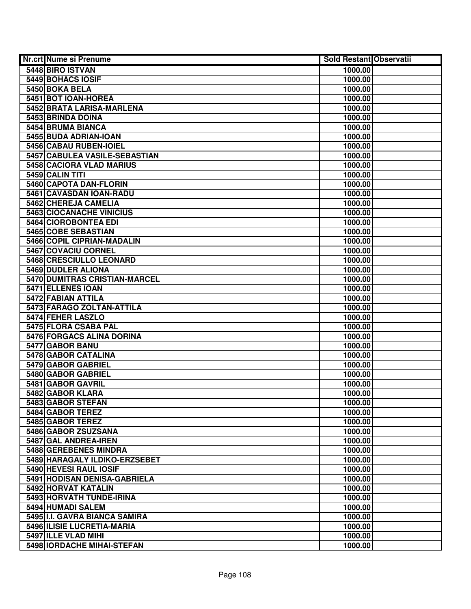| Nr.crt Nume si Prenume                                       | <b>Sold Restant Observatii</b> |  |
|--------------------------------------------------------------|--------------------------------|--|
| 5448 BIRO ISTVAN                                             | 1000.00                        |  |
| 5449 BOHACS IOSIF                                            | 1000.00                        |  |
| 5450 BOKA BELA                                               | 1000.00                        |  |
| 5451 BOT IOAN-HOREA                                          | 1000.00                        |  |
| 5452 BRATA LARISA-MARLENA                                    | 1000.00                        |  |
| 5453 BRINDA DOINA                                            | 1000.00                        |  |
| 5454 BRUMA BIANCA                                            | 1000.00                        |  |
| 5455 BUDA ADRIAN-IOAN                                        | 1000.00                        |  |
| 5456 CABAU RUBEN-IOIEL                                       | 1000.00                        |  |
| 5457 CABULEA VASILE-SEBASTIAN                                | 1000.00                        |  |
| 5458 CACIORA VLAD MARIUS                                     | 1000.00                        |  |
| 5459 CALIN TITI                                              | 1000.00                        |  |
| 5460 CAPOTA DAN-FLORIN                                       | 1000.00                        |  |
| 5461 CAVASDAN IOAN-RADU                                      | 1000.00                        |  |
| 5462 CHEREJA CAMELIA                                         | 1000.00                        |  |
| 5463 CIOCANACHE VINICIUS                                     | 1000.00                        |  |
| <b>5464 CIOROBONTEA EDI</b>                                  | 1000.00                        |  |
| 5465 COBE SEBASTIAN                                          | 1000.00                        |  |
| 5466 COPIL CIPRIAN-MADALIN                                   | 1000.00                        |  |
| 5467 COVACIU CORNEL                                          | 1000.00                        |  |
| 5468 CRESCIULLO LEONARD                                      | 1000.00                        |  |
| 5469 DUDLER ALIONA                                           | 1000.00                        |  |
| 5470 DUMITRAS CRISTIAN-MARCEL                                | 1000.00                        |  |
| 5471 ELLENES IOAN                                            | 1000.00                        |  |
| 5472 FABIAN ATTILA                                           | 1000.00                        |  |
| 5473 FARAGO ZOLTAN-ATTILA                                    | 1000.00                        |  |
| 5474 FEHER LASZLO                                            | 1000.00                        |  |
| 5475 FLORA CSABA PAL                                         | 1000.00                        |  |
| 5476 FORGACS ALINA DORINA                                    | 1000.00                        |  |
| 5477 GABOR BANU                                              | 1000.00                        |  |
| 5478 GABOR CATALINA                                          | 1000.00                        |  |
| 5479 GABOR GABRIEL                                           | 1000.00                        |  |
| 5480 GABOR GABRIEL                                           | 1000.00                        |  |
| 5481 GABOR GAVRIL                                            | 1000.00                        |  |
| 5482 GABOR KLARA                                             | 1000.00                        |  |
| 5483 GABOR STEFAN                                            | 1000.00                        |  |
| 5484 GABOR TEREZ                                             | 1000.00                        |  |
| 5485 GABOR TEREZ                                             | 1000.00                        |  |
| 5486 GABOR ZSUZSANA                                          | 1000.00                        |  |
| 5487 GAL ANDREA-IREN                                         | 1000.00                        |  |
| 5488 GEREBENES MINDRA                                        | 1000.00                        |  |
| 5489 HARAGALY ILDIKO-ERZSEBET                                | 1000.00                        |  |
| 5490 HEVESI RAUL IOSIF                                       | 1000.00                        |  |
| 5491 HODISAN DENISA-GABRIELA                                 | 1000.00                        |  |
| 5492 HORVAT KATALIN                                          | 1000.00                        |  |
| 5493 HORVATH TUNDE-IRINA                                     | 1000.00                        |  |
| 5494 HUMADI SALEM                                            | 1000.00                        |  |
| 5495 II.I. GAVRA BIANCA SAMIRA<br>5496 ILISIE LUCRETIA-MARIA | 1000.00                        |  |
| 5497 ILLE VLAD MIHI                                          | 1000.00<br>1000.00             |  |
| 5498 IORDACHE MIHAI-STEFAN                                   |                                |  |
|                                                              | 1000.00                        |  |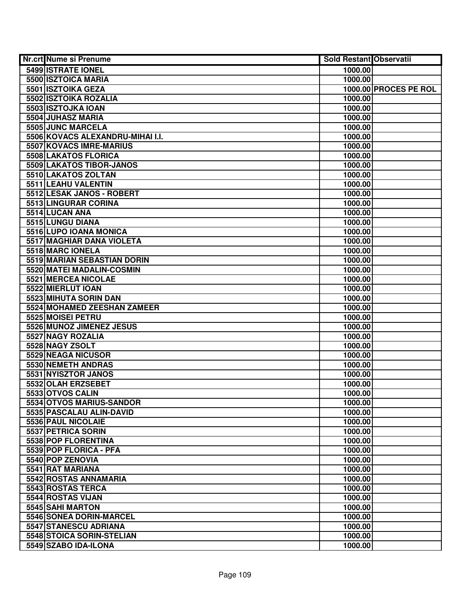| <b>Nr.crt Nume si Prenume</b>    | <b>Sold Restant Observatii</b> |                       |
|----------------------------------|--------------------------------|-----------------------|
| 5499 ISTRATE IONEL               | 1000.00                        |                       |
| 5500 ISZTOICA MARIA              | 1000.00                        |                       |
| 5501 ISZTOIKA GEZA               |                                | 1000.00 PROCES PE ROL |
| 5502 ISZTOIKA ROZALIA            | 1000.00                        |                       |
| 5503 ISZTOJKA IOAN               | 1000.00                        |                       |
| 5504 JUHASZ MARIA                | 1000.00                        |                       |
| 5505 JUNC MARCELA                | 1000.00                        |                       |
| 5506 KOVACS ALEXANDRU-MIHAI I.I. | 1000.00                        |                       |
| 5507 KOVACS IMRE-MARIUS          | 1000.00                        |                       |
| 5508 LAKATOS FLORICA             | 1000.00                        |                       |
| 5509 LAKATOS TIBOR-JANOS         | 1000.00                        |                       |
| 5510 LAKATOS ZOLTAN              | 1000.00                        |                       |
| 5511 LEAHU VALENTIN              | 1000.00                        |                       |
| 5512 LESAK JANOS - ROBERT        | 1000.00                        |                       |
| 5513 LINGURAR CORINA             | 1000.00                        |                       |
| 5514 LUCAN ANA                   | 1000.00                        |                       |
| 5515 LUNGU DIANA                 | 1000.00                        |                       |
| 5516 LUPO IOANA MONICA           | 1000.00                        |                       |
| <b>5517 MAGHIAR DANA VIOLETA</b> | 1000.00                        |                       |
| 5518 MARC IONELA                 | 1000.00                        |                       |
| 5519 MARIAN SEBASTIAN DORIN      | 1000.00                        |                       |
| 5520 MATEI MADALIN-COSMIN        | 1000.00                        |                       |
| <b>5521 MERCEA NICOLAE</b>       | 1000.00                        |                       |
| 5522 MIERLUT IOAN                | 1000.00                        |                       |
| 5523 MIHUTA SORIN DAN            | 1000.00                        |                       |
| 5524 MOHAMED ZEESHAN ZAMEER      | 1000.00                        |                       |
| 5525 MOISEI PETRU                | 1000.00                        |                       |
| 5526 MUNOZ JIMENEZ JESUS         | 1000.00                        |                       |
| 5527 NAGY ROZALIA                | 1000.00                        |                       |
| 5528 NAGY ZSOLT                  | 1000.00                        |                       |
| 5529 NEAGA NICUSOR               | 1000.00                        |                       |
| 5530 NEMETH ANDRAS               | 1000.00                        |                       |
| 5531 NYISZTOR JANOS              | 1000.00                        |                       |
| 5532 OLAH ERZSEBET               | 1000.00                        |                       |
| 5533 OTVOS CALIN                 | 1000.00                        |                       |
| 5534 OTVOS MARIUS-SANDOR         | 1000.00                        |                       |
| 5535 PASCALAU ALIN-DAVID         | 1000.00                        |                       |
| 5536 PAUL NICOLAIE               | 1000.00                        |                       |
| 5537 PETRICA SORIN               | 1000.00                        |                       |
| 5538 POP FLORENTINA              | 1000.00                        |                       |
| 5539 POP FLORICA - PFA           | 1000.00                        |                       |
| 5540 POP ZENOVIA                 | 1000.00                        |                       |
| 5541 RAT MARIANA                 | 1000.00                        |                       |
| 5542 ROSTAS ANNAMARIA            | 1000.00                        |                       |
| 5543 ROSTAS TERCA                | 1000.00                        |                       |
| 5544 ROSTAS VIJAN                | 1000.00                        |                       |
| 5545 SAHI MARTON                 | 1000.00                        |                       |
| 5546 SONEA DORIN-MARCEL          | 1000.00                        |                       |
| 5547 STANESCU ADRIANA            | 1000.00                        |                       |
| 5548 STOICA SORIN-STELIAN        | 1000.00                        |                       |
| 5549 SZABO IDA-ILONA             | 1000.00                        |                       |